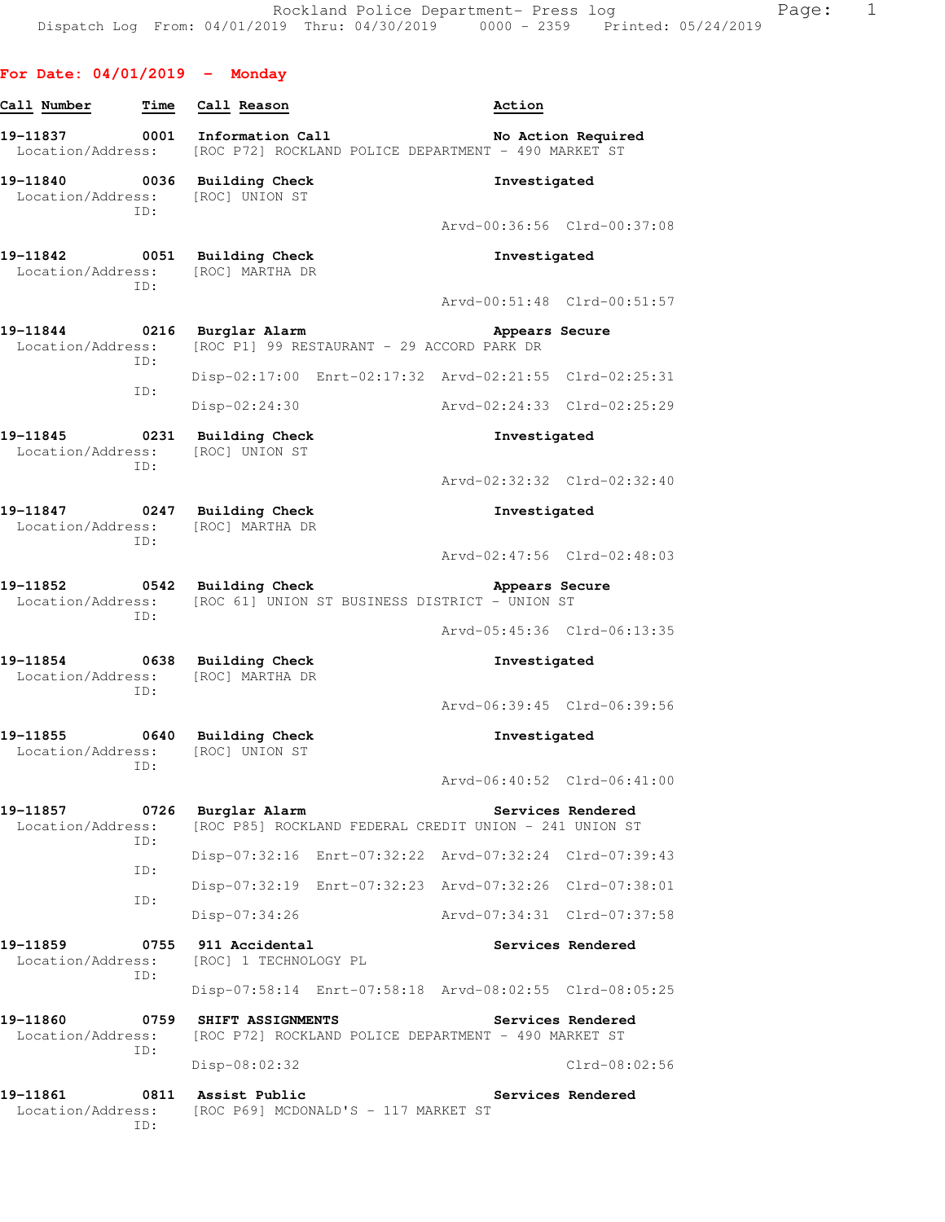| For Date: $04/01/2019$ - Monday     |             |                                                                           |                             |                    |
|-------------------------------------|-------------|---------------------------------------------------------------------------|-----------------------------|--------------------|
| Call Number                         |             | Time Call Reason                                                          | Action                      |                    |
|                                     |             | Location/Address: [ROC P72] ROCKLAND POLICE DEPARTMENT - 490 MARKET ST    |                             | No Action Required |
|                                     | ID:         | 19-11840 0036 Building Check<br>Location/Address: [ROC] UNION ST          | Investigated                |                    |
|                                     |             |                                                                           | Arvd-00:36:56 Clrd-00:37:08 |                    |
|                                     | ID:         | 19-11842 0051 Building Check<br>Location/Address: [ROC] MARTHA DR         | Investigated                |                    |
|                                     |             |                                                                           | Arvd-00:51:48 Clrd-00:51:57 |                    |
| 19-11844 0216 Burglar Alarm         | ID:         | Location/Address: [ROC P1] 99 RESTAURANT - 29 ACCORD PARK DR              | Appears Secure              |                    |
|                                     | ID:         | Disp-02:17:00 Enrt-02:17:32 Arvd-02:21:55 Clrd-02:25:31                   |                             |                    |
|                                     |             | Disp-02:24:30                                                             |                             |                    |
|                                     | ID:         | 19-11845 0231 Building Check<br>Location/Address: [ROC] UNION ST          | Investigated                |                    |
|                                     |             |                                                                           | Arvd-02:32:32 Clrd-02:32:40 |                    |
|                                     | ID:         | 19-11847 0247 Building Check<br>Location/Address: [ROC] MARTHA DR         | Investigated                |                    |
|                                     |             |                                                                           | Arvd-02:47:56 Clrd-02:48:03 |                    |
| 19-11852 0542 Building Check<br>ID: |             | Location/Address: [ROC 61] UNION ST BUSINESS DISTRICT - UNION ST          | Appears Secure              |                    |
|                                     |             |                                                                           | Arvd-05:45:36 Clrd-06:13:35 |                    |
| Location/Address:                   | ID:         | 19-11854 0638 Building Check<br>[ROC] MARTHA DR                           | Investigated                |                    |
|                                     |             |                                                                           | Arvd-06:39:45 Clrd-06:39:56 |                    |
| 19-11855<br>Location/Address:       | 0640<br>ID: | <b>Building Check</b><br>[ROC] UNION ST                                   | Investigated                |                    |
|                                     |             |                                                                           | Arvd-06:40:52 Clrd-06:41:00 |                    |
| 19-11857<br>Location/Address:       | 0726<br>ID: | Burglar Alarm<br>[ROC P85] ROCKLAND FEDERAL CREDIT UNION - 241 UNION ST   |                             | Services Rendered  |
|                                     | ID:         | Disp-07:32:16 Enrt-07:32:22 Arvd-07:32:24 Clrd-07:39:43                   |                             |                    |
|                                     | ID:         | Disp-07:32:19 Enrt-07:32:23 Arvd-07:32:26 Clrd-07:38:01                   |                             |                    |
|                                     |             | $Disp-07:34:26$                                                           | Arvd-07:34:31 Clrd-07:37:58 |                    |
| 19-11859<br>Location/Address:       | 0755<br>ID: | 911 Accidental<br>[ROC] 1 TECHNOLOGY PL                                   |                             | Services Rendered  |
|                                     |             | Disp-07:58:14 Enrt-07:58:18 Arvd-08:02:55 Clrd-08:05:25                   |                             |                    |
| 19-11860<br>Location/Address:       | 0759        | SHIFT ASSIGNMENTS<br>[ROC P72] ROCKLAND POLICE DEPARTMENT - 490 MARKET ST |                             | Services Rendered  |
|                                     | ID:         | Disp-08:02:32                                                             |                             | Clrd-08:02:56      |

**19-11861 0811 Assist Public Services Rendered**  Location/Address: [ROC P69] MCDONALD'S - 117 MARKET ST ID: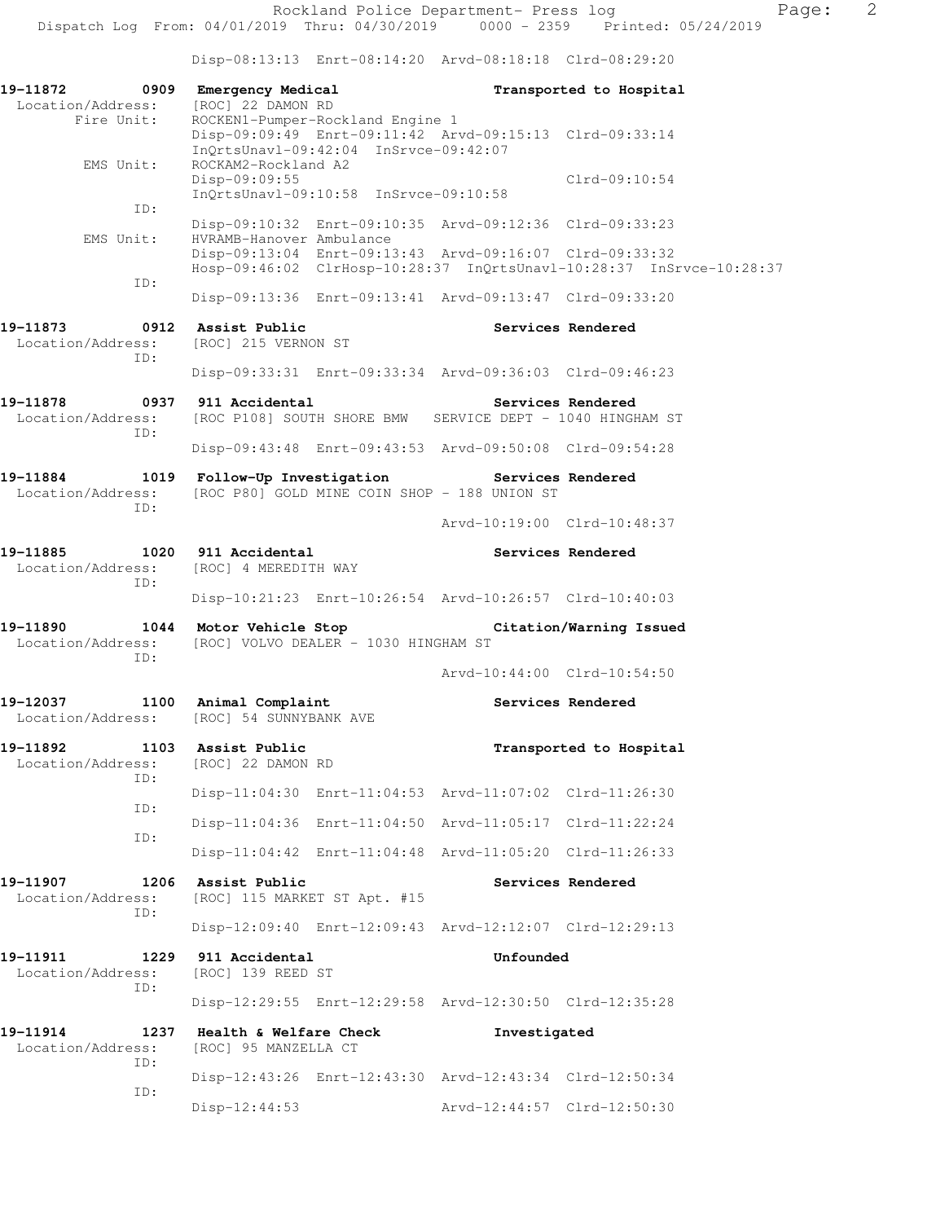Disp-08:13:13 Enrt-08:14:20 Arvd-08:18:18 Clrd-08:29:20

| 19-11872 0909 Emergency Medical<br>Location/Address:<br>Fire Unit: | [ROC] 22 DAMON RD<br>ROCKEN1-Pumper-Rockland Engine 1                                                   | Transported to Hospital                                                                                                         |  |
|--------------------------------------------------------------------|---------------------------------------------------------------------------------------------------------|---------------------------------------------------------------------------------------------------------------------------------|--|
| EMS Unit:                                                          | InQrtsUnavl-09:42:04 InSrvce-09:42:07<br>ROCKAM2-Rockland A2                                            | Disp-09:09:49 Enrt-09:11:42 Arvd-09:15:13 Clrd-09:33:14                                                                         |  |
|                                                                    | Disp-09:09:55<br>InQrtsUnavl-09:10:58 InSrvce-09:10:58                                                  | $Clrd-09:10:54$                                                                                                                 |  |
| ID:<br>EMS Unit:                                                   | HVRAMB-Hanover Ambulance                                                                                | Disp-09:10:32 Enrt-09:10:35 Arvd-09:12:36 Clrd-09:33:23                                                                         |  |
| ID:                                                                |                                                                                                         | Disp-09:13:04 Enrt-09:13:43 Arvd-09:16:07 Clrd-09:33:32<br>Hosp-09:46:02 ClrHosp-10:28:37 InQrtsUnavl-10:28:37 InSrvce-10:28:37 |  |
|                                                                    |                                                                                                         | Disp-09:13:36 Enrt-09:13:41 Arvd-09:13:47 Clrd-09:33:20                                                                         |  |
| 19–11873<br>Location/Address:<br>TD:                               | 0912 Assist Public<br>[ROC] 215 VERNON ST                                                               | Services Rendered                                                                                                               |  |
|                                                                    |                                                                                                         | Disp-09:33:31 Enrt-09:33:34 Arvd-09:36:03 Clrd-09:46:23                                                                         |  |
| 19-11878 0937 911 Accidental<br>Location/Address:<br>ID:           |                                                                                                         | Services Rendered<br>[ROC P108] SOUTH SHORE BMW SERVICE DEPT - 1040 HINGHAM ST                                                  |  |
|                                                                    |                                                                                                         | Disp-09:43:48 Enrt-09:43:53 Arvd-09:50:08 Clrd-09:54:28                                                                         |  |
| Location/Address:<br>ID:                                           | 19-11884 1019 Follow-Up Investigation Services Rendered<br>[ROC P80] GOLD MINE COIN SHOP - 188 UNION ST |                                                                                                                                 |  |
|                                                                    |                                                                                                         | Arvd-10:19:00 Clrd-10:48:37                                                                                                     |  |
| 19-11885 1020 911 Accidental<br>Location/Address:<br>ID:           | [ROC] 4 MEREDITH WAY                                                                                    | Services Rendered                                                                                                               |  |
|                                                                    |                                                                                                         | Disp-10:21:23 Enrt-10:26:54 Arvd-10:26:57 Clrd-10:40:03                                                                         |  |
| ID:                                                                | Location/Address: [ROC] VOLVO DEALER - 1030 HINGHAM ST                                                  | 19-11890 1044 Motor Vehicle Stop Notion (Varning Issued                                                                         |  |
|                                                                    |                                                                                                         | Arvd-10:44:00 Clrd-10:54:50                                                                                                     |  |
|                                                                    | 19-12037 1100 Animal Complaint<br>Location/Address: [ROC] 54 SUNNYBANK AVE                              | Services Rendered                                                                                                               |  |
| 19-11892<br>ID:                                                    | 1103 Assist Public<br>Location/Address: [ROC] 22 DAMON RD                                               | Transported to Hospital                                                                                                         |  |
| ID:                                                                |                                                                                                         | Disp-11:04:30 Enrt-11:04:53 Arvd-11:07:02 Clrd-11:26:30                                                                         |  |
| ID:                                                                |                                                                                                         | Disp-11:04:36 Enrt-11:04:50 Arvd-11:05:17 Clrd-11:22:24                                                                         |  |
|                                                                    |                                                                                                         | Disp-11:04:42 Enrt-11:04:48 Arvd-11:05:20 Clrd-11:26:33                                                                         |  |
| 19-11907<br>1206<br>Location/Address:<br>ID:                       | Assist Public<br>[ROC] 115 MARKET ST Apt. #15                                                           | Services Rendered                                                                                                               |  |
|                                                                    |                                                                                                         | Disp-12:09:40 Enrt-12:09:43 Arvd-12:12:07 Clrd-12:29:13                                                                         |  |
| 19-11911<br>1229<br>Location/Address:<br>ID:                       | 911 Accidental<br>[ROC] 139 REED ST                                                                     | Unfounded                                                                                                                       |  |
|                                                                    |                                                                                                         | Disp-12:29:55 Enrt-12:29:58 Arvd-12:30:50 Clrd-12:35:28                                                                         |  |
| 19-11914<br>1237<br>Location/Address:<br>ID:                       | Health & Welfare Check<br>[ROC] 95 MANZELLA CT                                                          | Investigated                                                                                                                    |  |
| ID:                                                                |                                                                                                         | Disp-12:43:26 Enrt-12:43:30 Arvd-12:43:34 Clrd-12:50:34                                                                         |  |
|                                                                    | $Disp-12:44:53$                                                                                         | Arvd-12:44:57 Clrd-12:50:30                                                                                                     |  |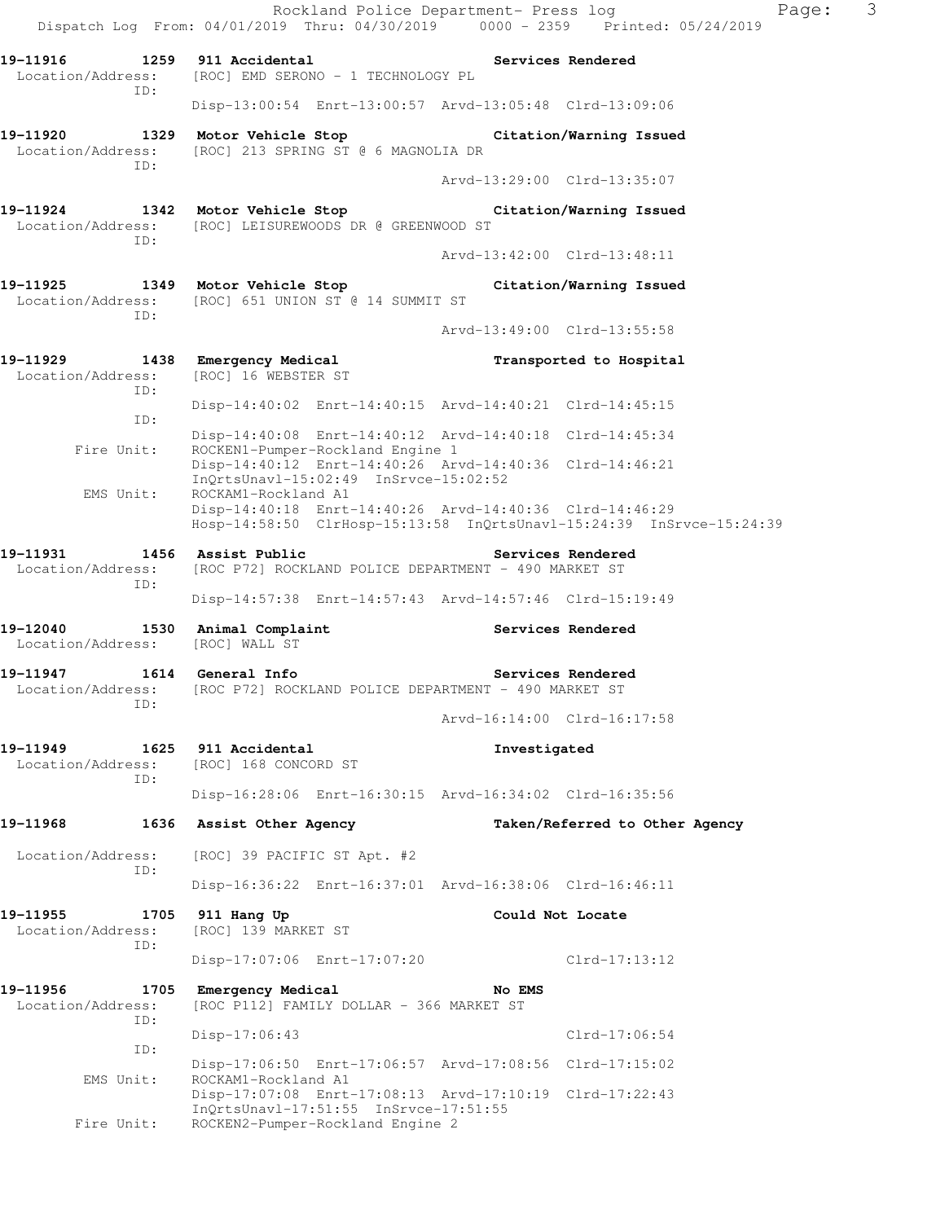|                                                     | Dispatch Log From: 04/01/2019 Thru: 04/30/2019 0000 - 2359 Printed: 05/24/2019                                                                         |                             | $\mathcal{S}$<br>Rockland Police Department- Press log<br>Page: |  |
|-----------------------------------------------------|--------------------------------------------------------------------------------------------------------------------------------------------------------|-----------------------------|-----------------------------------------------------------------|--|
|                                                     | 19-11916 1259 911 Accidental 1991 Services Rendered<br>Location/Address: [ROC] EMD SERONO - 1 TECHNOLOGY PL                                            |                             |                                                                 |  |
| ID:                                                 | Disp-13:00:54 Enrt-13:00:57 Arvd-13:05:48 Clrd-13:09:06                                                                                                |                             |                                                                 |  |
| Location/Address:<br>ID:                            | 19-11920 1329 Motor Vehicle Stop Citation/Warning Issued<br>[ROC] 213 SPRING ST @ 6 MAGNOLIA DR                                                        |                             |                                                                 |  |
|                                                     |                                                                                                                                                        | Arvd-13:29:00 Clrd-13:35:07 |                                                                 |  |
| ID:                                                 | 19-11924 1342 Motor Vehicle Stop Citation/Warning Issued<br>Location/Address: [ROC] LEISUREWOODS DR @ GREENWOOD ST                                     |                             |                                                                 |  |
|                                                     |                                                                                                                                                        | Arvd-13:42:00 Clrd-13:48:11 |                                                                 |  |
|                                                     | 19-11925 1349 Motor Vehicle Stop Citation/Warning Issued<br>Location/Address: [ROC] 651 UNION ST @ 14 SUMMIT ST                                        |                             |                                                                 |  |
| ID:                                                 |                                                                                                                                                        | Arvd-13:49:00 Clrd-13:55:58 |                                                                 |  |
| Location/Address:<br>ID:                            | 19-11929 1438 Emergency Medical<br>[ROC] 16 WEBSTER ST                                                                                                 |                             | Transported to Hospital                                         |  |
| ID:                                                 | Disp-14:40:02 Enrt-14:40:15 Arvd-14:40:21 Clrd-14:45:15                                                                                                |                             |                                                                 |  |
| Fire Unit:                                          | Disp-14:40:08 Enrt-14:40:12 Arvd-14:40:18 Clrd-14:45:34<br>ROCKEN1-Pumper-Rockland Engine 1                                                            |                             |                                                                 |  |
|                                                     | Disp-14:40:12 Enrt-14:40:26 Arvd-14:40:36 Clrd-14:46:21<br>InQrtsUnavl-15:02:49 InSrvce-15:02:52                                                       |                             |                                                                 |  |
| EMS Unit:                                           | ROCKAM1-Rockland A1<br>Disp-14:40:18 Enrt-14:40:26 Arvd-14:40:36 Clrd-14:46:29<br>Hosp-14:58:50 ClrHosp-15:13:58 InQrtsUnavl-15:24:39 InSrvce-15:24:39 |                             |                                                                 |  |
| 19-11931 1456 Assist Public<br>Location/Address:    | [ROC P72] ROCKLAND POLICE DEPARTMENT - 490 MARKET ST                                                                                                   |                             | Services Rendered                                               |  |
| ID:                                                 | Disp-14:57:38 Enrt-14:57:43 Arvd-14:57:46 Clrd-15:19:49                                                                                                |                             |                                                                 |  |
| 19-12040 1530 Animal Complaint<br>Location/Address: | [ROC] WALL ST                                                                                                                                          | <b>Services Rendered</b>    |                                                                 |  |
| ID:                                                 | 19-11947 1614 General Info<br>Location/Address: [ROC P72] ROCKLAND POLICE DEPARTMENT - 490 MARKET ST                                                   |                             | Services Rendered                                               |  |
|                                                     |                                                                                                                                                        | Arvd-16:14:00 Clrd-16:17:58 |                                                                 |  |
| 19-11949<br>Location/Address:<br>ID:                | 1625 911 Accidental<br>[ROC] 168 CONCORD ST                                                                                                            | Investigated                |                                                                 |  |
|                                                     | Disp-16:28:06 Enrt-16:30:15 Arvd-16:34:02 Clrd-16:35:56                                                                                                |                             |                                                                 |  |
| 19-11968                                            | 1636 Assist Other Agency                                                                                                                               |                             | Taken/Referred to Other Agency                                  |  |
| Location/Address:<br>ID:                            | [ROC] 39 PACIFIC ST Apt. #2                                                                                                                            |                             |                                                                 |  |
|                                                     | Disp-16:36:22 Enrt-16:37:01 Arvd-16:38:06 Clrd-16:46:11                                                                                                |                             |                                                                 |  |
| 19–11955<br>1705<br>Location/Address:<br>ID:        | 911 Hang Up<br>[ROC] 139 MARKET ST                                                                                                                     | Could Not Locate            |                                                                 |  |
|                                                     | Disp-17:07:06 Enrt-17:07:20                                                                                                                            |                             | Clrd-17:13:12                                                   |  |
| 19-11956<br>1705<br>Location/Address:<br>ID:        | Emergency Medical<br>[ROC P112] FAMILY DOLLAR - 366 MARKET ST                                                                                          | No EMS                      |                                                                 |  |
| ID:                                                 | $Disp-17:06:43$                                                                                                                                        |                             | $Clrd-17:06:54$                                                 |  |
| EMS Unit:                                           | Disp-17:06:50 Enrt-17:06:57 Arvd-17:08:56 Clrd-17:15:02<br>ROCKAM1-Rockland A1<br>Disp-17:07:08 Enrt-17:08:13 Arvd-17:10:19 Clrd-17:22:43              |                             |                                                                 |  |
| Fire Unit:                                          | InQrtsUnavl-17:51:55 InSrvce-17:51:55<br>ROCKEN2-Pumper-Rockland Engine 2                                                                              |                             |                                                                 |  |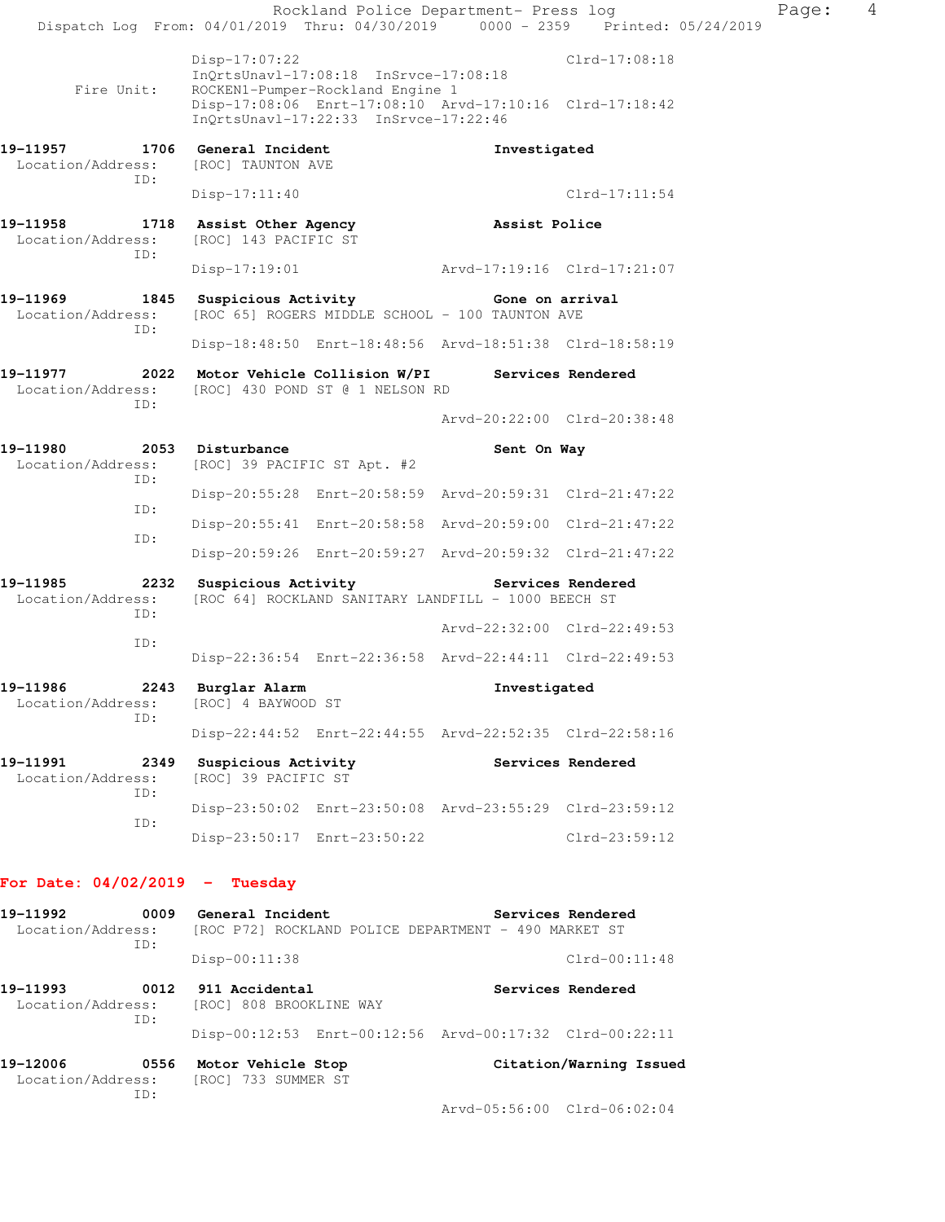| ID:                                                                            |                                                                                        |                                                                           | Arvd-05:56:00 Clrd-06:02:04                             |                         |       |                |
|--------------------------------------------------------------------------------|----------------------------------------------------------------------------------------|---------------------------------------------------------------------------|---------------------------------------------------------|-------------------------|-------|----------------|
| 19-12006<br>Location/Address:                                                  | 0556 Motor Vehicle Stop<br>[ROC] 733 SUMMER ST                                         |                                                                           |                                                         | Citation/Warning Issued |       |                |
| ID:                                                                            |                                                                                        |                                                                           | Disp-00:12:53 Enrt-00:12:56 Arvd-00:17:32 Clrd-00:22:11 |                         |       |                |
| 19–11993<br>Location/Address:                                                  | 0012 911 Accidental<br>[ROC] 808 BROOKLINE WAY                                         |                                                                           |                                                         | Services Rendered       |       |                |
| ID:                                                                            | $Disp-00:11:38$                                                                        |                                                                           |                                                         | $Clrd-00:11:48$         |       |                |
| 19-11992<br>Location/Address:                                                  | 0009 General Incident                                                                  |                                                                           | [ROC P72] ROCKLAND POLICE DEPARTMENT - 490 MARKET ST    | Services Rendered       |       |                |
| For Date: $04/02/2019$ - Tuesday                                               |                                                                                        |                                                                           |                                                         |                         |       |                |
|                                                                                |                                                                                        | Disp-23:50:17 Enrt-23:50:22                                               |                                                         | Clrd-23:59:12           |       |                |
| ID:                                                                            |                                                                                        |                                                                           | Disp-23:50:02 Enrt-23:50:08 Arvd-23:55:29 Clrd-23:59:12 |                         |       |                |
| 19-11991<br>Location/Address:<br>ID:                                           | 2349 Suspicious Activity<br>[ROC] 39 PACIFIC ST                                        |                                                                           |                                                         | Services Rendered       |       |                |
|                                                                                |                                                                                        |                                                                           | Disp-22:44:52 Enrt-22:44:55 Arvd-22:52:35 Clrd-22:58:16 |                         |       |                |
| 19-11986<br>2243<br>Location/Address:<br>TD:                                   | Burglar Alarm<br>[ROC] 4 BAYWOOD ST                                                    |                                                                           | Investigated                                            |                         |       |                |
|                                                                                |                                                                                        |                                                                           | Disp-22:36:54 Enrt-22:36:58 Arvd-22:44:11 Clrd-22:49:53 |                         |       |                |
| ID:                                                                            |                                                                                        |                                                                           | Arvd-22:32:00 Clrd-22:49:53                             |                         |       |                |
| 19-11985<br>Location/Address:<br>ID:                                           | 2232 Suspicious Activity                                                               |                                                                           | [ROC 64] ROCKLAND SANITARY LANDFILL - 1000 BEECH ST     | Services Rendered       |       |                |
|                                                                                |                                                                                        |                                                                           | Disp-20:59:26 Enrt-20:59:27 Arvd-20:59:32 Clrd-21:47:22 |                         |       |                |
| ID:<br>ID:                                                                     |                                                                                        |                                                                           | Disp-20:55:41 Enrt-20:58:58 Arvd-20:59:00 Clrd-21:47:22 |                         |       |                |
| ID:                                                                            |                                                                                        |                                                                           | Disp-20:55:28 Enrt-20:58:59 Arvd-20:59:31 Clrd-21:47:22 |                         |       |                |
| 19-11980<br>Location/Address:                                                  | 2053 Disturbance<br>[ROC] 39 PACIFIC ST Apt. #2                                        |                                                                           | Sent On Way                                             |                         |       |                |
| ID:                                                                            |                                                                                        |                                                                           | Arvd-20:22:00 Clrd-20:38:48                             |                         |       |                |
| 19-11977<br>Location/Address:                                                  | 2022 Motor Vehicle Collision W/PI Services Rendered<br>[ROC] 430 POND ST @ 1 NELSON RD |                                                                           |                                                         |                         |       |                |
|                                                                                |                                                                                        |                                                                           | Disp-18:48:50 Enrt-18:48:56 Arvd-18:51:38 Clrd-18:58:19 |                         |       |                |
| 19-11969<br>Location/Address:<br>ID:                                           | 1845 Suspicious Activity Cone on arrival                                               |                                                                           | [ROC 65] ROGERS MIDDLE SCHOOL - 100 TAUNTON AVE         |                         |       |                |
|                                                                                | $Disp-17:19:01$                                                                        |                                                                           | Arvd-17:19:16 Clrd-17:21:07                             |                         |       |                |
| 19-11958<br>Location/Address:<br>ID:                                           | 1718 Assist Other Agency<br>[ROC] 143 PACIFIC ST                                       |                                                                           | Assist Police                                           |                         |       |                |
| ID:                                                                            | $Disp-17:11:40$                                                                        |                                                                           |                                                         | $Clrd-17:11:54$         |       |                |
| 19–11957<br>Location/Address:                                                  | 1706 General Incident<br>[ROC] TAUNTON AVE                                             |                                                                           | Investigated                                            |                         |       |                |
| Fire Unit:                                                                     |                                                                                        | ROCKEN1-Pumper-Rockland Engine 1<br>InQrtsUnavl-17:22:33 InSrvce-17:22:46 | Disp-17:08:06 Enrt-17:08:10 Arvd-17:10:16 Clrd-17:18:42 |                         |       |                |
|                                                                                | Disp-17:07:22                                                                          | InQrtsUnavl-17:08:18 InSrvce-17:08:18                                     |                                                         | $Clrd-17:08:18$         |       |                |
| Dispatch Log From: 04/01/2019 Thru: 04/30/2019 0000 - 2359 Printed: 05/24/2019 |                                                                                        |                                                                           | Rockland Police Department- Press log                   |                         | Page: | $\overline{4}$ |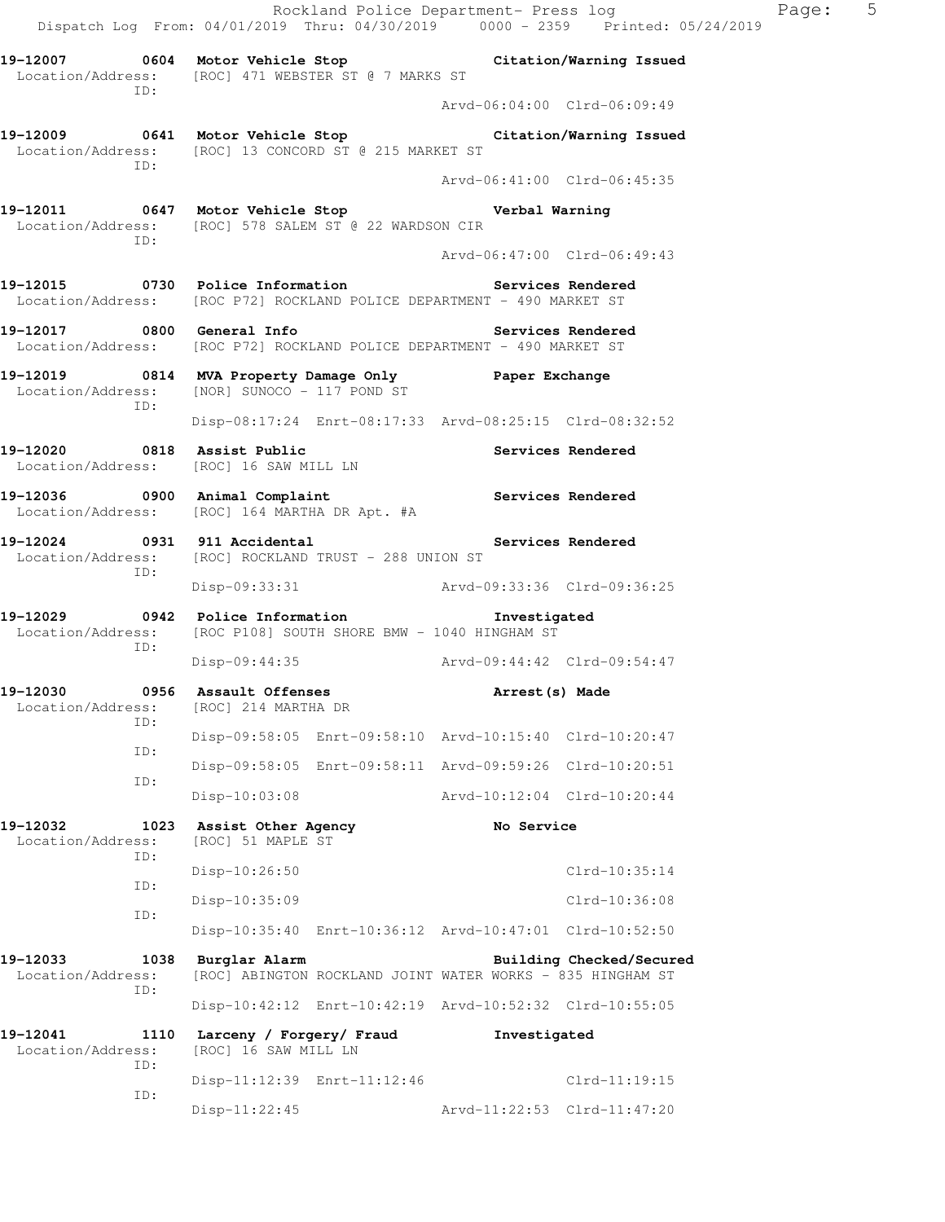Rockland Police Department- Press log Paqe: 5 Dispatch Log From: 04/01/2019 Thru: 04/30/2019 0000 - 2359 Printed: 05/24/2019 **19-12007 0604 Motor Vehicle Stop Citation/Warning Issued**  Location/Address: [ROC] 471 WEBSTER ST @ 7 MARKS ST ID: Arvd-06:04:00 Clrd-06:09:49 **19-12009 0641 Motor Vehicle Stop Citation/Warning Issued**  Location/Address: [ROC] 13 CONCORD ST @ 215 MARKET ST ID: Arvd-06:41:00 Clrd-06:45:35 **19-12011 0647 Motor Vehicle Stop Verbal Warning**  Location/Address: [ROC] 578 SALEM ST @ 22 WARDSON CIR ID: Arvd-06:47:00 Clrd-06:49:43 **19-12015 0730 Police Information Services Rendered**  Location/Address: [ROC P72] ROCKLAND POLICE DEPARTMENT - 490 MARKET ST **19-12017 0800 General Info Services Rendered**  Location/Address: [ROC P72] ROCKLAND POLICE DEPARTMENT - 490 MARKET ST **19-12019 0814 MVA Property Damage Only Paper Exchange**  Location/Address: [NOR] SUNOCO - 117 POND ST ID: Disp-08:17:24 Enrt-08:17:33 Arvd-08:25:15 Clrd-08:32:52 **19-12020 0818 Assist Public Services Rendered**  Location/Address: [ROC] 16 SAW MILL LN **19-12036 0900 Animal Complaint Services Rendered**  Location/Address: [ROC] 164 MARTHA DR Apt. #A 19-12024 0931 911 Accidental **Services Rendered**  Location/Address: [ROC] ROCKLAND TRUST - 288 UNION ST ID: Disp-09:33:31 Arvd-09:33:36 Clrd-09:36:25 **19-12029 0942 Police Information Investigated**  Location/Address: [ROC P108] SOUTH SHORE BMW - 1040 HINGHAM ST ID: Disp-09:44:35 Arvd-09:44:42 Clrd-09:54:47 **19-12030 0956 Assault Offenses Arrest(s) Made**  Location/Address: [ROC] 214 MARTHA DR ID: Disp-09:58:05 Enrt-09:58:10 Arvd-10:15:40 Clrd-10:20:47 ID: Disp-09:58:05 Enrt-09:58:11 Arvd-09:59:26 Clrd-10:20:51 ID: Disp-10:03:08 Arvd-10:12:04 Clrd-10:20:44 **19-12032 1023 Assist Other Agency No Service**  Location/Address: [ROC] 51 MAPLE ST ID: Disp-10:26:50 Clrd-10:35:14 ID: Disp-10:35:09 Clrd-10:36:08 ID: Disp-10:35:40 Enrt-10:36:12 Arvd-10:47:01 Clrd-10:52:50 **19-12033 1038 Burglar Alarm Building Checked/Secured**  Location/Address: [ROC] ABINGTON ROCKLAND JOINT WATER WORKS - 835 HINGHAM ST ID: Disp-10:42:12 Enrt-10:42:19 Arvd-10:52:32 Clrd-10:55:05 **19-12041 1110 Larceny / Forgery/ Fraud Investigated**  Location/Address: [ROC] 16 SAW MILL LN ID: Disp-11:12:39 Enrt-11:12:46 Clrd-11:19:15 ID: Disp-11:22:45 Arvd-11:22:53 Clrd-11:47:20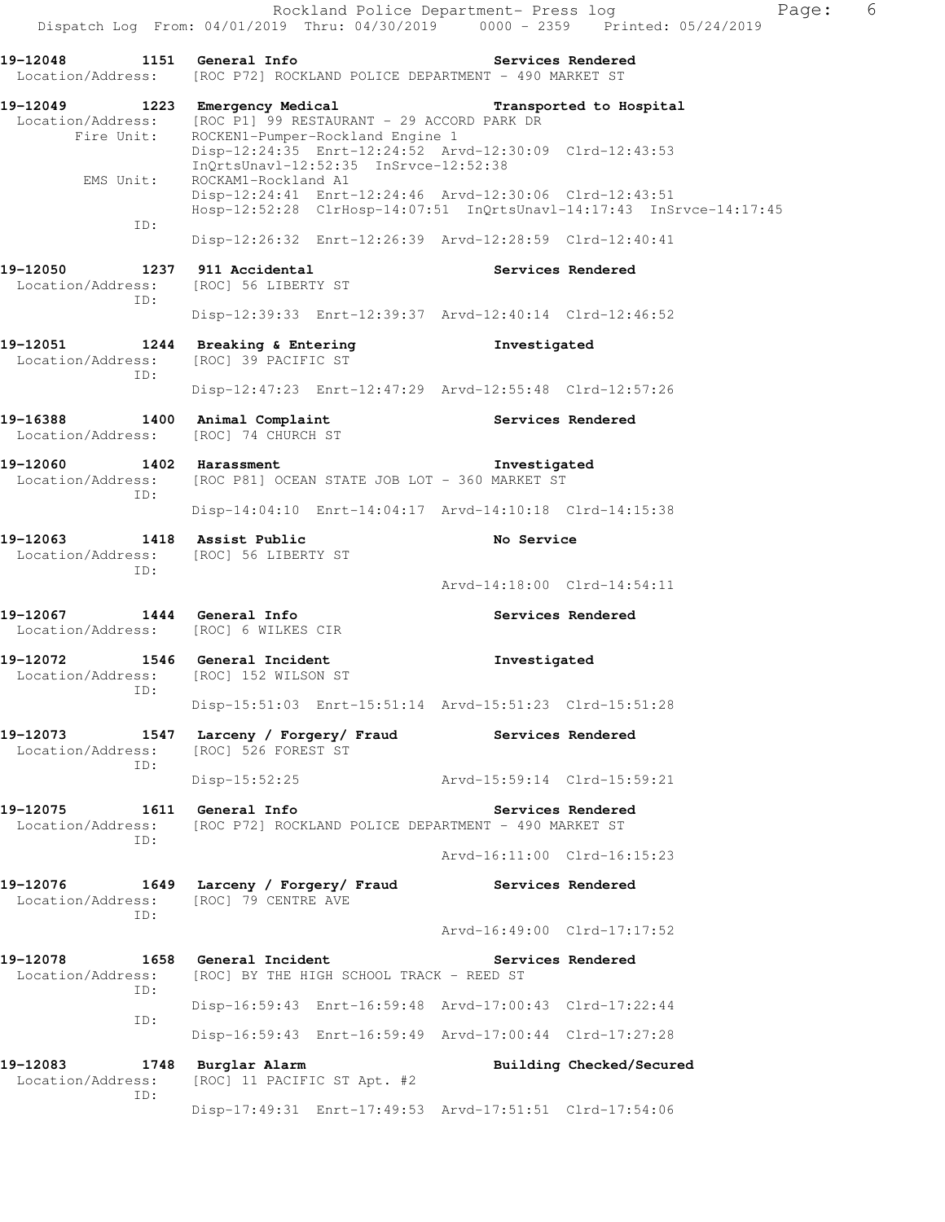**19-12049 1223 Emergency Medical Transported to Hospital**  Location/Address: [ROC P1] 99 RESTAURANT - 29 ACCORD PARK DR Fire Unit: ROCKEN1-Pumper-Rockland Engine 1 Disp-12:24:35 Enrt-12:24:52 Arvd-12:30:09 Clrd-12:43:53 InQrtsUnavl-12:52:35 InSrvce-12:52:38<br>EMS Unit: ROCKAM1-Rockland A1 ROCKAM1-Rockland A1 Disp-12:24:41 Enrt-12:24:46 Arvd-12:30:06 Clrd-12:43:51 Hosp-12:52:28 ClrHosp-14:07:51 InQrtsUnavl-14:17:43 InSrvce-14:17:45 ID: Disp-12:26:32 Enrt-12:26:39 Arvd-12:28:59 Clrd-12:40:41 19-12050 1237 911 Accidental **19-12050** Services Rendered Location/Address: [ROC] 56 LIBERTY ST ID: Disp-12:39:33 Enrt-12:39:37 Arvd-12:40:14 Clrd-12:46:52 **19-12051 1244 Breaking & Entering Investigated**  Location/Address: [ROC] 39 PACIFIC ST ID: Disp-12:47:23 Enrt-12:47:29 Arvd-12:55:48 Clrd-12:57:26 **19-16388 1400 Animal Complaint Services Rendered**  Location/Address: [ROC] 74 CHURCH ST **19-12060 1402 Harassment Investigated**  Location/Address: [ROC P81] OCEAN STATE JOB LOT - 360 MARKET ST ID: Disp-14:04:10 Enrt-14:04:17 Arvd-14:10:18 Clrd-14:15:38 19-12063 1418 Assist Public **No Service**  Location/Address: [ROC] 56 LIBERTY ST ID: Arvd-14:18:00 Clrd-14:54:11 **19-12067 1444 General Info Services Rendered**  Location/Address: [ROC] 6 WILKES CIR **19-12072 1546 General Incident Investigated**  Location/Address: [ROC] 152 WILSON ST ID: Disp-15:51:03 Enrt-15:51:14 Arvd-15:51:23 Clrd-15:51:28 **19-12073 1547 Larceny / Forgery/ Fraud Services Rendered**  Location/Address: [ROC] 526 FOREST ST ID: Disp-15:52:25 Arvd-15:59:14 Clrd-15:59:21 **19-12075 1611 General Info Services Rendered**  Location/Address: [ROC P72] ROCKLAND POLICE DEPARTMENT - 490 MARKET ST ID: Arvd-16:11:00 Clrd-16:15:23 **19-12076 1649 Larceny / Forgery/ Fraud Services Rendered**  Location/Address: [ROC] 79 CENTRE AVE ID: Arvd-16:49:00 Clrd-17:17:52 **19-12078 1658 General Incident Services Rendered**  Location/Address: [ROC] BY THE HIGH SCHOOL TRACK - REED ST ID: Disp-16:59:43 Enrt-16:59:48 Arvd-17:00:43 Clrd-17:22:44 ID: Disp-16:59:43 Enrt-16:59:49 Arvd-17:00:44 Clrd-17:27:28

19-12083 1748 Burglar Alarm **19-12083** Building Checked/Secured Location/Address: [ROC] 11 PACIFIC ST Apt. #2 ID:

Disp-17:49:31 Enrt-17:49:53 Arvd-17:51:51 Clrd-17:54:06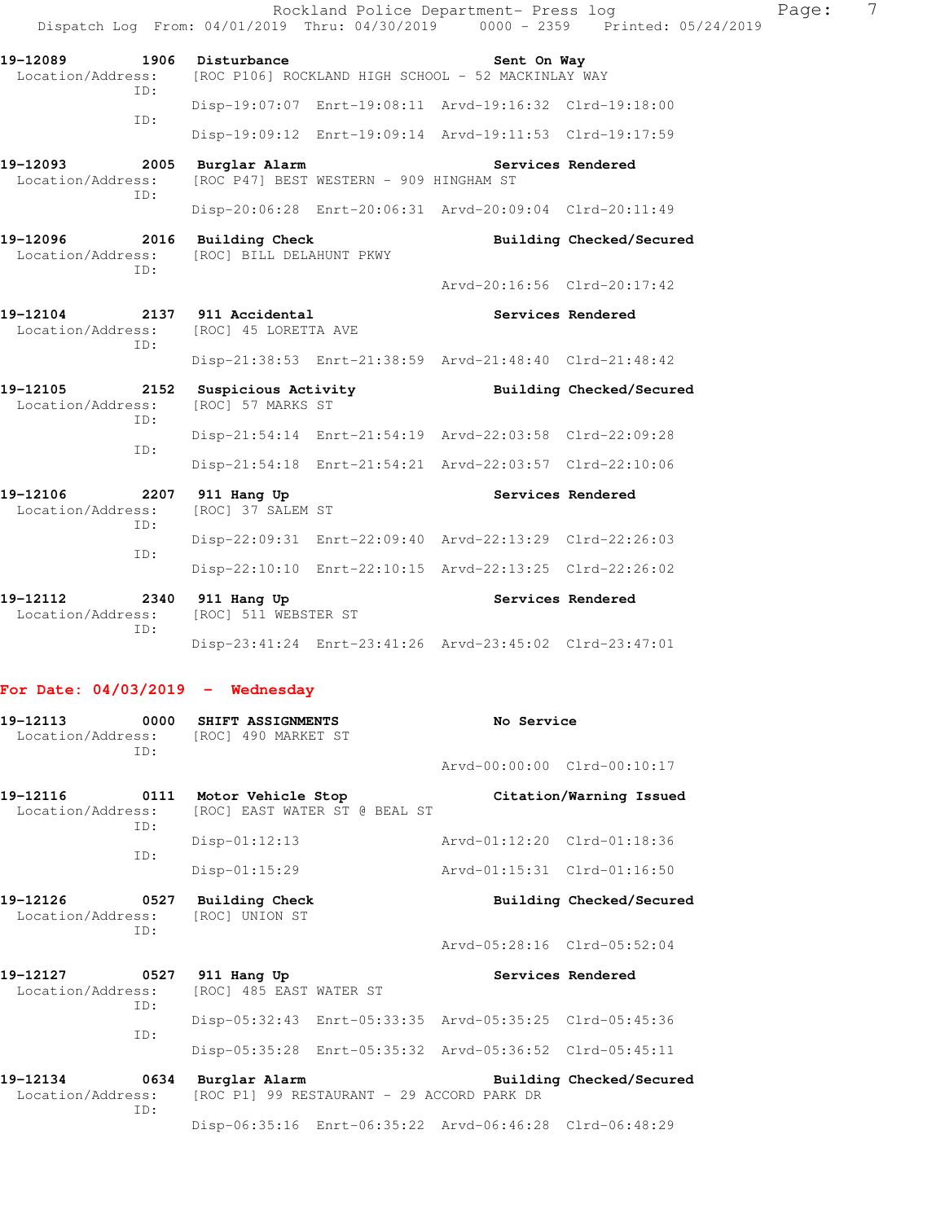|                                      | Rockland Police Department- Press log<br>Dispatch Log From: 04/01/2019 Thru: 04/30/2019 0000 - 2359 Printed: 05/24/2019 |                             |                          | Page: | 7 |
|--------------------------------------|-------------------------------------------------------------------------------------------------------------------------|-----------------------------|--------------------------|-------|---|
| 19-12089<br>TD:                      | 1906 Disturbance<br>Location/Address: [ROC P106] ROCKLAND HIGH SCHOOL - 52 MACKINLAY WAY                                | Sent On Way                 |                          |       |   |
|                                      | Disp-19:07:07 Enrt-19:08:11 Arvd-19:16:32 Clrd-19:18:00                                                                 |                             |                          |       |   |
| ID:                                  | Disp-19:09:12 Enrt-19:09:14 Arvd-19:11:53 Clrd-19:17:59                                                                 |                             |                          |       |   |
| 19-12093<br>Location/Address:<br>TD: | 2005 Burglar Alarm<br>[ROC P47] BEST WESTERN - 909 HINGHAM ST                                                           |                             | Services Rendered        |       |   |
|                                      | Disp-20:06:28 Enrt-20:06:31 Arvd-20:09:04 Clrd-20:11:49                                                                 |                             |                          |       |   |
| 19-12096<br>Location/Address:<br>TD: | 2016 Building Check<br>[ROC] BILL DELAHUNT PKWY                                                                         |                             | Building Checked/Secured |       |   |
|                                      |                                                                                                                         | Arvd-20:16:56 Clrd-20:17:42 |                          |       |   |
| 19-12104 2137 911 Accidental<br>ID:  | Location/Address: [ROC] 45 LORETTA AVE                                                                                  |                             | Services Rendered        |       |   |
|                                      | Disp-21:38:53 Enrt-21:38:59 Arvd-21:48:40 Clrd-21:48:42                                                                 |                             |                          |       |   |
| 19-12105<br>Location/Address:<br>ID: | 2152 Suspicious Activity The Building Checked/Secured<br>[ROC] 57 MARKS ST                                              |                             |                          |       |   |
| ID:                                  | Disp-21:54:14 Enrt-21:54:19 Arvd-22:03:58 Clrd-22:09:28                                                                 |                             |                          |       |   |
|                                      | Disp-21:54:18 Enrt-21:54:21 Arvd-22:03:57 Clrd-22:10:06                                                                 |                             |                          |       |   |
| 19-12106<br>Location/Address:<br>ID: | 2207 911 Hang Up<br>[ROC] 37 SALEM ST                                                                                   |                             | Services Rendered        |       |   |
| ID:                                  | Disp-22:09:31 Enrt-22:09:40 Arvd-22:13:29 Clrd-22:26:03                                                                 |                             |                          |       |   |
|                                      | Disp-22:10:10 Enrt-22:10:15 Arvd-22:13:25 Clrd-22:26:02                                                                 |                             |                          |       |   |
| 19-12112<br>Location/Address:<br>ID: | 2340 911 Hang Up<br>[ROC] 511 WEBSTER ST                                                                                |                             | Services Rendered        |       |   |
|                                      | Disp-23:41:24 Enrt-23:41:26 Arvd-23:45:02 Clrd-23:47:01                                                                 |                             |                          |       |   |

### **For Date: 04/03/2019 - Wednesday**

| 19-12113<br>Location/Address: [ROC] 490 MARKET ST<br>TD: |     | 0000 SHIFT ASSIGNMENTS                                           | No Service                                              |                          |  |
|----------------------------------------------------------|-----|------------------------------------------------------------------|---------------------------------------------------------|--------------------------|--|
|                                                          |     |                                                                  | Arvd-00:00:00 Clrd-00:10:17                             |                          |  |
| 19-12116<br>Location/Address:                            | TD: | 0111 Motor Vehicle Stop<br>[ROC] EAST WATER ST @ BEAL ST         |                                                         | Citation/Warning Issued  |  |
|                                                          | TD: | $Disp-01:12:13$                                                  | Arvd-01:12:20 Clrd-01:18:36                             |                          |  |
|                                                          |     | $Disp-01:15:29$                                                  | Aryd-01:15:31 Clrd-01:16:50                             |                          |  |
| 19-12126                                                 | TD: | 0527 Building Check<br>Location/Address: [ROC] UNION ST          |                                                         | Building Checked/Secured |  |
|                                                          |     |                                                                  | Arvd-05:28:16 Clrd-05:52:04                             |                          |  |
| 19-12127<br>Location/Address:                            | TD: | 0527 911 Hang Up<br>[ROC] 485 EAST WATER ST                      |                                                         | Services Rendered        |  |
|                                                          |     |                                                                  | Disp-05:32:43 Enrt-05:33:35 Arvd-05:35:25 Clrd-05:45:36 |                          |  |
|                                                          | ID: |                                                                  | Disp-05:35:28 Enrt-05:35:32 Arvd-05:36:52 Clrd-05:45:11 |                          |  |
| 19-12134<br>Location/Address:                            | TD: | 0634 Burglar Alarm<br>[ROC P1] 99 RESTAURANT - 29 ACCORD PARK DR |                                                         | Building Checked/Secured |  |
|                                                          |     |                                                                  | Disp-06:35:16 Enrt-06:35:22 Arvd-06:46:28 Clrd-06:48:29 |                          |  |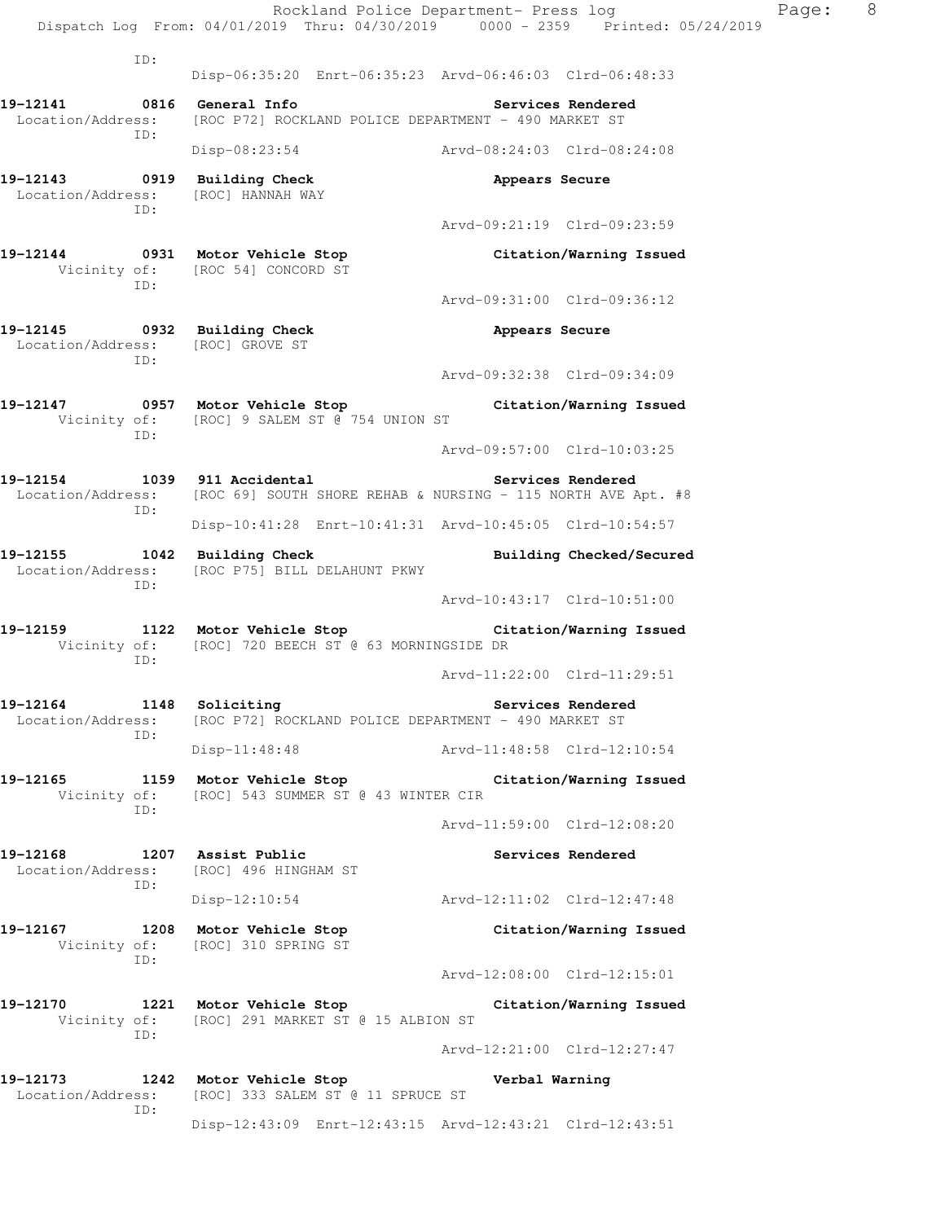Rockland Police Department- Press log Page: 8 Dispatch Log From: 04/01/2019 Thru: 04/30/2019 0000 - 2359 Printed: 05/24/2019 ID: Disp-06:35:20 Enrt-06:35:23 Arvd-06:46:03 Clrd-06:48:33 **19-12141 0816 General Info Services Rendered**  Location/Address: [ROC P72] ROCKLAND POLICE DEPARTMENT - 490 MARKET ST ID: Disp-08:23:54 Arvd-08:24:03 Clrd-08:24:08 **19-12143 0919 Building Check Appears Secure**  Location/Address: [ROC] HANNAH WAY ID: Arvd-09:21:19 Clrd-09:23:59 **19-12144 0931 Motor Vehicle Stop Citation/Warning Issued**  Vicinity of: [ROC 54] CONCORD ST ID: Arvd-09:31:00 Clrd-09:36:12 **19-12145 0932 Building Check Appears Secure**  Location/Address: [ROC] GROVE ST ID: Arvd-09:32:38 Clrd-09:34:09 **19-12147 0957 Motor Vehicle Stop Citation/Warning Issued**  Vicinity of: [ROC] 9 SALEM ST @ 754 UNION ST ID: Arvd-09:57:00 Clrd-10:03:25 **19-12154 1039 911 Accidental Services Rendered**  Location/Address: [ROC 69] SOUTH SHORE REHAB & NURSING - 115 NORTH AVE Apt. #8 ID: Disp-10:41:28 Enrt-10:41:31 Arvd-10:45:05 Clrd-10:54:57 **19-12155 1042 Building Check Building Checked/Secured**  Location/Address: [ROC P75] BILL DELAHUNT PKWY ID: Arvd-10:43:17 Clrd-10:51:00 **19-12159 1122 Motor Vehicle Stop Citation/Warning Issued**  Vicinity of: [ROC] 720 BEECH ST @ 63 MORNINGSIDE DR ID: Arvd-11:22:00 Clrd-11:29:51 **19-12164** 1148 Soliciting **1148** Soliciting Services Rendered Location/Address: [ROC P72] ROCKLAND POLICE DEPARTMENT - 490 MARKET ST ID: Disp-11:48:48 Arvd-11:48:58 Clrd-12:10:54 **19-12165 1159 Motor Vehicle Stop Citation/Warning Issued**  Vicinity of: [ROC] 543 SUMMER ST @ 43 WINTER CIR ID: Arvd-11:59:00 Clrd-12:08:20 **19-12168 1207 Assist Public Services Rendered**  Location/Address: [ROC] 496 HINGHAM ST ID: Disp-12:10:54 Arvd-12:11:02 Clrd-12:47:48 **19-12167 1208 Motor Vehicle Stop Citation/Warning Issued**  Vicinity of: [ROC] 310 SPRING ST ID: Arvd-12:08:00 Clrd-12:15:01 **19-12170 1221 Motor Vehicle Stop Citation/Warning Issued**  Vicinity of: [ROC] 291 MARKET ST @ 15 ALBION ST ID: Arvd-12:21:00 Clrd-12:27:47 **19-12173 1242 Motor Vehicle Stop Verbal Warning**  Location/Address: [ROC] 333 SALEM ST @ 11 SPRUCE ST ID: Disp-12:43:09 Enrt-12:43:15 Arvd-12:43:21 Clrd-12:43:51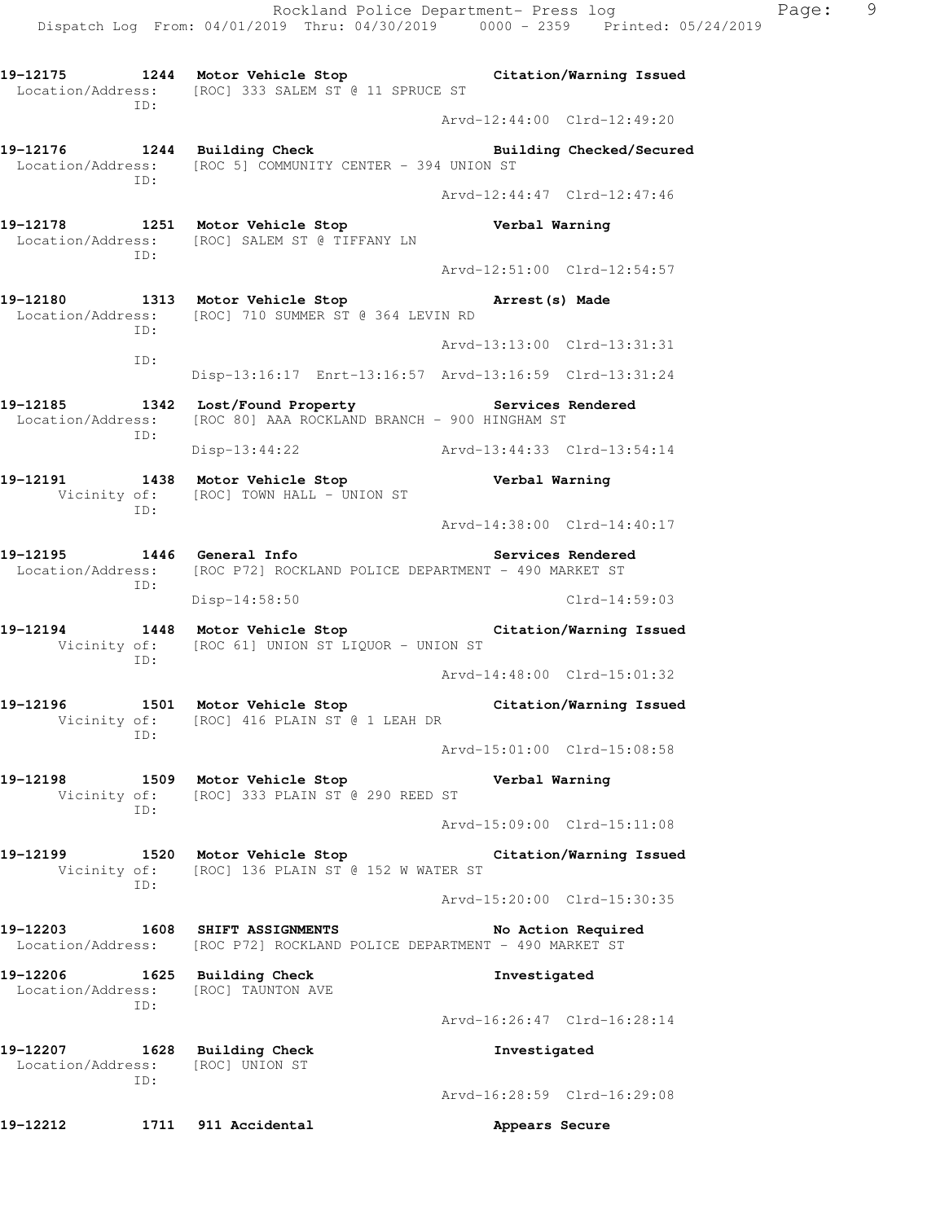**19-12175 1244 Motor Vehicle Stop Citation/Warning Issued**  Location/Address: [ROC] 333 SALEM ST @ 11 SPRUCE ST ID: Arvd-12:44:00 Clrd-12:49:20 **19-12176 1244 Building Check Building Checked/Secured**  Location/Address: [ROC 5] COMMUNITY CENTER - 394 UNION ST ID: Arvd-12:44:47 Clrd-12:47:46 **19-12178 1251 Motor Vehicle Stop Verbal Warning**  Location/Address: [ROC] SALEM ST @ TIFFANY LN ID: Arvd-12:51:00 Clrd-12:54:57 **19-12180 1313 Motor Vehicle Stop Arrest(s) Made**  Location/Address: [ROC] 710 SUMMER ST @ 364 LEVIN RD ID: Arvd-13:13:00 Clrd-13:31:31 ID: Disp-13:16:17 Enrt-13:16:57 Arvd-13:16:59 Clrd-13:31:24 **19-12185 1342 Lost/Found Property Services Rendered**  Location/Address: [ROC 80] AAA ROCKLAND BRANCH - 900 HINGHAM ST ID: Disp-13:44:22 Arvd-13:44:33 Clrd-13:54:14 **19-12191 1438 Motor Vehicle Stop Verbal Warning**  Vicinity of: [ROC] TOWN HALL - UNION ST ID: Arvd-14:38:00 Clrd-14:40:17 19-12195 **1446** General Info **19the Services Rendered**  Location/Address: [ROC P72] ROCKLAND POLICE DEPARTMENT - 490 MARKET ST ID: Disp-14:58:50 Clrd-14:59:03 **19-12194 1448 Motor Vehicle Stop Citation/Warning Issued**  Vicinity of: [ROC 61] UNION ST LIQUOR - UNION ST ID: Arvd-14:48:00 Clrd-15:01:32 **19-12196 1501 Motor Vehicle Stop Citation/Warning Issued**  Vicinity of: [ROC] 416 PLAIN ST @ 1 LEAH DR ID: Arvd-15:01:00 Clrd-15:08:58 **19-12198 1509 Motor Vehicle Stop Verbal Warning**  Vicinity of: [ROC] 333 PLAIN ST @ 290 REED ST ID: Arvd-15:09:00 Clrd-15:11:08 **19-12199 1520 Motor Vehicle Stop Citation/Warning Issued**  Vicinity of: [ROC] 136 PLAIN ST @ 152 W WATER ST ID: Arvd-15:20:00 Clrd-15:30:35 **19-12203 1608 SHIFT ASSIGNMENTS No Action Required**  Location/Address: [ROC P72] ROCKLAND POLICE DEPARTMENT - 490 MARKET ST **19-12206 1625 Building Check Investigated**  Location/Address: [ROC] TAUNTON AVE ID: Arvd-16:26:47 Clrd-16:28:14 **19-12207 1628 Building Check Investigated**  Location/Address: [ROC] UNION ST ID: Arvd-16:28:59 Clrd-16:29:08 **19-12212 1711 911 Accidental Appears Secure**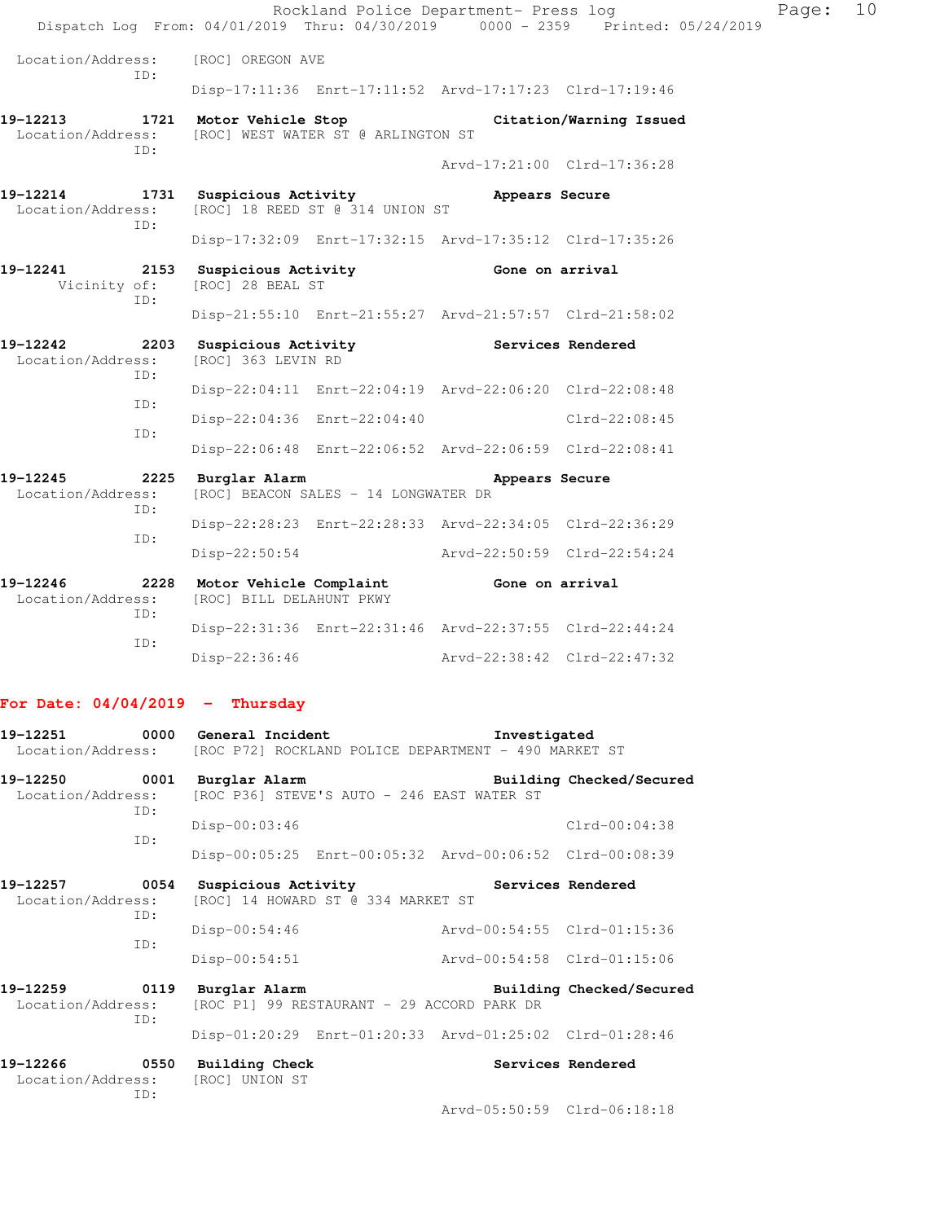|                                              |                                                                          | Rockland Police Department- Press log<br>Dispatch Log From: 04/01/2019 Thru: 04/30/2019 0000 - 2359 Printed: 05/24/2019 | Page: | 10 |  |  |  |  |
|----------------------------------------------|--------------------------------------------------------------------------|-------------------------------------------------------------------------------------------------------------------------|-------|----|--|--|--|--|
| Location/Address:<br>TD:                     | [ROC] OREGON AVE                                                         |                                                                                                                         |       |    |  |  |  |  |
|                                              |                                                                          | Disp-17:11:36 Enrt-17:11:52 Arvd-17:17:23 Clrd-17:19:46                                                                 |       |    |  |  |  |  |
| 19-12213<br>Location/Address:<br>ID:         | [ROC] WEST WATER ST @ ARLINGTON ST                                       | 1721 Motor Vehicle Stop Citation/Warning Issued                                                                         |       |    |  |  |  |  |
|                                              |                                                                          | Arvd-17:21:00 Clrd-17:36:28                                                                                             |       |    |  |  |  |  |
| 19-12214<br>Location/Address:<br>TD:         | 1731 Suspicious Activity<br>[ROC] 18 REED ST @ 314 UNION ST              | Appears Secure                                                                                                          |       |    |  |  |  |  |
|                                              |                                                                          | Disp-17:32:09 Enrt-17:32:15 Arvd-17:35:12 Clrd-17:35:26                                                                 |       |    |  |  |  |  |
| 19-12241<br>2153<br>Vicinity of:<br>ID:      | Suspicious Activity <b>Suspicial</b> Gone on arrival<br>[ROC] 28 BEAL ST |                                                                                                                         |       |    |  |  |  |  |
|                                              |                                                                          | Disp-21:55:10 Enrt-21:55:27 Arvd-21:57:57 Clrd-21:58:02                                                                 |       |    |  |  |  |  |
| 19-12242<br>2203<br>Location/Address:<br>TD: | Suspicious Activity Services Rendered<br>[ROC] 363 LEVIN RD              |                                                                                                                         |       |    |  |  |  |  |
| ID:                                          |                                                                          | Disp-22:04:11 Enrt-22:04:19 Arvd-22:06:20 Clrd-22:08:48                                                                 |       |    |  |  |  |  |
| ID:                                          | Disp-22:04:36 Enrt-22:04:40                                              | Clrd-22:08:45                                                                                                           |       |    |  |  |  |  |
|                                              |                                                                          | Disp-22:06:48 Enrt-22:06:52 Arvd-22:06:59 Clrd-22:08:41                                                                 |       |    |  |  |  |  |
| 19-12245<br>Location/Address:<br>ID:         | 2225 Burglar Alarm<br>[ROC] BEACON SALES - 14 LONGWATER DR               | Appears Secure                                                                                                          |       |    |  |  |  |  |
| ID:                                          |                                                                          | Disp-22:28:23 Enrt-22:28:33 Arvd-22:34:05 Clrd-22:36:29                                                                 |       |    |  |  |  |  |
|                                              |                                                                          | Disp-22:50:54 Arvd-22:50:59 Clrd-22:54:24                                                                               |       |    |  |  |  |  |
| 19-12246<br>2228<br>Location/Address:<br>TD: | Motor Vehicle Complaint Gone on arrival<br>[ROC] BILL DELAHUNT PKWY      |                                                                                                                         |       |    |  |  |  |  |
| TD:                                          |                                                                          | Disp-22:31:36 Enrt-22:31:46 Arvd-22:37:55 Clrd-22:44:24                                                                 |       |    |  |  |  |  |
|                                              | $Disp-22:36:46$                                                          | Arvd-22:38:42 Clrd-22:47:32                                                                                             |       |    |  |  |  |  |
|                                              |                                                                          |                                                                                                                         |       |    |  |  |  |  |

# **For Date: 04/04/2019 - Thursday**

| 19-12251                                  |     | 0000 General Incident<br>Location/Address: [ROC P72] ROCKLAND POLICE DEPARTMENT - 490 MARKET ST | Investigated                                            |
|-------------------------------------------|-----|-------------------------------------------------------------------------------------------------|---------------------------------------------------------|
| 19-12250 0001<br>Location/Address:        | TD: | Burglar Alarm<br>[ROC P36] STEVE'S AUTO - 246 EAST WATER ST                                     | Building Checked/Secured                                |
|                                           | ID: | $Disp-00:03:46$                                                                                 | $Clrd-00:04:38$                                         |
|                                           |     |                                                                                                 | Disp-00:05:25 Enrt-00:05:32 Arvd-00:06:52 Clrd-00:08:39 |
| 19-12257 0054<br>Location/Address:<br>ID: |     | Suspicious Activity<br>[ROC] 14 HOWARD ST @ 334 MARKET ST                                       | Services Rendered                                       |
|                                           | TD: | $Disp-00:54:46$                                                                                 | Arvd-00:54:55 Clrd-01:15:36                             |
|                                           |     | Disp-00:54:51                                                                                   | Arvd-00:54:58 Clrd-01:15:06                             |
| Location/Address:                         | TD: | 19-12259 0119 Burglar Alarm<br>[ROC P1] 99 RESTAURANT - 29 ACCORD PARK DR                       | Building Checked/Secured                                |
|                                           |     |                                                                                                 | Disp-01:20:29 Enrt-01:20:33 Arvd-01:25:02 Clrd-01:28:46 |
| 19-12266<br>Location/Address:             | TD: | 0550 Building Check<br>[ROC] UNION ST                                                           | Services Rendered                                       |
|                                           |     |                                                                                                 | Arvd-05:50:59 Clrd-06:18:18                             |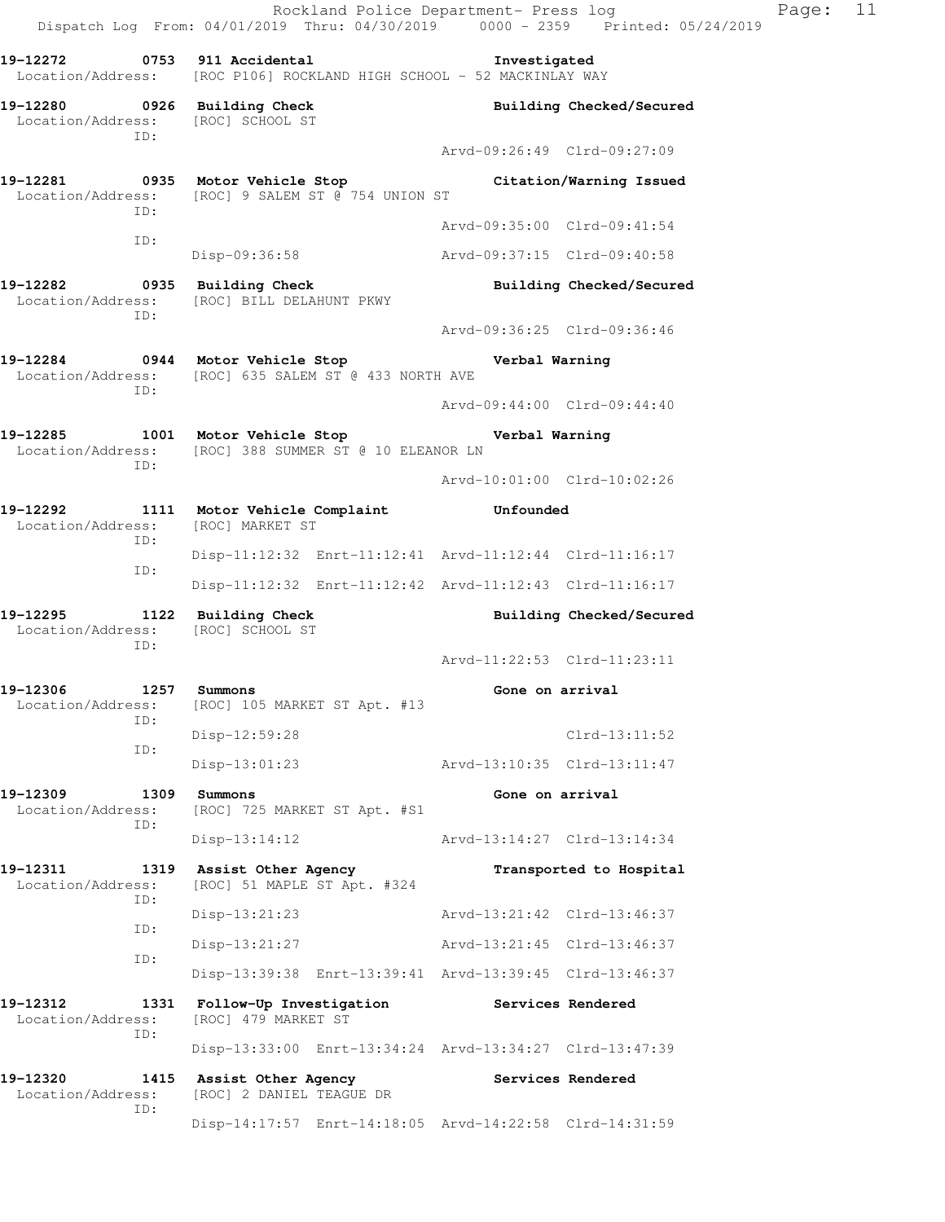Rockland Police Department- Press log Page: 11 Dispatch Log From: 04/01/2019 Thru: 04/30/2019 0000 - 2359 Printed: 05/24/2019 **19-12272 0753 911 Accidental Investigated**  Location/Address: [ROC P106] ROCKLAND HIGH SCHOOL - 52 MACKINLAY WAY **19-12280 0926 Building Check Building Checked/Secured**  Location/Address: [ROC] SCHOOL ST ID: Arvd-09:26:49 Clrd-09:27:09 **19-12281 0935 Motor Vehicle Stop Citation/Warning Issued**  Location/Address: [ROC] 9 SALEM ST @ 754 UNION ST ID: Arvd-09:35:00 Clrd-09:41:54 ID: Disp-09:36:58 Arvd-09:37:15 Clrd-09:40:58 **19-12282 0935 Building Check Building Checked/Secured**  Location/Address: [ROC] BILL DELAHUNT PKWY ID: Arvd-09:36:25 Clrd-09:36:46 **19-12284 0944 Motor Vehicle Stop Verbal Warning**  Location/Address: [ROC] 635 SALEM ST @ 433 NORTH AVE ID: Arvd-09:44:00 Clrd-09:44:40 **19-12285 1001 Motor Vehicle Stop Verbal Warning**  Location/Address: [ROC] 388 SUMMER ST @ 10 ELEANOR LN ID: Arvd-10:01:00 Clrd-10:02:26 **19-12292 1111 Motor Vehicle Complaint Unfounded**  Location/Address: [ROC] MARKET ST ID: Disp-11:12:32 Enrt-11:12:41 Arvd-11:12:44 Clrd-11:16:17 ID: Disp-11:12:32 Enrt-11:12:42 Arvd-11:12:43 Clrd-11:16:17 **19-12295 1122 Building Check Building Checked/Secured**  Location/Address: [ROC] SCHOOL ST ID: Arvd-11:22:53 Clrd-11:23:11 **19-12306 1257 Summons Gone on arrival**  Location/Address: [ROC] 105 MARKET ST Apt. #13 ID: Disp-12:59:28 Clrd-13:11:52 ID: Disp-13:01:23 Arvd-13:10:35 Clrd-13:11:47 **19-12309 1309 Summons Gone on arrival**  Location/Address: [ROC] 725 MARKET ST Apt. #S1 ID: Disp-13:14:12 Arvd-13:14:27 Clrd-13:14:34 **19-12311 1319 Assist Other Agency Transported to Hospital**  Location/Address: [ROC] 51 MAPLE ST Apt. #324 ID: Disp-13:21:23 Arvd-13:21:42 Clrd-13:46:37 ID: Disp-13:21:27 Arvd-13:21:45 Clrd-13:46:37 ID: Disp-13:39:38 Enrt-13:39:41 Arvd-13:39:45 Clrd-13:46:37 **19-12312 1331 Follow-Up Investigation Services Rendered**  Location/Address: [ROC] 479 MARKET ST ID: Disp-13:33:00 Enrt-13:34:24 Arvd-13:34:27 Clrd-13:47:39 **19-12320 1415 Assist Other Agency Services Rendered**  Location/Address: [ROC] 2 DANIEL TEAGUE DR ID:

Disp-14:17:57 Enrt-14:18:05 Arvd-14:22:58 Clrd-14:31:59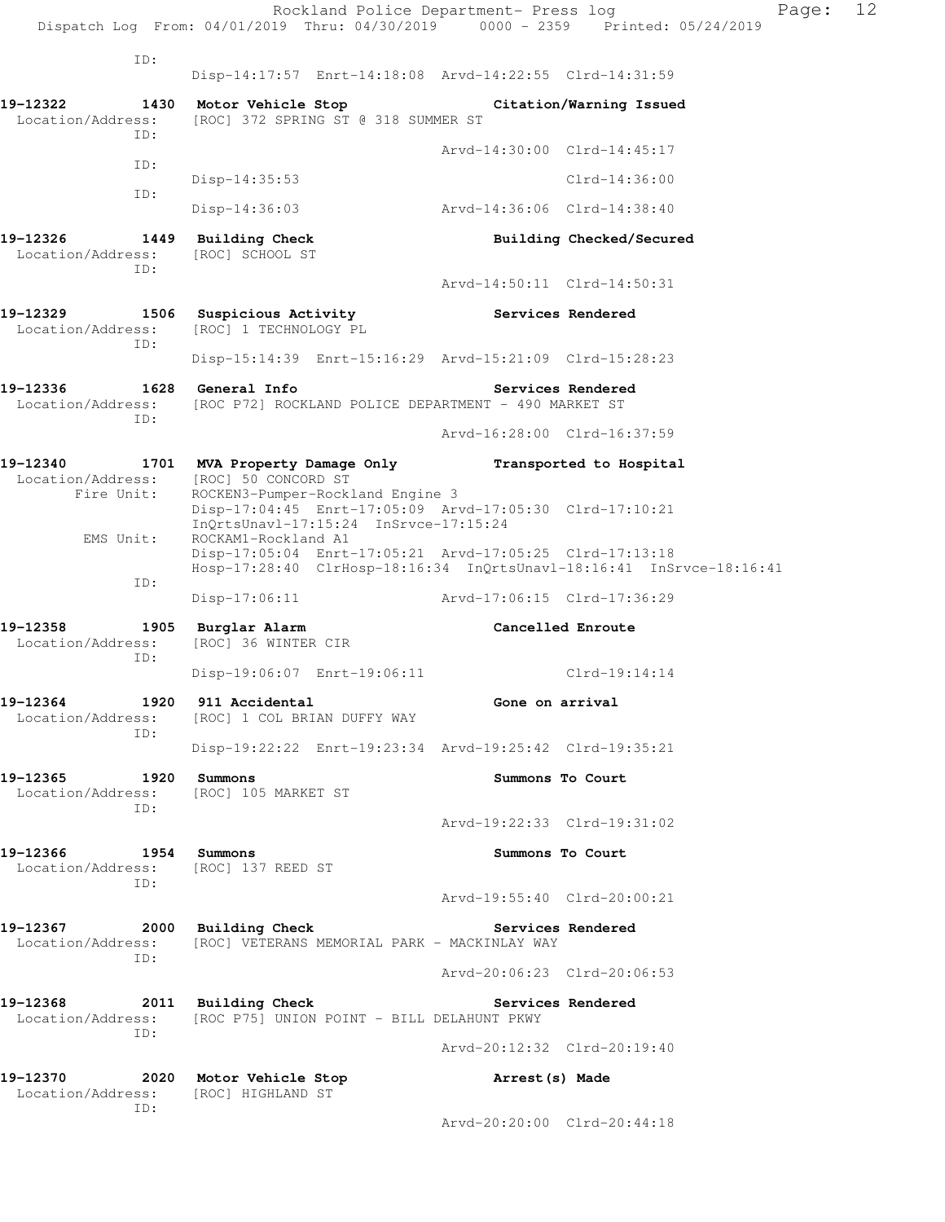|                                                          | Rockland Police Department- Press log<br>Dispatch Log From: 04/01/2019 Thru: 04/30/2019 0000 - 2359 Printed: 05/24/2019                                |                             | Page:                    | 12 |  |  |
|----------------------------------------------------------|--------------------------------------------------------------------------------------------------------------------------------------------------------|-----------------------------|--------------------------|----|--|--|
| ID:                                                      |                                                                                                                                                        |                             |                          |    |  |  |
|                                                          | Disp-14:17:57 Enrt-14:18:08 Arvd-14:22:55 Clrd-14:31:59                                                                                                |                             |                          |    |  |  |
| 19-12322<br>ID:                                          | 1430 Motor Vehicle Stop Citation/Warning Issued<br>Location/Address: [ROC] 372 SPRING ST @ 318 SUMMER ST                                               |                             |                          |    |  |  |
| ID:                                                      |                                                                                                                                                        | Arvd-14:30:00 Clrd-14:45:17 |                          |    |  |  |
| ID:                                                      | Disp-14:35:53                                                                                                                                          |                             | $Clrd-14:36:00$          |    |  |  |
|                                                          | Disp-14:36:03                                                                                                                                          | Arvd-14:36:06 Clrd-14:38:40 |                          |    |  |  |
| 19-12326 1449 Building Check<br>Location/Address:<br>ID: | [ROC] SCHOOL ST                                                                                                                                        |                             | Building Checked/Secured |    |  |  |
|                                                          |                                                                                                                                                        | Arvd-14:50:11 Clrd-14:50:31 |                          |    |  |  |
| Location/Address:<br>ID:                                 | 19-12329 1506 Suspicious Activity<br>[ROC] 1 TECHNOLOGY PL                                                                                             | Services Rendered           |                          |    |  |  |
|                                                          | Disp-15:14:39 Enrt-15:16:29 Arvd-15:21:09 Clrd-15:28:23                                                                                                |                             |                          |    |  |  |
| Location/Address:<br>ID:                                 | [ROC P72] ROCKLAND POLICE DEPARTMENT - 490 MARKET ST                                                                                                   |                             | <b>Services Rendered</b> |    |  |  |
|                                                          |                                                                                                                                                        | Arvd-16:28:00 Clrd-16:37:59 |                          |    |  |  |
| Location/Address: [ROC] 50 CONCORD ST<br>Fire Unit:      | 19-12340 1701 MVA Property Damage Only Transported to Hospital<br>ROCKEN3-Pumper-Rockland Engine 3                                                     |                             |                          |    |  |  |
|                                                          | Disp-17:04:45 Enrt-17:05:09 Arvd-17:05:30 Clrd-17:10:21<br>$InQrtsUnav1-17:15:24$ $InSrvce-17:15:24$                                                   |                             |                          |    |  |  |
| EMS Unit:                                                | ROCKAM1-Rockland A1<br>Disp-17:05:04 Enrt-17:05:21 Arvd-17:05:25 Clrd-17:13:18<br>Hosp-17:28:40 ClrHosp-18:16:34 InQrtsUnavl-18:16:41 InSrvce-18:16:41 |                             |                          |    |  |  |
| ID:                                                      | $Disp-17:06:11$                                                                                                                                        | Arvd-17:06:15 Clrd-17:36:29 |                          |    |  |  |
| 19-12358 1905 Burglar Alarm<br>Location/Address:         | [ROC] 36 WINTER CIR                                                                                                                                    | Cancelled Enroute           |                          |    |  |  |
| ID:                                                      | Disp-19:06:07 Enrt-19:06:11 Clrd-19:14:14                                                                                                              |                             |                          |    |  |  |
| 19-12364<br>Location/Address:                            | 1920 911 Accidental<br>[ROC] 1 COL BRIAN DUFFY WAY                                                                                                     | Gone on arrival             |                          |    |  |  |
| ID:                                                      | Disp-19:22:22 Enrt-19:23:34 Arvd-19:25:42 Clrd-19:35:21                                                                                                |                             |                          |    |  |  |
| 19–12365<br>Location/Address:                            | 1920 Summons<br>[ROC] 105 MARKET ST                                                                                                                    |                             | Summons To Court         |    |  |  |
| ID:                                                      |                                                                                                                                                        | Arvd-19:22:33 Clrd-19:31:02 |                          |    |  |  |
| 19–12366<br>Location/Address:<br>ID:                     | 1954 Summons<br>[ROC] 137 REED ST                                                                                                                      |                             | Summons To Court         |    |  |  |
|                                                          |                                                                                                                                                        | Arvd-19:55:40 Clrd-20:00:21 |                          |    |  |  |
| 19-12367<br>Location/Address:<br>ID:                     | 2000 Building Check<br>[ROC] VETERANS MEMORIAL PARK - MACKINLAY WAY                                                                                    |                             | Services Rendered        |    |  |  |
|                                                          |                                                                                                                                                        | Arvd-20:06:23 Clrd-20:06:53 |                          |    |  |  |
| 19-12368<br>Location/Address:                            | 2011 Building Check<br>[ROC P75] UNION POINT - BILL DELAHUNT PKWY                                                                                      |                             | Services Rendered        |    |  |  |
| ID:                                                      |                                                                                                                                                        | Arvd-20:12:32 Clrd-20:19:40 |                          |    |  |  |
| 19-12370<br>Location/Address:                            | 2020 Motor Vehicle Stop<br>[ROC] HIGHLAND ST                                                                                                           | Arrest (s) Made             |                          |    |  |  |
| ID:                                                      |                                                                                                                                                        | Arvd-20:20:00 Clrd-20:44:18 |                          |    |  |  |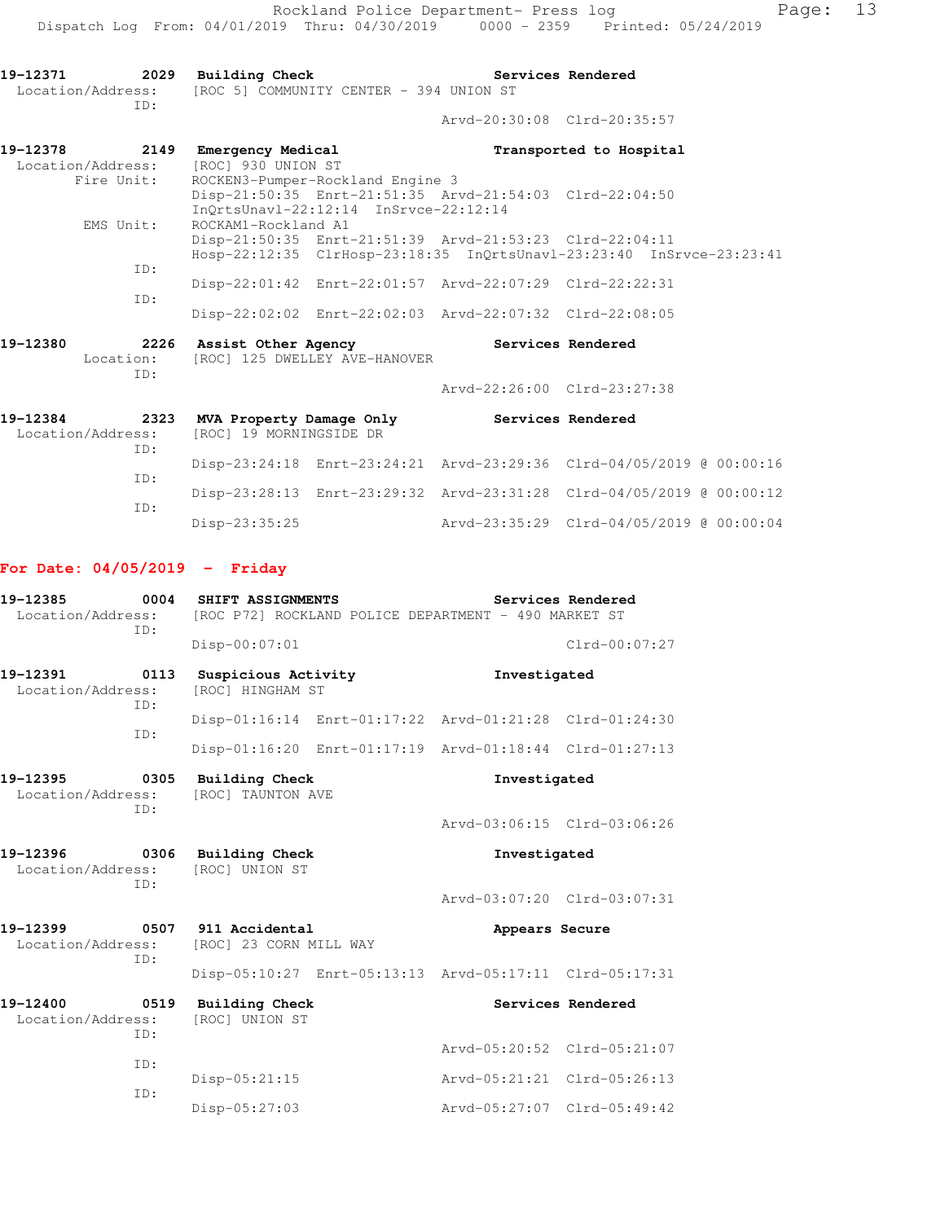| 19-12371 2029 Building Check<br>ID: | Location/Address: [ROC 5] COMMUNITY CENTER - 394 UNION ST                                                                                                                                                                                                                                                                                                                                                                                                                         | Services Rendered           |                         |
|-------------------------------------|-----------------------------------------------------------------------------------------------------------------------------------------------------------------------------------------------------------------------------------------------------------------------------------------------------------------------------------------------------------------------------------------------------------------------------------------------------------------------------------|-----------------------------|-------------------------|
|                                     |                                                                                                                                                                                                                                                                                                                                                                                                                                                                                   | Arvd-20:30:08 Clrd-20:35:57 |                         |
| 19-12378<br>Location/Address:       | 2149 Emergency Medical<br>[ROC] 930 UNION ST                                                                                                                                                                                                                                                                                                                                                                                                                                      |                             | Transported to Hospital |
| Fire Unit:                          | ROCKEN3-Pumper-Rockland Engine 3<br>Disp-21:50:35 Enrt-21:51:35 Arvd-21:54:03 Clrd-22:04:50<br>InOrtsUnavl-22:12:14 InSrvce-22:12:14                                                                                                                                                                                                                                                                                                                                              |                             |                         |
| EMS Unit:                           | ROCKAM1-Rockland A1<br>Disp-21:50:35 Enrt-21:51:39 Arvd-21:53:23 Clrd-22:04:11<br>Hosp-22:12:35 ClrHosp-23:18:35 InOrtsUnavl-23:23:40 InSrvce-23:23:41                                                                                                                                                                                                                                                                                                                            |                             |                         |
| ID:<br>ID:                          | Disp-22:01:42 Enrt-22:01:57 Arvd-22:07:29 Clrd-22:22:31                                                                                                                                                                                                                                                                                                                                                                                                                           |                             |                         |
| 101300                              | Disp-22:02:02 Enrt-22:02:03 Arvd-22:07:32 Clrd-22:08:05<br>$\mathbf{A} \mathbf{A} \mathbf{A} \mathbf{A} \mathbf{A} \mathbf{A} \mathbf{A} \mathbf{A} \mathbf{A} \mathbf{A} \mathbf{A} \mathbf{A} \mathbf{A} \mathbf{A} \mathbf{A} \mathbf{A} \mathbf{A} \mathbf{A} \mathbf{A} \mathbf{A} \mathbf{A} \mathbf{A} \mathbf{A} \mathbf{A} \mathbf{A} \mathbf{A} \mathbf{A} \mathbf{A} \mathbf{A} \mathbf{A} \mathbf{A} \mathbf{A} \mathbf{A} \mathbf{A} \mathbf{A} \mathbf{A} \mathbf{$ | Arrest and President J      |                         |

| 19-12380 | 2226<br>Location: | Assist Other Agency<br>[ROC] 125 DWELLEY AVE-HANOVER |                             | Services Rendered |  |
|----------|-------------------|------------------------------------------------------|-----------------------------|-------------------|--|
|          | TD:               |                                                      | Arvd-22:26:00 Clrd-23:27:38 |                   |  |
| 19-12384 | 2323              | MVA Property Damage Only                             |                             | Services Rendered |  |

| IIJ - 14JU 7 | ـ د عرب | MVA FLODELLY Damage Only                  |  | SETATCES VENGETEG                                                    |  |
|--------------|---------|-------------------------------------------|--|----------------------------------------------------------------------|--|
|              |         | Location/Address: [ROC] 19 MORNINGSIDE DR |  |                                                                      |  |
|              | TD:     |                                           |  |                                                                      |  |
|              |         |                                           |  | Disp-23:24:18 Enrt-23:24:21 Arvd-23:29:36 Clrd-04/05/2019 @ 00:00:16 |  |
|              | TD:     |                                           |  |                                                                      |  |
|              |         |                                           |  | Disp-23:28:13 Enrt-23:29:32 Arvd-23:31:28 Clrd-04/05/2019 @ 00:00:12 |  |
|              | TD:     |                                           |  |                                                                      |  |
|              |         | $Disp-23:35:25$                           |  | Arvd-23:35:29 Clrd-04/05/2019 @ 00:00:04                             |  |

## **For Date: 04/05/2019 - Friday**

| 19-12385<br>Location/Address:                | 0004<br>ID: | <b>SHIFT ASSIGNMENTS</b>                                |  | Services Rendered<br>[ROC P72] ROCKLAND POLICE DEPARTMENT - 490 MARKET ST |                   |  |
|----------------------------------------------|-------------|---------------------------------------------------------|--|---------------------------------------------------------------------------|-------------------|--|
|                                              |             | Disp-00:07:01                                           |  |                                                                           | $Clrd-00:07:27$   |  |
| 19-12391<br>Location/Address:                | 0113<br>ID: | Suspicious Activity<br>[ROC] HINGHAM ST                 |  | Investigated                                                              |                   |  |
|                                              | TD:         | Disp-01:16:14 Enrt-01:17:22 Arvd-01:21:28 Clrd-01:24:30 |  |                                                                           |                   |  |
|                                              |             | Disp-01:16:20 Enrt-01:17:19 Arvd-01:18:44 Clrd-01:27:13 |  |                                                                           |                   |  |
| 19-12395<br>0305<br>Location/Address:<br>TD: |             | <b>Building Check</b><br>[ROC] TAUNTON AVE              |  | Investigated                                                              |                   |  |
|                                              |             |                                                         |  | Aryd-03:06:15 Clrd-03:06:26                                               |                   |  |
| 19-12396<br>Location/Address:                | 0306<br>TD: | Building Check<br>[ROC] UNION ST                        |  | Investigated                                                              |                   |  |
|                                              |             |                                                         |  | Arvd-03:07:20 Clrd-03:07:31                                               |                   |  |
| 19-12399<br>Location/Address:                | TD:         | 0507 911 Accidental<br>[ROC] 23 CORN MILL WAY           |  | Appears Secure                                                            |                   |  |
|                                              |             | Disp-05:10:27 Enrt-05:13:13 Arvd-05:17:11 Clrd-05:17:31 |  |                                                                           |                   |  |
| 19-12400<br>Location/Address:                | 0519<br>ID: | <b>Building Check</b><br>[ROC] UNION ST                 |  |                                                                           | Services Rendered |  |
|                                              | TD:         |                                                         |  | Arvd-05:20:52 Clrd-05:21:07                                               |                   |  |
|                                              | ID:         | Disp-05:21:15                                           |  | Arvd-05:21:21 Clrd-05:26:13                                               |                   |  |
|                                              |             | Disp-05:27:03                                           |  | Arvd-05:27:07 Clrd-05:49:42                                               |                   |  |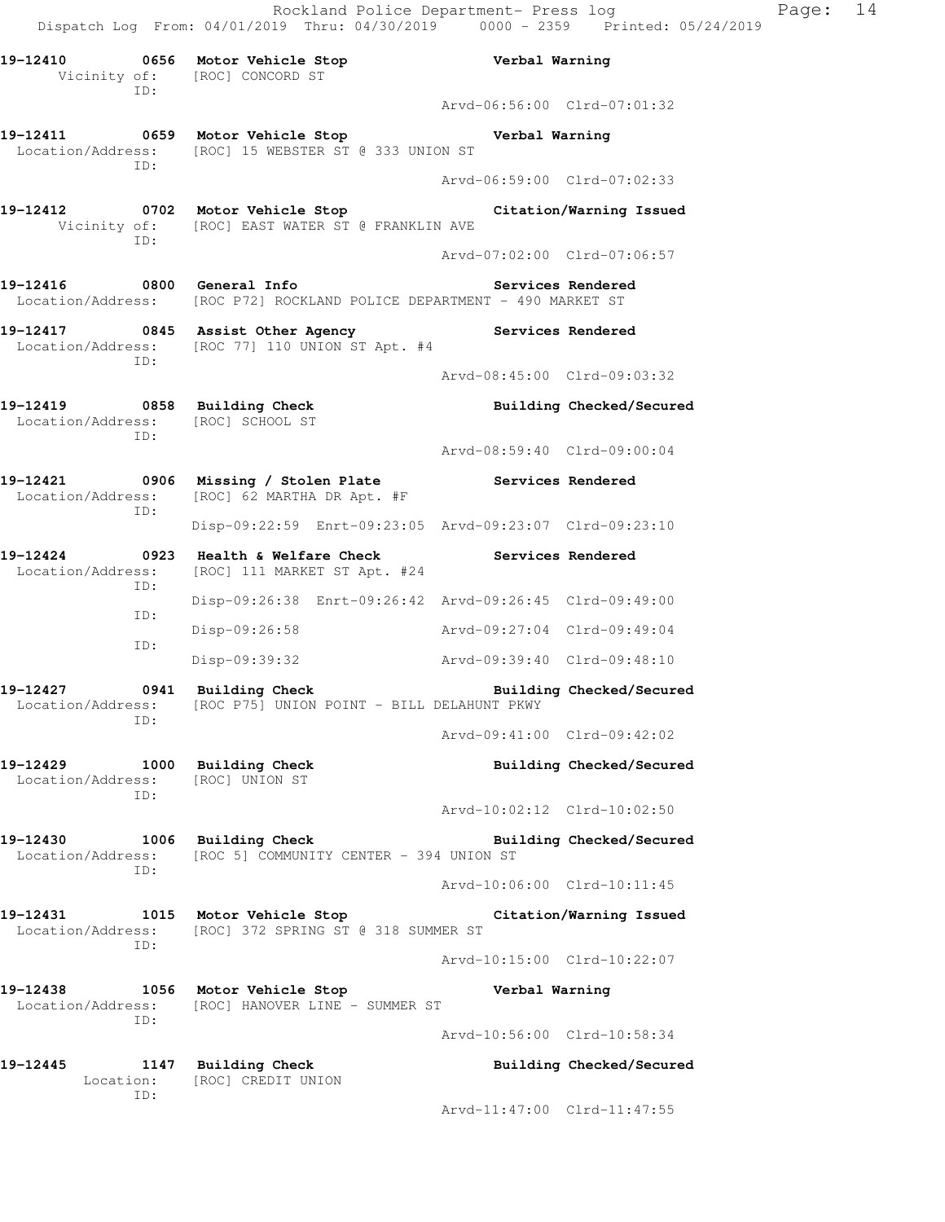**19-12410 0656 Motor Vehicle Stop Verbal Warning**  Vicinity of: [ROC] CONCORD ST ID: Arvd-06:56:00 Clrd-07:01:32 **19-12411 0659 Motor Vehicle Stop Verbal Warning**  Location/Address: [ROC] 15 WEBSTER ST @ 333 UNION ST ID: Arvd-06:59:00 Clrd-07:02:33 **19-12412 0702 Motor Vehicle Stop Citation/Warning Issued**  Vicinity of: [ROC] EAST WATER ST @ FRANKLIN AVE ID: Arvd-07:02:00 Clrd-07:06:57 **19-12416 0800 General Info Services Rendered**  Location/Address: [ROC P72] ROCKLAND POLICE DEPARTMENT - 490 MARKET ST **19-12417 0845 Assist Other Agency Services Rendered**  Location/Address: [ROC 77] 110 UNION ST Apt. #4 ID: Arvd-08:45:00 Clrd-09:03:32 **19-12419 0858 Building Check Building Checked/Secured**  Location/Address: [ROC] SCHOOL ST ID: Arvd-08:59:40 Clrd-09:00:04 **19-12421 0906 Missing / Stolen Plate Services Rendered**  Location/Address: [ROC] 62 MARTHA DR Apt. #F ID: Disp-09:22:59 Enrt-09:23:05 Arvd-09:23:07 Clrd-09:23:10 19-12424 **0923** Health & Welfare Check **Services Rendered**  Location/Address: [ROC] 111 MARKET ST Apt. #24 ID: Disp-09:26:38 Enrt-09:26:42 Arvd-09:26:45 Clrd-09:49:00 ID: Disp-09:26:58 Arvd-09:27:04 Clrd-09:49:04 ID: Disp-09:39:32 Arvd-09:39:40 Clrd-09:48:10 19-12427 0941 Building Check **Building Checked/Secured**  Location/Address: [ROC P75] UNION POINT - BILL DELAHUNT PKWY ID: Arvd-09:41:00 Clrd-09:42:02 **19-12429 1000 Building Check Building Checked/Secured**  Location/Address: [ROC] UNION ST ID: Arvd-10:02:12 Clrd-10:02:50 **19-12430 1006 Building Check Building Checked/Secured**  Location/Address: [ROC 5] COMMUNITY CENTER - 394 UNION ST ID: Arvd-10:06:00 Clrd-10:11:45 **19-12431 1015 Motor Vehicle Stop Citation/Warning Issued**  Location/Address: [ROC] 372 SPRING ST @ 318 SUMMER ST ID: Arvd-10:15:00 Clrd-10:22:07 **19-12438 1056 Motor Vehicle Stop Verbal Warning**  Location/Address: [ROC] HANOVER LINE - SUMMER ST ID: Arvd-10:56:00 Clrd-10:58:34 **19-12445 1147 Building Check Building Checked/Secured**  Location: [ROC] CREDIT UNION ID: Arvd-11:47:00 Clrd-11:47:55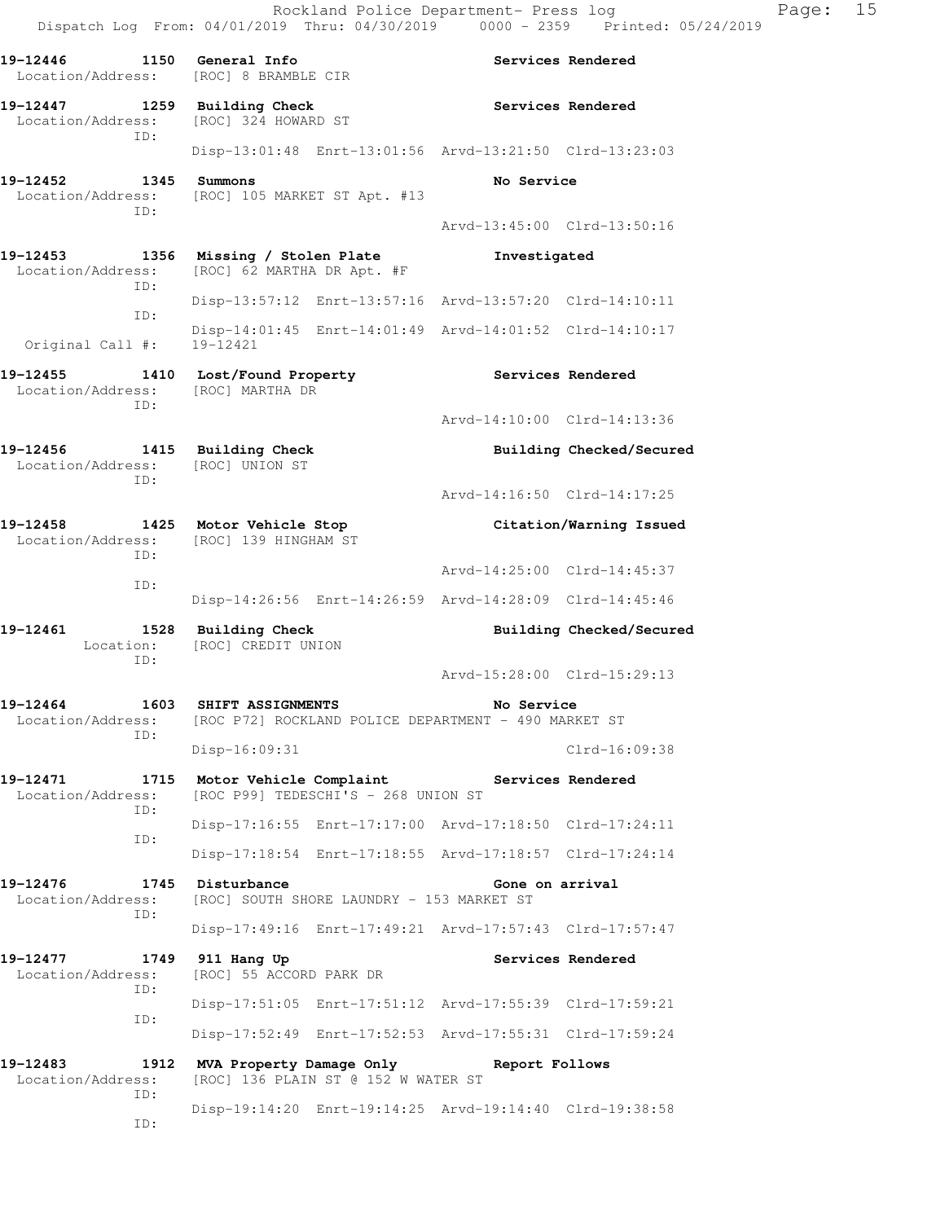| 19-12446<br>1150<br>Location/Address: [ROC] 8 BRAMBLE CIR                                 | General Info                                         |                                           |                                                         | Services Rendered        |
|-------------------------------------------------------------------------------------------|------------------------------------------------------|-------------------------------------------|---------------------------------------------------------|--------------------------|
| 19-12447<br>1259<br>Location/Address:                                                     | <b>Building Check</b><br>[ROC] 324 HOWARD ST         |                                           |                                                         | Services Rendered        |
| ID:                                                                                       |                                                      |                                           | Disp-13:01:48 Enrt-13:01:56 Arvd-13:21:50 Clrd-13:23:03 |                          |
| 19-12452<br>1345<br>Location/Address: [ROC] 105 MARKET ST Apt. #13<br>ID:                 | Summons                                              |                                           | No Service                                              |                          |
|                                                                                           |                                                      |                                           | Arvd-13:45:00 Clrd-13:50:16                             |                          |
| 19-12453<br>1356<br>Location/Address:<br>ID:                                              | Missing / Stolen Plate<br>[ROC] 62 MARTHA DR Apt. #F |                                           | Investigated                                            |                          |
| ID:                                                                                       |                                                      |                                           | Disp-13:57:12 Enrt-13:57:16 Arvd-13:57:20 Clrd-14:10:11 |                          |
| Original Call #:                                                                          | Disp-14:01:45<br>19-12421                            |                                           | Enrt-14:01:49 Arvd-14:01:52 Clrd-14:10:17               |                          |
| 19-12455<br>1410<br>Location/Address:<br>ID:                                              | Lost/Found Property<br>[ROC] MARTHA DR               |                                           |                                                         | Services Rendered        |
|                                                                                           |                                                      |                                           | Arvd-14:10:00 Clrd-14:13:36                             |                          |
| 19-12456<br>Location/Address:<br>ID:                                                      | 1415 Building Check<br>[ROC] UNION ST                |                                           |                                                         | Building Checked/Secured |
|                                                                                           |                                                      |                                           | Arvd-14:16:50 Clrd-14:17:25                             |                          |
| 19-12458<br>Location/Address:                                                             | 1425 Motor Vehicle Stop<br>[ROC] 139 HINGHAM ST      |                                           |                                                         | Citation/Warning Issued  |
| ID:<br>ID:                                                                                |                                                      |                                           | Arvd-14:25:00 Clrd-14:45:37                             |                          |
|                                                                                           |                                                      |                                           | Disp-14:26:56 Enrt-14:26:59 Arvd-14:28:09 Clrd-14:45:46 |                          |
| 19-12461<br>1528<br>Location:<br>ID:                                                      | <b>Building Check</b><br>[ROC] CREDIT UNION          |                                           |                                                         | Building Checked/Secured |
|                                                                                           |                                                      |                                           | Arvd-15:28:00 Clrd-15:29:13                             |                          |
| 19-12464<br>Location/Address: [ROC P72] ROCKLAND POLICE DEPARTMENT - 490 MARKET ST<br>TD: | <b>1603 SHIFT ASSIGNMENTS</b>                        |                                           | No Service                                              |                          |
|                                                                                           | Disp-16:09:31                                        |                                           |                                                         | Clrd-16:09:38            |
| 19-12471<br>1715<br>Location/Address:<br>ID:                                              | Motor Vehicle Complaint                              | [ROC P99] TEDESCHI'S - 268 UNION ST       | Services Rendered                                       |                          |
| ID:                                                                                       |                                                      |                                           | Disp-17:16:55 Enrt-17:17:00 Arvd-17:18:50 Clrd-17:24:11 |                          |
|                                                                                           |                                                      |                                           | Disp-17:18:54 Enrt-17:18:55 Arvd-17:18:57 Clrd-17:24:14 |                          |
| 19-12476<br>1745<br>Location/Address:<br>ID:                                              | Disturbance                                          | [ROC] SOUTH SHORE LAUNDRY - 153 MARKET ST | Gone on arrival                                         |                          |
|                                                                                           |                                                      |                                           | Disp-17:49:16 Enrt-17:49:21 Arvd-17:57:43 Clrd-17:57:47 |                          |
| 19-12477<br>1749<br>Location/Address:<br>ID:                                              | 911 Hang Up<br>[ROC] 55 ACCORD PARK DR               |                                           |                                                         | Services Rendered        |
| ID:                                                                                       |                                                      |                                           | Disp-17:51:05 Enrt-17:51:12 Arvd-17:55:39 Clrd-17:59:21 |                          |
|                                                                                           |                                                      |                                           | Disp-17:52:49 Enrt-17:52:53 Arvd-17:55:31 Clrd-17:59:24 |                          |
| 19-12483<br>1912<br>Location/Address:<br>ID:                                              | MVA Property Damage Only                             | [ROC] 136 PLAIN ST @ 152 W WATER ST       | Report Follows                                          |                          |
| ID:                                                                                       |                                                      |                                           | Disp-19:14:20 Enrt-19:14:25 Arvd-19:14:40 Clrd-19:38:58 |                          |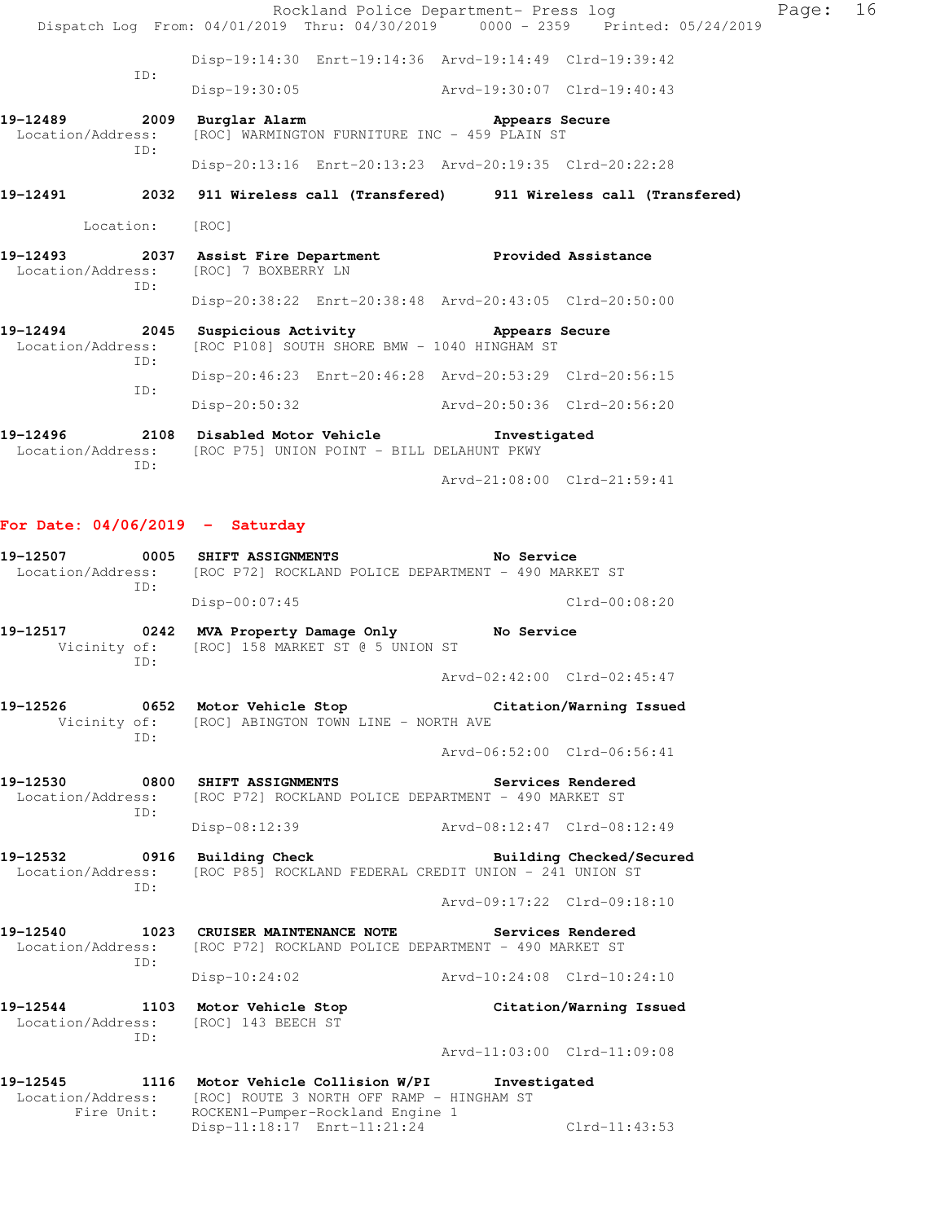|                                      |                                                                                                             | Rockland Police Department- Press log<br>Dispatch Log From: 04/01/2019 Thru: 04/30/2019 0000 - 2359 Printed: 05/24/2019 |                             |                          | Page: 16 |  |
|--------------------------------------|-------------------------------------------------------------------------------------------------------------|-------------------------------------------------------------------------------------------------------------------------|-----------------------------|--------------------------|----------|--|
|                                      |                                                                                                             | Disp-19:14:30 Enrt-19:14:36 Arvd-19:14:49 Clrd-19:39:42                                                                 |                             |                          |          |  |
|                                      | ID:                                                                                                         | $Disp-19:30:05$                                                                                                         | Arvd-19:30:07 Clrd-19:40:43 |                          |          |  |
| 19-12489<br>Location/Address:        | ID:                                                                                                         | 2009 Burglar Alarm<br>[ROC] WARMINGTON FURNITURE INC - 459 PLAIN ST                                                     | Appears Secure              |                          |          |  |
|                                      |                                                                                                             | Disp-20:13:16 Enrt-20:13:23 Arvd-20:19:35 Clrd-20:22:28                                                                 |                             |                          |          |  |
| 19-12491                             |                                                                                                             | 2032 911 Wireless call (Transfered) 911 Wireless call (Transfered)                                                      |                             |                          |          |  |
| Location: [ROC]                      |                                                                                                             |                                                                                                                         |                             |                          |          |  |
| 19-12493<br>Location/Address:<br>TD: |                                                                                                             | 2037 Assist Fire Department Trovided Assistance<br>[ROC] 7 BOXBERRY LN                                                  |                             |                          |          |  |
|                                      |                                                                                                             | Disp-20:38:22 Enrt-20:38:48 Arvd-20:43:05 Clrd-20:50:00                                                                 |                             |                          |          |  |
| 19-12494<br>Location/Address:<br>ID: | 2045 Suspicious Activity <b>Example 2018</b> Appears Secure<br>[ROC P108] SOUTH SHORE BMW - 1040 HINGHAM ST |                                                                                                                         |                             |                          |          |  |
|                                      | ID:                                                                                                         | Disp-20:46:23 Enrt-20:46:28 Arvd-20:53:29 Clrd-20:56:15                                                                 |                             |                          |          |  |
|                                      | Disp-20:50:32 Arvd-20:50:36 Clrd-20:56:20                                                                   |                                                                                                                         |                             |                          |          |  |
| 19-12496<br>ID:                      |                                                                                                             | 2108 Disabled Motor Vehicle Threstigated<br>Location/Address: [ROC P75] UNION POINT - BILL DELAHUNT PKWY                |                             |                          |          |  |
|                                      |                                                                                                             |                                                                                                                         | Arvd-21:08:00 Clrd-21:59:41 |                          |          |  |
| For Date: $04/06/2019$ - Saturday    |                                                                                                             |                                                                                                                         |                             |                          |          |  |
| 19-12507<br>Location/Address:        | ID:                                                                                                         | 0005 SHIFT ASSIGNMENTS<br>[ROC P72] ROCKLAND POLICE DEPARTMENT - 490 MARKET ST                                          | No Service                  |                          |          |  |
|                                      |                                                                                                             | $Disp-00:07:45$                                                                                                         |                             | Clrd-00:08:20            |          |  |
| 19-12517<br>Vicinity of:             | ID:                                                                                                         | 0242 MVA Property Damage Only No Service<br>[ROC] 158 MARKET ST @ 5 UNION ST                                            |                             |                          |          |  |
|                                      |                                                                                                             |                                                                                                                         | Arvd-02:42:00 Clrd-02:45:47 |                          |          |  |
| 19-12526                             | ID:                                                                                                         | 0652 Motor Vehicle Stop<br>Vicinity of: [ROC] ABINGTON TOWN LINE - NORTH AVE                                            |                             | Citation/Warning Issued  |          |  |
|                                      |                                                                                                             |                                                                                                                         | Arvd-06:52:00 Clrd-06:56:41 |                          |          |  |
| 19-12530<br>Location/Address:        | ID:                                                                                                         | 0800 SHIFT ASSIGNMENTS<br>[ROC P72] ROCKLAND POLICE DEPARTMENT - 490 MARKET ST                                          |                             | Services Rendered        |          |  |
|                                      |                                                                                                             | $Disp-08:12:39$                                                                                                         | Arvd-08:12:47 Clrd-08:12:49 |                          |          |  |
| 19-12532<br>Location/Address:        | ID:                                                                                                         | 0916 Building Check<br>[ROC P85] ROCKLAND FEDERAL CREDIT UNION - 241 UNION ST                                           |                             | Building Checked/Secured |          |  |
|                                      |                                                                                                             |                                                                                                                         | Arvd-09:17:22 Clrd-09:18:10 |                          |          |  |
| 19-12540                             |                                                                                                             | 1023 CRUISER MAINTENANCE NOTE                                                                                           | Services Rendered           |                          |          |  |

Location/Address: [ROC P72] ROCKLAND POLICE DEPARTMENT - 490 MARKET ST ID: Disp-10:24:02 Arvd-10:24:08 Clrd-10:24:10

**19-12544 1103 Motor Vehicle Stop Citation/Warning Issued**  Location/Address: [ROC] 143 BEECH ST ID:

Arvd-11:03:00 Clrd-11:09:08

| 19-12545          | 1116       | Motor Vehicle Collision W/PI |  |                                  |                                           | Investigated  |  |
|-------------------|------------|------------------------------|--|----------------------------------|-------------------------------------------|---------------|--|
| Location/Address: |            |                              |  |                                  | [ROC] ROUTE 3 NORTH OFF RAMP - HINGHAM ST |               |  |
|                   | Fire Unit: |                              |  | ROCKEN1-Pumper-Rockland Engine 1 |                                           |               |  |
|                   |            | Disp-11:18:17 Enrt-11:21:24  |  |                                  |                                           | Clrd-11:43:53 |  |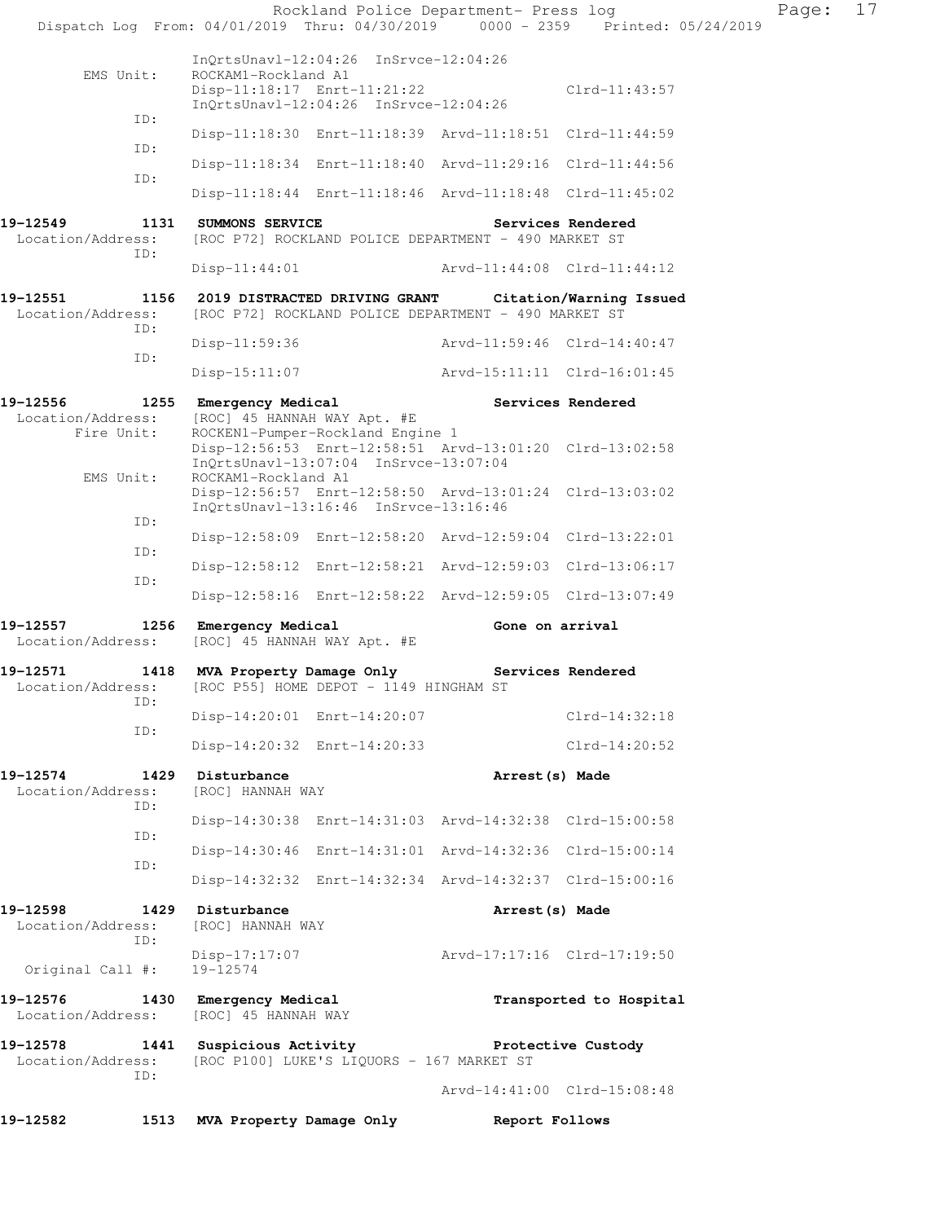|                                      |                                                            | Rockland Police Department- Press log                                                                                                |                             | Dispatch Log From: 04/01/2019 Thru: 04/30/2019 0000 - 2359 Printed: 05/24/2019 | Page: | 17 |
|--------------------------------------|------------------------------------------------------------|--------------------------------------------------------------------------------------------------------------------------------------|-----------------------------|--------------------------------------------------------------------------------|-------|----|
| EMS Unit:                            | ROCKAM1-Rockland A1                                        | InQrtsUnavl-12:04:26 InSrvce-12:04:26<br>Disp-11:18:17 Enrt-11:21:22<br>InQrtsUnavl-12:04:26 InSrvce-12:04:26                        |                             | $Clrd-11:43:57$                                                                |       |    |
| ID:                                  |                                                            | Disp-11:18:30 Enrt-11:18:39 Arvd-11:18:51 Clrd-11:44:59                                                                              |                             |                                                                                |       |    |
| ID:                                  |                                                            | Disp-11:18:34 Enrt-11:18:40 Arvd-11:29:16 Clrd-11:44:56                                                                              |                             |                                                                                |       |    |
| ID:                                  |                                                            | Disp-11:18:44 Enrt-11:18:46 Arvd-11:18:48 Clrd-11:45:02                                                                              |                             |                                                                                |       |    |
| 19–12549<br>Location/Address:        | 1131 SUMMONS SERVICE                                       | [ROC P72] ROCKLAND POLICE DEPARTMENT - 490 MARKET ST                                                                                 |                             | Services Rendered                                                              |       |    |
| ID:                                  | Disp-11:44:01                                              |                                                                                                                                      | Arvd-11:44:08 Clrd-11:44:12 |                                                                                |       |    |
| 19-12551<br>Location/Address:<br>ID: | 1156 2019 DISTRACTED DRIVING GRANT Citation/Warning Issued | [ROC P72] ROCKLAND POLICE DEPARTMENT - 490 MARKET ST                                                                                 |                             |                                                                                |       |    |
| ID:                                  | Disp-11:59:36                                              |                                                                                                                                      |                             | Arvd-11:59:46 Clrd-14:40:47                                                    |       |    |
|                                      |                                                            | Disp-15:11:07 Arvd-15:11:11 Clrd-16:01:45                                                                                            |                             |                                                                                |       |    |
| 19-12556<br>Location/Address:        | 1255 Emergency Medical<br>[ROC] 45 HANNAH WAY Apt. #E      |                                                                                                                                      |                             | Services Rendered                                                              |       |    |
| Fire Unit:<br>EMS Unit:              | ROCKAM1-Rockland A1                                        | ROCKEN1-Pumper-Rockland Engine 1<br>Disp-12:56:53 Enrt-12:58:51 Arvd-13:01:20 Clrd-13:02:58<br>InQrtsUnavl-13:07:04 InSrvce-13:07:04 |                             |                                                                                |       |    |
|                                      |                                                            | Disp-12:56:57 Enrt-12:58:50 Arvd-13:01:24 Clrd-13:03:02<br>InQrtsUnavl-13:16:46 InSrvce-13:16:46                                     |                             |                                                                                |       |    |
| ID:                                  |                                                            | Disp-12:58:09 Enrt-12:58:20 Arvd-12:59:04 Clrd-13:22:01                                                                              |                             |                                                                                |       |    |
| ID:                                  |                                                            | Disp-12:58:12 Enrt-12:58:21 Arvd-12:59:03 Clrd-13:06:17                                                                              |                             |                                                                                |       |    |
| ID:                                  |                                                            | Disp-12:58:16 Enrt-12:58:22 Arvd-12:59:05 Clrd-13:07:49                                                                              |                             |                                                                                |       |    |
| 19-12557<br>Location/Address:        | 1256 Emergency Medical                                     | [ROC] 45 HANNAH WAY Apt. #E                                                                                                          |                             | Gone on arrival                                                                |       |    |
| 19-12571<br>Location/Address:        | 1418                                                       | MVA Property Damage Only<br>[ROC P55] HOME DEPOT - 1149 HINGHAM ST                                                                   |                             | Services Rendered                                                              |       |    |
| ID:                                  |                                                            | Disp-14:20:01 Enrt-14:20:07                                                                                                          |                             | $Clrd-14:32:18$                                                                |       |    |
| ID:                                  |                                                            | Disp-14:20:32 Enrt-14:20:33                                                                                                          |                             | Clrd-14:20:52                                                                  |       |    |
| 19-12574<br>Location/Address:        | 1429 Disturbance<br>[ROC] HANNAH WAY                       |                                                                                                                                      | Arrest(s) Made              |                                                                                |       |    |
| ID:                                  |                                                            | Disp-14:30:38 Enrt-14:31:03 Arvd-14:32:38 Clrd-15:00:58                                                                              |                             |                                                                                |       |    |
| ID:                                  |                                                            | Disp-14:30:46 Enrt-14:31:01 Arvd-14:32:36 Clrd-15:00:14                                                                              |                             |                                                                                |       |    |
| ID:                                  |                                                            | Disp-14:32:32 Enrt-14:32:34 Arvd-14:32:37 Clrd-15:00:16                                                                              |                             |                                                                                |       |    |
| 19-12598<br>Location/Address:        | 1429 Disturbance<br>[ROC] HANNAH WAY                       |                                                                                                                                      | Arrest (s) Made             |                                                                                |       |    |
| ID:<br>Original Call #:              | $Disp-17:17:07$<br>19-12574                                |                                                                                                                                      |                             | Arvd-17:17:16 Clrd-17:19:50                                                    |       |    |
| 19-12576<br>Location/Address:        | 1430 Emergency Medical<br>[ROC] 45 HANNAH WAY              |                                                                                                                                      |                             | Transported to Hospital                                                        |       |    |
| 19-12578<br>Location/Address:<br>ID: | 1441 Suspicious Activity                                   | [ROC P100] LUKE'S LIQUORS - 167 MARKET ST                                                                                            |                             | Protective Custody                                                             |       |    |
|                                      |                                                            |                                                                                                                                      |                             | Arvd-14:41:00 Clrd-15:08:48                                                    |       |    |
| 19-12582                             | 1513 MVA Property Damage Only Report Follows               |                                                                                                                                      |                             |                                                                                |       |    |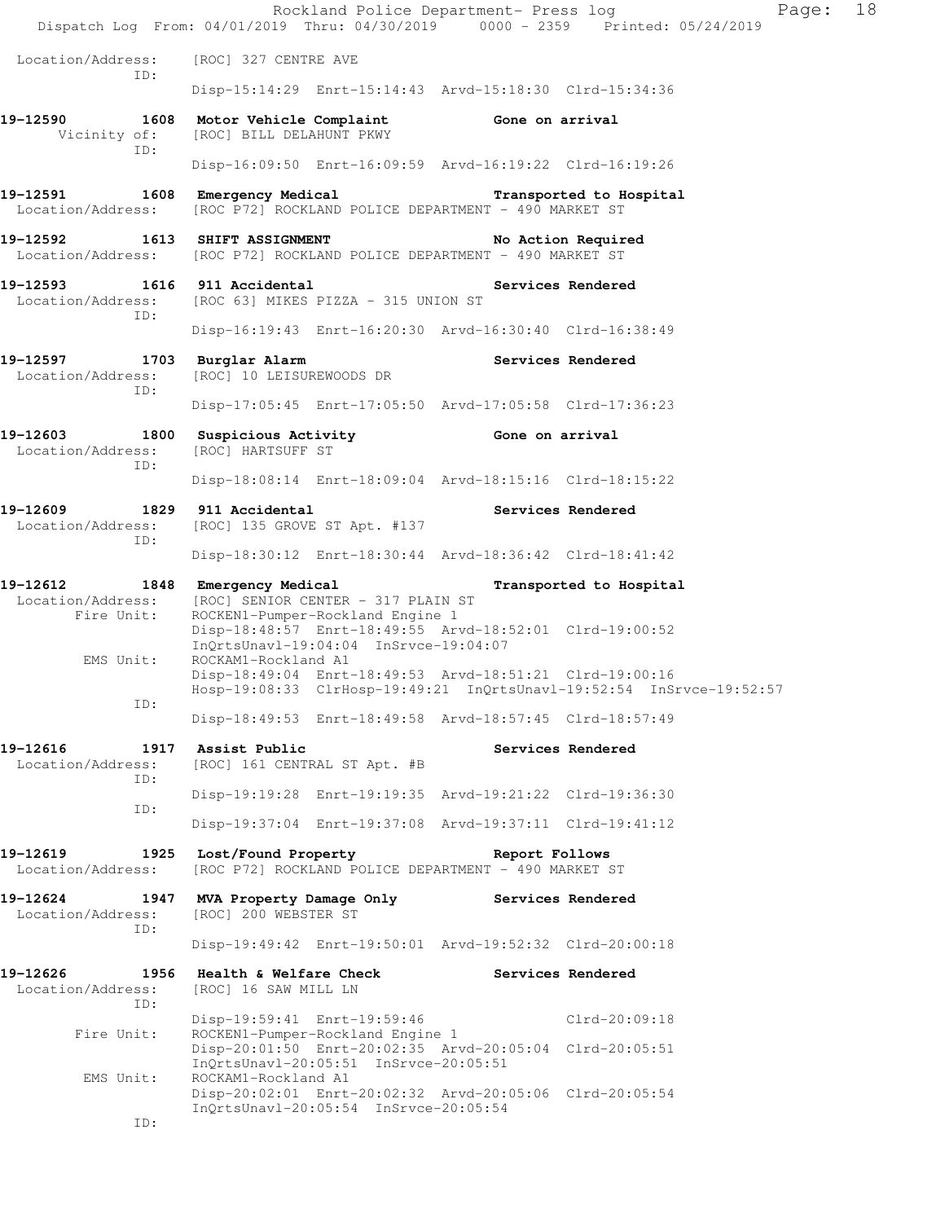|                                              |                                                                                                 | Page:<br>Rockland Police Department- Press log<br>Dispatch Log From: 04/01/2019 Thru: 04/30/2019 0000 - 2359 Printed: 05/24/2019 | 18 |
|----------------------------------------------|-------------------------------------------------------------------------------------------------|----------------------------------------------------------------------------------------------------------------------------------|----|
| Location/Address:<br>ID:                     | [ROC] 327 CENTRE AVE                                                                            |                                                                                                                                  |    |
|                                              |                                                                                                 | Disp-15:14:29 Enrt-15:14:43 Arvd-15:18:30 Clrd-15:34:36                                                                          |    |
| 19-12590<br>Vicinity of:<br>ID:              | 1608 Motor Vehicle Complaint 6one on arrival<br>[ROC] BILL DELAHUNT PKWY                        |                                                                                                                                  |    |
|                                              |                                                                                                 | Disp-16:09:50 Enrt-16:09:59 Arvd-16:19:22 Clrd-16:19:26                                                                          |    |
| 19-12591<br>Location/Address:                | [ROC P72] ROCKLAND POLICE DEPARTMENT - 490 MARKET ST                                            | 1608 Emergency Medical Transported to Hospital                                                                                   |    |
| 19-12592                                     | 1613 SHIFT ASSIGNMENT<br>Location/Address: [ROC P72] ROCKLAND POLICE DEPARTMENT - 490 MARKET ST | No Action Required                                                                                                               |    |
| Location/Address:<br>ID:                     | 19-12593 1616 911 Accidental<br>[ROC 63] MIKES PIZZA - 315 UNION ST                             | Services Rendered                                                                                                                |    |
|                                              |                                                                                                 | Disp-16:19:43 Enrt-16:20:30 Arvd-16:30:40 Clrd-16:38:49                                                                          |    |
| 19-12597<br>Location/Address:<br>ID:         | 1703 Burglar Alarm<br>[ROC] 10 LEISUREWOODS DR                                                  | Services Rendered                                                                                                                |    |
|                                              |                                                                                                 | Disp-17:05:45 Enrt-17:05:50 Arvd-17:05:58 Clrd-17:36:23                                                                          |    |
| 19-12603<br>Location/Address:<br>ID:         | 1800 Suspicious Activity<br>[ROC] HARTSUFF ST                                                   | Gone on arrival                                                                                                                  |    |
|                                              |                                                                                                 | Disp-18:08:14 Enrt-18:09:04 Arvd-18:15:16 Clrd-18:15:22                                                                          |    |
| 19-12609<br>Location/Address:<br>ID:         | 1829 911 Accidental<br>[ROC] 135 GROVE ST Apt. #137                                             | Services Rendered                                                                                                                |    |
|                                              |                                                                                                 | Disp-18:30:12 Enrt-18:30:44 Arvd-18:36:42 Clrd-18:41:42                                                                          |    |
|                                              |                                                                                                 |                                                                                                                                  |    |
| 19-12612<br>Location/Address:                | 1848 Emergency Medical<br>[ROC] SENIOR CENTER - 317 PLAIN ST                                    | Transported to Hospital                                                                                                          |    |
| Fire Unit:                                   | ROCKEN1-Pumper-Rockland Engine 1<br>InQrtsUnavl-19:04:04 InSrvce-19:04:07                       | Disp-18:48:57 Enrt-18:49:55 Arvd-18:52:01 Clrd-19:00:52                                                                          |    |
| EMS Unit:                                    | ROCKAM1-Rockland A1                                                                             | Disp-18:49:04 Enrt-18:49:53 Arvd-18:51:21 Clrd-19:00:16<br>Hosp-19:08:33 ClrHosp-19:49:21 InQrtsUnavl-19:52:54 InSrvce-19:52:57  |    |
| ID:                                          |                                                                                                 | Disp-18:49:53 Enrt-18:49:58 Arvd-18:57:45 Clrd-18:57:49                                                                          |    |
| 19-12616<br>Location/Address:                | 1917 Assist Public<br>[ROC] 161 CENTRAL ST Apt. #B                                              | Services Rendered                                                                                                                |    |
| ID:                                          |                                                                                                 | Disp-19:19:28 Enrt-19:19:35 Arvd-19:21:22 Clrd-19:36:30                                                                          |    |
| ID:                                          |                                                                                                 | Disp-19:37:04 Enrt-19:37:08 Arvd-19:37:11 Clrd-19:41:12                                                                          |    |
| 19-12619<br>1925<br>Location/Address:        | Lost/Found Property<br>[ROC P72] ROCKLAND POLICE DEPARTMENT - 490 MARKET ST                     | Report Follows                                                                                                                   |    |
| 19-12624<br>1947<br>Location/Address:        | MVA Property Damage Only<br>[ROC] 200 WEBSTER ST                                                | Services Rendered                                                                                                                |    |
| ID:                                          |                                                                                                 | Disp-19:49:42 Enrt-19:50:01 Arvd-19:52:32 Clrd-20:00:18                                                                          |    |
| 19-12626<br>1956<br>Location/Address:<br>ID: | Health & Welfare Check<br>[ROC] 16 SAW MILL LN                                                  | Services Rendered                                                                                                                |    |
| Fire Unit:                                   | Disp-19:59:41 Enrt-19:59:46<br>ROCKEN1-Pumper-Rockland Engine 1                                 | Clrd-20:09:18                                                                                                                    |    |
| EMS Unit:                                    | InQrtsUnavl-20:05:51 InSrvce-20:05:51<br>ROCKAM1-Rockland A1                                    | Disp-20:01:50 Enrt-20:02:35 Arvd-20:05:04 Clrd-20:05:51<br>Disp-20:02:01 Enrt-20:02:32 Arvd-20:05:06 Clrd-20:05:54               |    |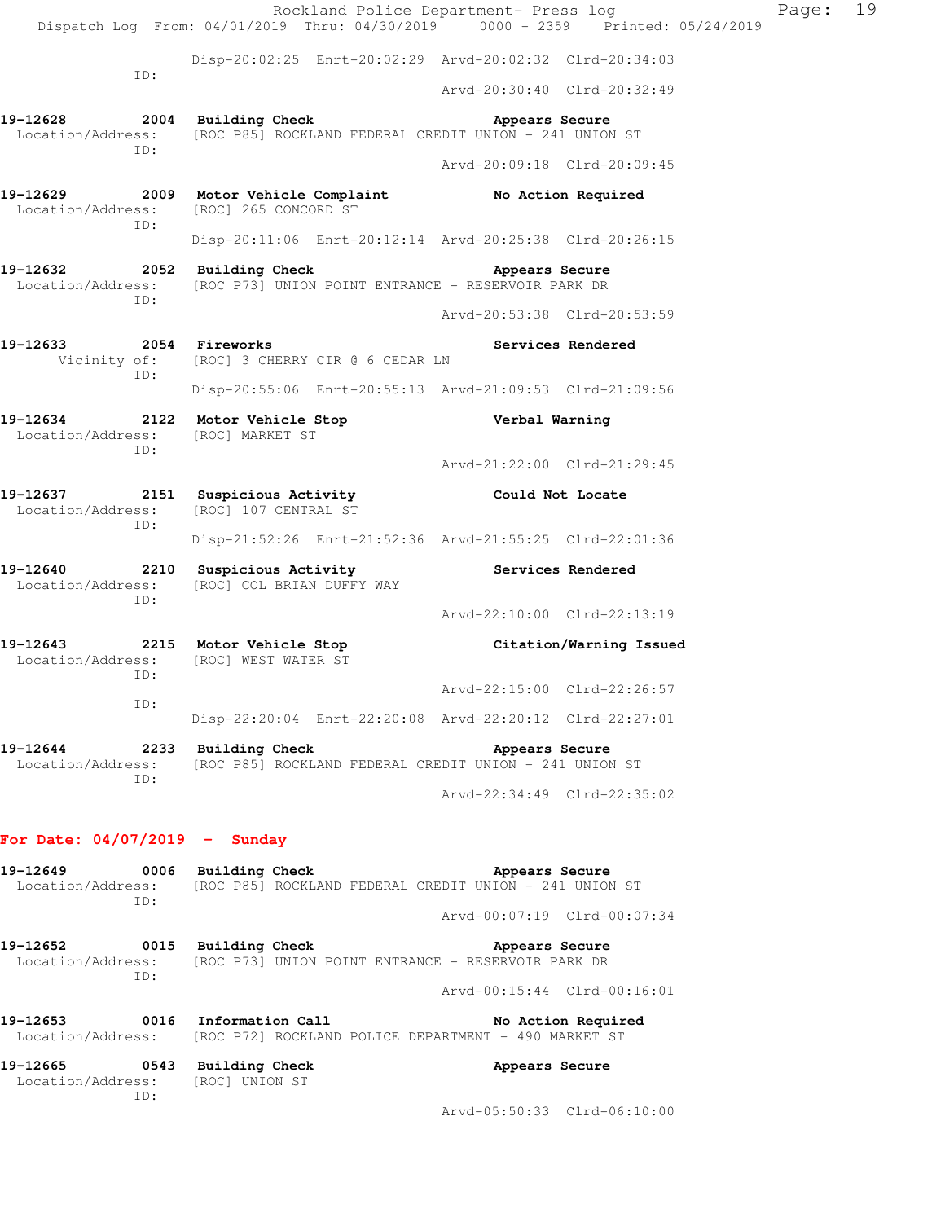Rockland Police Department- Press log Fage: 19 Dispatch Log From: 04/01/2019 Thru: 04/30/2019 0000 - 2359 Printed: 05/24/2019 Disp-20:02:25 Enrt-20:02:29 Arvd-20:02:32 Clrd-20:34:03 ID: Arvd-20:30:40 Clrd-20:32:49 19-12628 2004 Building Check **Appears Secure** Location/Address: [ROC P85] ROCKLAND FEDERAL CREDIT UNION - 241 UNION ST ID: Arvd-20:09:18 Clrd-20:09:45 **19-12629 2009 Motor Vehicle Complaint No Action Required**  Location/Address: [ROC] 265 CONCORD ST ID: Disp-20:11:06 Enrt-20:12:14 Arvd-20:25:38 Clrd-20:26:15 **19-12632 2052 Building Check Appears Secure**  Location/Address: [ROC P73] UNION POINT ENTRANCE - RESERVOIR PARK DR ID: Arvd-20:53:38 Clrd-20:53:59 **19-12633 2054 Fireworks Services Rendered**  Vicinity of: [ROC] 3 CHERRY CIR @ 6 CEDAR LN ID: Disp-20:55:06 Enrt-20:55:13 Arvd-21:09:53 Clrd-21:09:56 **19-12634 2122 Motor Vehicle Stop Verbal Warning**  Location/Address: [ROC] MARKET ST ID: Arvd-21:22:00 Clrd-21:29:45 **19-12637 2151 Suspicious Activity Could Not Locate**  Location/Address: [ROC] 107 CENTRAL ST ID: Disp-21:52:26 Enrt-21:52:36 Arvd-21:55:25 Clrd-22:01:36 **19-12640 2210 Suspicious Activity Services Rendered**  Location/Address: [ROC] COL BRIAN DUFFY WAY ID: Arvd-22:10:00 Clrd-22:13:19 **19-12643 2215 Motor Vehicle Stop Citation/Warning Issued**  Location/Address: [ROC] WEST WATER ST ID: Arvd-22:15:00 Clrd-22:26:57 ID: Disp-22:20:04 Enrt-22:20:08 Arvd-22:20:12 Clrd-22:27:01 **19-12644 2233 Building Check Appears Secure**  Location/Address: [ROC P85] ROCKLAND FEDERAL CREDIT UNION - 241 UNION ST ID: Arvd-22:34:49 Clrd-22:35:02 **For Date: 04/07/2019 - Sunday** 19-12649 **0006** Building Check **Appears Secure** Location/Address: [ROC P85] ROCKLAND FEDERAL CREDIT UNION - 241 UNION ST ID: Arvd-00:07:19 Clrd-00:07:34 19-12652 0015 Building Check **Appears Secure**  Location/Address: [ROC P73] UNION POINT ENTRANCE - RESERVOIR PARK DR ID:

Arvd-00:15:44 Clrd-00:16:01

| 50 10 <i>cc</i> r | $\mathbf{A} \mathbf{F}$ | <b><i>Provident Administration</i></b> |  |  |                                                      |  |
|-------------------|-------------------------|----------------------------------------|--|--|------------------------------------------------------|--|
| Location/Address: |                         |                                        |  |  | [ROC P72] ROCKLAND POLICE DEPARTMENT - 490 MARKET ST |  |
| 19-12653          |                         | 0016 Information Call                  |  |  | No Action Required                                   |  |

| 19-12665          | 0543 | Building Check | Appears Secure |
|-------------------|------|----------------|----------------|
| Location/Address: |      | (ROC) UNION ST |                |
|                   |      |                |                |

Arvd-05:50:33 Clrd-06:10:00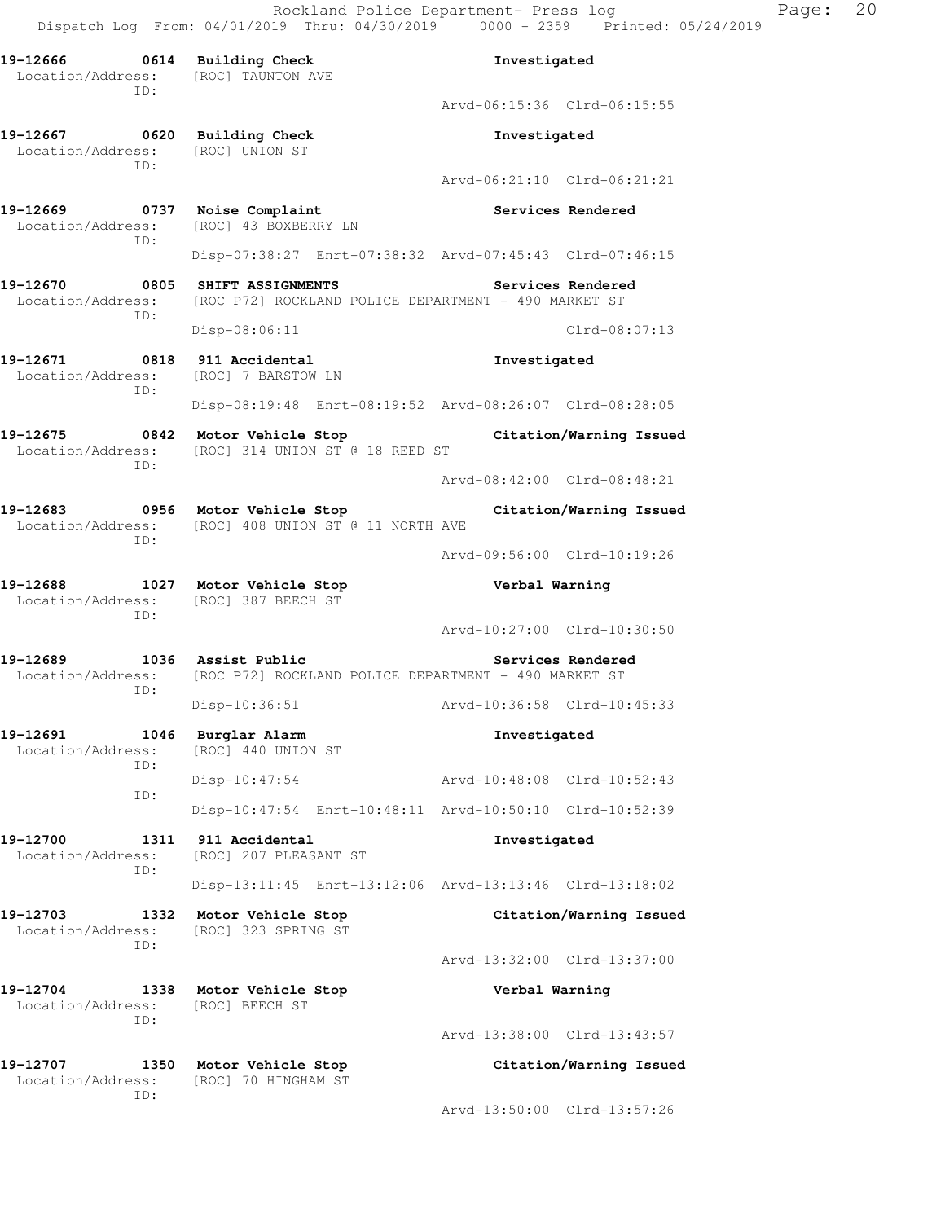Rockland Police Department- Press log Page: 20 Dispatch Log From: 04/01/2019 Thru: 04/30/2019 0000 - 2359 Printed: 05/24/2019

**19-12666 0614 Building Check Investigated**  Location/Address: [ROC] TAUNTON AVE ID: Arvd-06:15:36 Clrd-06:15:55 **19-12667 0620 Building Check Investigated**  Location/Address: [ROC] UNION ST ID: Arvd-06:21:10 Clrd-06:21:21 **19-12669 0737 Noise Complaint Services Rendered**  Location/Address: [ROC] 43 BOXBERRY LN ID: Disp-07:38:27 Enrt-07:38:32 Arvd-07:45:43 Clrd-07:46:15 **19-12670 0805 SHIFT ASSIGNMENTS Services Rendered**  Location/Address: [ROC P72] ROCKLAND POLICE DEPARTMENT - 490 MARKET ST ID: Disp-08:06:11 Clrd-08:07:13 **19-12671 0818 911 Accidental Investigated**  Location/Address: [ROC] 7 BARSTOW LN ID: Disp-08:19:48 Enrt-08:19:52 Arvd-08:26:07 Clrd-08:28:05 **19-12675 0842 Motor Vehicle Stop Citation/Warning Issued**  Location/Address: [ROC] 314 UNION ST @ 18 REED ST ID: Arvd-08:42:00 Clrd-08:48:21 **19-12683 0956 Motor Vehicle Stop Citation/Warning Issued**  Location/Address: [ROC] 408 UNION ST @ 11 NORTH AVE ID: Arvd-09:56:00 Clrd-10:19:26 **19-12688 1027 Motor Vehicle Stop Verbal Warning**  Location/Address: [ROC] 387 BEECH ST ID: Arvd-10:27:00 Clrd-10:30:50 19-12689 1036 Assist Public **19-12689** Services Rendered Location/Address: [ROC P72] ROCKLAND POLICE DEPARTMENT - 490 MARKET ST ID: Disp-10:36:51 Arvd-10:36:58 Clrd-10:45:33 **19-12691 1046 Burglar Alarm Investigated**  Location/Address: [ROC] 440 UNION ST ID: Disp-10:47:54 Arvd-10:48:08 Clrd-10:52:43 ID: Disp-10:47:54 Enrt-10:48:11 Arvd-10:50:10 Clrd-10:52:39 **19-12700 1311 911 Accidental Investigated**  Location/Address: [ROC] 207 PLEASANT ST ID: Disp-13:11:45 Enrt-13:12:06 Arvd-13:13:46 Clrd-13:18:02 **19-12703 1332 Motor Vehicle Stop Citation/Warning Issued**  Location/Address: [ROC] 323 SPRING ST ID: Arvd-13:32:00 Clrd-13:37:00 **19-12704 1338 Motor Vehicle Stop Verbal Warning**  Location/Address: [ROC] BEECH ST ID: Arvd-13:38:00 Clrd-13:43:57 **19-12707 1350 Motor Vehicle Stop Citation/Warning Issued**  Location/Address: [ROC] 70 HINGHAM ST ID: Arvd-13:50:00 Clrd-13:57:26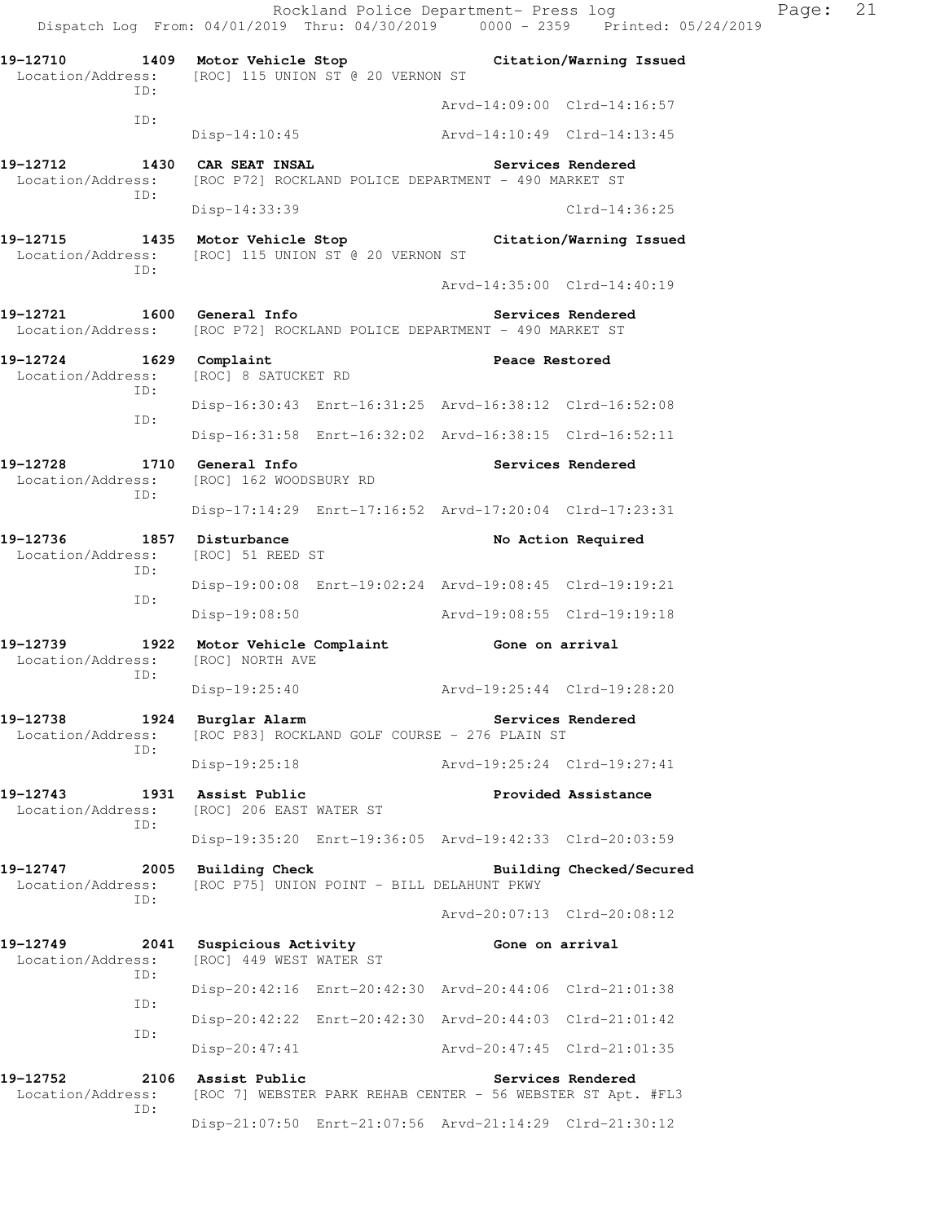|                                                                               |     |                                                        |                                                         |                                                                        | Rockland Police Department- Press log<br>Dispatch Log From: 04/01/2019 Thru: 04/30/2019 0000 - 2359 Printed: 05/24/2019 | Page: | 21 |
|-------------------------------------------------------------------------------|-----|--------------------------------------------------------|---------------------------------------------------------|------------------------------------------------------------------------|-------------------------------------------------------------------------------------------------------------------------|-------|----|
|                                                                               |     | Location/Address: [ROC] 115 UNION ST @ 20 VERNON ST    |                                                         | 19-12710 1409 Motor Vehicle Stop Citation/Warning Issued               |                                                                                                                         |       |    |
|                                                                               | ID: |                                                        |                                                         | Arvd-14:09:00 Clrd-14:16:57                                            |                                                                                                                         |       |    |
|                                                                               | ID: |                                                        |                                                         | Disp-14:10:45 Arvd-14:10:49 Clrd-14:13:45                              |                                                                                                                         |       |    |
|                                                                               | ID: | 19-12712 1430 CAR SEAT INSAL                           |                                                         | Location/Address: [ROC P72] ROCKLAND POLICE DEPARTMENT - 490 MARKET ST | Services Rendered                                                                                                       |       |    |
|                                                                               |     | Disp-14:33:39                                          |                                                         |                                                                        | $Clrd-14:36:25$                                                                                                         |       |    |
|                                                                               | ID: | Location/Address: [ROC] 115 UNION ST @ 20 VERNON ST    |                                                         | 19-12715 1435 Motor Vehicle Stop Citation/Warning Issued               |                                                                                                                         |       |    |
|                                                                               |     |                                                        |                                                         | Arvd-14:35:00 Clrd-14:40:19                                            |                                                                                                                         |       |    |
|                                                                               |     | 19-12721 1600 General Info                             |                                                         | Location/Address: [ROC P72] ROCKLAND POLICE DEPARTMENT - 490 MARKET ST | Services Rendered                                                                                                       |       |    |
| 19-12724 1629 Complaint<br>Location/Address:                                  | ID: | [ROC] 8 SATUCKET RD                                    |                                                         | Peace Restored                                                         |                                                                                                                         |       |    |
|                                                                               |     |                                                        |                                                         | Disp-16:30:43 Enrt-16:31:25 Arvd-16:38:12 Clrd-16:52:08                |                                                                                                                         |       |    |
| ID:                                                                           |     |                                                        | Disp-16:31:58 Enrt-16:32:02 Arvd-16:38:15 Clrd-16:52:11 |                                                                        |                                                                                                                         |       |    |
| 19-12728 1710 General Info<br>Location/Address: [ROC] 162 WOODSBURY RD<br>ID: |     |                                                        | <b>Services Rendered</b>                                |                                                                        |                                                                                                                         |       |    |
|                                                                               |     |                                                        | Disp-17:14:29 Enrt-17:16:52 Arvd-17:20:04 Clrd-17:23:31 |                                                                        |                                                                                                                         |       |    |
| 19-12736 1857 Disturbance                                                     | ID: | Location/Address: [ROC] 51 REED ST                     |                                                         |                                                                        | No Action Required                                                                                                      |       |    |
|                                                                               | ID: |                                                        |                                                         | Disp-19:00:08 Enrt-19:02:24 Arvd-19:08:45 Clrd-19:19:21                |                                                                                                                         |       |    |
|                                                                               |     |                                                        |                                                         | Disp-19:08:50 Arvd-19:08:55 Clrd-19:19:18                              |                                                                                                                         |       |    |
| Location/Address:                                                             | ID: | [ROC] NORTH AVE                                        |                                                         | 19-12739 1922 Motor Vehicle Complaint Gone on arrival                  |                                                                                                                         |       |    |
|                                                                               |     |                                                        |                                                         | Disp-19:25:40 Arvd-19:25:44 Clrd-19:28:20                              |                                                                                                                         |       |    |
| 19-12738<br>Location/Address:                                                 | ID: | 1924 Burglar Alarm                                     |                                                         | [ROC P83] ROCKLAND GOLF COURSE - 276 PLAIN ST                          | Services Rendered                                                                                                       |       |    |
|                                                                               |     | Disp-19:25:18                                          |                                                         | Arvd-19:25:24 Clrd-19:27:41                                            |                                                                                                                         |       |    |
| Location/Address:                                                             | ID: | 19-12743 1931 Assist Public<br>[ROC] 206 EAST WATER ST |                                                         |                                                                        | Provided Assistance                                                                                                     |       |    |
|                                                                               |     |                                                        |                                                         | Disp-19:35:20 Enrt-19:36:05 Arvd-19:42:33 Clrd-20:03:59                |                                                                                                                         |       |    |
| 19-12747<br>Location/Address:                                                 | ID: | 2005 Building Check                                    | [ROC P75] UNION POINT - BILL DELAHUNT PKWY              |                                                                        | Building Checked/Secured                                                                                                |       |    |
|                                                                               |     |                                                        |                                                         | Arvd-20:07:13 Clrd-20:08:12                                            |                                                                                                                         |       |    |
| 19-12749<br>Location/Address:                                                 | ID: | 2041 Suspicious Activity<br>[ROC] 449 WEST WATER ST    |                                                         | Gone on arrival                                                        |                                                                                                                         |       |    |
|                                                                               | ID: |                                                        |                                                         | Disp-20:42:16 Enrt-20:42:30 Arvd-20:44:06 Clrd-21:01:38                |                                                                                                                         |       |    |
|                                                                               | ID: |                                                        |                                                         | Disp-20:42:22 Enrt-20:42:30 Arvd-20:44:03 Clrd-21:01:42                |                                                                                                                         |       |    |
|                                                                               |     | Disp-20:47:41                                          |                                                         | Arvd-20:47:45 Clrd-21:01:35                                            |                                                                                                                         |       |    |
| 19-12752<br>Location/Address:                                                 | ID: | 2106 Assist Public                                     |                                                         | [ROC 7] WEBSTER PARK REHAB CENTER - 56 WEBSTER ST Apt. #FL3            | Services Rendered                                                                                                       |       |    |
|                                                                               |     |                                                        |                                                         | Disp-21:07:50 Enrt-21:07:56 Arvd-21:14:29 Clrd-21:30:12                |                                                                                                                         |       |    |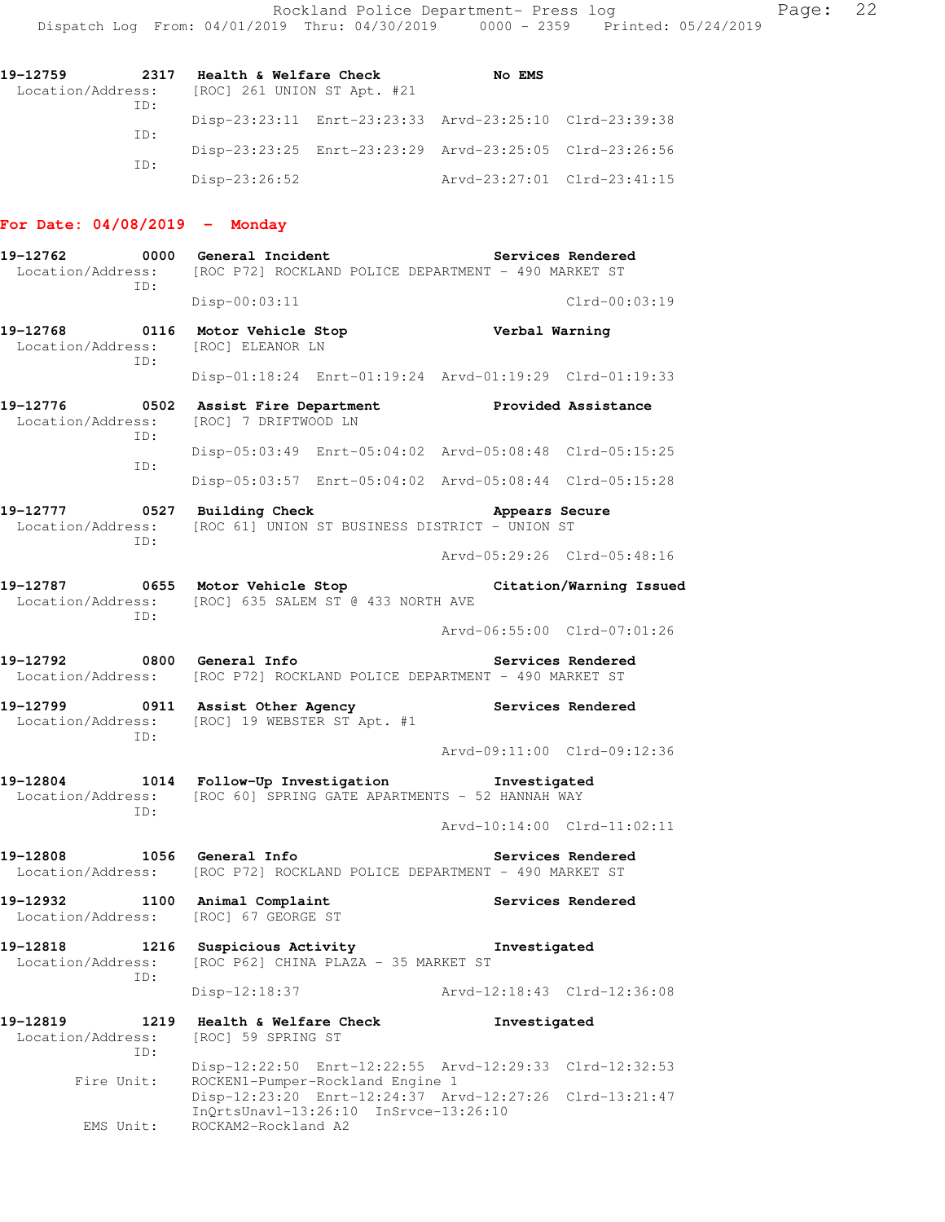| 19–12759 | 2317 | Health & Welfare Check                        | No EMS                                                  |  |
|----------|------|-----------------------------------------------|---------------------------------------------------------|--|
|          | TD:  | Location/Address: [ROC] 261 UNION ST Apt. #21 |                                                         |  |
|          | TD:  |                                               | Disp-23:23:11 Enrt-23:23:33 Arvd-23:25:10 Clrd-23:39:38 |  |
|          | TD:  |                                               | Disp-23:23:25 Enrt-23:23:29 Arvd-23:25:05 Clrd-23:26:56 |  |
|          |      | $Disp-23:26:52$                               | Arvd-23:27:01 Clrd-23:41:15                             |  |

## **For Date: 04/08/2019 - Monday**

| 19-12762<br>ID:                                            | 0000 General Incident<br>Location/Address: [ROC P72] ROCKLAND POLICE DEPARTMENT - 490 MARKET ST                         | Services Rendered                                       |
|------------------------------------------------------------|-------------------------------------------------------------------------------------------------------------------------|---------------------------------------------------------|
|                                                            | $Disp-00:03:11$                                                                                                         | $Clrd-00:03:19$                                         |
| 19-12768 0116<br>Location/Address: [ROC] ELEANOR LN<br>ID: | Motor Vehicle Stop                                                                                                      | Verbal Warning                                          |
|                                                            |                                                                                                                         | Disp-01:18:24 Enrt-01:19:24 Arvd-01:19:29 Clrd-01:19:33 |
| 19-12776 0502<br>Location/Address:                         | Assist Fire Department<br>[ROC] 7 DRIFTWOOD LN                                                                          | Provided Assistance                                     |
| ID:                                                        |                                                                                                                         | Disp-05:03:49 Enrt-05:04:02 Arvd-05:08:48 Clrd-05:15:25 |
| ID:                                                        |                                                                                                                         | Disp-05:03:57 Enrt-05:04:02 Arvd-05:08:44 Clrd-05:15:28 |
| 19-12777 0527 Building Check<br>Location/Address:<br>ID:   | [ROC 61] UNION ST BUSINESS DISTRICT - UNION ST                                                                          | Appears Secure                                          |
|                                                            |                                                                                                                         | Arvd-05:29:26 Clrd-05:48:16                             |
| ID:                                                        | 19-12787 0655 Motor Vehicle Stop<br>Location/Address: [ROC] 635 SALEM ST @ 433 NORTH AVE                                | Citation/Warning Issued                                 |
|                                                            |                                                                                                                         | Arvd-06:55:00 Clrd-07:01:26                             |
| 19-12792 0800 General Info                                 | Location/Address: [ROC P72] ROCKLAND POLICE DEPARTMENT - 490 MARKET ST                                                  | Services Rendered                                       |
| ID:                                                        | 19-12799 0911 Assist Other Agency Services Rendered<br>Location/Address: [ROC] 19 WEBSTER ST Apt. #1                    |                                                         |
|                                                            |                                                                                                                         | Arvd-09:11:00 Clrd-09:12:36                             |
| ID:                                                        | 19-12804 1014 Follow-Up Investigation 1nvestigated<br>Location/Address: [ROC 60] SPRING GATE APARTMENTS - 52 HANNAH WAY |                                                         |
|                                                            |                                                                                                                         | Arvd-10:14:00 Clrd-11:02:11                             |
| 19-12808 1056 General Info                                 | Location/Address: [ROC P72] ROCKLAND POLICE DEPARTMENT - 490 MARKET ST                                                  | Services Rendered                                       |
| 19-12932                                                   | 1100 Animal Complaint<br>Location/Address: [ROC] 67 GEORGE ST                                                           | Services Rendered                                       |
| 19-12818<br>1216<br>Location/Address:<br>ID:               | Suspicious Activity<br>[ROC P62] CHINA PLAZA - 35 MARKET ST                                                             | Investigated                                            |
|                                                            | Disp-12:18:37                                                                                                           | Arvd-12:18:43 Clrd-12:36:08                             |
| 19-12819<br>1219<br>Location/Address:<br>ID:               | Health & Welfare Check<br>[ROC] 59 SPRING ST                                                                            | Investigated                                            |
| Fire Unit:                                                 |                                                                                                                         | Disp-12:22:50 Enrt-12:22:55 Arvd-12:29:33 Clrd-12:32:53 |
| EMS Unit:                                                  | ROCKEN1-Pumper-Rockland Engine 1<br>InQrtsUnavl-13:26:10 InSrvce-13:26:10<br>ROCKAM2-Rockland A2                        | Disp-12:23:20 Enrt-12:24:37 Arvd-12:27:26 Clrd-13:21:47 |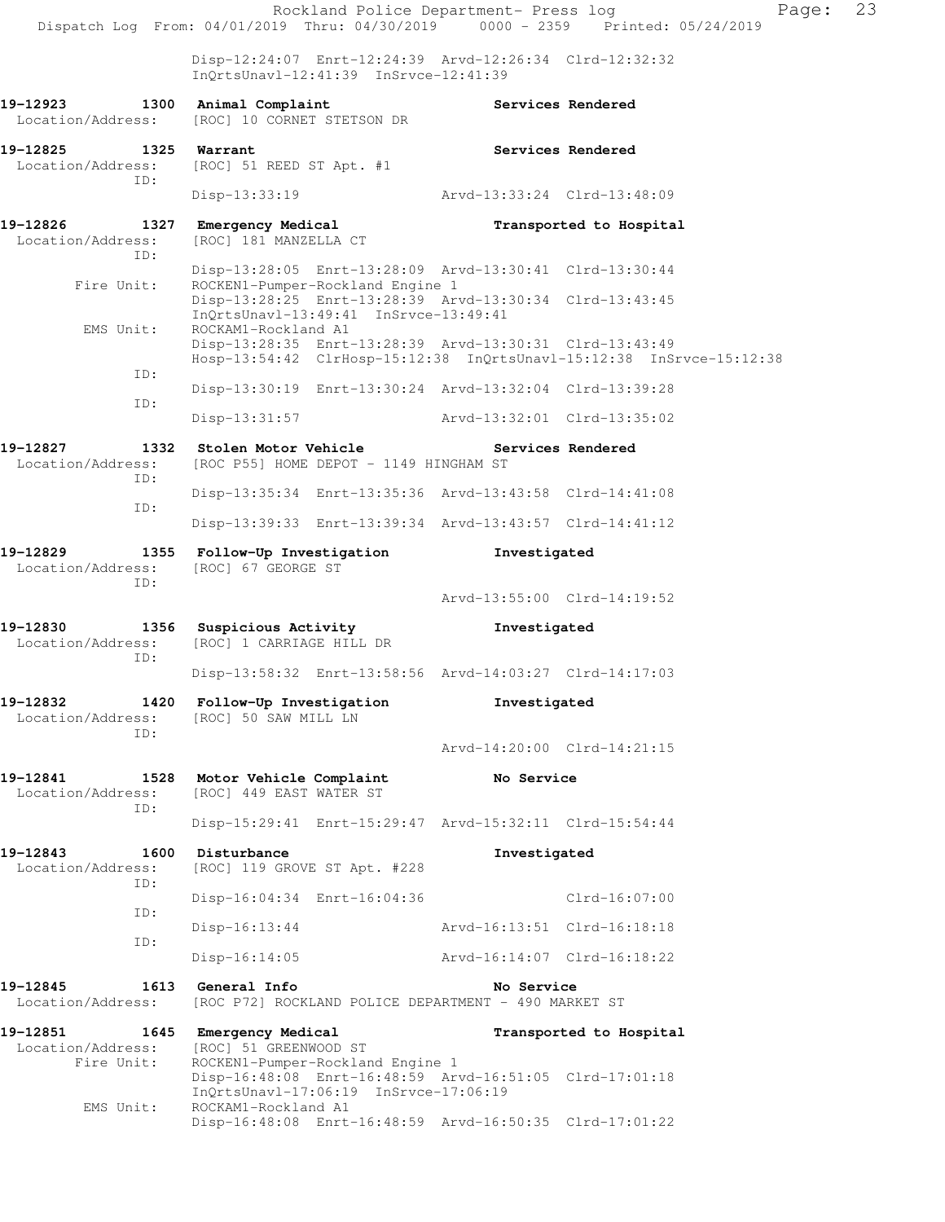Rockland Police Department- Press log Fage: 23 Dispatch Log From: 04/01/2019 Thru: 04/30/2019 0000 - 2359 Printed: 05/24/2019 Disp-12:24:07 Enrt-12:24:39 Arvd-12:26:34 Clrd-12:32:32 InQrtsUnavl-12:41:39 InSrvce-12:41:39 19-12923 1300 Animal Complaint **1200 Services Rendered**  Location/Address: [ROC] 10 CORNET STETSON DR **19-12825 1325 Warrant Services Rendered**  Location/Address: [ROC] 51 REED ST Apt. #1 ID: Disp-13:33:19 Arvd-13:33:24 Clrd-13:48:09 **19-12826 1327 Emergency Medical Transported to Hospital**  Location/Address: [ROC] 181 MANZELLA CT ID: Disp-13:28:05 Enrt-13:28:09 Arvd-13:30:41 Clrd-13:30:44 Fire Unit: ROCKEN1-Pumper-Rockland Engine 1 Disp-13:28:25 Enrt-13:28:39 Arvd-13:30:34 Clrd-13:43:45 InQrtsUnavl-13:49:41 InSrvce-13:49:41<br>EMS Unit: ROCKAM1-Rockland A1 ROCKAM1-Rockland A1 Disp-13:28:35 Enrt-13:28:39 Arvd-13:30:31 Clrd-13:43:49 Hosp-13:54:42 ClrHosp-15:12:38 InQrtsUnavl-15:12:38 InSrvce-15:12:38 ID: Disp-13:30:19 Enrt-13:30:24 Arvd-13:32:04 Clrd-13:39:28 ID: Disp-13:31:57 Arvd-13:32:01 Clrd-13:35:02 **19-12827 1332 Stolen Motor Vehicle Services Rendered**  Location/Address: [ROC P55] HOME DEPOT - 1149 HINGHAM ST ID: Disp-13:35:34 Enrt-13:35:36 Arvd-13:43:58 Clrd-14:41:08 ID: Disp-13:39:33 Enrt-13:39:34 Arvd-13:43:57 Clrd-14:41:12 **19-12829 1355 Follow-Up Investigation Investigated**  Location/Address: [ROC] 67 GEORGE ST ID: Arvd-13:55:00 Clrd-14:19:52 **19-12830 1356 Suspicious Activity Investigated**  Location/Address: [ROC] 1 CARRIAGE HILL DR ID: Disp-13:58:32 Enrt-13:58:56 Arvd-14:03:27 Clrd-14:17:03 **19-12832 1420 Follow-Up Investigation Investigated**  Location/Address: [ROC] 50 SAW MILL LN ID: Arvd-14:20:00 Clrd-14:21:15 **19-12841 1528 Motor Vehicle Complaint No Service**  Location/Address: [ROC] 449 EAST WATER ST ID: Disp-15:29:41 Enrt-15:29:47 Arvd-15:32:11 Clrd-15:54:44 **19-12843 1600 Disturbance Investigated**  Location/Address: [ROC] 119 GROVE ST Apt. #228 ID: Disp-16:04:34 Enrt-16:04:36 Clrd-16:07:00 ID: Disp-16:13:44 Arvd-16:13:51 Clrd-16:18:18 ID: Disp-16:14:05 Arvd-16:14:07 Clrd-16:18:22 **19-12845 1613 General Info No Service**  Location/Address: [ROC P72] ROCKLAND POLICE DEPARTMENT - 490 MARKET ST **19-12851 1645 Emergency Medical Transported to Hospital**  Location/Address: [ROC] 51 GREENWOOD ST Fire Unit: ROCKEN1-Pumper-Rockland Engine 1 Disp-16:48:08 Enrt-16:48:59 Arvd-16:51:05 Clrd-17:01:18 InQrtsUnavl-17:06:19 InSrvce-17:06:19 EMS Unit: ROCKAM1-Rockland A1 Disp-16:48:08 Enrt-16:48:59 Arvd-16:50:35 Clrd-17:01:22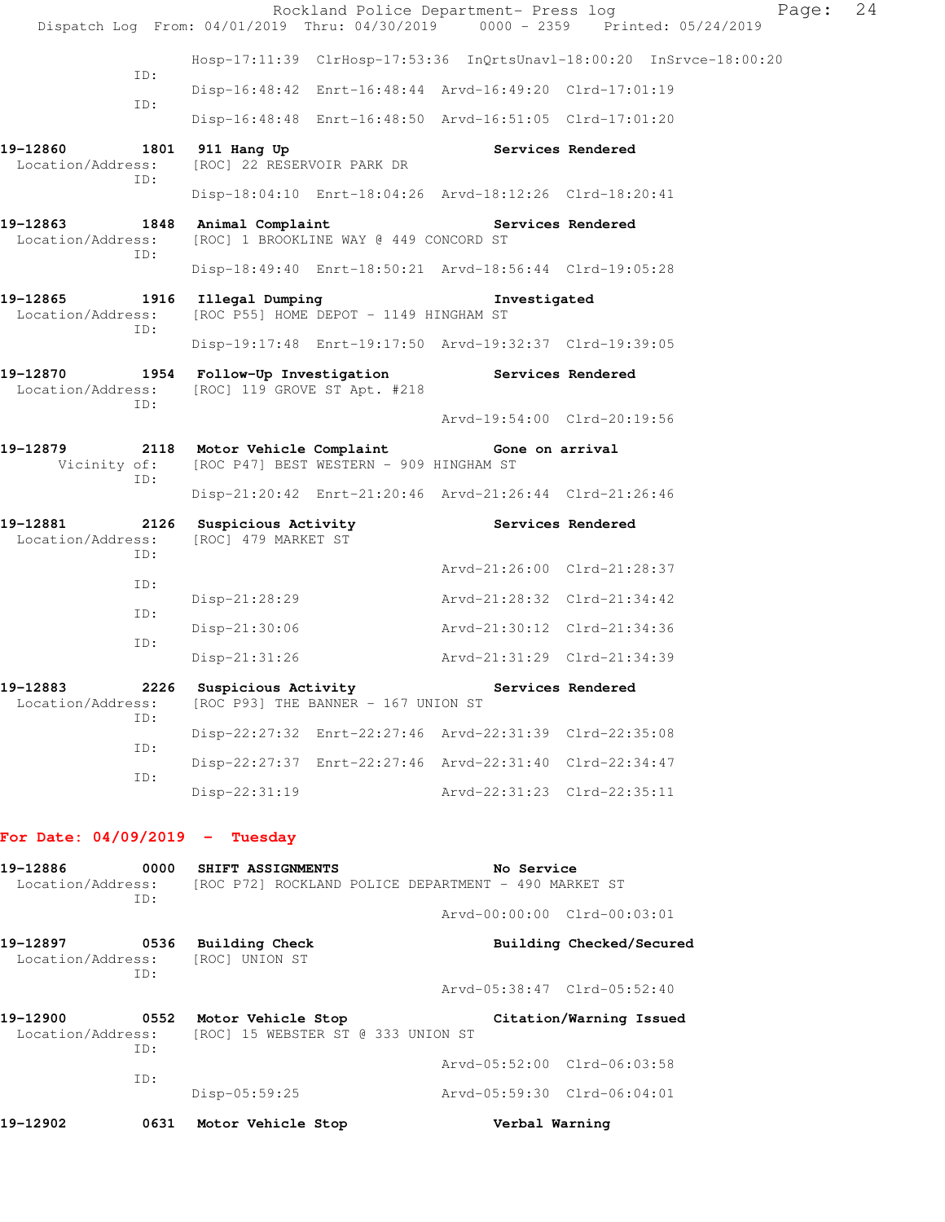|                                      |     |                                                 |                                         | Rockland Police Department- Press log                   |                                                                                | Page: 24 |  |
|--------------------------------------|-----|-------------------------------------------------|-----------------------------------------|---------------------------------------------------------|--------------------------------------------------------------------------------|----------|--|
|                                      |     |                                                 |                                         |                                                         | Dispatch Log From: 04/01/2019 Thru: 04/30/2019 0000 - 2359 Printed: 05/24/2019 |          |  |
|                                      | ID: |                                                 |                                         |                                                         | Hosp-17:11:39 ClrHosp-17:53:36 InQrtsUnavl-18:00:20 InSrvce-18:00:20           |          |  |
|                                      |     |                                                 |                                         | Disp-16:48:42 Enrt-16:48:44 Arvd-16:49:20 Clrd-17:01:19 |                                                                                |          |  |
|                                      | ID: |                                                 |                                         | Disp-16:48:48 Enrt-16:48:50 Arvd-16:51:05 Clrd-17:01:20 |                                                                                |          |  |
| 19-12860<br>Location/Address:        | TD: | 1801 911 Hang Up<br>[ROC] 22 RESERVOIR PARK DR  |                                         |                                                         | Services Rendered                                                              |          |  |
|                                      |     |                                                 |                                         | Disp-18:04:10 Enrt-18:04:26 Arvd-18:12:26 Clrd-18:20:41 |                                                                                |          |  |
| 19-12863<br>Location/Address:        | ID: | 1848 Animal Complaint                           | [ROC] 1 BROOKLINE WAY @ 449 CONCORD ST  | Services Rendered                                       |                                                                                |          |  |
|                                      |     |                                                 |                                         | Disp-18:49:40 Enrt-18:50:21 Arvd-18:56:44 Clrd-19:05:28 |                                                                                |          |  |
| 19-12865<br>Location/Address:<br>TD: |     | 1916 Illegal Dumping                            | [ROC P55] HOME DEPOT - 1149 HINGHAM ST  | Investigated                                            |                                                                                |          |  |
|                                      |     |                                                 |                                         | Disp-19:17:48 Enrt-19:17:50 Arvd-19:32:37 Clrd-19:39:05 |                                                                                |          |  |
| 19-12870<br>Location/Address:        | ID: | 1954 Follow-Up Investigation                    | [ROC] 119 GROVE ST Apt. #218            | <b>Services Rendered</b>                                |                                                                                |          |  |
|                                      |     |                                                 |                                         | Arvd-19:54:00 Clrd-20:19:56                             |                                                                                |          |  |
| 19-12879<br>Vicinity of:             | ID: | 2118 Motor Vehicle Complaint                    | [ROC P47] BEST WESTERN - 909 HINGHAM ST | Gone on arrival                                         |                                                                                |          |  |
|                                      |     |                                                 |                                         | Disp-21:20:42 Enrt-21:20:46 Arvd-21:26:44 Clrd-21:26:46 |                                                                                |          |  |
| 19-12881<br>Location/Address:        | TD: | 2126 Suspicious Activity<br>[ROC] 479 MARKET ST |                                         | Services Rendered                                       |                                                                                |          |  |
|                                      |     |                                                 |                                         | Arvd-21:26:00 Clrd-21:28:37                             |                                                                                |          |  |
|                                      | ID: | Disp-21:28:29                                   |                                         | Arvd-21:28:32 Clrd-21:34:42                             |                                                                                |          |  |
|                                      | ID: | $Disp-21:30:06$                                 |                                         | Arvd-21:30:12 Clrd-21:34:36                             |                                                                                |          |  |
|                                      | ID: | $Disp-21:31:26$                                 |                                         | Arvd-21:31:29 Clrd-21:34:39                             |                                                                                |          |  |
| 19-12883<br>Location/Address:        |     | 2226 Suspicious Activity                        | [ROC P93] THE BANNER - 167 UNION ST     | Services Rendered                                       |                                                                                |          |  |
|                                      | ID: |                                                 |                                         | Disp-22:27:32 Enrt-22:27:46 Arvd-22:31:39 Clrd-22:35:08 |                                                                                |          |  |
|                                      | ID: |                                                 |                                         | Disp-22:27:37 Enrt-22:27:46 Arvd-22:31:40 Clrd-22:34:47 |                                                                                |          |  |
|                                      | ID: | Disp-22:31:19                                   |                                         | Arvd-22:31:23 Clrd-22:35:11                             |                                                                                |          |  |
|                                      |     |                                                 |                                         |                                                         |                                                                                |          |  |

# **For Date: 04/09/2019 - Tuesday**

| 19-12902                      | 0631 | Motor Vehicle Stop                 | Verbal Warning                                       |
|-------------------------------|------|------------------------------------|------------------------------------------------------|
|                               |      | $Disp-05:59:25$                    | Arvd-05:59:30 Clrd-06:04:01                          |
|                               | TD:  |                                    | Arvd-05:52:00 Clrd-06:03:58                          |
| Location/Address:             | ID:  | [ROC] 15 WEBSTER ST @ 333 UNION ST |                                                      |
| 19-12900                      | 0552 | Motor Vehicle Stop                 | Citation/Warning Issued                              |
|                               | ID:  |                                    | Arvd-05:38:47 Clrd-05:52:40                          |
| 19–12897<br>Location/Address: | 0536 | Building Check<br>[ROC] UNION ST   | Building Checked/Secured                             |
|                               |      |                                    | $Arvd-00:00:00$ $Clrd-00:03:01$                      |
| Location/Address:             | TD:  |                                    | [ROC P72] ROCKLAND POLICE DEPARTMENT - 490 MARKET ST |
| 19-12886                      | 0000 | SHIFT ASSIGNMENTS                  | No Service                                           |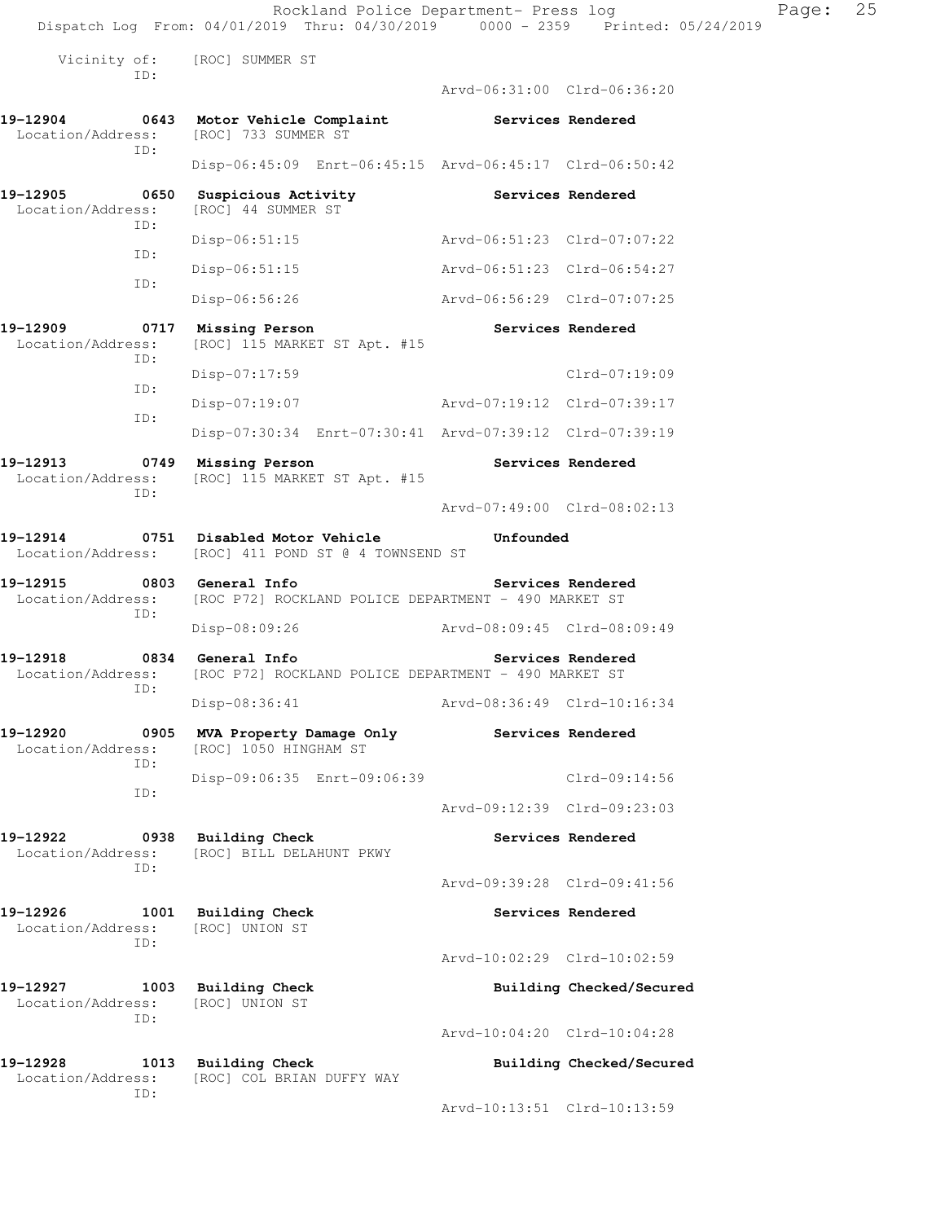Rockland Police Department- Press log Fage: 25 Dispatch Log From: 04/01/2019 Thru: 04/30/2019 0000 - 2359 Printed: 05/24/2019 Vicinity of: [ROC] SUMMER ST ID: Arvd-06:31:00 Clrd-06:36:20 **19-12904 0643 Motor Vehicle Complaint Services Rendered Services Rendered Integral Constant** ST [ROC] 733 SUMMER ST ID: Disp-06:45:09 Enrt-06:45:15 Arvd-06:45:17 Clrd-06:50:42 19-12905 **0650** Suspicious Activity **Services Rendered**  Location/Address: [ROC] 44 SUMMER ST ID: Disp-06:51:15 Arvd-06:51:23 Clrd-07:07:22 ID: Disp-06:51:15 Arvd-06:51:23 Clrd-06:54:27 ID: Disp-06:56:26 Arvd-06:56:29 Clrd-07:07:25 19-12909 **0717 Missing Person Services Rendered Ionalisation**/Address: [ROC] 115 MARKET ST Apt. #15 [ROC] 115 MARKET ST Apt. #15 ID: Disp-07:17:59 Clrd-07:19:09 ID: Disp-07:19:07 Arvd-07:19:12 Clrd-07:39:17 ID: Disp-07:30:34 Enrt-07:30:41 Arvd-07:39:12 Clrd-07:39:19 **19-12913 0749 Missing Person Services Rendered**  Location/Address: [ROC] 115 MARKET ST Apt. #15 ID: Arvd-07:49:00 Clrd-08:02:13 **19-12914 0751 Disabled Motor Vehicle Unfounded**  Location/Address: [ROC] 411 POND ST @ 4 TOWNSEND ST **19-12915 0803 General Info Services Rendered**  Location/Address: [ROC P72] ROCKLAND POLICE DEPARTMENT - 490 MARKET ST ID: Disp-08:09:26 Arvd-08:09:45 Clrd-08:09:49 **19-12918 0834 General Info Services Rendered**  Location/Address: [ROC P72] ROCKLAND POLICE DEPARTMENT - 490 MARKET ST ID: Disp-08:36:41 Arvd-08:36:49 Clrd-10:16:34 **19-12920 0905 MVA Property Damage Only Services Rendered**  Location/Address: [ROC] 1050 HINGHAM ST ID: Disp-09:06:35 Enrt-09:06:39 Clrd-09:14:56 ID: Arvd-09:12:39 Clrd-09:23:03 19-12922 **1988** Building Check **Services Rendered**  Location/Address: [ROC] BILL DELAHUNT PKWY ID: Arvd-09:39:28 Clrd-09:41:56 19-12926 1001 Building Check **Services Rendered**  Location/Address: [ROC] UNION ST ID: Arvd-10:02:29 Clrd-10:02:59 **19-12927 1003 Building Check Building Checked/Secured**  Location/Address: [ROC] UNION ST ID:

Arvd-10:04:20 Clrd-10:04:28

**19-12928 1013 Building Check Building Checked/Secured**  Location/Address: [ROC] COL BRIAN DUFFY WAY ID:

Arvd-10:13:51 Clrd-10:13:59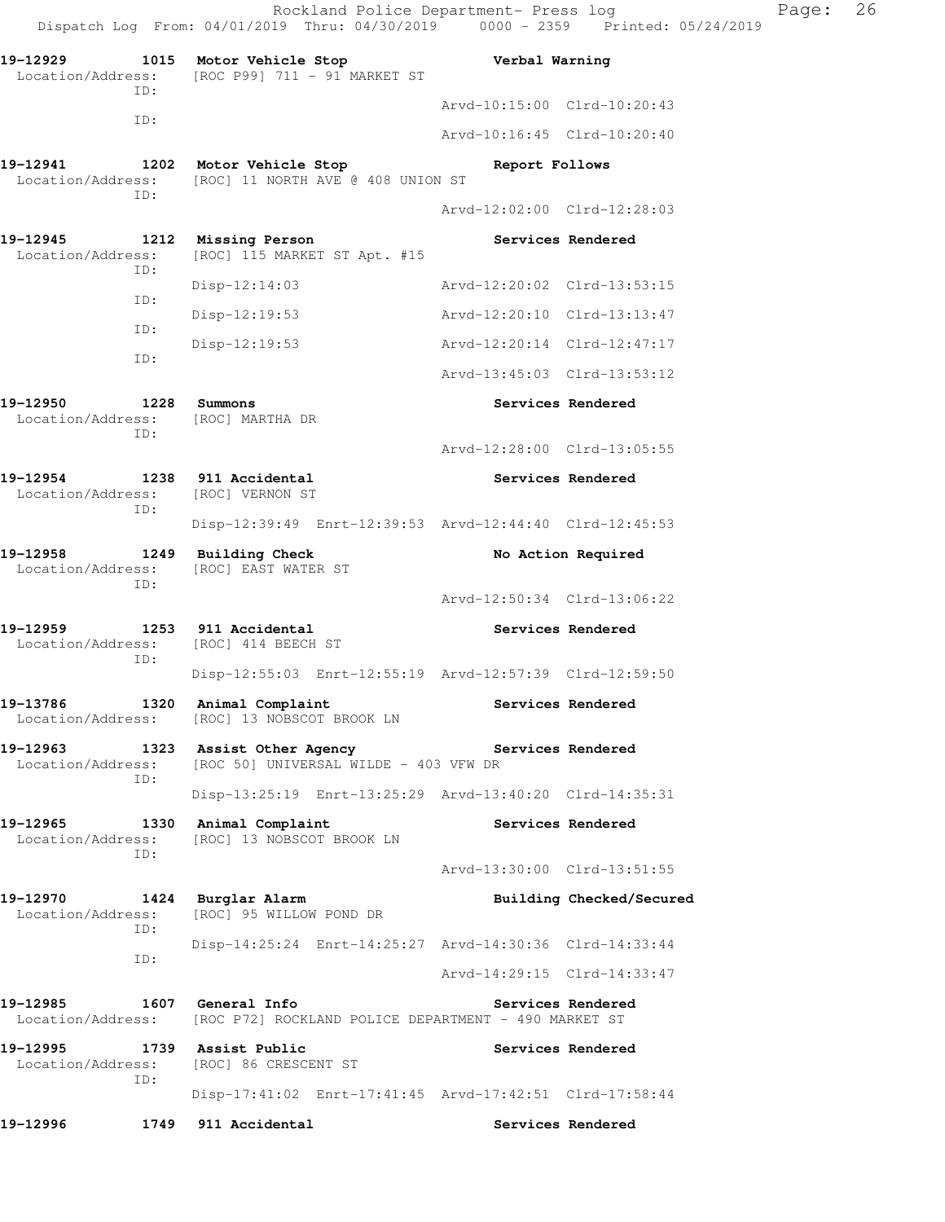Rockland Police Department- Press log Page: 26 Dispatch Log From: 04/01/2019 Thru: 04/30/2019 0000 - 2359 Printed: 05/24/2019 **19-12929 1015 Motor Vehicle Stop Verbal Warning**  Location/Address: [ROC P99] 711 - 91 MARKET ST ID: Arvd-10:15:00 Clrd-10:20:43 ID: Arvd-10:16:45 Clrd-10:20:40 **19-12941 1202 Motor Vehicle Stop Report Follows**  Location/Address: [ROC] 11 NORTH AVE @ 408 UNION ST ID: Arvd-12:02:00 Clrd-12:28:03 **19-12945 1212 Missing Person Services Rendered**  Location/Address: [ROC] 115 MARKET ST Apt. #15 ID: Disp-12:14:03 Arvd-12:20:02 Clrd-13:53:15 ID: Disp-12:19:53 Arvd-12:20:10 Clrd-13:13:47 ID: Disp-12:19:53 Arvd-12:20:14 Clrd-12:47:17 ID: Arvd-13:45:03 Clrd-13:53:12 **19-12950 1228 Summons Services Rendered**  Location/Address: [ROC] MARTHA DR ID: Arvd-12:28:00 Clrd-13:05:55 **19-12954 1238 911 Accidental Services Rendered**  Location/Address: [ROC] VERNON ST ID: Disp-12:39:49 Enrt-12:39:53 Arvd-12:44:40 Clrd-12:45:53 19-12958 1249 Building Check No Action Required Location/Address: [ROC] EAST WATER ST ID: Arvd-12:50:34 Clrd-13:06:22 **19-12959 1253 911 Accidental Services Rendered**  Location/Address: [ROC] 414 BEECH ST ID: Disp-12:55:03 Enrt-12:55:19 Arvd-12:57:39 Clrd-12:59:50 19-13786 1320 Animal Complaint **19-13786** Services Rendered Location/Address: [ROC] 13 NOBSCOT BROOK LN **19-12963 1323 Assist Other Agency Services Rendered**  Location/Address: [ROC 50] UNIVERSAL WILDE - 403 VFW DR ID: Disp-13:25:19 Enrt-13:25:29 Arvd-13:40:20 Clrd-14:35:31 **19-12965 1330 Animal Complaint Services Rendered**  Location/Address: [ROC] 13 NOBSCOT BROOK LN ID: Arvd-13:30:00 Clrd-13:51:55 **19-12970 1424 Burglar Alarm Building Checked/Secured**  Location/Address: [ROC] 95 WILLOW POND DR ID: Disp-14:25:24 Enrt-14:25:27 Arvd-14:30:36 Clrd-14:33:44 ID: Arvd-14:29:15 Clrd-14:33:47 19-12985 1607 General Info **1999 Services Rendered**  Location/Address: [ROC P72] ROCKLAND POLICE DEPARTMENT - 490 MARKET ST **19-12995 1739 Assist Public Services Rendered**  Location/Address: [ROC] 86 CRESCENT ST ID: Disp-17:41:02 Enrt-17:41:45 Arvd-17:42:51 Clrd-17:58:44 **19-12996 1749 911 Accidental Services Rendered**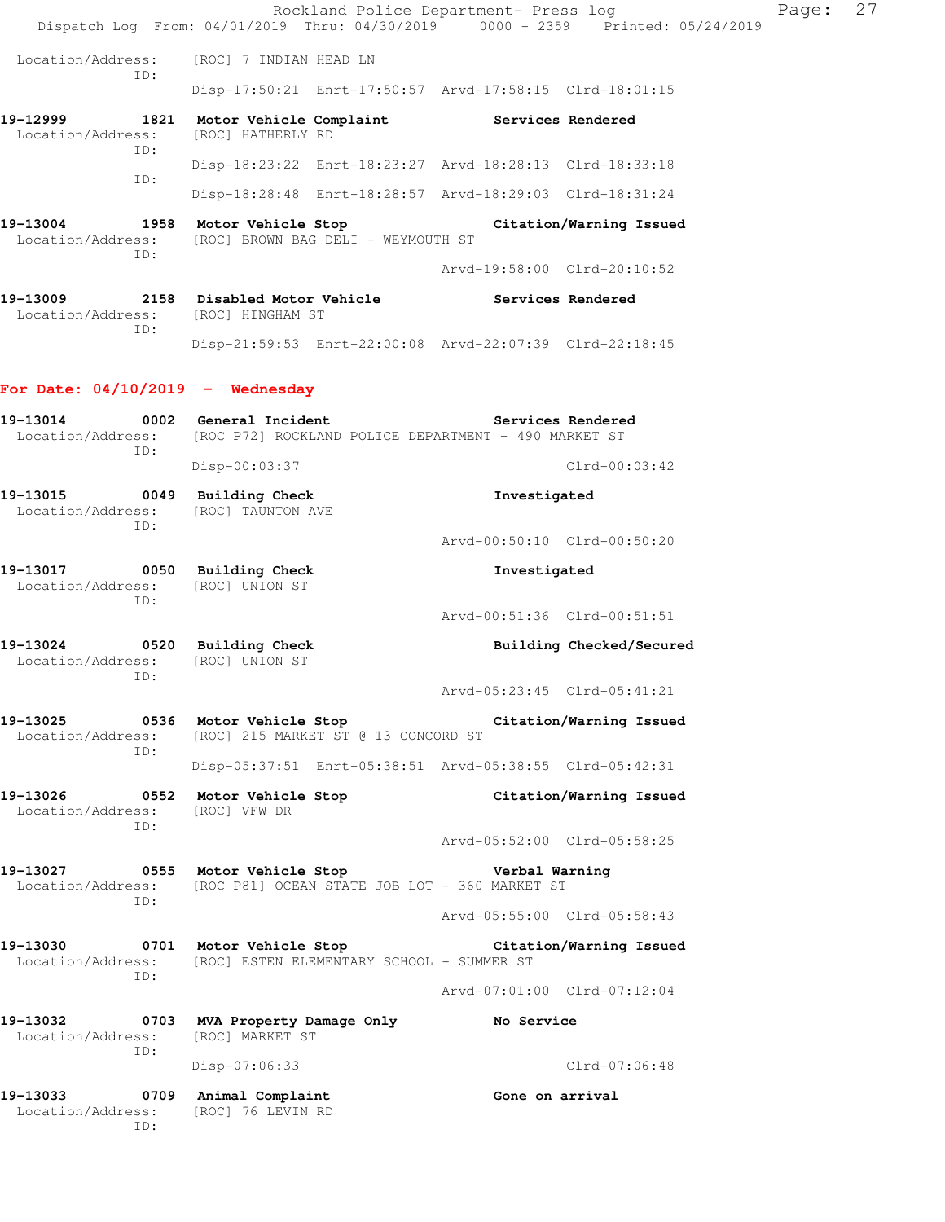|                                                | Rockland Police Department- Press log<br>Dispatch Log From: 04/01/2019 Thru: 04/30/2019 0000 - 2359 Printed: 05/24/2019 |                             |                          | Page: | 27 |
|------------------------------------------------|-------------------------------------------------------------------------------------------------------------------------|-----------------------------|--------------------------|-------|----|
| Location/Address:                              | [ROC] 7 INDIAN HEAD LN                                                                                                  |                             |                          |       |    |
| ID:                                            | Disp-17:50:21 Enrt-17:50:57 Arvd-17:58:15 Clrd-18:01:15                                                                 |                             |                          |       |    |
| 19-12999<br>Location/Address:<br>ID:           | 1821 Motor Vehicle Complaint Services Rendered<br>[ROC] HATHERLY RD                                                     |                             |                          |       |    |
| ID:                                            | Disp-18:23:22 Enrt-18:23:27 Arvd-18:28:13 Clrd-18:33:18                                                                 |                             |                          |       |    |
|                                                | Disp-18:28:48 Enrt-18:28:57 Arvd-18:29:03 Clrd-18:31:24                                                                 |                             |                          |       |    |
| 19-13004<br>Location/Address:<br>TD:           | 1958 Motor Vehicle Stop<br>[ROC] BROWN BAG DELI - WEYMOUTH ST                                                           |                             | Citation/Warning Issued  |       |    |
|                                                |                                                                                                                         | Arvd-19:58:00 Clrd-20:10:52 |                          |       |    |
| 19-13009<br>Location/Address: [ROC] HINGHAM ST | 2158 Disabled Motor Vehicle                                                                                             | Services Rendered           |                          |       |    |
| ID:                                            | Disp-21:59:53 Enrt-22:00:08 Arvd-22:07:39 Clrd-22:18:45                                                                 |                             |                          |       |    |
| For Date: $04/10/2019$ - Wednesday             |                                                                                                                         |                             |                          |       |    |
| 19-13014                                       | 0002 General Incident<br>Location/Address: [ROC P72] ROCKLAND POLICE DEPARTMENT - 490 MARKET ST                         |                             | Services Rendered        |       |    |
| ID:                                            | Disp-00:03:37                                                                                                           |                             | $Clrd-00:03:42$          |       |    |
| 19-13015<br>Location/Address:                  | 0049 Building Check<br>[ROC] TAUNTON AVE                                                                                | Investigated                |                          |       |    |
| TD:                                            |                                                                                                                         | Arvd-00:50:10 Clrd-00:50:20 |                          |       |    |
| 19-13017<br>Location/Address:                  | 0050 Building Check<br>[ROC] UNION ST                                                                                   | Investigated                |                          |       |    |
| ID:                                            |                                                                                                                         | Arvd-00:51:36 Clrd-00:51:51 |                          |       |    |
| 19-13024<br>Location/Address:<br>TD:           | 0520 Building Check<br>[ROC] UNION ST                                                                                   |                             | Building Checked/Secured |       |    |
|                                                |                                                                                                                         | Arvd-05:23:45 Clrd-05:41:21 |                          |       |    |
| Location/Address:<br>ID:                       | 19-13025 0536 Motor Vehicle Stop Citation/Warning Issued<br>[ROC] 215 MARKET ST @ 13 CONCORD ST                         |                             |                          |       |    |
|                                                | Disp-05:37:51 Enrt-05:38:51 Arvd-05:38:55 Clrd-05:42:31                                                                 |                             |                          |       |    |
| 19-13026<br>Location/Address:<br>ID:           | 0552 Motor Vehicle Stop<br>[ROC] VFW DR                                                                                 |                             | Citation/Warning Issued  |       |    |
|                                                |                                                                                                                         | Arvd-05:52:00 Clrd-05:58:25 |                          |       |    |
| Location/Address:                              | 19-13027 0555 Motor Vehicle Stop<br>[ROC P81] OCEAN STATE JOB LOT - 360 MARKET ST                                       | Verbal Warning              |                          |       |    |
| ID:                                            |                                                                                                                         | Arvd-05:55:00 Clrd-05:58:43 |                          |       |    |
| 19-13030<br>Location/Address:<br>ID:           | 0701 Motor Vehicle Stop<br>[ROC] ESTEN ELEMENTARY SCHOOL - SUMMER ST                                                    |                             | Citation/Warning Issued  |       |    |
|                                                |                                                                                                                         | Arvd-07:01:00 Clrd-07:12:04 |                          |       |    |
| 19-13032<br>Location/Address:                  | 0703 MVA Property Damage Only<br>[ROC] MARKET ST                                                                        | No Service                  |                          |       |    |
| ID:                                            | Disp-07:06:33                                                                                                           |                             | $Clrd-07:06:48$          |       |    |
| 19-13033<br>Location/Address:<br>ID:           | 0709 Animal Complaint<br>[ROC] 76 LEVIN RD                                                                              | Gone on arrival             |                          |       |    |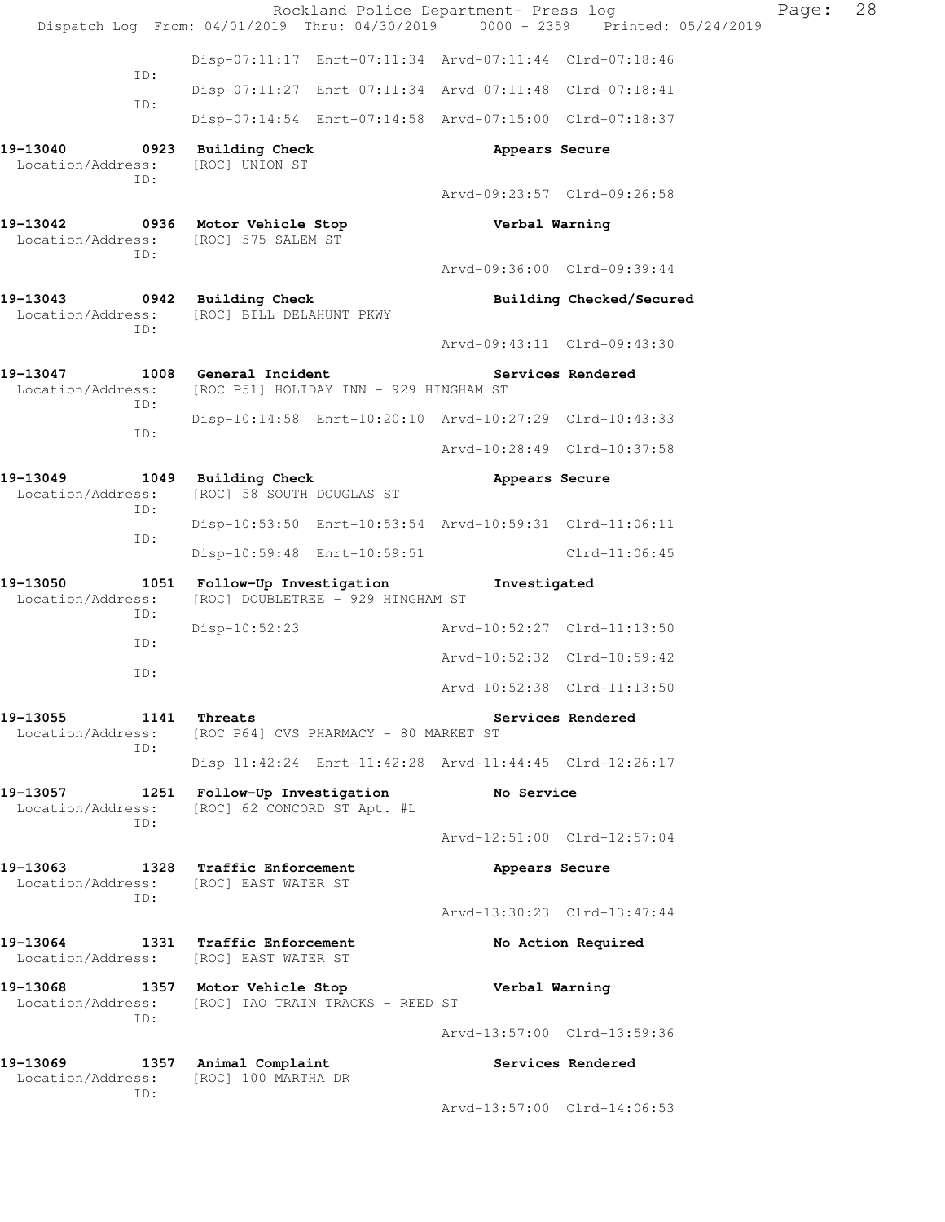|                                                            | Rockland Police Department- Press log<br>Dispatch Log From: 04/01/2019 Thru: 04/30/2019 0000 - 2359 Printed: 05/24/2019 |                             |                             | Page: | 28 |
|------------------------------------------------------------|-------------------------------------------------------------------------------------------------------------------------|-----------------------------|-----------------------------|-------|----|
|                                                            | Disp-07:11:17 Enrt-07:11:34 Arvd-07:11:44 Clrd-07:18:46                                                                 |                             |                             |       |    |
| ID:                                                        | Disp-07:11:27 Enrt-07:11:34 Arvd-07:11:48 Clrd-07:18:41                                                                 |                             |                             |       |    |
| ID:                                                        | Disp-07:14:54 Enrt-07:14:58 Arvd-07:15:00 Clrd-07:18:37                                                                 |                             |                             |       |    |
| 19-13040<br>Location/Address:<br>ID:                       | 0923 Building Check<br>[ROC] UNION ST                                                                                   | Appears Secure              |                             |       |    |
|                                                            |                                                                                                                         | Arvd-09:23:57 Clrd-09:26:58 |                             |       |    |
| ID:                                                        | 19-13042 0936 Motor Vehicle Stop<br>Location/Address: [ROC] 575 SALEM ST                                                | Verbal Warning              |                             |       |    |
|                                                            |                                                                                                                         | Arvd-09:36:00 Clrd-09:39:44 |                             |       |    |
| 19-13043 0942 Building Check<br>ID:                        | Location/Address: [ROC] BILL DELAHUNT PKWY                                                                              |                             | Building Checked/Secured    |       |    |
|                                                            |                                                                                                                         | Arvd-09:43:11 Clrd-09:43:30 |                             |       |    |
| 19-13047 1008 General Incident<br>Location/Address:<br>ID: | [ROC P51] HOLIDAY INN - 929 HINGHAM ST                                                                                  |                             | Services Rendered           |       |    |
| ID:                                                        | Disp-10:14:58 Enrt-10:20:10 Arvd-10:27:29 Clrd-10:43:33                                                                 |                             |                             |       |    |
|                                                            |                                                                                                                         | Arvd-10:28:49 Clrd-10:37:58 |                             |       |    |
| 19-13049<br>Location/Address:<br>ID:                       | 1049 Building Check<br>[ROC] 58 SOUTH DOUGLAS ST                                                                        | Appears Secure              |                             |       |    |
| ID:                                                        | Disp-10:53:50 Enrt-10:53:54 Arvd-10:59:31 Clrd-11:06:11                                                                 |                             |                             |       |    |
|                                                            | Disp-10:59:48 Enrt-10:59:51                                                                                             |                             | $Clrd-11:06:45$             |       |    |
| 19-13050<br>Location/Address:<br>ID:                       | 1051 Follow-Up Investigation<br>[ROC] DOUBLETREE - 929 HINGHAM ST                                                       | Investigated                |                             |       |    |
| ID:                                                        | Disp-10:52:23                                                                                                           | Arvd-10:52:27 Clrd-11:13:50 |                             |       |    |
| ID:                                                        |                                                                                                                         | Arvd-10:52:32 Clrd-10:59:42 |                             |       |    |
|                                                            |                                                                                                                         | Arvd-10:52:38 Clrd-11:13:50 |                             |       |    |
| 19-13055 1141 Threats<br>ID:                               | Location/Address: [ROC P64] CVS PHARMACY - 80 MARKET ST                                                                 |                             | Services Rendered           |       |    |
|                                                            | Disp-11:42:24 Enrt-11:42:28 Arvd-11:44:45 Clrd-12:26:17                                                                 |                             |                             |       |    |
| Location/Address:<br>ID:                                   | 19-13057 1251 Follow-Up Investigation No Service<br>[ROC] 62 CONCORD ST Apt. #L                                         |                             |                             |       |    |
|                                                            |                                                                                                                         | Arvd-12:51:00 Clrd-12:57:04 |                             |       |    |
| ID:                                                        | 19-13063 1328 Traffic Enforcement<br>Location/Address: [ROC] EAST WATER ST                                              | Appears Secure              |                             |       |    |
|                                                            |                                                                                                                         | Arvd-13:30:23 Clrd-13:47:44 |                             |       |    |
|                                                            | 19-13064 1331 Traffic Enforcement<br>Location/Address: [ROC] EAST WATER ST                                              |                             | No Action Required          |       |    |
| TD:                                                        | 19-13068 1357 Motor Vehicle Stop<br>Location/Address: [ROC] IAO TRAIN TRACKS - REED ST                                  | Verbal Warning              |                             |       |    |
|                                                            |                                                                                                                         | Arvd-13:57:00 Clrd-13:59:36 |                             |       |    |
| 19-13069 1357 Animal Complaint<br>Location/Address:<br>ID: | [ROC] 100 MARTHA DR                                                                                                     |                             | Services Rendered           |       |    |
|                                                            |                                                                                                                         |                             | Arvd-13:57:00 Clrd-14:06:53 |       |    |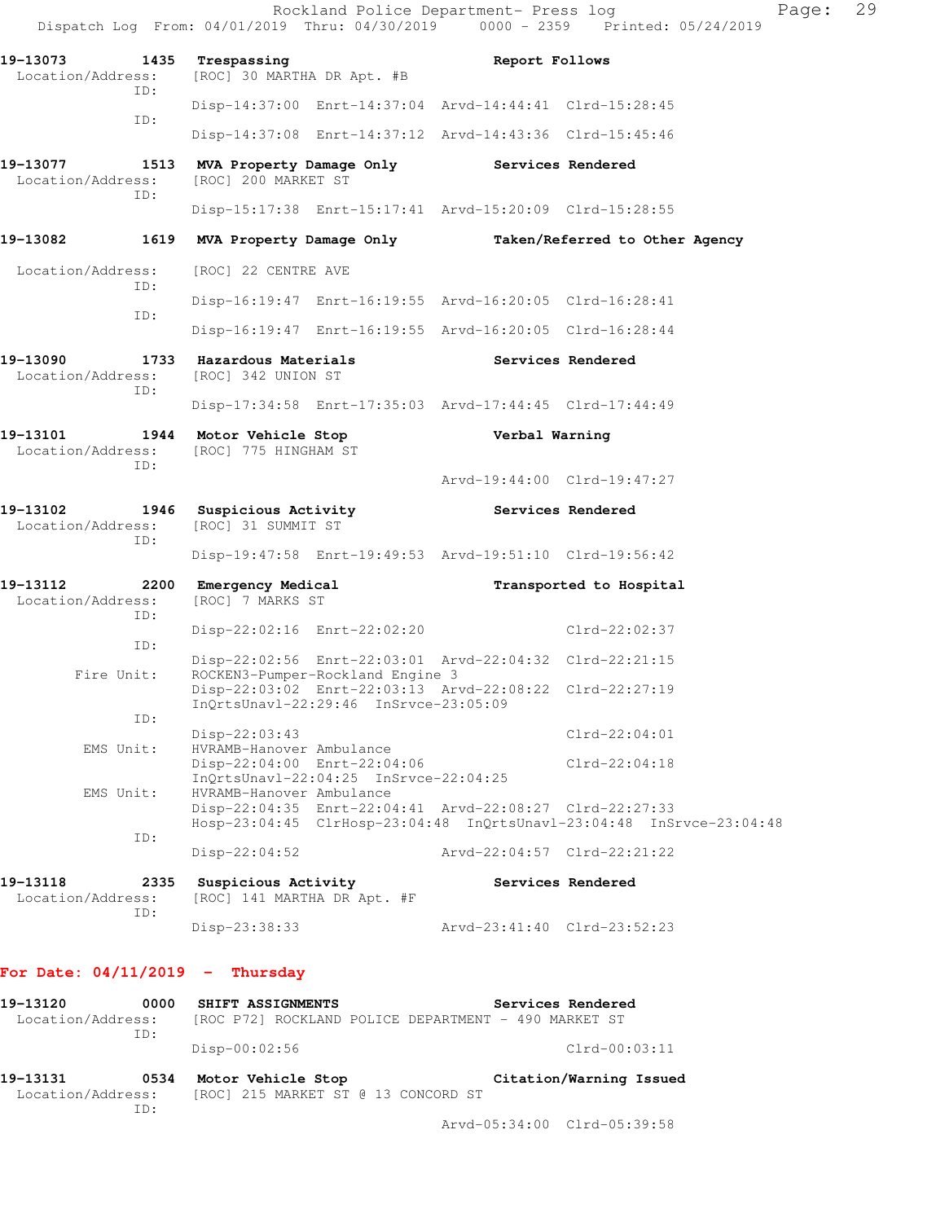|                                                              |                                                                           |                                           | Rockland Police Department- Press log                   | Dispatch Log From: 04/01/2019 Thru: 04/30/2019 0000 - 2359 Printed: 05/24/2019 | Page: 29 |  |
|--------------------------------------------------------------|---------------------------------------------------------------------------|-------------------------------------------|---------------------------------------------------------|--------------------------------------------------------------------------------|----------|--|
| 19-13073 1435 Trespassing<br>Location/Address:               | [ROC] 30 MARTHA DR Apt. #B                                                |                                           | Report Follows                                          |                                                                                |          |  |
| ID:                                                          |                                                                           |                                           | Disp-14:37:00 Enrt-14:37:04 Arvd-14:44:41 Clrd-15:28:45 |                                                                                |          |  |
| ID:                                                          |                                                                           |                                           | Disp-14:37:08 Enrt-14:37:12 Arvd-14:43:36 Clrd-15:45:46 |                                                                                |          |  |
| 19-13077<br>Location/Address:                                | 1513 MVA Property Damage Only Services Rendered<br>[ROC] 200 MARKET ST    |                                           |                                                         |                                                                                |          |  |
| ID:                                                          |                                                                           |                                           | Disp-15:17:38 Enrt-15:17:41 Arvd-15:20:09 Clrd-15:28:55 |                                                                                |          |  |
| 19-13082                                                     |                                                                           |                                           |                                                         | 1619 MVA Property Damage Only Taken/Referred to Other Agency                   |          |  |
| Location/Address:                                            | [ROC] 22 CENTRE AVE                                                       |                                           |                                                         |                                                                                |          |  |
| ID:                                                          |                                                                           |                                           | Disp-16:19:47 Enrt-16:19:55 Arvd-16:20:05 Clrd-16:28:41 |                                                                                |          |  |
| ID:                                                          |                                                                           |                                           | Disp-16:19:47 Enrt-16:19:55 Arvd-16:20:05 Clrd-16:28:44 |                                                                                |          |  |
| 19-13090<br>Location/Address:                                | 1733 Hazardous Materials<br>[ROC] 342 UNION ST                            |                                           | Services Rendered                                       |                                                                                |          |  |
| ID:                                                          |                                                                           |                                           | Disp-17:34:58 Enrt-17:35:03 Arvd-17:44:45 Clrd-17:44:49 |                                                                                |          |  |
| 19-13101 1944 Motor Vehicle Stop<br>Location/Address:<br>ID: | [ROC] 775 HINGHAM ST                                                      |                                           | Verbal Warning                                          |                                                                                |          |  |
|                                                              |                                                                           |                                           | Arvd-19:44:00 Clrd-19:47:27                             |                                                                                |          |  |
| 19-13102<br>Location/Address:<br>ID:                         | 1946 Suspicious Activity<br>[ROC] 31 SUMMIT ST                            |                                           | Services Rendered                                       |                                                                                |          |  |
|                                                              |                                                                           |                                           | Disp-19:47:58 Enrt-19:49:53 Arvd-19:51:10 Clrd-19:56:42 |                                                                                |          |  |
| 19-13112<br>Location/Address:<br>ID:                         | 2200 Emergency Medical<br>[ROC] 7 MARKS ST                                |                                           |                                                         | Transported to Hospital                                                        |          |  |
| ID:                                                          |                                                                           | Disp-22:02:16 Enrt-22:02:20               |                                                         | Clrd-22:02:37                                                                  |          |  |
| Fire Unit:                                                   |                                                                           | ROCKEN3-Pumper-Rockland Engine 3          | Disp-22:02:56 Enrt-22:03:01 Arvd-22:04:32 Clrd-22:21:15 |                                                                                |          |  |
| ID:                                                          |                                                                           | InQrtsUnavl-22:29:46 InSrvce-23:05:09     | Disp-22:03:02 Enrt-22:03:13 Arvd-22:08:22 Clrd-22:27:19 |                                                                                |          |  |
| EMS Unit:                                                    | $Disp-22:03:43$<br>HVRAMB-Hanover Ambulance                               |                                           |                                                         | $Clrd-22:04:01$                                                                |          |  |
| EMS Unit:                                                    | Disp-22:04:00 Enrt-22:04:06<br>HVRAMB-Hanover Ambulance                   | $InQrtsUnav1-22:04:25$ $InSrvce-22:04:25$ |                                                         | $Clrd-22:04:18$                                                                |          |  |
|                                                              |                                                                           |                                           | Disp-22:04:35 Enrt-22:04:41 Arvd-22:08:27 Clrd-22:27:33 | Hosp-23:04:45 ClrHosp-23:04:48 InQrtsUnavl-23:04:48 InSrvce-23:04:48           |          |  |
| ID:                                                          | $Disp-22:04:52$                                                           |                                           | Arvd-22:04:57 Clrd-22:21:22                             |                                                                                |          |  |
| 19-13118<br>2335<br>Location/Address:<br>ID:                 | <b>Suspicious Activity</b><br>[ROC] 141 MARTHA DR Apt. #F                 |                                           |                                                         | Services Rendered                                                              |          |  |
|                                                              | Disp-23:38:33                                                             |                                           | Arvd-23:41:40 Clrd-23:52:23                             |                                                                                |          |  |
| For Date: $04/11/2019$ - Thursday                            |                                                                           |                                           |                                                         |                                                                                |          |  |
| 19-13120<br>0000<br>Location/Address:<br>ID:                 | SHIFT ASSIGNMENTS<br>[ROC P72] ROCKLAND POLICE DEPARTMENT - 490 MARKET ST |                                           |                                                         | Services Rendered                                                              |          |  |

**19-13131 0534 Motor Vehicle Stop Citation/Warning Issued**  Location/Address: [ROC] 215 MARKET ST @ 13 CONCORD ST ID:

Disp-00:02:56 Clrd-00:03:11

Arvd-05:34:00 Clrd-05:39:58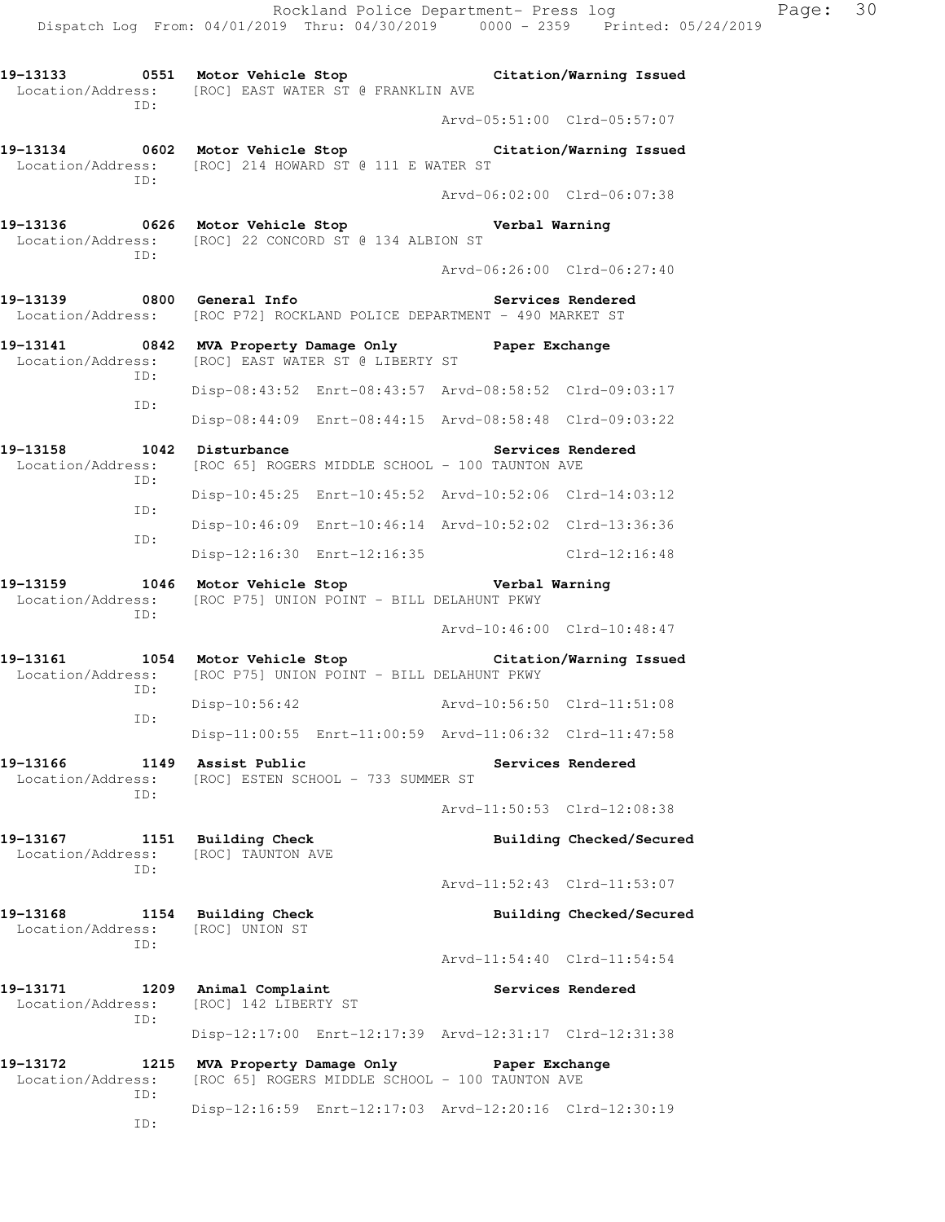**19-13133 0551 Motor Vehicle Stop Citation/Warning Issued**  Location/Address: [ROC] EAST WATER ST @ FRANKLIN AVE ID: Arvd-05:51:00 Clrd-05:57:07 **19-13134 0602 Motor Vehicle Stop Citation/Warning Issued**  Location/Address: [ROC] 214 HOWARD ST @ 111 E WATER ST ID: Arvd-06:02:00 Clrd-06:07:38 **19-13136 0626 Motor Vehicle Stop Verbal Warning**  Location/Address: [ROC] 22 CONCORD ST @ 134 ALBION ST ID: Arvd-06:26:00 Clrd-06:27:40 19-13139 **0800** General Info **Communist Constructs Rendered** Location/Address: [ROC P72] ROCKLAND POLICE DEPARTMENT - 490 MARKET ST **19-13141 0842 MVA Property Damage Only Paper Exchange**  Location/Address: [ROC] EAST WATER ST @ LIBERTY ST ID: Disp-08:43:52 Enrt-08:43:57 Arvd-08:58:52 Clrd-09:03:17 ID: Disp-08:44:09 Enrt-08:44:15 Arvd-08:58:48 Clrd-09:03:22 19-13158 1042 Disturbance **19-13158** Services Rendered Location/Address: [ROC 65] ROGERS MIDDLE SCHOOL - 100 TAUNTON AVE ID: Disp-10:45:25 Enrt-10:45:52 Arvd-10:52:06 Clrd-14:03:12 ID: Disp-10:46:09 Enrt-10:46:14 Arvd-10:52:02 Clrd-13:36:36 ID: Disp-12:16:30 Enrt-12:16:35 Clrd-12:16:48 **19-13159 1046 Motor Vehicle Stop Verbal Warning**  Location/Address: [ROC P75] UNION POINT - BILL DELAHUNT PKWY ID: Arvd-10:46:00 Clrd-10:48:47 **19-13161 1054 Motor Vehicle Stop Citation/Warning Issued**  Location/Address: [ROC P75] UNION POINT - BILL DELAHUNT PKWY ID: Disp-10:56:42 Arvd-10:56:50 Clrd-11:51:08 ID: Disp-11:00:55 Enrt-11:00:59 Arvd-11:06:32 Clrd-11:47:58 **19-13166 1149 Assist Public Services Rendered**  Location/Address: [ROC] ESTEN SCHOOL - 733 SUMMER ST ID: Arvd-11:50:53 Clrd-12:08:38 19-13167 1151 Building Check **Building Checked/Secured**  Location/Address: [ROC] TAUNTON AVE ID: Arvd-11:52:43 Clrd-11:53:07 **19-13168 1154 Building Check Building Checked/Secured**  Location/Address: [ROC] UNION ST ID: Arvd-11:54:40 Clrd-11:54:54 **19-13171 1209 Animal Complaint Services Rendered**  Location/Address: [ROC] 142 LIBERTY ST ID: Disp-12:17:00 Enrt-12:17:39 Arvd-12:31:17 Clrd-12:31:38 **19-13172 1215 MVA Property Damage Only Paper Exchange**  Location/Address: [ROC 65] ROGERS MIDDLE SCHOOL - 100 TAUNTON AVE ID: Disp-12:16:59 Enrt-12:17:03 Arvd-12:20:16 Clrd-12:30:19 ID: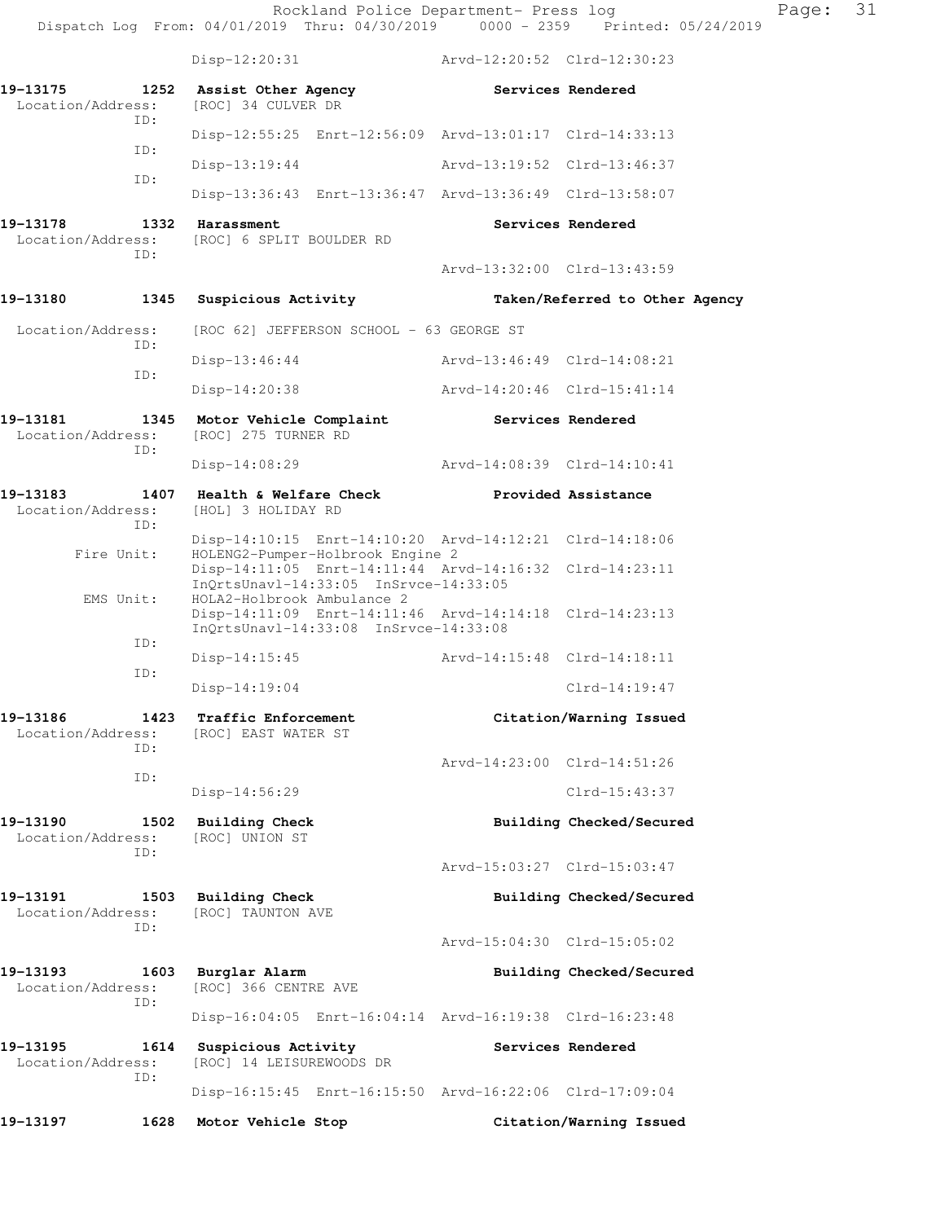Rockland Police Department- Press log Fage: 31 Dispatch Log From: 04/01/2019 Thru: 04/30/2019 0000 - 2359 Printed: 05/24/2019 Disp-12:20:31 Arvd-12:20:52 Clrd-12:30:23 **19-13175 1252 Assist Other Agency Services Rendered**  Location/Address: [ROC] 34 CULVER DR ID: Disp-12:55:25 Enrt-12:56:09 Arvd-13:01:17 Clrd-14:33:13 ID: Disp-13:19:44 Arvd-13:19:52 Clrd-13:46:37 ID: Disp-13:36:43 Enrt-13:36:47 Arvd-13:36:49 Clrd-13:58:07 19-13178 1332 Harassment **19-13178** Services Rendered Location/Address: [ROC] 6 SPLIT BOULDER RD ID: Arvd-13:32:00 Clrd-13:43:59 **19-13180 1345 Suspicious Activity Taken/Referred to Other Agency**  Location/Address: [ROC 62] JEFFERSON SCHOOL - 63 GEORGE ST ID: Disp-13:46:44 Arvd-13:46:49 Clrd-14:08:21 ID: Disp-14:20:38 Arvd-14:20:46 Clrd-15:41:14 **19-13181 1345 Motor Vehicle Complaint Services Rendered**  Location/Address: [ROC] 275 TURNER RD ID: Disp-14:08:29 Arvd-14:08:39 Clrd-14:10:41 **19-13183 1407 Health & Welfare Check Provided Assistance**  Location/Address: [HOL] 3 HOLIDAY RD ID: Disp-14:10:15 Enrt-14:10:20 Arvd-14:12:21 Clrd-14:18:06<br>Fire Unit: HOLENG2-Pumper-Holbrook Engine 2 HOLENG2-Pumper-Holbrook Engine 2 Disp-14:11:05 Enrt-14:11:44 Arvd-14:16:32 Clrd-14:23:11 InQrtsUnavl-14:33:05 InSrvce-14:33:05 EMS Unit: HOLA2-Holbrook Ambulance 2 Disp-14:11:09 Enrt-14:11:46 Arvd-14:14:18 Clrd-14:23:13 InQrtsUnavl-14:33:08 InSrvce-14:33:08 ID: Disp-14:15:45 Arvd-14:15:48 Clrd-14:18:11 ID: Disp-14:19:04 Clrd-14:19:47 **19-13186 1423 Traffic Enforcement Citation/Warning Issued**  Location/Address: [ROC] EAST WATER ST ID: Arvd-14:23:00 Clrd-14:51:26 ID: Disp-14:56:29 Clrd-15:43:37 19-13190 1502 Building Check **Building Building Checked/Secured**  Location/Address: [ROC] UNION ST ID: Arvd-15:03:27 Clrd-15:03:47 19-13191 1503 Building Check **Building Checked/Secured** Location/Address: [ROC] TAUNTON AVE ID: Arvd-15:04:30 Clrd-15:05:02 **19-13193 1603 Burglar Alarm Building Checked/Secured**  Location/Address: [ROC] 366 CENTRE AVE ID: Disp-16:04:05 Enrt-16:04:14 Arvd-16:19:38 Clrd-16:23:48 19-13195 1614 Suspicious Activity **16 Services Rendered**  Location/Address: [ROC] 14 LEISUREWOODS DR ID: Disp-16:15:45 Enrt-16:15:50 Arvd-16:22:06 Clrd-17:09:04 **19-13197 1628 Motor Vehicle Stop Citation/Warning Issued**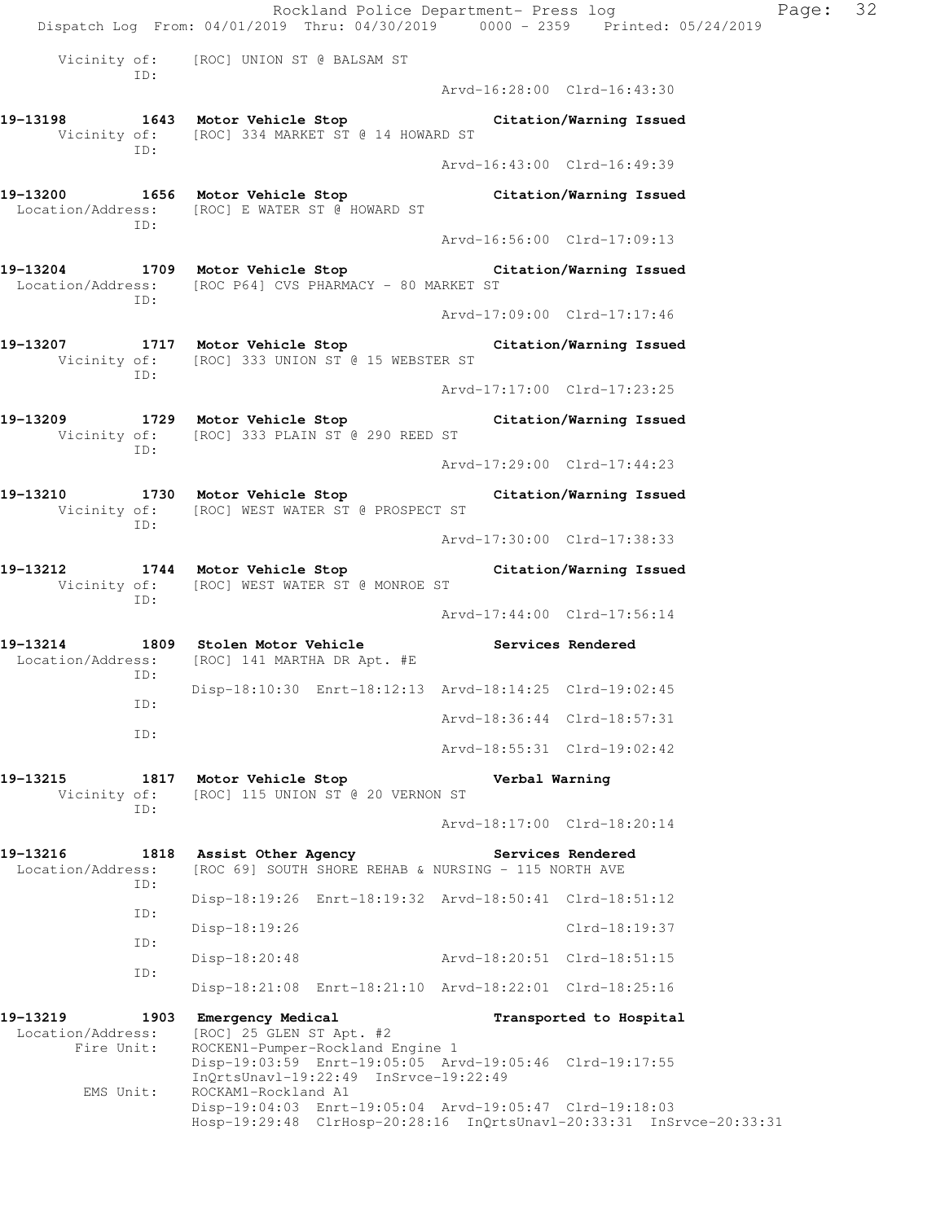Rockland Police Department- Press log Page: 32 Dispatch Log From: 04/01/2019 Thru: 04/30/2019 0000 - 2359 Printed: 05/24/2019 Vicinity of: [ROC] UNION ST @ BALSAM ST ID: Arvd-16:28:00 Clrd-16:43:30 **19-13198 1643 Motor Vehicle Stop Citation/Warning Issued**  Vicinity of: [ROC] 334 MARKET ST @ 14 HOWARD ST ID: Arvd-16:43:00 Clrd-16:49:39 **19-13200 1656 Motor Vehicle Stop Citation/Warning Issued**  Location/Address: [ROC] E WATER ST @ HOWARD ST ID: Arvd-16:56:00 Clrd-17:09:13 **19-13204 1709 Motor Vehicle Stop Citation/Warning Issued**  Location/Address: [ROC P64] CVS PHARMACY - 80 MARKET ST ID: Arvd-17:09:00 Clrd-17:17:46 **19-13207 1717 Motor Vehicle Stop Citation/Warning Issued**  Vicinity of: [ROC] 333 UNION ST @ 15 WEBSTER ST ID: Arvd-17:17:00 Clrd-17:23:25 **19-13209 1729 Motor Vehicle Stop Citation/Warning Issued**  Vicinity of: [ROC] 333 PLAIN ST @ 290 REED ST ID: Arvd-17:29:00 Clrd-17:44:23 **19-13210 1730 Motor Vehicle Stop Citation/Warning Issued**  Vicinity of: [ROC] WEST WATER ST @ PROSPECT ST ID: Arvd-17:30:00 Clrd-17:38:33 **19-13212 1744 Motor Vehicle Stop Citation/Warning Issued**  Vicinity of: [ROC] WEST WATER ST @ MONROE ST ID: Arvd-17:44:00 Clrd-17:56:14 19-13214 1809 Stolen Motor Vehicle **1809 Stolen Motor Vehicle** Services Rendered Location/Address: [ROC] 141 MARTHA DR Apt. #E ID: Disp-18:10:30 Enrt-18:12:13 Arvd-18:14:25 Clrd-19:02:45 ID: Arvd-18:36:44 Clrd-18:57:31 ID: Arvd-18:55:31 Clrd-19:02:42 **19-13215 1817 Motor Vehicle Stop Verbal Warning**  Vicinity of: [ROC] 115 UNION ST @ 20 VERNON ST ID: Arvd-18:17:00 Clrd-18:20:14 **19-13216 1818 Assist Other Agency Services Rendered**  Location/Address: [ROC 69] SOUTH SHORE REHAB & NURSING - 115 NORTH AVE ID: Disp-18:19:26 Enrt-18:19:32 Arvd-18:50:41 Clrd-18:51:12 ID: Disp-18:19:26 Clrd-18:19:37 ID: Disp-18:20:48 Arvd-18:20:51 Clrd-18:51:15 ID: Disp-18:21:08 Enrt-18:21:10 Arvd-18:22:01 Clrd-18:25:16 **19-13219 1903 Emergency Medical Transported to Hospital**  Location/Address: [ROC] 25 GLEN ST Apt. #2 Fire Unit: ROCKEN1-Pumper-Rockland Engine 1 Disp-19:03:59 Enrt-19:05:05 Arvd-19:05:46 Clrd-19:17:55 InQrtsUnavl-19:22:49 InSrvce-19:22:49<br>EMS Unit: ROCKAM1-Rockland A1 ROCKAM1-Rockland A1 Disp-19:04:03 Enrt-19:05:04 Arvd-19:05:47 Clrd-19:18:03 Hosp-19:29:48 ClrHosp-20:28:16 InQrtsUnavl-20:33:31 InSrvce-20:33:31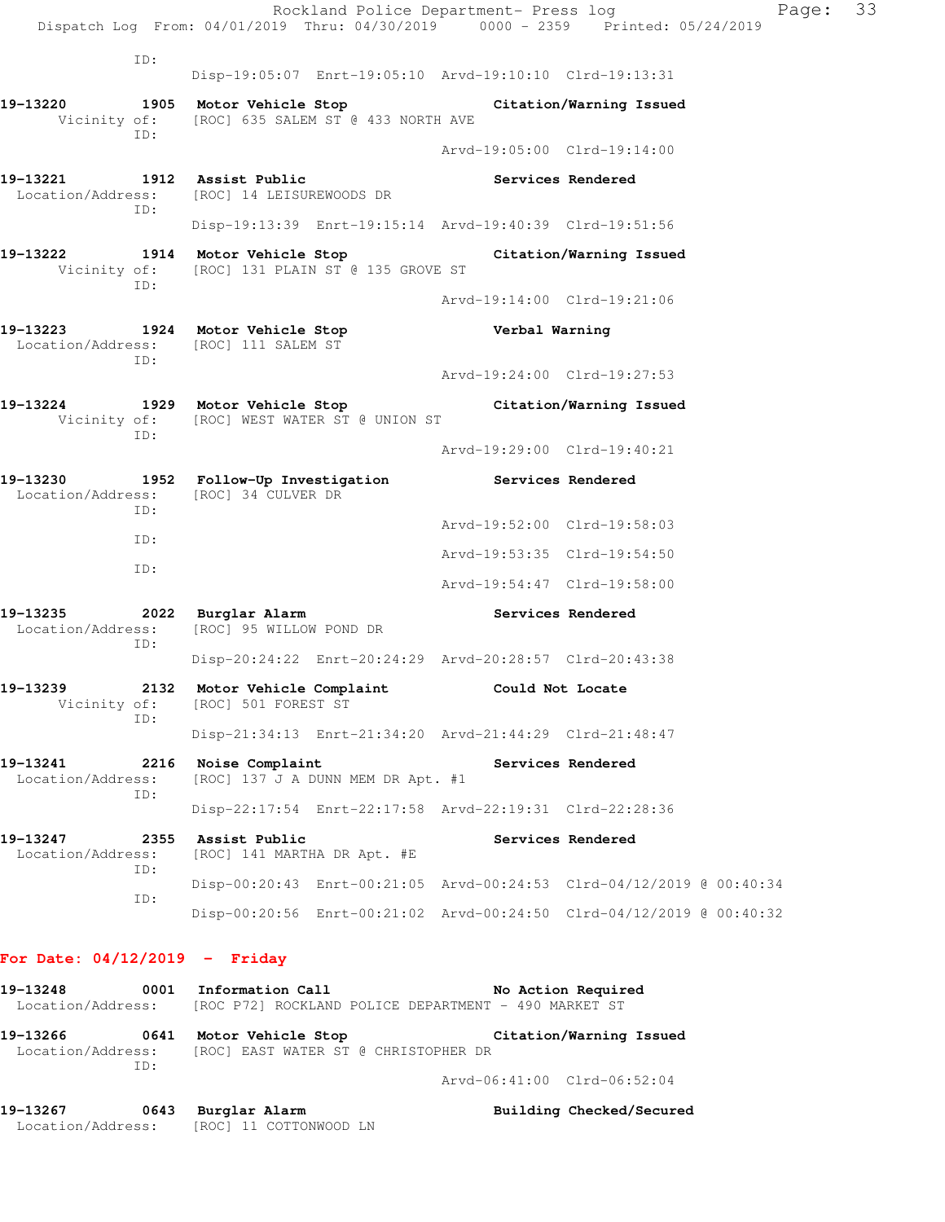|                               |             | Rockland Police Department- Press log<br>Dispatch Log From: 04/01/2019 Thru: 04/30/2019 0000 - 2359 Printed: 05/24/2019 |                             |                         | I |
|-------------------------------|-------------|-------------------------------------------------------------------------------------------------------------------------|-----------------------------|-------------------------|---|
|                               | ID:         | Disp-19:05:07 Enrt-19:05:10 Arvd-19:10:10 Clrd-19:13:31                                                                 |                             |                         |   |
| 19-13220                      |             | 1905 Motor Vehicle Stop<br>Vicinity of: [ROC] 635 SALEM ST @ 433 NORTH AVE                                              |                             | Citation/Warning Issued |   |
|                               | ID:         |                                                                                                                         | Arvd-19:05:00 Clrd-19:14:00 |                         |   |
| 19–13221<br>Location/Address: | ID:         | 1912 Assist Public<br>[ROC] 14 LEISUREWOODS DR                                                                          |                             | Services Rendered       |   |
|                               |             | Disp-19:13:39 Enrt-19:15:14 Arvd-19:40:39 Clrd-19:51:56                                                                 |                             |                         |   |
| 19-13222                      | ID:         | 1914 Motor Vehicle Stop<br>Vicinity of: [ROC] 131 PLAIN ST @ 135 GROVE ST                                               |                             | Citation/Warning Issued |   |
|                               |             |                                                                                                                         | Arvd-19:14:00 Clrd-19:21:06 |                         |   |
| 19-13223                      | ID:         | 1924 Motor Vehicle Stop<br>Location/Address: [ROC] 111 SALEM ST                                                         | Verbal Warning              |                         |   |
|                               |             |                                                                                                                         | Arvd-19:24:00 Clrd-19:27:53 |                         |   |
| 19-13224<br>Vicinity of:      | ID:         | 1929 Motor Vehicle Stop<br>[ROC] WEST WATER ST @ UNION ST                                                               |                             | Citation/Warning Issued |   |
|                               |             |                                                                                                                         | Arvd-19:29:00 Clrd-19:40:21 |                         |   |
| 19-13230<br>Location/Address: | ID:         | 1952 Follow-Up Investigation<br>[ROC] 34 CULVER DR                                                                      | Services Rendered           |                         |   |
|                               | ID:         |                                                                                                                         | Arvd-19:52:00 Clrd-19:58:03 |                         |   |
|                               | ID:         |                                                                                                                         | Arvd-19:53:35 Clrd-19:54:50 |                         |   |
|                               |             |                                                                                                                         | Arvd-19:54:47 Clrd-19:58:00 |                         |   |
| 19–13235<br>Location/Address: | ID:         | 2022 Burglar Alarm<br>[ROC] 95 WILLOW POND DR                                                                           |                             | Services Rendered       |   |
|                               |             | Disp-20:24:22 Enrt-20:24:29 Arvd-20:28:57 Clrd-20:43:38                                                                 |                             |                         |   |
| 19-13239<br>Vicinity of:      | 2132<br>ID: | Motor Vehicle Complaint<br>[ROC] 501 FOREST ST                                                                          |                             | Could Not Locate        |   |
|                               |             | Disp-21:34:13 Enrt-21:34:20 Arvd-21:44:29 Clrd-21:48:47                                                                 |                             |                         |   |
| 19-13241<br>Location/Address: | 2216<br>ID: | Noise Complaint<br>[ROC] 137 J A DUNN MEM DR Apt. #1                                                                    |                             | Services Rendered       |   |
|                               |             | Disp-22:17:54 Enrt-22:17:58 Arvd-22:19:31 Clrd-22:28:36                                                                 |                             |                         |   |
| 19-13247<br>Location/Address: | 2355        | Assist Public<br>[ROC] 141 MARTHA DR Apt. #E                                                                            |                             | Services Rendered       |   |
|                               | ID:         | Disp-00:20:43 Enrt-00:21:05 Arvd-00:24:53 Clrd-04/12/2019 @ 00:40:34                                                    |                             |                         |   |
|                               | ID:         | Disp-00:20:56 Enrt-00:21:02 Arvd-00:24:50 Clrd-04/12/2019 @ 00:40:32                                                    |                             |                         |   |

Page: 33

#### **For Date: 04/12/2019 - Friday**

**19-13248 0001 Information Call No Action Required**  Location/Address: [ROC P72] ROCKLAND POLICE DEPARTMENT - 490 MARKET ST **19-13266 0641 Motor Vehicle Stop Citation/Warning Issued**  Location/Address: [ROC] EAST WATER ST @ CHRISTOPHER DR ID: Arvd-06:41:00 Clrd-06:52:04

**19-13267 0643 Burglar Alarm Building Checked/Secured**  Location/Address: [ROC] 11 COTTONWOOD LN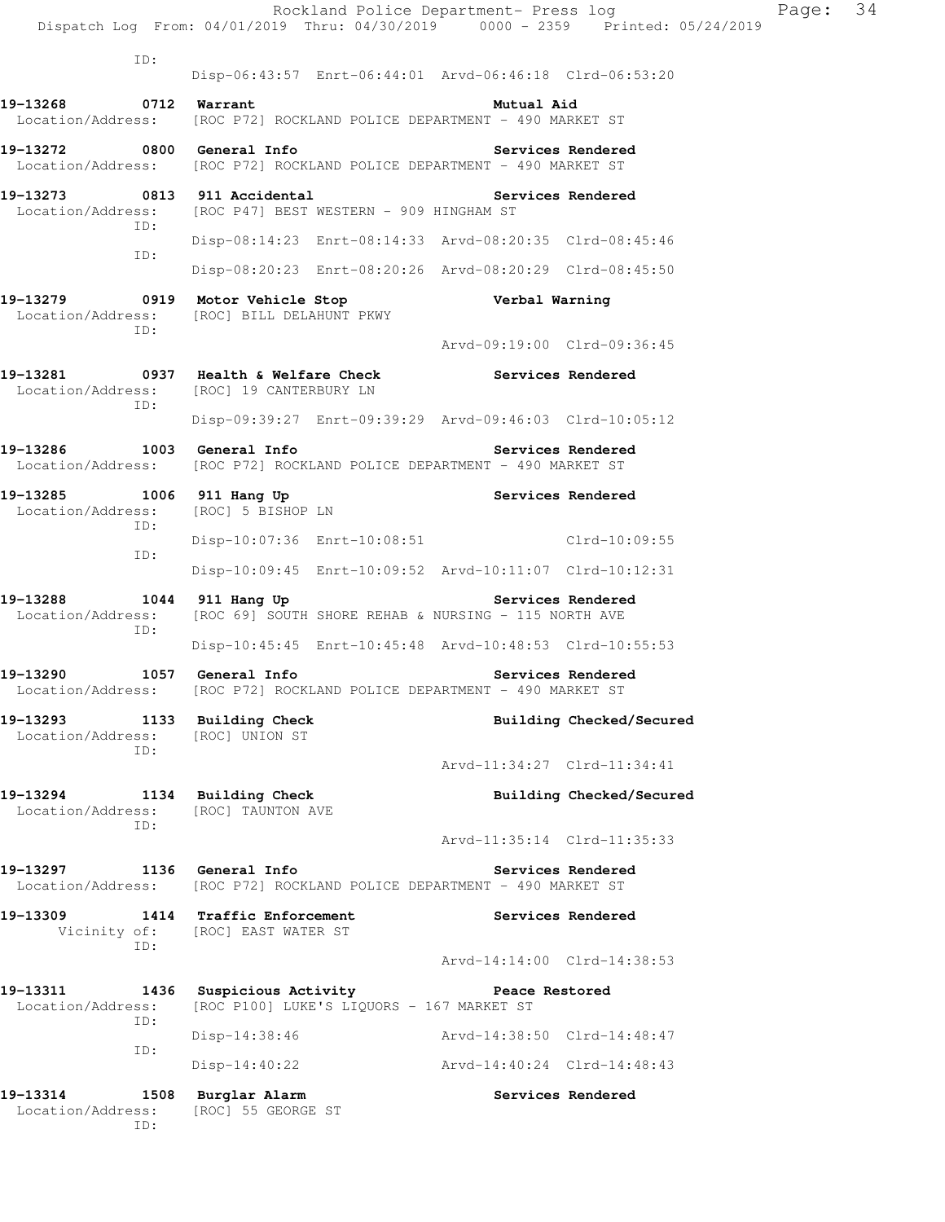|                                                          | Dispatch Log From: 04/01/2019 Thru: 04/30/2019 0000 - 2359 Printed: 05/24/2019                     |                             | Rockland Police Department- Press log | Page: 34 |  |
|----------------------------------------------------------|----------------------------------------------------------------------------------------------------|-----------------------------|---------------------------------------|----------|--|
| ID:                                                      | Disp-06:43:57 Enrt-06:44:01 Arvd-06:46:18 Clrd-06:53:20                                            |                             |                                       |          |  |
| 19-13268<br>0712 Warrant                                 | Location/Address: [ROC P72] ROCKLAND POLICE DEPARTMENT - 490 MARKET ST                             | Mutual Aid                  |                                       |          |  |
| 19-13272 0800 General Info                               | Location/Address: [ROC P72] ROCKLAND POLICE DEPARTMENT - 490 MARKET ST                             |                             | Services Rendered                     |          |  |
| 19-13273 0813 911 Accidental<br>Location/Address:        | [ROC P47] BEST WESTERN - 909 HINGHAM ST                                                            |                             | Services Rendered                     |          |  |
| ID:<br>ID:                                               | Disp-08:14:23 Enrt-08:14:33 Arvd-08:20:35 Clrd-08:45:46                                            |                             |                                       |          |  |
|                                                          | Disp-08:20:23 Enrt-08:20:26 Arvd-08:20:29 Clrd-08:45:50                                            |                             |                                       |          |  |
| Location/Address:<br>ID:                                 | 19-13279 0919 Motor Vehicle Stop<br>[ROC] BILL DELAHUNT PKWY                                       | Verbal Warning              |                                       |          |  |
|                                                          |                                                                                                    | Arvd-09:19:00 Clrd-09:36:45 |                                       |          |  |
| ID:                                                      | 19-13281 0937 Health & Welfare Check Services Rendered<br>Location/Address: [ROC] 19 CANTERBURY LN |                             |                                       |          |  |
|                                                          | Disp-09:39:27 Enrt-09:39:29 Arvd-09:46:03 Clrd-10:05:12                                            |                             |                                       |          |  |
| 19-13286<br>Location/Address:                            | 1003 General Info<br>[ROC P72] ROCKLAND POLICE DEPARTMENT - 490 MARKET ST                          |                             | Services Rendered                     |          |  |
| 19-13285<br>Location/Address:<br>ID:                     | 1006 911 Hang Up<br>[ROC] 5 BISHOP LN                                                              |                             | Services Rendered                     |          |  |
| ID:                                                      | Disp-10:07:36 Enrt-10:08:51                                                                        |                             | Clrd-10:09:55                         |          |  |
|                                                          | Disp-10:09:45 Enrt-10:09:52 Arvd-10:11:07 Clrd-10:12:31                                            |                             |                                       |          |  |
| 19-13288<br>Location/Address:<br>ID:                     | 1044 911 Hang Up<br>[ROC 69] SOUTH SHORE REHAB & NURSING - 115 NORTH AVE                           |                             | Services Rendered                     |          |  |
|                                                          | Disp-10:45:45 Enrt-10:45:48 Arvd-10:48:53 Clrd-10:55:53                                            |                             |                                       |          |  |
| 19–13290                                                 | 1057 General Info<br>Location/Address: [ROC P72] ROCKLAND POLICE DEPARTMENT - 490 MARKET ST        |                             | Services Rendered                     |          |  |
| 19-13293<br>Location/Address:<br>ID:                     | 1133 Building Check<br>[ROC] UNION ST                                                              |                             | Building Checked/Secured              |          |  |
|                                                          |                                                                                                    | Arvd-11:34:27 Clrd-11:34:41 |                                       |          |  |
| 19-13294 1134 Building Check<br>Location/Address:<br>ID: | [ROC] TAUNTON AVE                                                                                  |                             | Building Checked/Secured              |          |  |
|                                                          |                                                                                                    | Arvd-11:35:14 Clrd-11:35:33 |                                       |          |  |
| 19-13297 1136 General Info                               | Location/Address: [ROC P72] ROCKLAND POLICE DEPARTMENT - 490 MARKET ST                             |                             | Services Rendered                     |          |  |
| 19–13309<br>ID:                                          | 1414 Traffic Enforcement<br>Vicinity of: [ROC] EAST WATER ST                                       |                             | Services Rendered                     |          |  |
|                                                          |                                                                                                    | Arvd-14:14:00 Clrd-14:38:53 |                                       |          |  |
| 19–13311<br>Location/Address:<br>ID:                     | 1436 Suspicious Activity<br>[ROC P100] LUKE'S LIQUORS - 167 MARKET ST                              | Peace Restored              |                                       |          |  |
| ID:                                                      | $Disp-14:38:46$                                                                                    | Arvd-14:38:50 Clrd-14:48:47 |                                       |          |  |
|                                                          | Disp-14:40:22                                                                                      | Arvd-14:40:24 Clrd-14:48:43 |                                       |          |  |
| 19-13314<br>Location/Address:<br>ID:                     | 1508 Burglar Alarm<br>[ROC] 55 GEORGE ST                                                           |                             | Services Rendered                     |          |  |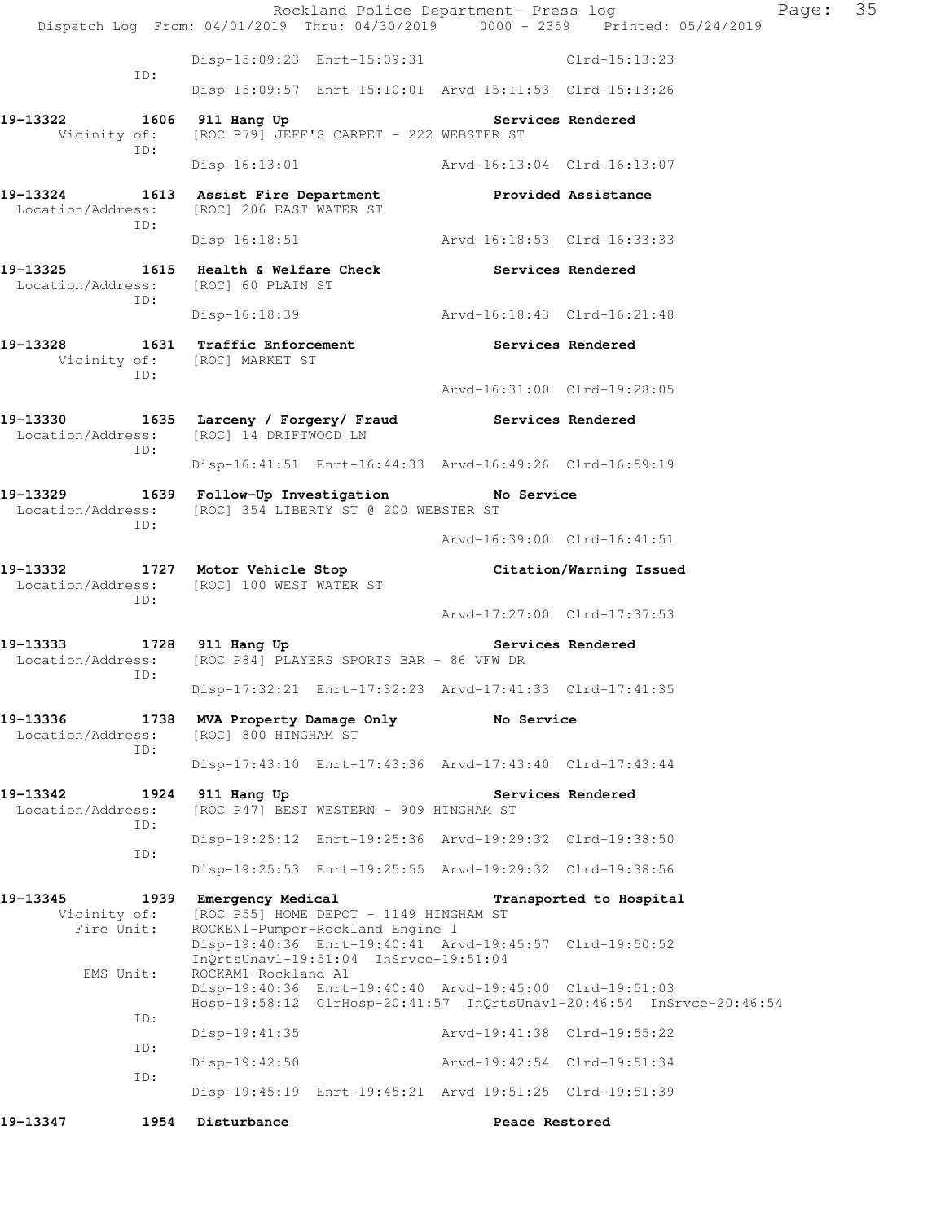Rockland Police Department- Press log Page: 35 Dispatch Log From: 04/01/2019 Thru: 04/30/2019 0000 - 2359 Printed: 05/24/2019 Disp-15:09:23 Enrt-15:09:31 Clrd-15:13:23 ID: Disp-15:09:57 Enrt-15:10:01 Arvd-15:11:53 Clrd-15:13:26 19-13322 1606 911 Hang Up **Services Rendered** Vicinity of: [ROC P79] JEFF'S CARPET - 222 WEBSTER ST ID: Disp-16:13:01 Arvd-16:13:04 Clrd-16:13:07 **19-13324 1613 Assist Fire Department Provided Assistance**  Location/Address: [ROC] 206 EAST WATER ST ID: Disp-16:18:51 Arvd-16:18:53 Clrd-16:33:33 19-13325 1615 Health & Welfare Check **Services Rendered**  Location/Address: [ROC] 60 PLAIN ST ID: Disp-16:18:39 Arvd-16:18:43 Clrd-16:21:48 19-13328 1631 Traffic Enforcement **19-13328** Services Rendered Vicinity of: [ROC] MARKET ST ID: Arvd-16:31:00 Clrd-19:28:05 **19-13330 1635 Larceny / Forgery/ Fraud Services Rendered**  Location/Address: [ROC] 14 DRIFTWOOD LN ID: Disp-16:41:51 Enrt-16:44:33 Arvd-16:49:26 Clrd-16:59:19 **19-13329 1639 Follow-Up Investigation No Service**  Location/Address: [ROC] 354 LIBERTY ST @ 200 WEBSTER ST ID: Arvd-16:39:00 Clrd-16:41:51 **19-13332 1727 Motor Vehicle Stop Citation/Warning Issued**  Location/Address: [ROC] 100 WEST WATER ST ID: Arvd-17:27:00 Clrd-17:37:53 19-13333 1728 911 Hang Up **Services Rendered**  Location/Address: [ROC P84] PLAYERS SPORTS BAR - 86 VFW DR ID: Disp-17:32:21 Enrt-17:32:23 Arvd-17:41:33 Clrd-17:41:35 19-13336 1738 MVA Property Damage Only **No Service** Location/Address: [ROC] 800 HINGHAM ST [ROC] 800 HINGHAM ST ID: Disp-17:43:10 Enrt-17:43:36 Arvd-17:43:40 Clrd-17:43:44 19-13342 1924 911 Hang Up **Services Rendered**  Location/Address: [ROC P47] BEST WESTERN - 909 HINGHAM ST ID: Disp-19:25:12 Enrt-19:25:36 Arvd-19:29:32 Clrd-19:38:50 ID: Disp-19:25:53 Enrt-19:25:55 Arvd-19:29:32 Clrd-19:38:56 **19-13345 1939 Emergency Medical Transported to Hospital**  Vicinity of: [ROC P55] HOME DEPOT - 1149 HINGHAM ST Fire Unit: ROCKEN1-Pumper-Rockland Engine 1 Disp-19:40:36 Enrt-19:40:41 Arvd-19:45:57 Clrd-19:50:52 InQrtsUnavl-19:51:04 InSrvce-19:51:04 EMS Unit: ROCKAM1-Rockland A1 Disp-19:40:36 Enrt-19:40:40 Arvd-19:45:00 Clrd-19:51:03 Hosp-19:58:12 ClrHosp-20:41:57 InQrtsUnavl-20:46:54 InSrvce-20:46:54 ID: Disp-19:41:35 Arvd-19:41:38 Clrd-19:55:22 ID: Disp-19:42:50 Arvd-19:42:54 Clrd-19:51:34 ID: Disp-19:45:19 Enrt-19:45:21 Arvd-19:51:25 Clrd-19:51:39 **19-13347 1954 Disturbance Peace Restored**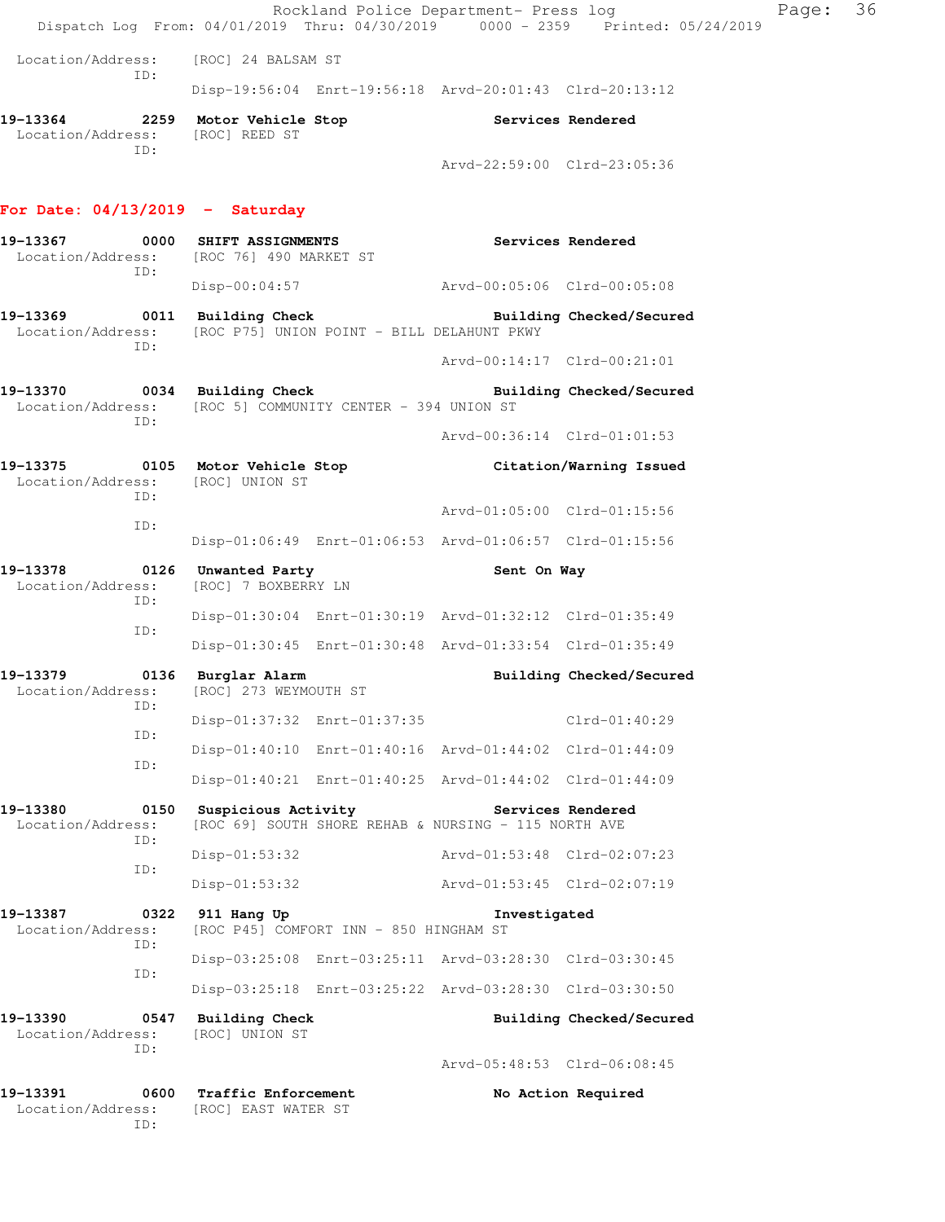|                                                                                                                                           |                                                 |                                        |                                                                           | Rockland Police Department- Press log<br>Dispatch Log From: 04/01/2019 Thru: 04/30/2019 0000 - 2359 Printed: 05/24/2019 | Page: | 36 |
|-------------------------------------------------------------------------------------------------------------------------------------------|-------------------------------------------------|----------------------------------------|---------------------------------------------------------------------------|-------------------------------------------------------------------------------------------------------------------------|-------|----|
| Location/Address: [ROC] 24 BALSAM ST                                                                                                      |                                                 |                                        |                                                                           |                                                                                                                         |       |    |
| ID:                                                                                                                                       |                                                 |                                        | Disp-19:56:04 Enrt-19:56:18 Arvd-20:01:43 Clrd-20:13:12                   |                                                                                                                         |       |    |
| 19-13364 2259 Motor Vehicle Stop Services Rendered<br>Location/Address: [ROC] REED ST                                                     |                                                 |                                        |                                                                           |                                                                                                                         |       |    |
| ID:                                                                                                                                       |                                                 |                                        | Arvd-22:59:00 Clrd-23:05:36                                               |                                                                                                                         |       |    |
| For Date: $04/13/2019$ - Saturday                                                                                                         |                                                 |                                        |                                                                           |                                                                                                                         |       |    |
| 19-13367 0000 SHIFT ASSIGNMENTS<br>Location/Address: [ROC 76] 490 MARKET ST<br>ID:                                                        |                                                 |                                        | Services Rendered                                                         |                                                                                                                         |       |    |
|                                                                                                                                           |                                                 |                                        | Disp-00:04:57 Arvd-00:05:06 Clrd-00:05:08                                 |                                                                                                                         |       |    |
| 19-13369 0011 Building Check Building Checked/Secured<br>Location/Address: [ROC P75] UNION POINT - BILL DELAHUNT PKWY<br>ID:              |                                                 |                                        |                                                                           |                                                                                                                         |       |    |
|                                                                                                                                           |                                                 |                                        | Arvd-00:14:17 Clrd-00:21:01                                               |                                                                                                                         |       |    |
| 19-13370 0034 Building Check <b>Building Building Checked/Secured</b><br>Location/Address: [ROC 5] COMMUNITY CENTER - 394 UNION ST<br>TD: |                                                 |                                        |                                                                           |                                                                                                                         |       |    |
|                                                                                                                                           |                                                 |                                        | Arvd-00:36:14 Clrd-01:01:53                                               |                                                                                                                         |       |    |
| 19-13375 0105 Motor Vehicle Stop Citation/Warning Issued<br>Location/Address: [ROC] UNION ST<br>TD:                                       |                                                 |                                        |                                                                           |                                                                                                                         |       |    |
| ID:                                                                                                                                       |                                                 |                                        | Arvd-01:05:00 Clrd-01:15:56                                               |                                                                                                                         |       |    |
|                                                                                                                                           |                                                 |                                        | Disp-01:06:49 Enrt-01:06:53 Arvd-01:06:57 Clrd-01:15:56                   |                                                                                                                         |       |    |
| 19-13378<br>Location/Address:<br>ID:                                                                                                      | 0126 Unwanted Party<br>[ROC] 7 BOXBERRY LN      |                                        | Sent On Way                                                               |                                                                                                                         |       |    |
| ID:                                                                                                                                       |                                                 |                                        | Disp-01:30:04 Enrt-01:30:19 Arvd-01:32:12 Clrd-01:35:49                   |                                                                                                                         |       |    |
|                                                                                                                                           |                                                 |                                        | Disp-01:30:45 Enrt-01:30:48 Arvd-01:33:54 Clrd-01:35:49                   |                                                                                                                         |       |    |
| 19-13379<br>Location/Address: [ROC] 273 WEYMOUTH ST<br>ID:                                                                                | 0136 Burglar Alarm                              |                                        |                                                                           | Building Checked/Secured                                                                                                |       |    |
| ID:                                                                                                                                       |                                                 | Disp-01:37:32 Enrt-01:37:35            |                                                                           | Clrd-01:40:29                                                                                                           |       |    |
| ID:                                                                                                                                       |                                                 |                                        | Disp-01:40:10 Enrt-01:40:16 Arvd-01:44:02 Clrd-01:44:09                   |                                                                                                                         |       |    |
|                                                                                                                                           |                                                 |                                        | Disp-01:40:21 Enrt-01:40:25 Arvd-01:44:02 Clrd-01:44:09                   |                                                                                                                         |       |    |
| 0150<br>19-13380<br>Location/Address:<br>ID:                                                                                              |                                                 | Suspicious Activity                    | Services Rendered<br>[ROC 69] SOUTH SHORE REHAB & NURSING - 115 NORTH AVE |                                                                                                                         |       |    |
| ID:                                                                                                                                       | $Disp-01:53:32$                                 |                                        | Arvd-01:53:48 Clrd-02:07:23                                               |                                                                                                                         |       |    |
|                                                                                                                                           | Disp-01:53:32                                   |                                        | Arvd-01:53:45 Clrd-02:07:19                                               |                                                                                                                         |       |    |
| 19-13387<br>0322<br>Location/Address:<br>ID:                                                                                              | 911 Hang Up                                     | [ROC P45] COMFORT INN - 850 HINGHAM ST | Investigated                                                              |                                                                                                                         |       |    |
| ID:                                                                                                                                       |                                                 |                                        | Disp-03:25:08 Enrt-03:25:11 Arvd-03:28:30 Clrd-03:30:45                   |                                                                                                                         |       |    |
|                                                                                                                                           |                                                 |                                        | Disp-03:25:18 Enrt-03:25:22 Arvd-03:28:30 Clrd-03:30:50                   |                                                                                                                         |       |    |
| 19-13390<br>Location/Address:<br>ID:                                                                                                      | 0547 Building Check<br>[ROC] UNION ST           |                                        |                                                                           | Building Checked/Secured                                                                                                |       |    |
|                                                                                                                                           |                                                 |                                        | Arvd-05:48:53 Clrd-06:08:45                                               |                                                                                                                         |       |    |
| 19-13391<br>Location/Address:<br>ID:                                                                                                      | 0600 Traffic Enforcement<br>[ROC] EAST WATER ST |                                        |                                                                           | No Action Required                                                                                                      |       |    |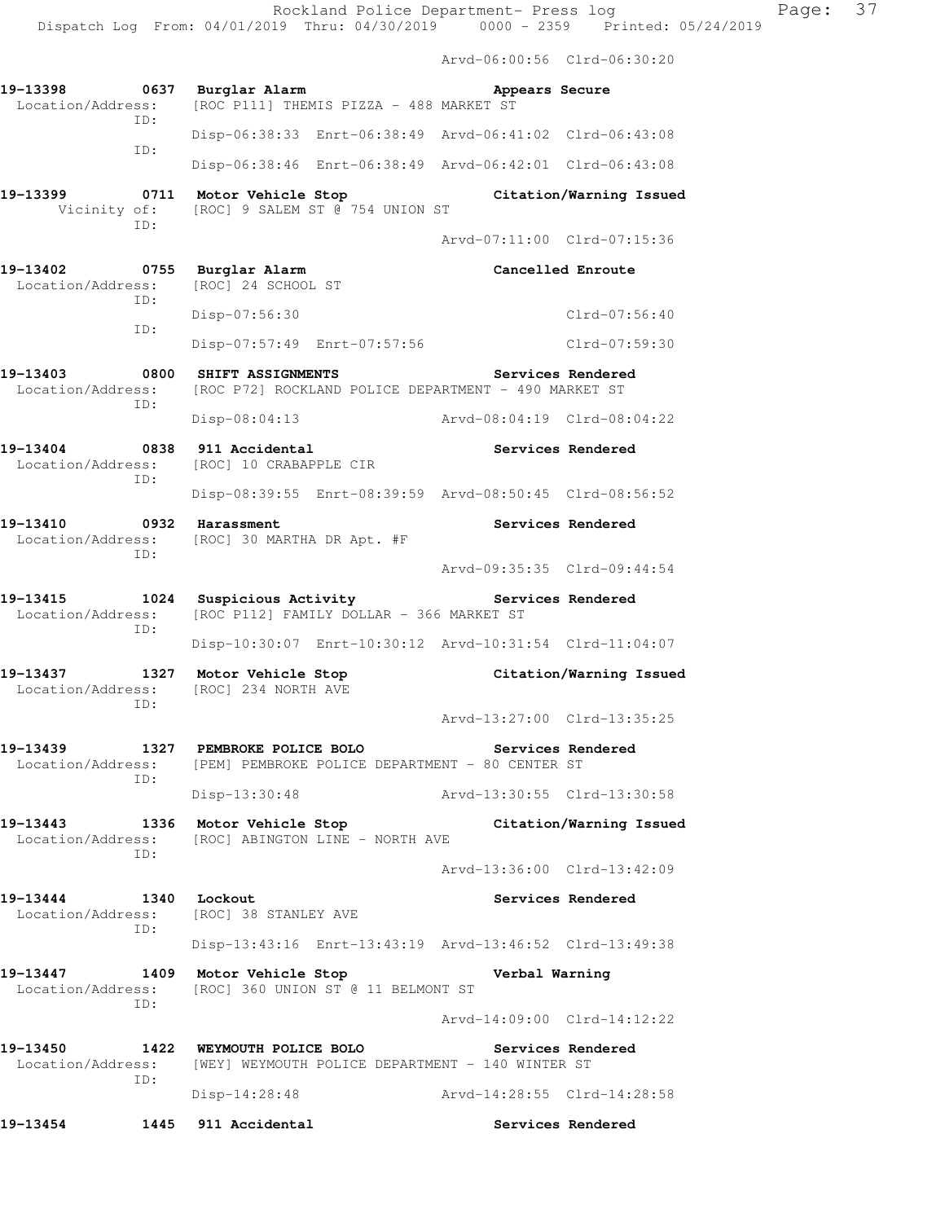Arvd-06:00:56 Clrd-06:30:20 **19-13398 0637 Burglar Alarm Appears Secure**  Location/Address: [ROC P111] THEMIS PIZZA - 488 MARKET ST ID: Disp-06:38:33 Enrt-06:38:49 Arvd-06:41:02 Clrd-06:43:08 ID: Disp-06:38:46 Enrt-06:38:49 Arvd-06:42:01 Clrd-06:43:08 **19-13399 0711 Motor Vehicle Stop Citation/Warning Issued**  Vicinity of: [ROC] 9 SALEM ST @ 754 UNION ST ID: Arvd-07:11:00 Clrd-07:15:36 **19-13402 0755 Burglar Alarm Cancelled Enroute**  Location/Address: [ROC] 24 SCHOOL ST ID: Disp-07:56:30 Clrd-07:56:40 ID: Disp-07:57:49 Enrt-07:57:56 Clrd-07:59:30 **19-13403 0800 SHIFT ASSIGNMENTS Services Rendered**  Location/Address: [ROC P72] ROCKLAND POLICE DEPARTMENT - 490 MARKET ST ID: Disp-08:04:13 Arvd-08:04:19 Clrd-08:04:22 **19-13404 0838 911 Accidental Services Rendered**  Location/Address: [ROC] 10 CRABAPPLE CIR ID: Disp-08:39:55 Enrt-08:39:59 Arvd-08:50:45 Clrd-08:56:52 19-13410 **0932 Harassment 19-13410** Services Rendered Location/Address: [ROC] 30 MARTHA DR Apt. #F ID: Arvd-09:35:35 Clrd-09:44:54 **19-13415 1024 Suspicious Activity Services Rendered**  Location/Address: [ROC P112] FAMILY DOLLAR - 366 MARKET ST ID: Disp-10:30:07 Enrt-10:30:12 Arvd-10:31:54 Clrd-11:04:07 **19-13437 1327 Motor Vehicle Stop Citation/Warning Issued**  Location/Address: [ROC] 234 NORTH AVE ID: Arvd-13:27:00 Clrd-13:35:25 **19-13439 1327 PEMBROKE POLICE BOLO Services Rendered**  Location/Address: [PEM] PEMBROKE POLICE DEPARTMENT - 80 CENTER ST ID: Disp-13:30:48 Arvd-13:30:55 Clrd-13:30:58 **19-13443 1336 Motor Vehicle Stop Citation/Warning Issued**  Location/Address: [ROC] ABINGTON LINE - NORTH AVE ID: Arvd-13:36:00 Clrd-13:42:09 **19-13444 1340 Lockout Services Rendered**  Location/Address: [ROC] 38 STANLEY AVE ID: Disp-13:43:16 Enrt-13:43:19 Arvd-13:46:52 Clrd-13:49:38 **19-13447 1409 Motor Vehicle Stop Verbal Warning**  Location/Address: [ROC] 360 UNION ST @ 11 BELMONT ST ID: Arvd-14:09:00 Clrd-14:12:22 **19-13450 1422 WEYMOUTH POLICE BOLO Services Rendered**  Location/Address: [WEY] WEYMOUTH POLICE DEPARTMENT - 140 WINTER ST ID: Disp-14:28:48 Arvd-14:28:55 Clrd-14:28:58

**19-13454 1445 911 Accidental Services Rendered**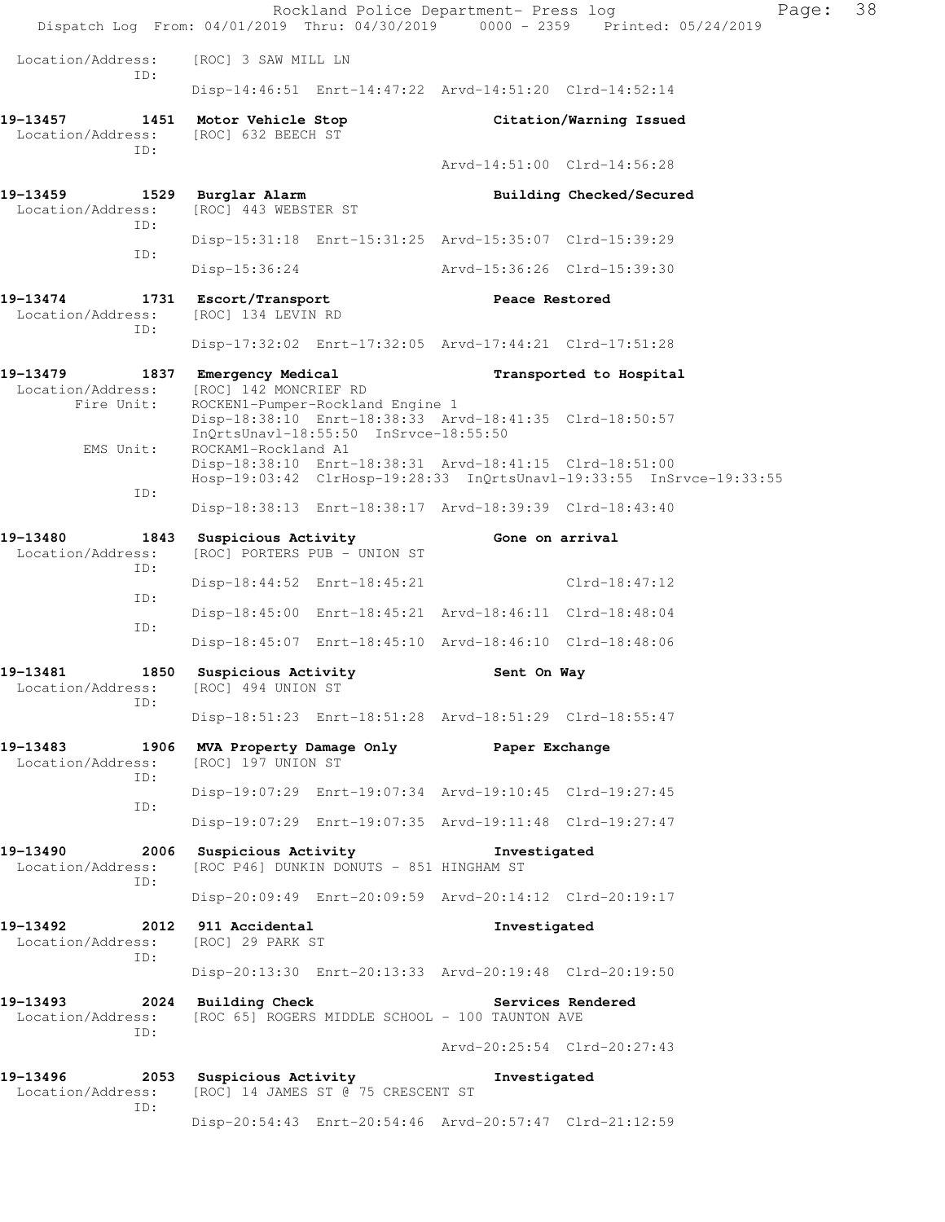|                                                         |                                                 | Rockland Police Department- Press log                                                                                                |                             | Page:<br>Dispatch Log From: 04/01/2019 Thru: 04/30/2019 0000 - 2359 Printed: 05/24/2019 | 38 |
|---------------------------------------------------------|-------------------------------------------------|--------------------------------------------------------------------------------------------------------------------------------------|-----------------------------|-----------------------------------------------------------------------------------------|----|
| Location/Address:                                       | [ROC] 3 SAW MILL LN                             |                                                                                                                                      |                             |                                                                                         |    |
| ID:                                                     |                                                 | Disp-14:46:51 Enrt-14:47:22 Arvd-14:51:20 Clrd-14:52:14                                                                              |                             |                                                                                         |    |
| 19-13457 1451 Motor Vehicle Stop<br>Location/Address:   | [ROC] 632 BEECH ST                              |                                                                                                                                      |                             | Citation/Warning Issued                                                                 |    |
| ID:                                                     |                                                 |                                                                                                                                      |                             | Arvd-14:51:00 Clrd-14:56:28                                                             |    |
| 19-13459 1529 Burglar Alarm<br>Location/Address:<br>TD: | [ROC] 443 WEBSTER ST                            |                                                                                                                                      |                             | Building Checked/Secured                                                                |    |
| ID:                                                     |                                                 | Disp-15:31:18 Enrt-15:31:25 Arvd-15:35:07 Clrd-15:39:29                                                                              |                             |                                                                                         |    |
|                                                         | Disp-15:36:24                                   |                                                                                                                                      | Arvd-15:36:26 Clrd-15:39:30 |                                                                                         |    |
| 19-13474<br>Location/Address:<br>ID:                    | 1731 Escort/Transport<br>[ROC] 134 LEVIN RD     |                                                                                                                                      | Peace Restored              |                                                                                         |    |
|                                                         |                                                 | Disp-17:32:02 Enrt-17:32:05 Arvd-17:44:21 Clrd-17:51:28                                                                              |                             |                                                                                         |    |
| 19-13479<br>Location/Address:                           | 1837 Emergency Medical<br>[ROC] 142 MONCRIEF RD |                                                                                                                                      |                             | Transported to Hospital                                                                 |    |
| Fire Unit:                                              |                                                 | ROCKEN1-Pumper-Rockland Engine 1<br>Disp-18:38:10 Enrt-18:38:33 Arvd-18:41:35 Clrd-18:50:57<br>InQrtsUnavl-18:55:50 InSrvce-18:55:50 |                             |                                                                                         |    |
| EMS Unit:                                               | ROCKAM1-Rockland A1                             | Disp-18:38:10 Enrt-18:38:31 Arvd-18:41:15 Clrd-18:51:00                                                                              |                             | Hosp-19:03:42 ClrHosp-19:28:33 InQrtsUnavl-19:33:55 InSrvce-19:33:55                    |    |
| ID:                                                     |                                                 | Disp-18:38:13 Enrt-18:38:17 Arvd-18:39:39 Clrd-18:43:40                                                                              |                             |                                                                                         |    |
| 19-13480<br>Location/Address:<br>ID:                    | 1843 Suspicious Activity                        | [ROC] PORTERS PUB - UNION ST                                                                                                         | Gone on arrival             |                                                                                         |    |
| ID:                                                     |                                                 | Disp-18:44:52 Enrt-18:45:21                                                                                                          |                             | $Clrd-18:47:12$                                                                         |    |
| ID:                                                     |                                                 | Disp-18:45:00 Enrt-18:45:21 Arvd-18:46:11 Clrd-18:48:04                                                                              |                             |                                                                                         |    |
|                                                         |                                                 | Disp-18:45:07 Enrt-18:45:10 Arvd-18:46:10 Clrd-18:48:06                                                                              |                             |                                                                                         |    |
| 19-13481<br>1850<br>Location/Address:<br>ID:            | Suspicious Activity<br>[ROC] 494 UNION ST       |                                                                                                                                      | Sent On Way                 |                                                                                         |    |
|                                                         |                                                 | Disp-18:51:23 Enrt-18:51:28 Arvd-18:51:29 Clrd-18:55:47                                                                              |                             |                                                                                         |    |
| 19-13483<br>1906<br>Location/Address:<br>ID:            | MVA Property Damage Only<br>[ROC] 197 UNION ST  |                                                                                                                                      | Paper Exchange              |                                                                                         |    |
| ID:                                                     |                                                 | Disp-19:07:29 Enrt-19:07:34 Arvd-19:10:45 Clrd-19:27:45                                                                              |                             |                                                                                         |    |
|                                                         |                                                 | Disp-19:07:29 Enrt-19:07:35 Arvd-19:11:48 Clrd-19:27:47                                                                              |                             |                                                                                         |    |
| 19-13490<br>Location/Address:<br>ID:                    | 2006 Suspicious Activity                        | [ROC P46] DUNKIN DONUTS - 851 HINGHAM ST                                                                                             | Investigated                |                                                                                         |    |
|                                                         |                                                 | Disp-20:09:49 Enrt-20:09:59 Arvd-20:14:12 Clrd-20:19:17                                                                              |                             |                                                                                         |    |
| 19-13492<br>Location/Address:<br>ID:                    | 2012 911 Accidental<br>[ROC] 29 PARK ST         |                                                                                                                                      | Investigated                |                                                                                         |    |
|                                                         |                                                 | Disp-20:13:30 Enrt-20:13:33 Arvd-20:19:48 Clrd-20:19:50                                                                              |                             |                                                                                         |    |
| 19–13493<br>Location/Address:                           | 2024 Building Check                             | [ROC 65] ROGERS MIDDLE SCHOOL - 100 TAUNTON AVE                                                                                      |                             | Services Rendered                                                                       |    |
| ID:                                                     |                                                 |                                                                                                                                      |                             | Arvd-20:25:54 Clrd-20:27:43                                                             |    |
| 19-13496<br>Location/Address:<br>ID:                    | 2053 Suspicious Activity                        | [ROC] 14 JAMES ST @ 75 CRESCENT ST                                                                                                   | Investigated                |                                                                                         |    |
|                                                         |                                                 | Disp-20:54:43 Enrt-20:54:46 Arvd-20:57:47 Clrd-21:12:59                                                                              |                             |                                                                                         |    |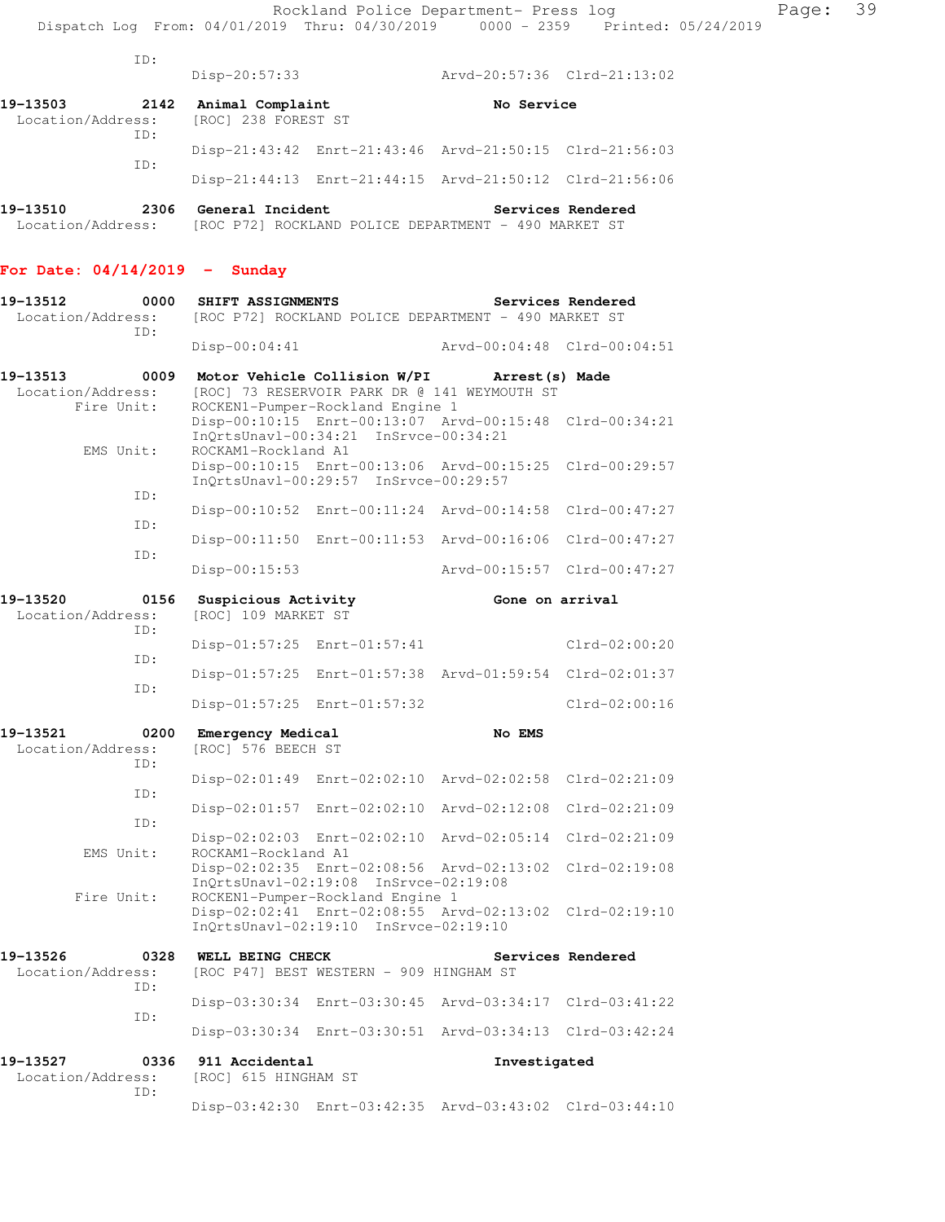|          | TD:  | $Disp-20:57:33$ |                                                                         | Arvd-20:57:36 Clrd-21:13:02 |  |  |
|----------|------|-----------------|-------------------------------------------------------------------------|-----------------------------|--|--|
| 19-13503 | 2142 |                 | Animal Complaint<br>No Service<br>Location/Address: [ROC] 238 FOREST ST |                             |  |  |
|          | TD:  |                 | Disp-21:43:42 Enrt-21:43:46 Arvd-21:50:15 Clrd-21:56:03                 |                             |  |  |
|          | ID:  |                 | Disp-21:44:13 Enrt-21:44:15 Arvd-21:50:12 Clrd-21:56:06                 |                             |  |  |
|          |      |                 |                                                                         |                             |  |  |

**19-13510 2306 General Incident Services Rendered**  Location/Address: [ROC P72] ROCKLAND POLICE DEPARTMENT - 490 MARKET ST

## **For Date: 04/14/2019 - Sunday**

| 19-13512<br>Location/Address: | 0000               | SHIFT ASSIGNMENTS                              |                                                                           | [ROC P72] ROCKLAND POLICE DEPARTMENT - 490 MARKET ST            | Services Rendered |
|-------------------------------|--------------------|------------------------------------------------|---------------------------------------------------------------------------|-----------------------------------------------------------------|-------------------|
|                               | ID:                | Disp-00:04:41                                  |                                                                           | Arvd-00:04:48 Clrd-00:04:51                                     |                   |
| 19-13513<br>Location/Address: | 0009<br>Fire Unit: |                                                | Motor Vehicle Collision W/PI<br>ROCKEN1-Pumper-Rockland Engine 1          | Arrest (s) Made<br>[ROC] 73 RESERVOIR PARK DR @ 141 WEYMOUTH ST |                   |
|                               |                    |                                                | InQrtsUnavl-00:34:21 InSrvce-00:34:21                                     | Disp-00:10:15 Enrt-00:13:07 Arvd-00:15:48 Clrd-00:34:21         |                   |
|                               | EMS Unit:          | ROCKAM1-Rockland A1                            | InQrtsUnavl-00:29:57 InSrvce-00:29:57                                     | Disp-00:10:15 Enrt-00:13:06 Arvd-00:15:25                       | Clrd-00:29:57     |
|                               | ID:                |                                                |                                                                           | Disp-00:10:52 Enrt-00:11:24 Arvd-00:14:58                       | $Clrd-00:47:27$   |
|                               | ID:                | $Disp-00:11:50$                                |                                                                           | Enrt-00:11:53 Arvd-00:16:06                                     | $Clrd-00:47:27$   |
|                               | ID:                | Disp-00:15:53                                  |                                                                           | Arvd-00:15:57                                                   | $Clrd-00:47:27$   |
| 19-13520<br>Location/Address: | 0156<br>TD:        | Suspicious Activity<br>[ROC] 109 MARKET ST     |                                                                           | Gone on arrival                                                 |                   |
|                               |                    | $Disp-01:57:25$                                | Enrt-01:57:41                                                             |                                                                 | $Clrd-02:00:20$   |
|                               | ID:<br>ID:         | Disp-01:57:25                                  |                                                                           | Enrt-01:57:38 Arvd-01:59:54 Clrd-02:01:37                       |                   |
|                               |                    | Disp-01:57:25                                  | Enrt-01:57:32                                                             |                                                                 | $Clrd-02:00:16$   |
| 19-13521<br>Location/Address: | 0200<br>ID:        | <b>Emergency Medical</b><br>[ROC] 576 BEECH ST |                                                                           | No EMS                                                          |                   |
|                               | ID:                | $Disp-02:01:49$                                | Enrt-02:02:10                                                             | Arvd-02:02:58                                                   | $Clrd-02:21:09$   |
|                               | ID:                | $Disp-02:01:57$                                | Enrt-02:02:10                                                             | Arvd-02:12:08                                                   | $Clrd-02:21:09$   |
|                               | EMS Unit:          | ROCKAM1-Rockland A1                            | Disp-02:02:03 Enrt-02:02:10                                               | Arvd-02:05:14                                                   | $Clrd-02:21:09$   |
|                               | Fire Unit:         |                                                | InQrtsUnavl-02:19:08 InSrvce-02:19:08<br>ROCKEN1-Pumper-Rockland Engine 1 | Disp-02:02:35 Enrt-02:08:56 Arvd-02:13:02                       | $Clrd-02:19:08$   |
|                               |                    |                                                | InQrtsUnavl-02:19:10 InSrvce-02:19:10                                     | Disp-02:02:41 Enrt-02:08:55 Arvd-02:13:02                       | $Clrd-02:19:10$   |
| 19-13526<br>Location/Address: | 0328<br>ID:        | WELL BEING CHECK                               | [ROC P47] BEST WESTERN - 909 HINGHAM ST                                   |                                                                 | Services Rendered |
|                               | ID:                |                                                |                                                                           | Disp-03:30:34 Enrt-03:30:45 Arvd-03:34:17                       | $Clrd-03:41:22$   |
|                               |                    |                                                | Disp-03:30:34 Enrt-03:30:51                                               | Arvd-03:34:13 Clrd-03:42:24                                     |                   |
| 19–13527<br>Location/Address: | 0336<br>ID:        | 911 Accidental<br>[ROC] 615 HINGHAM ST         |                                                                           | Investigated                                                    |                   |
|                               |                    |                                                |                                                                           | Disp-03:42:30 Enrt-03:42:35 Arvd-03:43:02 Clrd-03:44:10         |                   |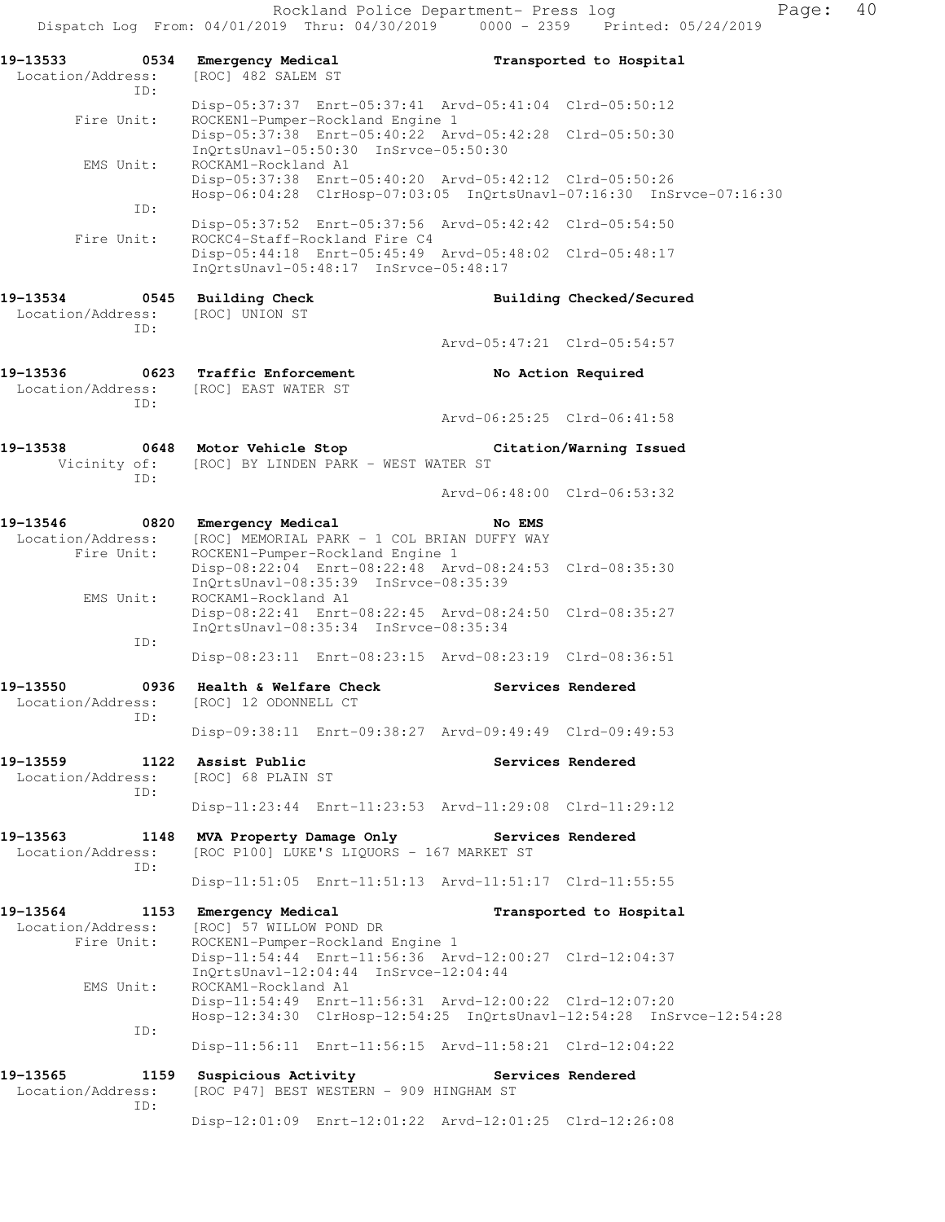Rockland Police Department- Press log Fage: 40 Dispatch Log From: 04/01/2019 Thru: 04/30/2019 0000 - 2359 Printed: 05/24/2019 **19-13533 0534 Emergency Medical Transported to Hospital**  Location/Address: [ROC] 482 SALEM ST ID: Disp-05:37:37 Enrt-05:37:41 Arvd-05:41:04 Clrd-05:50:12 Fire Unit: ROCKEN1-Pumper-Rockland Engine 1 Disp-05:37:38 Enrt-05:40:22 Arvd-05:42:28 Clrd-05:50:30 InQrtsUnavl-05:50:30 InSrvce-05:50:30 EMS Unit: ROCKAM1-Rockland A1 Disp-05:37:38 Enrt-05:40:20 Arvd-05:42:12 Clrd-05:50:26 Hosp-06:04:28 ClrHosp-07:03:05 InQrtsUnavl-07:16:30 InSrvce-07:16:30 ID: Disp-05:37:52 Enrt-05:37:56 Arvd-05:42:42 Clrd-05:54:50 Fire Unit: ROCKC4-Staff-Rockland Fire C4 Disp-05:44:18 Enrt-05:45:49 Arvd-05:48:02 Clrd-05:48:17 InQrtsUnavl-05:48:17 InSrvce-05:48:17 **19-13534 0545 Building Check Building Checked/Secured**  Location/Address: [ROC] UNION ST ID: Arvd-05:47:21 Clrd-05:54:57 **19-13536 0623 Traffic Enforcement No Action Required**  Location/Address: [ROC] EAST WATER ST ID: Arvd-06:25:25 Clrd-06:41:58 **19-13538 0648 Motor Vehicle Stop Citation/Warning Issued**  Vicinity of: [ROC] BY LINDEN PARK - WEST WATER ST ID: Arvd-06:48:00 Clrd-06:53:32 **19-13546 0820 Emergency Medical No EMS**  Location/Address: [ROC] MEMORIAL PARK - 1 COL BRIAN DUFFY WAY Fire Unit: ROCKEN1-Pumper-Rockland Engine 1 Disp-08:22:04 Enrt-08:22:48 Arvd-08:24:53 Clrd-08:35:30 InQrtsUnavl-08:35:39 InSrvce-08:35:39 EMS Unit: ROCKAM1-Rockland A1 Disp-08:22:41 Enrt-08:22:45 Arvd-08:24:50 Clrd-08:35:27 InQrtsUnavl-08:35:34 InSrvce-08:35:34 ID: Disp-08:23:11 Enrt-08:23:15 Arvd-08:23:19 Clrd-08:36:51 **19-13550 0936 Health & Welfare Check Services Rendered**  Location/Address: [ROC] 12 ODONNELL CT ID: Disp-09:38:11 Enrt-09:38:27 Arvd-09:49:49 Clrd-09:49:53 **19-13559 1122 Assist Public Services Rendered**  Location/Address: [ROC] 68 PLAIN ST ID: Disp-11:23:44 Enrt-11:23:53 Arvd-11:29:08 Clrd-11:29:12 **19-13563 1148 MVA Property Damage Only Services Rendered**  Location/Address: [ROC P100] LUKE'S LIQUORS - 167 MARKET ST ID: Disp-11:51:05 Enrt-11:51:13 Arvd-11:51:17 Clrd-11:55:55 **19-13564 1153 Emergency Medical Transported to Hospital**  Location/Address: [ROC] 57 WILLOW POND DR Fire Unit: ROCKEN1-Pumper-Rockland Engine 1 Disp-11:54:44 Enrt-11:56:36 Arvd-12:00:27 Clrd-12:04:37 InQrtsUnavl-12:04:44 InSrvce-12:04:44<br>EMS Unit: ROCKAM1-Rockland A1 ROCKAM1-Rockland A1 Disp-11:54:49 Enrt-11:56:31 Arvd-12:00:22 Clrd-12:07:20 Hosp-12:34:30 ClrHosp-12:54:25 InQrtsUnavl-12:54:28 InSrvce-12:54:28 ID: Disp-11:56:11 Enrt-11:56:15 Arvd-11:58:21 Clrd-12:04:22 19-13565 1159 Suspicious Activity **11365** Services Rendered Location/Address: [ROC P47] BEST WESTERN - 909 HINGHAM ST ID:

Disp-12:01:09 Enrt-12:01:22 Arvd-12:01:25 Clrd-12:26:08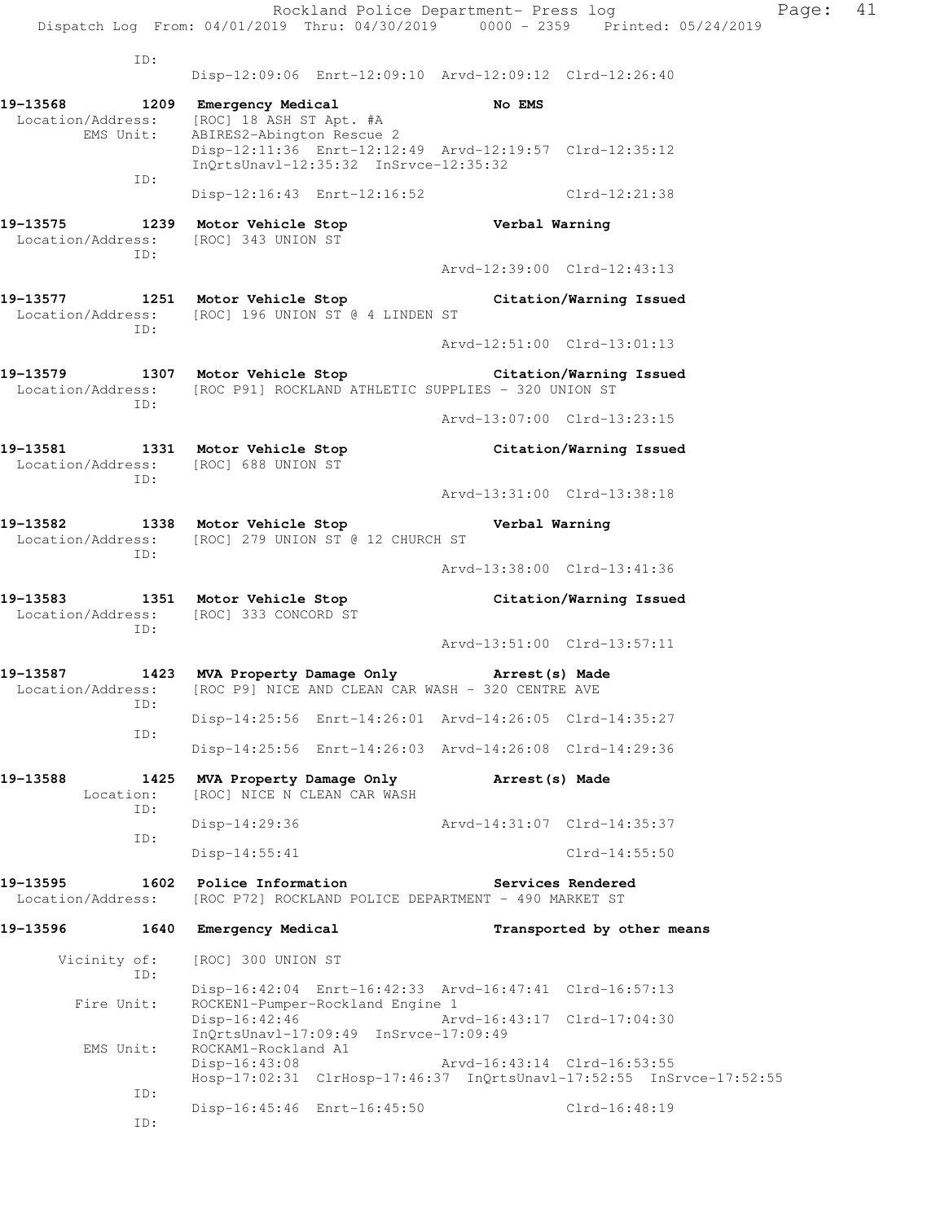Rockland Police Department- Press log Fage: 41 Dispatch Log From: 04/01/2019 Thru: 04/30/2019 0000 - 2359 Printed: 05/24/2019 ID: Disp-12:09:06 Enrt-12:09:10 Arvd-12:09:12 Clrd-12:26:40 **19-13568 1209 Emergency Medical No EMS**  Location/Address: [ROC] 18 ASH ST Apt. #A<br>EMS Unit: ABIRES2-Abington Rescue ABIRES2-Abington Rescue 2 Disp-12:11:36 Enrt-12:12:49 Arvd-12:19:57 Clrd-12:35:12 InQrtsUnavl-12:35:32 InSrvce-12:35:32 ID: Disp-12:16:43 Enrt-12:16:52 Clrd-12:21:38 **19-13575 1239 Motor Vehicle Stop Verbal Warning**  Location/Address: [ROC] 343 UNION ST ID: Arvd-12:39:00 Clrd-12:43:13 **19-13577 1251 Motor Vehicle Stop Citation/Warning Issued**  Location/Address: [ROC] 196 UNION ST @ 4 LINDEN ST ID: Arvd-12:51:00 Clrd-13:01:13 **19-13579 1307 Motor Vehicle Stop Citation/Warning Issued**  Location/Address: [ROC P91] ROCKLAND ATHLETIC SUPPLIES - 320 UNION ST ID: Arvd-13:07:00 Clrd-13:23:15 **19-13581 1331 Motor Vehicle Stop Citation/Warning Issued**  Location/Address: [ROC] 688 UNION ST ID: Arvd-13:31:00 Clrd-13:38:18 **19-13582 1338 Motor Vehicle Stop Verbal Warning**  Location/Address: [ROC] 279 UNION ST @ 12 CHURCH ST ID: Arvd-13:38:00 Clrd-13:41:36 **19-13583 1351 Motor Vehicle Stop Citation/Warning Issued**  Location/Address: [ROC] 333 CONCORD ST ID: Arvd-13:51:00 Clrd-13:57:11 **19-13587 1423 MVA Property Damage Only Arrest(s) Made**  Location/Address: [ROC P9] NICE AND CLEAN CAR WASH - 320 CENTRE AVE ID: Disp-14:25:56 Enrt-14:26:01 Arvd-14:26:05 Clrd-14:35:27 ID: Disp-14:25:56 Enrt-14:26:03 Arvd-14:26:08 Clrd-14:29:36 **19-13588 1425 MVA Property Damage Only Arrest(s) Made**  Location: [ROC] NICE N CLEAN CAR WASH ID: Disp-14:29:36 Arvd-14:31:07 Clrd-14:35:37 ID: Disp-14:55:41 Clrd-14:55:50 **19-13595 1602 Police Information Services Rendered**  Location/Address: [ROC P72] ROCKLAND POLICE DEPARTMENT - 490 MARKET ST **19-13596 1640 Emergency Medical Transported by other means**  Vicinity of: [ROC] 300 UNION ST ID: Disp-16:42:04 Enrt-16:42:33 Arvd-16:47:41 Clrd-16:57:13 Fire Unit: ROCKEN1-Pumper-Rockland Engine 1<br>Disp-16:42:46 Arv Arvd-16:43:17 Clrd-17:04:30 InQrtsUnavl-17:09:49 InSrvce-17:09:49 EMS Unit: ROCKAM1-Rockland A1 Disp-16:43:08 Arvd-16:43:14 Clrd-16:53:55 Hosp-17:02:31 ClrHosp-17:46:37 InQrtsUnavl-17:52:55 InSrvce-17:52:55 ID: Disp-16:45:46 Enrt-16:45:50 Clrd-16:48:19

ID: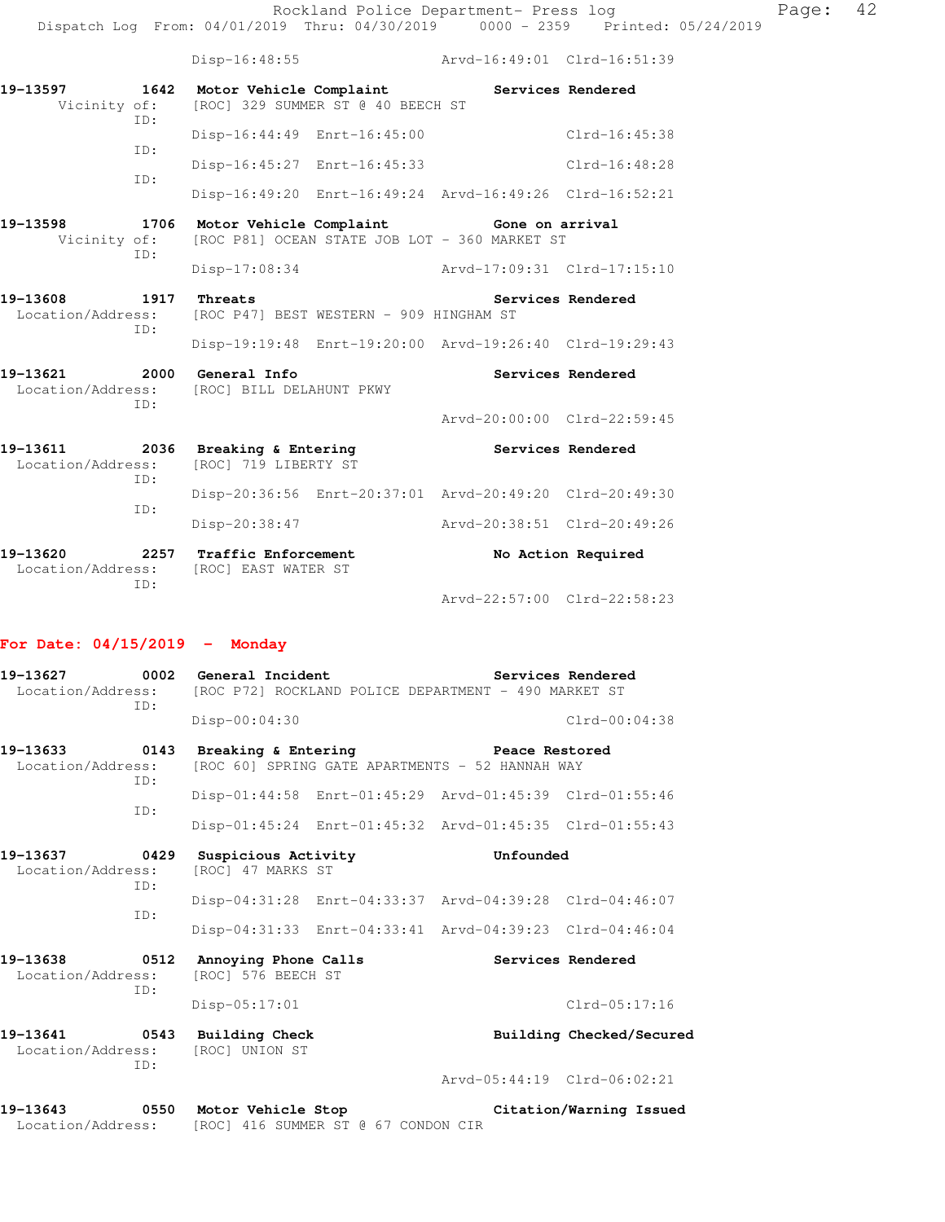Disp-16:48:55 Arvd-16:49:01 Clrd-16:51:39

| 19-13597 | 1642        | Motor Vehicle Complaint     | Vicinity of: [ROC] 329 SUMMER ST @ 40 BEECH ST |                                                                               | Services Rendered |
|----------|-------------|-----------------------------|------------------------------------------------|-------------------------------------------------------------------------------|-------------------|
|          | TD:<br>TD:  | Disp-16:44:49 Enrt-16:45:00 |                                                |                                                                               | $Clrd-16:45:38$   |
|          | TD:         | Disp-16:45:27 Enrt-16:45:33 |                                                |                                                                               | $Clrd-16:48:28$   |
|          |             |                             |                                                | Disp-16:49:20 Enrt-16:49:24 Arvd-16:49:26 Clrd-16:52:21                       |                   |
| 19-13598 | 1706<br>TD: | Motor Vehicle Complaint     |                                                | Gone on arrival<br>Vicinity of: [ROC P81] OCEAN STATE JOB LOT - 360 MARKET ST |                   |

Disp-17:08:34 Arvd-17:09:31 Clrd-17:15:10

**19-13608 1917 Threats Services Rendered**  Location/Address: [ROC P47] BEST WESTERN - 909 HINGHAM ST ID: Disp-19:19:48 Enrt-19:20:00 Arvd-19:26:40 Clrd-19:29:43

**19-13621 2000 General Info Services Rendered**  Location/Address: [ROC] BILL DELAHUNT PKWY ID:

19-13611 2036 Breaking & Entering **Services Rendered**  Location/Address: [ROC] 719 LIBERTY ST ID: Disp-20:36:56 Enrt-20:37:01 Arvd-20:49:20 Clrd-20:49:30 ID: Disp-20:38:47 Arvd-20:38:51 Clrd-20:49:26 **19-13620 2257 Traffic Enforcement No Action Required**  Location/Address: [ROC] EAST WATER ST ID:

Arvd-22:57:00 Clrd-22:58:23

Arvd-20:00:00 Clrd-22:59:45

### **For Date: 04/15/2019 - Monday**

| 19-13627<br>Location/Address: | 0002<br>TD: | General Incident<br>$Disp-00:04:30$ | [ROC P72] ROCKLAND POLICE DEPARTMENT - 490 MARKET ST              | Services Rendered<br>$Clrd-00:04:38$ |
|-------------------------------|-------------|-------------------------------------|-------------------------------------------------------------------|--------------------------------------|
| 19–13633<br>Location/Address: | 0143<br>TD: | Breaking & Entering                 | Peace Restored<br>[ROC 60] SPRING GATE APARTMENTS - 52 HANNAH WAY |                                      |
|                               |             |                                     | Disp-01:44:58 Enrt-01:45:29 Arvd-01:45:39 Clrd-01:55:46           |                                      |
|                               | TD:         |                                     | Disp-01:45:24 Enrt-01:45:32 Arvd-01:45:35 Clrd-01:55:43           |                                      |

**19-13637 0429 Suspicious Activity Unfounded**  Location/Address: [ROC] 47 MARKS ST ID: Disp-04:31:28 Enrt-04:33:37 Arvd-04:39:28 Clrd-04:46:07 ID: Disp-04:31:33 Enrt-04:33:41 Arvd-04:39:23 Clrd-04:46:04

19-13638 0512 Annoying Phone Calls **Services Rendered** Location/Address: [ROC] 576 BEECH ST [ROC] 576 BEECH ST ID: Disp-05:17:01 Clrd-05:17:16

19-13641 **0543** Building Check **Building Building Checked/Secured**  Location/Address: [ROC] UNION ST ID:

Arvd-05:44:19 Clrd-06:02:21

**19-13643 0550 Motor Vehicle Stop Citation/Warning Issued**  Location/Address: [ROC] 416 SUMMER ST @ 67 CONDON CIR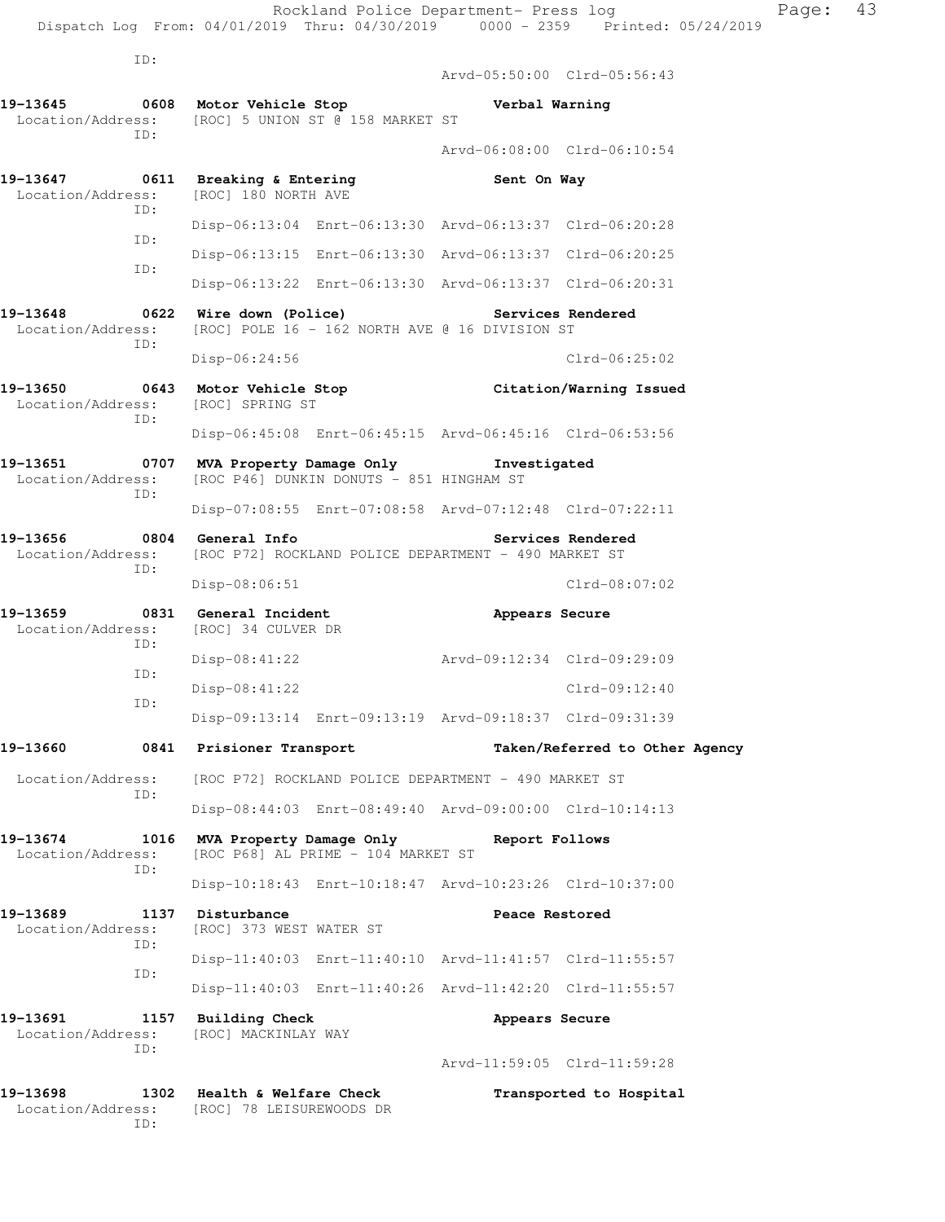ID: Arvd-05:50:00 Clrd-05:56:43 **19-13645 0608 Motor Vehicle Stop Verbal Warning**  Location/Address: [ROC] 5 UNION ST @ 158 MARKET ST ID: Arvd-06:08:00 Clrd-06:10:54 19-13647 **0611 Breaking & Entering Sent On Way**  Location/Address: [ROC] 180 NORTH AVE ID: Disp-06:13:04 Enrt-06:13:30 Arvd-06:13:37 Clrd-06:20:28 ID: Disp-06:13:15 Enrt-06:13:30 Arvd-06:13:37 Clrd-06:20:25 ID: Disp-06:13:22 Enrt-06:13:30 Arvd-06:13:37 Clrd-06:20:31 **19-13648 0622 Wire down (Police) Services Rendered**  Location/Address: [ROC] POLE 16 - 162 NORTH AVE @ 16 DIVISION ST ID: Disp-06:24:56 Clrd-06:25:02 **19-13650 0643 Motor Vehicle Stop Citation/Warning Issued**  Location/Address: ID: Disp-06:45:08 Enrt-06:45:15 Arvd-06:45:16 Clrd-06:53:56 **19-13651 0707 MVA Property Damage Only Investigated**  Location/Address: [ROC P46] DUNKIN DONUTS - 851 HINGHAM ST ID: Disp-07:08:55 Enrt-07:08:58 Arvd-07:12:48 Clrd-07:22:11 **19-13656 0804 General Info Services Rendered**  Location/Address: [ROC P72] ROCKLAND POLICE DEPARTMENT - 490 MARKET ST ID: Disp-08:06:51 Clrd-08:07:02 **19-13659 0831 General Incident Appears Secure**  Location/Address: [ROC] 34 CULVER DR ID: Disp-08:41:22 Arvd-09:12:34 Clrd-09:29:09 ID: Disp-08:41:22 Clrd-09:12:40 ID: Disp-09:13:14 Enrt-09:13:19 Arvd-09:18:37 Clrd-09:31:39 **19-13660 0841 Prisioner Transport Taken/Referred to Other Agency**  Location/Address: [ROC P72] ROCKLAND POLICE DEPARTMENT - 490 MARKET ST ID: Disp-08:44:03 Enrt-08:49:40 Arvd-09:00:00 Clrd-10:14:13 **19-13674 1016 MVA Property Damage Only Report Follows**  Location/Address: [ROC P68] AL PRIME - 104 MARKET ST ID: Disp-10:18:43 Enrt-10:18:47 Arvd-10:23:26 Clrd-10:37:00 19-13689 1137 Disturbance **1138** Peace Restored Location/Address: [ROC] 373 WEST WATER ST ID: Disp-11:40:03 Enrt-11:40:10 Arvd-11:41:57 Clrd-11:55:57 ID: Disp-11:40:03 Enrt-11:40:26 Arvd-11:42:20 Clrd-11:55:57 **19-13691 1157 Building Check Appears Secure**  Location/Address: [ROC] MACKINLAY WAY ID: Arvd-11:59:05 Clrd-11:59:28 **19-13698 1302 Health & Welfare Check Transported to Hospital** 

Location/Address: [ROC] 78 LEISUREWOODS DR

ID: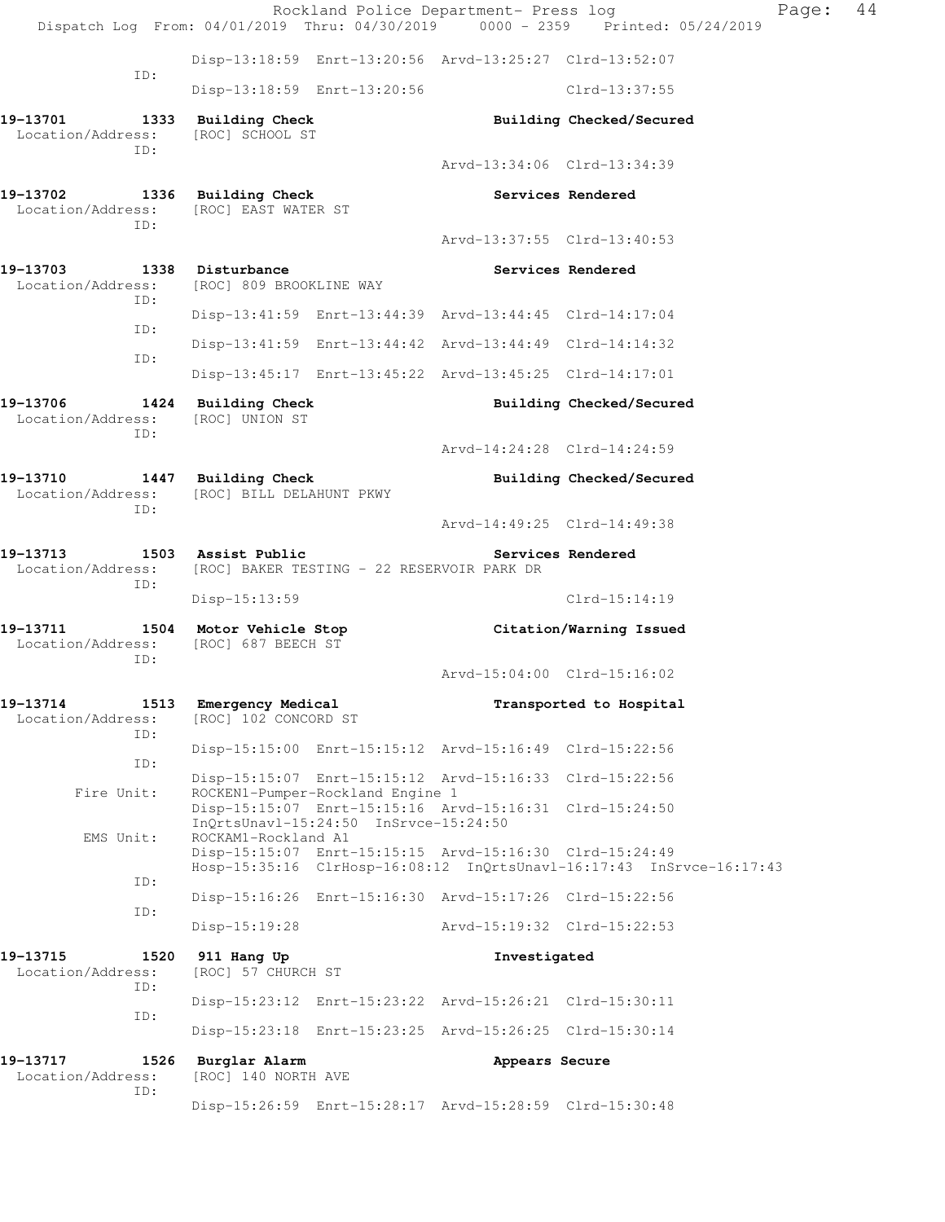|                                                              |                                                                  |                                       | Rockland Police Department- Press log                   | Dispatch Log From: 04/01/2019 Thru: 04/30/2019 0000 - 2359 Printed: 05/24/2019 | Page: | 44 |
|--------------------------------------------------------------|------------------------------------------------------------------|---------------------------------------|---------------------------------------------------------|--------------------------------------------------------------------------------|-------|----|
|                                                              |                                                                  |                                       | Disp-13:18:59 Enrt-13:20:56 Arvd-13:25:27 Clrd-13:52:07 |                                                                                |       |    |
| ID:                                                          |                                                                  | Disp-13:18:59 Enrt-13:20:56           |                                                         | Clrd-13:37:55                                                                  |       |    |
| 19-13701<br>Location/Address:<br>ID:                         | 1333 Building Check<br>[ROC] SCHOOL ST                           |                                       |                                                         | Building Checked/Secured                                                       |       |    |
|                                                              |                                                                  |                                       | Arvd-13:34:06 Clrd-13:34:39                             |                                                                                |       |    |
| 19-13702<br>Location/Address:<br>ID:                         | 1336 Building Check<br>[ROC] EAST WATER ST                       |                                       |                                                         | Services Rendered                                                              |       |    |
|                                                              |                                                                  |                                       | Arvd-13:37:55 Clrd-13:40:53                             |                                                                                |       |    |
| 19-13703<br>Location/Address:<br>ID:                         | 1338 Disturbance<br>[ROC] 809 BROOKLINE WAY                      |                                       |                                                         | Services Rendered                                                              |       |    |
| ID:                                                          |                                                                  |                                       | Disp-13:41:59 Enrt-13:44:39 Arvd-13:44:45 Clrd-14:17:04 |                                                                                |       |    |
| ID:                                                          |                                                                  |                                       | Disp-13:41:59 Enrt-13:44:42 Arvd-13:44:49 Clrd-14:14:32 |                                                                                |       |    |
|                                                              |                                                                  |                                       | Disp-13:45:17 Enrt-13:45:22 Arvd-13:45:25 Clrd-14:17:01 |                                                                                |       |    |
| 19-13706<br>Location/Address:<br>ID:                         | 1424 Building Check<br>[ROC] UNION ST                            |                                       |                                                         | Building Checked/Secured                                                       |       |    |
|                                                              |                                                                  |                                       | Arvd-14:24:28 Clrd-14:24:59                             |                                                                                |       |    |
| 19-13710<br>Location/Address:                                | 1447 Building Check<br>[ROC] BILL DELAHUNT PKWY                  |                                       |                                                         | Building Checked/Secured                                                       |       |    |
| ID:                                                          |                                                                  |                                       | Arvd-14:49:25 Clrd-14:49:38                             |                                                                                |       |    |
| 19–13713<br>Location/Address:<br>ID:                         | 1503 Assist Public<br>[ROC] BAKER TESTING - 22 RESERVOIR PARK DR |                                       |                                                         | Services Rendered                                                              |       |    |
|                                                              | $Disp-15:13:59$                                                  |                                       |                                                         | $Clrd-15:14:19$                                                                |       |    |
| 19-13711 1504 Motor Vehicle Stop<br>Location/Address:<br>ID: | [ROC] 687 BEECH ST                                               |                                       |                                                         | Citation/Warning Issued                                                        |       |    |
|                                                              |                                                                  |                                       | Arvd-15:04:00 Clrd-15:16:02                             |                                                                                |       |    |
| 19-13714<br>1513<br>Location/Address:<br>ID:                 | Emergency Medical<br>[ROC] 102 CONCORD ST                        |                                       |                                                         | Transported to Hospital                                                        |       |    |
| ID:                                                          |                                                                  |                                       | Disp-15:15:00 Enrt-15:15:12 Arvd-15:16:49 Clrd-15:22:56 |                                                                                |       |    |
| Fire Unit:                                                   |                                                                  | ROCKEN1-Pumper-Rockland Engine 1      | Disp-15:15:07 Enrt-15:15:12 Arvd-15:16:33 Clrd-15:22:56 |                                                                                |       |    |
|                                                              |                                                                  | InQrtsUnavl-15:24:50 InSrvce-15:24:50 | Disp-15:15:07 Enrt-15:15:16 Arvd-15:16:31 Clrd-15:24:50 |                                                                                |       |    |
| EMS Unit:                                                    | ROCKAM1-Rockland A1                                              |                                       | Disp-15:15:07 Enrt-15:15:15 Arvd-15:16:30 Clrd-15:24:49 | Hosp-15:35:16 ClrHosp-16:08:12 InQrtsUnavl-16:17:43 InSrvce-16:17:43           |       |    |
| ID:                                                          |                                                                  |                                       | Disp-15:16:26 Enrt-15:16:30 Arvd-15:17:26 Clrd-15:22:56 |                                                                                |       |    |
| ID:                                                          | Disp-15:19:28                                                    |                                       | Arvd-15:19:32 Clrd-15:22:53                             |                                                                                |       |    |
| 19-13715<br>1520<br>Location/Address:                        | 911 Hang Up<br>[ROC] 57 CHURCH ST                                |                                       | Investigated                                            |                                                                                |       |    |
| ID:                                                          |                                                                  |                                       | Disp-15:23:12 Enrt-15:23:22 Arvd-15:26:21 Clrd-15:30:11 |                                                                                |       |    |
| ID:                                                          |                                                                  |                                       | Disp-15:23:18 Enrt-15:23:25 Arvd-15:26:25 Clrd-15:30:14 |                                                                                |       |    |
| 19–13717<br>1526<br>Location/Address:                        | Burglar Alarm<br>[ROC] 140 NORTH AVE                             |                                       | Appears Secure                                          |                                                                                |       |    |
| ID:                                                          |                                                                  |                                       | Disp-15:26:59 Enrt-15:28:17 Arvd-15:28:59 Clrd-15:30:48 |                                                                                |       |    |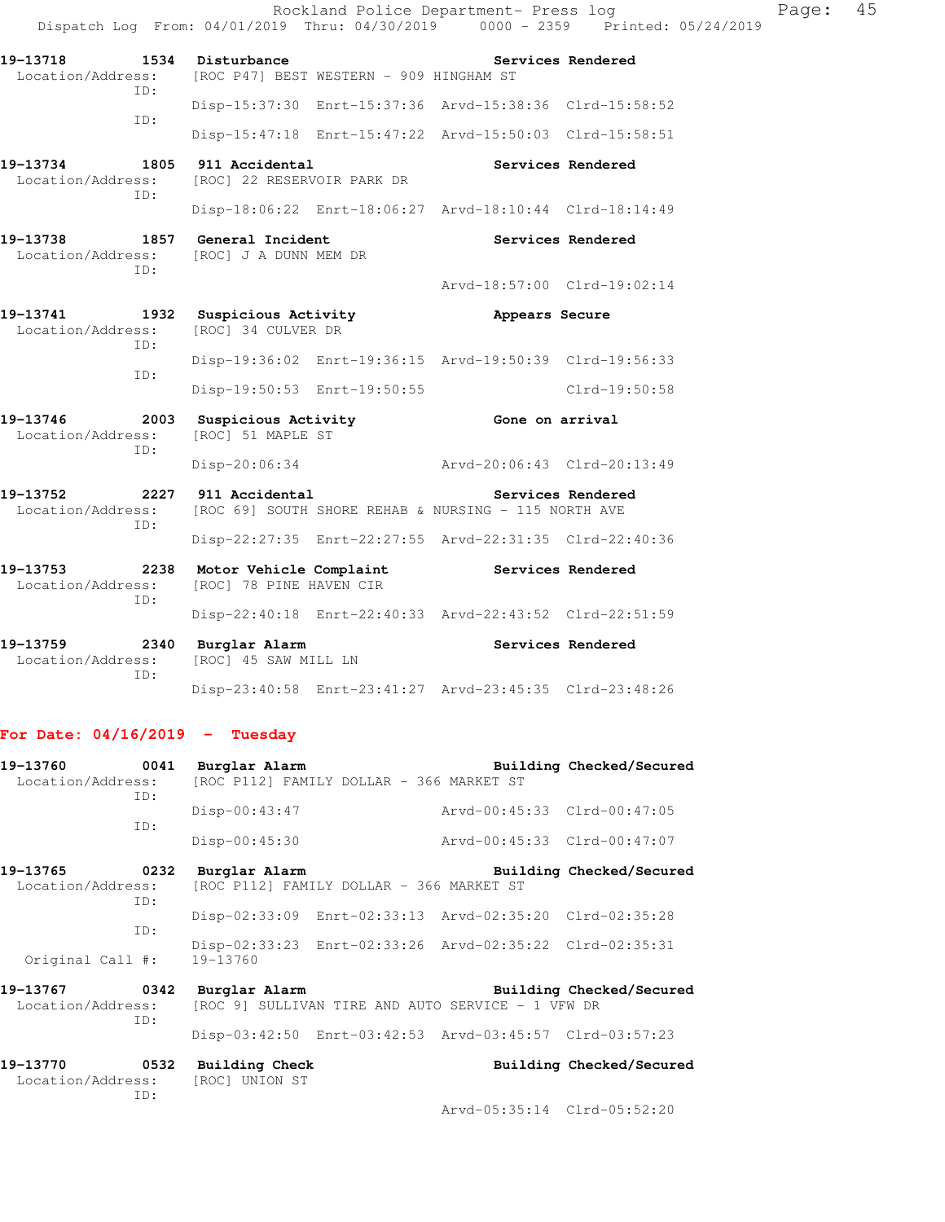Rockland Police Department- Press log Paqe: 45 Dispatch Log From: 04/01/2019 Thru: 04/30/2019 0000 - 2359 Printed: 05/24/2019 19-13718 1534 Disturbance **1534 Services Rendered**  Location/Address: [ROC P47] BEST WESTERN - 909 HINGHAM ST ID: Disp-15:37:30 Enrt-15:37:36 Arvd-15:38:36 Clrd-15:58:52 ID: Disp-15:47:18 Enrt-15:47:22 Arvd-15:50:03 Clrd-15:58:51 **19-13734 1805 911 Accidental Services Rendered**  Location/Address: [ROC] 22 RESERVOIR PARK DR ID: Disp-18:06:22 Enrt-18:06:27 Arvd-18:10:44 Clrd-18:14:49 **19-13738 1857 General Incident Services Rendered**  Location/Address: [ROC] J A DUNN MEM DR ID: Arvd-18:57:00 Clrd-19:02:14 **19-13741 1932 Suspicious Activity Appears Secure**  [ROC] 34 CULVER DR ID: Disp-19:36:02 Enrt-19:36:15 Arvd-19:50:39 Clrd-19:56:33 ID: Disp-19:50:53 Enrt-19:50:55 Clrd-19:50:58 19-13746 2003 Suspicious Activity **19-13746** Gone on arrival Location/Address: [ROC] 51 MAPLE ST ID: Disp-20:06:34 Arvd-20:06:43 Clrd-20:13:49 **19-13752 2227 911 Accidental Services Rendered**  Location/Address: [ROC 69] SOUTH SHORE REHAB & NURSING - 115 NORTH AVE ID: Disp-22:27:35 Enrt-22:27:55 Arvd-22:31:35 Clrd-22:40:36 **19-13753 2238 Motor Vehicle Complaint Services Rendered**  Location/Address: [ROC] 78 PINE HAVEN CIR ID: Disp-22:40:18 Enrt-22:40:33 Arvd-22:43:52 Clrd-22:51:59 19-13759 **2340** Burglar Alarm **Services Rendered**  Location/Address: [ROC] 45 SAW MILL LN ID:

### **For Date: 04/16/2019 - Tuesday**

| 19-13760<br>0041<br>Location/Address: [ROC P112] FAMILY DOLLAR - 366 MARKET ST<br>ID: |     | Burglar Alarm                                      |                                                            |                                                         | Building Checked/Secured |
|---------------------------------------------------------------------------------------|-----|----------------------------------------------------|------------------------------------------------------------|---------------------------------------------------------|--------------------------|
|                                                                                       |     | $Disp-00:43:47$                                    |                                                            | Arvd-00:45:33 Clrd-00:47:05                             |                          |
|                                                                                       | ID: | $Disp-00:45:30$                                    |                                                            | Arvd-00:45:33 Clrd-00:47:07                             |                          |
|                                                                                       |     | 19-13765 0232 Burglar Alarm                        |                                                            |                                                         | Building Checked/Secured |
|                                                                                       | ID: |                                                    | Location/Address: [ROC P112] FAMILY DOLLAR - 366 MARKET ST |                                                         |                          |
|                                                                                       |     |                                                    |                                                            | Disp-02:33:09 Enrt-02:33:13 Arvd-02:35:20 Clrd-02:35:28 |                          |
|                                                                                       | ID: |                                                    |                                                            | Disp-02:33:23 Enrt-02:33:26 Arvd-02:35:22 Clrd-02:35:31 |                          |
| Original Call #:                                                                      |     | 19-13760                                           |                                                            |                                                         |                          |
| Location/Address:                                                                     | TD: | 19-13767 0342 Burglar Alarm                        |                                                            | [ROC 9] SULLIVAN TIRE AND AUTO SERVICE - 1 VFW DR       | Building Checked/Secured |
|                                                                                       |     |                                                    |                                                            | Disp-03:42:50 Enrt-03:42:53 Arvd-03:45:57 Clrd-03:57:23 |                          |
| 19-13770 0532                                                                         | ID: | Building Check<br>Location/Address: [ROC] UNION ST |                                                            |                                                         | Building Checked/Secured |
|                                                                                       |     |                                                    |                                                            | Arvd-05:35:14 Clrd-05:52:20                             |                          |

Disp-23:40:58 Enrt-23:41:27 Arvd-23:45:35 Clrd-23:48:26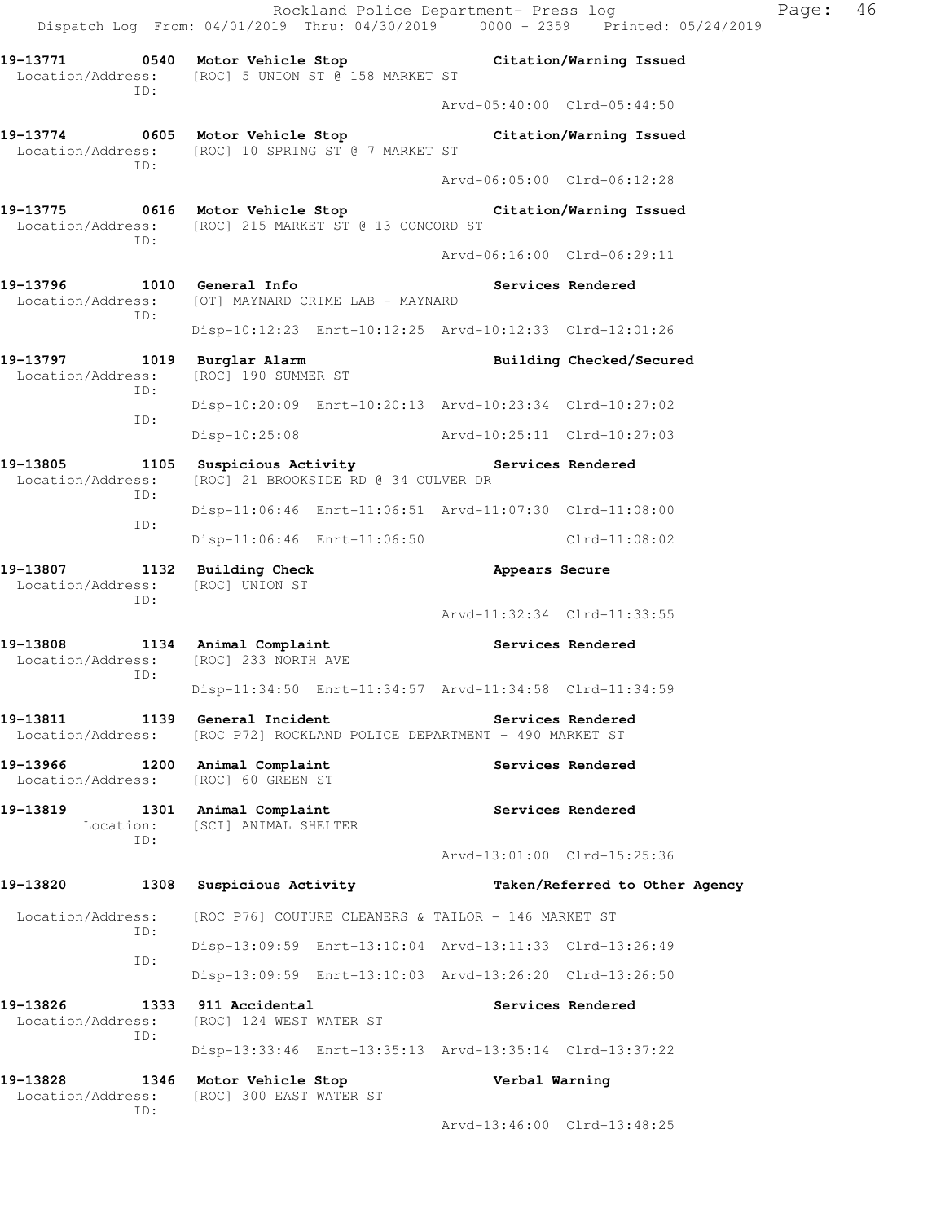Rockland Police Department- Press log Fage: 46 Dispatch Log From: 04/01/2019 Thru: 04/30/2019 0000 - 2359 Printed: 05/24/2019 **19-13771 0540 Motor Vehicle Stop Citation/Warning Issued**  Location/Address: [ROC] 5 UNION ST @ 158 MARKET ST ID: Arvd-05:40:00 Clrd-05:44:50 **19-13774 0605 Motor Vehicle Stop Citation/Warning Issued**  Location/Address: [ROC] 10 SPRING ST @ 7 MARKET ST ID: Arvd-06:05:00 Clrd-06:12:28 **19-13775 0616 Motor Vehicle Stop Citation/Warning Issued**  Location/Address: [ROC] 215 MARKET ST @ 13 CONCORD ST ID: Arvd-06:16:00 Clrd-06:29:11 **19-13796 1010 General Info Services Rendered**  Location/Address: [OT] MAYNARD CRIME LAB - MAYNARD ID: Disp-10:12:23 Enrt-10:12:25 Arvd-10:12:33 Clrd-12:01:26 **19-13797 1019 Burglar Alarm Building Checked/Secured**  Location/Address: [ROC] 190 SUMMER ST ID: Disp-10:20:09 Enrt-10:20:13 Arvd-10:23:34 Clrd-10:27:02 ID: Disp-10:25:08 Arvd-10:25:11 Clrd-10:27:03 19-13805 1105 Suspicious Activity **1105** Services Rendered Location/Address: [ROC] 21 BROOKSIDE RD @ 34 CULVER DR ID: Disp-11:06:46 Enrt-11:06:51 Arvd-11:07:30 Clrd-11:08:00 ID: Disp-11:06:46 Enrt-11:06:50 Clrd-11:08:02 **19-13807 1132 Building Check Appears Secure**  Location/Address: [ROC] UNION ST ID: Arvd-11:32:34 Clrd-11:33:55 19-13808 1134 Animal Complaint **19-13808** Services Rendered Location/Address: [ROC] 233 NORTH AVE ID: Disp-11:34:50 Enrt-11:34:57 Arvd-11:34:58 Clrd-11:34:59 **19-13811 1139 General Incident Services Rendered**  Location/Address: [ROC P72] ROCKLAND POLICE DEPARTMENT - 490 MARKET ST **19-13966 1200 Animal Complaint Services Rendered**  Location/Address: [ROC] 60 GREEN ST **19-13819 1301 Animal Complaint Services Rendered**  Location: [SCI] ANIMAL SHELTER ID: Arvd-13:01:00 Clrd-15:25:36 **19-13820 1308 Suspicious Activity Taken/Referred to Other Agency**  Location/Address: [ROC P76] COUTURE CLEANERS & TAILOR - 146 MARKET ST ID: Disp-13:09:59 Enrt-13:10:04 Arvd-13:11:33 Clrd-13:26:49 ID: Disp-13:09:59 Enrt-13:10:03 Arvd-13:26:20 Clrd-13:26:50 **19-13826 1333 911 Accidental Services Rendered**  Location/Address: [ROC] 124 WEST WATER ST ID: Disp-13:33:46 Enrt-13:35:13 Arvd-13:35:14 Clrd-13:37:22 **19-13828 1346 Motor Vehicle Stop Verbal Warning**  Location/Address: [ROC] 300 EAST WATER ST ID:

Arvd-13:46:00 Clrd-13:48:25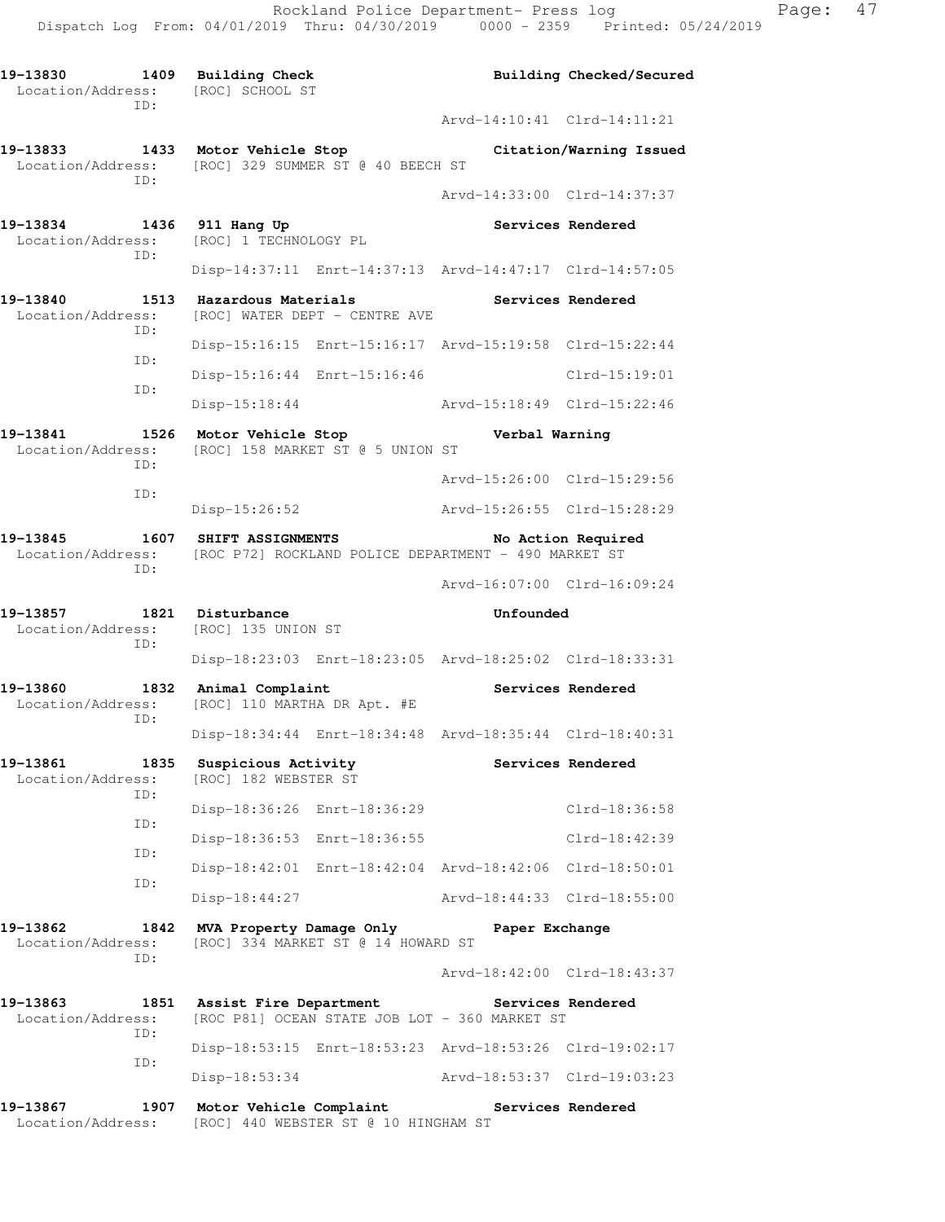19-13830 1409 Building Check **Building Building Checked/Secured**  Location/Address: [ROC] SCHOOL ST ID: Arvd-14:10:41 Clrd-14:11:21 **19-13833 1433 Motor Vehicle Stop Citation/Warning Issued**  Location/Address: [ROC] 329 SUMMER ST @ 40 BEECH ST ID: Arvd-14:33:00 Clrd-14:37:37 19-13834 1436 911 Hang Up **Services Rendered**  Location/Address: [ROC] 1 TECHNOLOGY PL ID: Disp-14:37:11 Enrt-14:37:13 Arvd-14:47:17 Clrd-14:57:05 19-13840 1513 Hazardous Materials Services Rendered Location/Address: [ROC] WATER DEPT - CENTRE AVE [ROC] WATER DEPT - CENTRE AVE ID: Disp-15:16:15 Enrt-15:16:17 Arvd-15:19:58 Clrd-15:22:44 ID: Disp-15:16:44 Enrt-15:16:46 Clrd-15:19:01 ID: Disp-15:18:44 Arvd-15:18:49 Clrd-15:22:46 **19-13841 1526 Motor Vehicle Stop Verbal Warning**  Location/Address: [ROC] 158 MARKET ST @ 5 UNION ST ID: Arvd-15:26:00 Clrd-15:29:56 ID: Disp-15:26:52 Arvd-15:26:55 Clrd-15:28:29 **19-13845 1607 SHIFT ASSIGNMENTS No Action Required**  Location/Address: [ROC P72] ROCKLAND POLICE DEPARTMENT - 490 MARKET ST ID: Arvd-16:07:00 Clrd-16:09:24 **19-13857 1821 Disturbance Unfounded**  Location/Address: [ROC] 135 UNION ST ID: Disp-18:23:03 Enrt-18:23:05 Arvd-18:25:02 Clrd-18:33:31 **19-13860 1832 Animal Complaint Services Rendered**  Location/Address: [ROC] 110 MARTHA DR Apt. #E ID: Disp-18:34:44 Enrt-18:34:48 Arvd-18:35:44 Clrd-18:40:31 19-13861 1835 Suspicious Activity **1826 Services Rendered** Location/Address: [ROC] 182 WEBSTER ST ID: Disp-18:36:26 Enrt-18:36:29 Clrd-18:36:58 ID: Disp-18:36:53 Enrt-18:36:55 Clrd-18:42:39 ID: Disp-18:42:01 Enrt-18:42:04 Arvd-18:42:06 Clrd-18:50:01 ID: Disp-18:44:27 Arvd-18:44:33 Clrd-18:55:00 **19-13862 1842 MVA Property Damage Only Paper Exchange**  Location/Address: [ROC] 334 MARKET ST @ 14 HOWARD ST ID: Arvd-18:42:00 Clrd-18:43:37 **19-13863 1851 Assist Fire Department Services Rendered**  Location/Address: [ROC P81] OCEAN STATE JOB LOT - 360 MARKET ST ID: Disp-18:53:15 Enrt-18:53:23 Arvd-18:53:26 Clrd-19:02:17 ID: Disp-18:53:34 Arvd-18:53:37 Clrd-19:03:23 **19-13867 1907 Motor Vehicle Complaint Services Rendered** 

Location/Address: [ROC] 440 WEBSTER ST @ 10 HINGHAM ST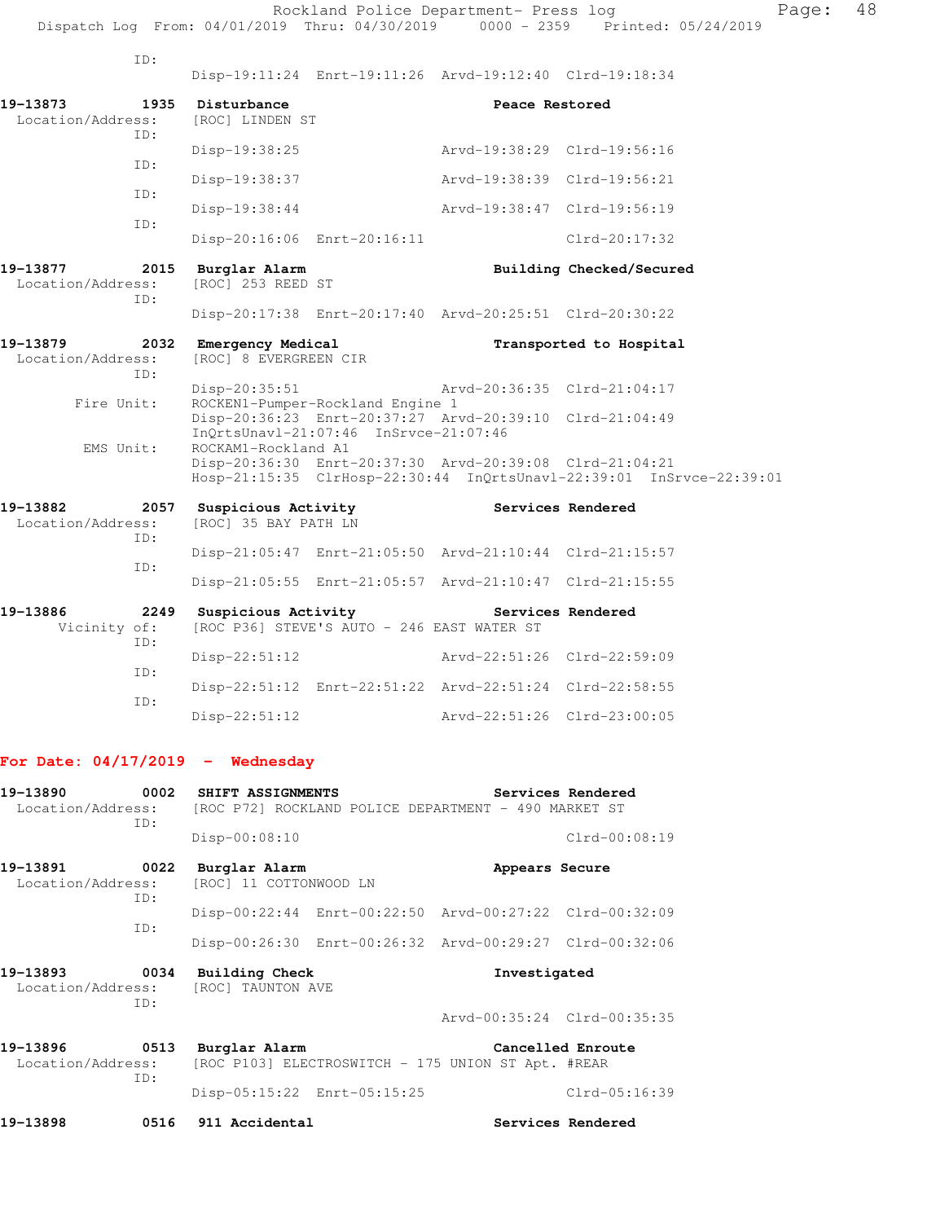|                                      |                                                 |                                                                           | Rockland Police Department- Press log                                                                              | Dispatch Log From: 04/01/2019 Thru: 04/30/2019 0000 - 2359 Printed: 05/24/2019 | Page: | 48 |
|--------------------------------------|-------------------------------------------------|---------------------------------------------------------------------------|--------------------------------------------------------------------------------------------------------------------|--------------------------------------------------------------------------------|-------|----|
| ID:                                  |                                                 |                                                                           | Disp-19:11:24 Enrt-19:11:26 Arvd-19:12:40 Clrd-19:18:34                                                            |                                                                                |       |    |
| 19-13873<br>Location/Address:<br>TD: | 1935 Disturbance<br>[ROC] LINDEN ST             |                                                                           | Peace Restored                                                                                                     |                                                                                |       |    |
| ID:<br>ID:                           | Disp-19:38:25<br>Disp-19:38:37                  |                                                                           | Arvd-19:38:29 Clrd-19:56:16<br>Arvd-19:38:39 Clrd-19:56:21                                                         |                                                                                |       |    |
| ID:                                  | Disp-19:38:44                                   | Disp-20:16:06 Enrt-20:16:11                                               | Arvd-19:38:47 Clrd-19:56:19                                                                                        | Clrd-20:17:32                                                                  |       |    |
| 19-13877<br>Location/Address:<br>TD: | 2015 Burglar Alarm<br>[ROC] 253 REED ST         |                                                                           |                                                                                                                    | Building Checked/Secured                                                       |       |    |
| 19-13879<br>Location/Address:<br>ID: | 2032 Emergency Medical<br>[ROC] 8 EVERGREEN CIR |                                                                           | Disp-20:17:38 Enrt-20:17:40 Arvd-20:25:51 Clrd-20:30:22                                                            | Transported to Hospital                                                        |       |    |
| Fire Unit:                           | Disp-20:35:51                                   | ROCKEN1-Pumper-Rockland Engine 1<br>InQrtsUnavl-21:07:46 InSrvce-21:07:46 | Arvd-20:36:35 Clrd-21:04:17<br>Disp-20:36:23 Enrt-20:37:27 Arvd-20:39:10 Clrd-21:04:49                             |                                                                                |       |    |
| EMS Unit:                            | ROCKAM1-Rockland A1                             |                                                                           | Disp-20:36:30 Enrt-20:37:30 Arvd-20:39:08 Clrd-21:04:21                                                            | Hosp-21:15:35 ClrHosp-22:30:44 InQrtsUnavl-22:39:01 InSrvce-22:39:01           |       |    |
| 19-13882<br>Location/Address:<br>ID: | [ROC] 35 BAY PATH LN                            |                                                                           | 2057 Suspicious Activity The Services Rendered                                                                     |                                                                                |       |    |
| ID:                                  |                                                 |                                                                           | Disp-21:05:47 Enrt-21:05:50 Arvd-21:10:44 Clrd-21:15:57<br>Disp-21:05:55 Enrt-21:05:57 Arvd-21:10:47 Clrd-21:15:55 |                                                                                |       |    |
| 19-13886<br>Vicinity of:<br>ID:      | 2249 Suspicious Activity                        | [ROC P36] STEVE'S AUTO - 246 EAST WATER ST                                |                                                                                                                    | Services Rendered                                                              |       |    |
| ID:                                  | $Disp-22:51:12$                                 |                                                                           | Arvd-22:51:26 Clrd-22:59:09<br>Disp-22:51:12 Enrt-22:51:22 Arvd-22:51:24 Clrd-22:58:55                             |                                                                                |       |    |
| ID:                                  | $Disp-22:51:12$                                 |                                                                           | Arvd-22:51:26 Clrd-23:00:05                                                                                        |                                                                                |       |    |

# **For Date: 04/17/2019 - Wednesday**

| 19-13890 0002 SHIFT ASSIGNMENTS<br>Location/Address: [ROC P72] ROCKLAND POLICE DEPARTMENT - 490 MARKET ST<br>ID: |             |                                                                         |                                                                      | Services Rendered           |
|------------------------------------------------------------------------------------------------------------------|-------------|-------------------------------------------------------------------------|----------------------------------------------------------------------|-----------------------------|
|                                                                                                                  |             | $Disp-00:08:10$                                                         |                                                                      | $Clrd-00:08:19$             |
|                                                                                                                  | ID:         | 19-13891 0022 Burglar Alarm<br>Location/Address: [ROC] 11 COTTONWOOD LN | Appears Secure                                                       |                             |
|                                                                                                                  | ID:         |                                                                         | Disp-00:22:44 Enrt-00:22:50 Arvd-00:27:22 Clrd-00:32:09              |                             |
|                                                                                                                  |             |                                                                         | Disp-00:26:30 Enrt-00:26:32 Arvd-00:29:27 Clrd-00:32:06              |                             |
| 19-13893                                                                                                         | ID:         | 0034 Building Check<br>Location/Address: [ROC] TAUNTON AVE              | Investigated                                                         |                             |
|                                                                                                                  |             |                                                                         |                                                                      | Arvd-00:35:24 Clrd-00:35:35 |
| 19-13896                                                                                                         | 0513<br>ID: | Burglar Alarm                                                           | Location/Address: [ROC P103] ELECTROSWITCH - 175 UNION ST Apt. #REAR | Cancelled Enroute           |
|                                                                                                                  |             | Disp-05:15:22 Enrt-05:15:25                                             |                                                                      | $Clrd-05:16:39$             |
| 19-13898                                                                                                         | 0516        | 911 Accidental                                                          |                                                                      | Services Rendered           |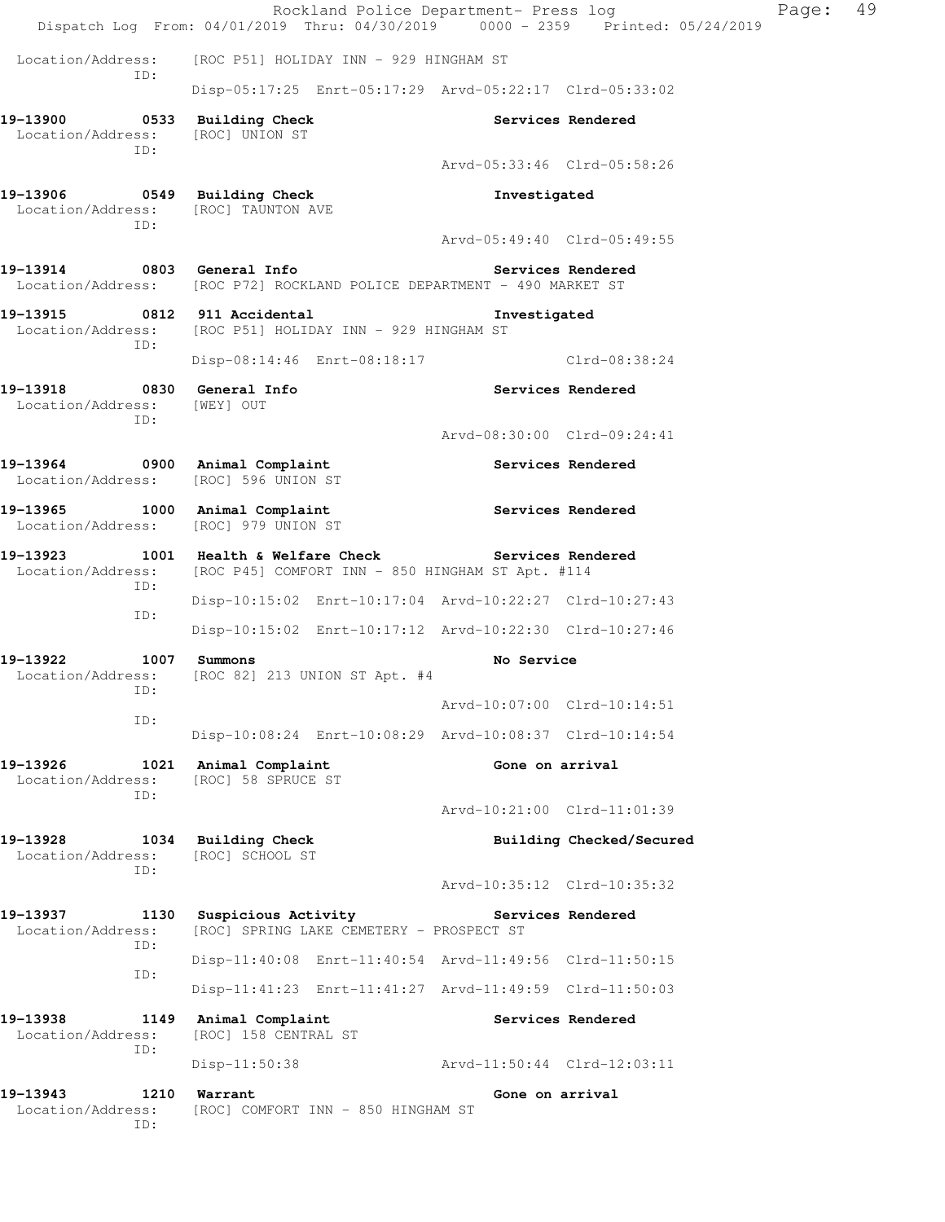|                                                                            | Rockland Police Department- Press log<br>Dispatch Log From: 04/01/2019 Thru: 04/30/2019 0000 - 2359 Printed: 05/24/2019 |                             |                          | Page: | 49 |
|----------------------------------------------------------------------------|-------------------------------------------------------------------------------------------------------------------------|-----------------------------|--------------------------|-------|----|
| Location/Address:                                                          | [ROC P51] HOLIDAY INN - 929 HINGHAM ST                                                                                  |                             |                          |       |    |
| ID:                                                                        | Disp-05:17:25 Enrt-05:17:29 Arvd-05:22:17 Clrd-05:33:02                                                                 |                             |                          |       |    |
| 19-13900 0533 Building Check<br>Location/Address: [ROC] UNION ST<br>ID:    |                                                                                                                         |                             | Services Rendered        |       |    |
|                                                                            |                                                                                                                         | Arvd-05:33:46 Clrd-05:58:26 |                          |       |    |
| 19-13906 0549 Building Check<br>Location/Address: [ROC] TAUNTON AVE<br>ID: |                                                                                                                         | Investigated                |                          |       |    |
|                                                                            |                                                                                                                         | Arvd-05:49:40 Clrd-05:49:55 |                          |       |    |
| 19-13914 0803 General Info                                                 | Location/Address: [ROC P72] ROCKLAND POLICE DEPARTMENT - 490 MARKET ST                                                  |                             | Services Rendered        |       |    |
| ID:                                                                        | 19-13915 0812 911 Accidental<br>Location/Address: [ROC P51] HOLIDAY INN - 929 HINGHAM ST                                | Investigated                |                          |       |    |
|                                                                            | Disp-08:14:46 Enrt-08:18:17 Clrd-08:38:24                                                                               |                             |                          |       |    |
| 19-13918 0830 General Info<br>Location/Address: [WEY] OUT<br>ID:           |                                                                                                                         |                             | Services Rendered        |       |    |
|                                                                            |                                                                                                                         | Arvd-08:30:00 Clrd-09:24:41 |                          |       |    |
| 19-13964 0900 Animal Complaint<br>Location/Address: [ROC] 596 UNION ST     |                                                                                                                         |                             | Services Rendered        |       |    |
| 19-13965 1000 Animal Complaint<br>Location/Address: [ROC] 979 UNION ST     |                                                                                                                         |                             | Services Rendered        |       |    |
|                                                                            | 19-13923 1001 Health & Welfare Check<br>Location/Address: [ROC P45] COMFORT INN - 850 HINGHAM ST Apt. #114              |                             | Services Rendered        |       |    |
| ID:<br>ID:                                                                 | Disp-10:15:02 Enrt-10:17:04 Arvd-10:22:27 Clrd-10:27:43                                                                 |                             |                          |       |    |
|                                                                            | Disp-10:15:02 Enrt-10:17:12 Arvd-10:22:30 Clrd-10:27:46                                                                 |                             |                          |       |    |
| 19–13922<br>1007 Summons<br>ID:                                            | Location/Address: [ROC 82] 213 UNION ST Apt. #4                                                                         | No Service                  |                          |       |    |
| ID:                                                                        |                                                                                                                         | Arvd-10:07:00 Clrd-10:14:51 |                          |       |    |
|                                                                            | Disp-10:08:24 Enrt-10:08:29 Arvd-10:08:37 Clrd-10:14:54                                                                 |                             |                          |       |    |
| 19-13926<br>1021<br>Location/Address:<br>ID:                               | Animal Complaint<br>[ROC] 58 SPRUCE ST                                                                                  | Gone on arrival             |                          |       |    |
|                                                                            |                                                                                                                         | Arvd-10:21:00 Clrd-11:01:39 |                          |       |    |
| 19-13928<br>Location/Address:<br>ID:                                       | 1034 Building Check<br>[ROC] SCHOOL ST                                                                                  |                             | Building Checked/Secured |       |    |
|                                                                            |                                                                                                                         | Arvd-10:35:12 Clrd-10:35:32 |                          |       |    |
| 19-13937<br>1130<br>Location/Address:<br>ID:                               | Suspicious Activity<br>[ROC] SPRING LAKE CEMETERY - PROSPECT ST                                                         |                             | Services Rendered        |       |    |
| ID:                                                                        | Disp-11:40:08 Enrt-11:40:54 Arvd-11:49:56 Clrd-11:50:15                                                                 |                             |                          |       |    |
|                                                                            | Disp-11:41:23 Enrt-11:41:27 Arvd-11:49:59 Clrd-11:50:03                                                                 |                             |                          |       |    |
| 19-13938<br>Location/Address:<br>ID:                                       | 1149 Animal Complaint<br>[ROC] 158 CENTRAL ST                                                                           |                             | Services Rendered        |       |    |
|                                                                            | $Disp-11:50:38$                                                                                                         | Arvd-11:50:44 Clrd-12:03:11 |                          |       |    |
| 19-13943<br>1210<br>Location/Address:<br>ID:                               | Warrant<br>[ROC] COMFORT INN - 850 HINGHAM ST                                                                           | Gone on arrival             |                          |       |    |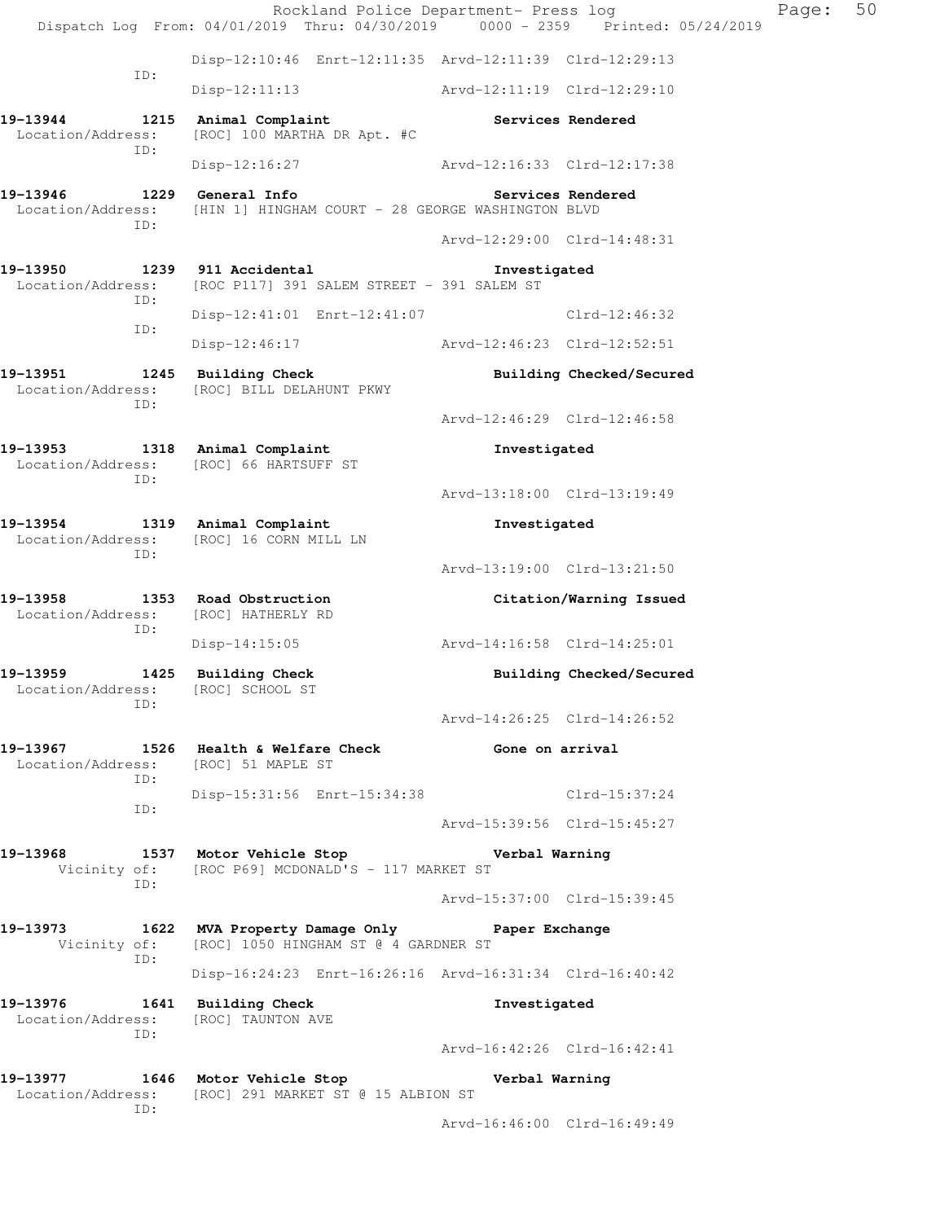Rockland Police Department- Press log Page: 50 Dispatch Log From: 04/01/2019 Thru: 04/30/2019 0000 - 2359 Printed: 05/24/2019 Disp-12:10:46 Enrt-12:11:35 Arvd-12:11:39 Clrd-12:29:13 ID: Disp-12:11:13 Arvd-12:11:19 Clrd-12:29:10 19-13944 1215 Animal Complaint **1216** Services Rendered Location/Address: [ROC] 100 MARTHA DR Apt. #C ID: Disp-12:16:27 Arvd-12:16:33 Clrd-12:17:38 19-13946 **1229** General Info **19the Services Rendered**  Location/Address: [HIN 1] HINGHAM COURT - 28 GEORGE WASHINGTON BLVD ID: Arvd-12:29:00 Clrd-14:48:31 **19-13950 1239 911 Accidental Investigated**  Location/Address: [ROC P117] 391 SALEM STREET - 391 SALEM ST ID: Disp-12:41:01 Enrt-12:41:07 Clrd-12:46:32 ID: Disp-12:46:17 Arvd-12:46:23 Clrd-12:52:51 **19-13951 1245 Building Check Building Checked/Secured**  Location/Address: [ROC] BILL DELAHUNT PKWY ID: Arvd-12:46:29 Clrd-12:46:58 **19-13953 1318 Animal Complaint Investigated**  Location/Address: [ROC] 66 HARTSUFF ST ID: Arvd-13:18:00 Clrd-13:19:49 **19-13954 1319 Animal Complaint Investigated**  Location/Address: [ROC] 16 CORN MILL LN ID: Arvd-13:19:00 Clrd-13:21:50 **19-13958 1353 Road Obstruction Citation/Warning Issued**  Location/Address: [ROC] HATHERLY RD ID: Disp-14:15:05 Arvd-14:16:58 Clrd-14:25:01 19-13959 1425 Building Check **Building Building Checked/Secured**  Location/Address: [ROC] SCHOOL ST ID: Arvd-14:26:25 Clrd-14:26:52 19-13967 1526 Health & Welfare Check **Gone on arrival**  Location/Address: [ROC] 51 MAPLE ST ID: Disp-15:31:56 Enrt-15:34:38 Clrd-15:37:24 ID: Arvd-15:39:56 Clrd-15:45:27 **19-13968 1537 Motor Vehicle Stop Verbal Warning**  Vicinity of: [ROC P69] MCDONALD'S - 117 MARKET ST ID: Arvd-15:37:00 Clrd-15:39:45 **19-13973 1622 MVA Property Damage Only Paper Exchange**  Vicinity of: [ROC] 1050 HINGHAM ST @ 4 GARDNER ST ID: Disp-16:24:23 Enrt-16:26:16 Arvd-16:31:34 Clrd-16:40:42 **19-13976 1641 Building Check Investigated**  Location/Address: [ROC] TAUNTON AVE ID: Arvd-16:42:26 Clrd-16:42:41 **19-13977 1646 Motor Vehicle Stop Verbal Warning**  Location/Address: [ROC] 291 MARKET ST @ 15 ALBION ST ID: Arvd-16:46:00 Clrd-16:49:49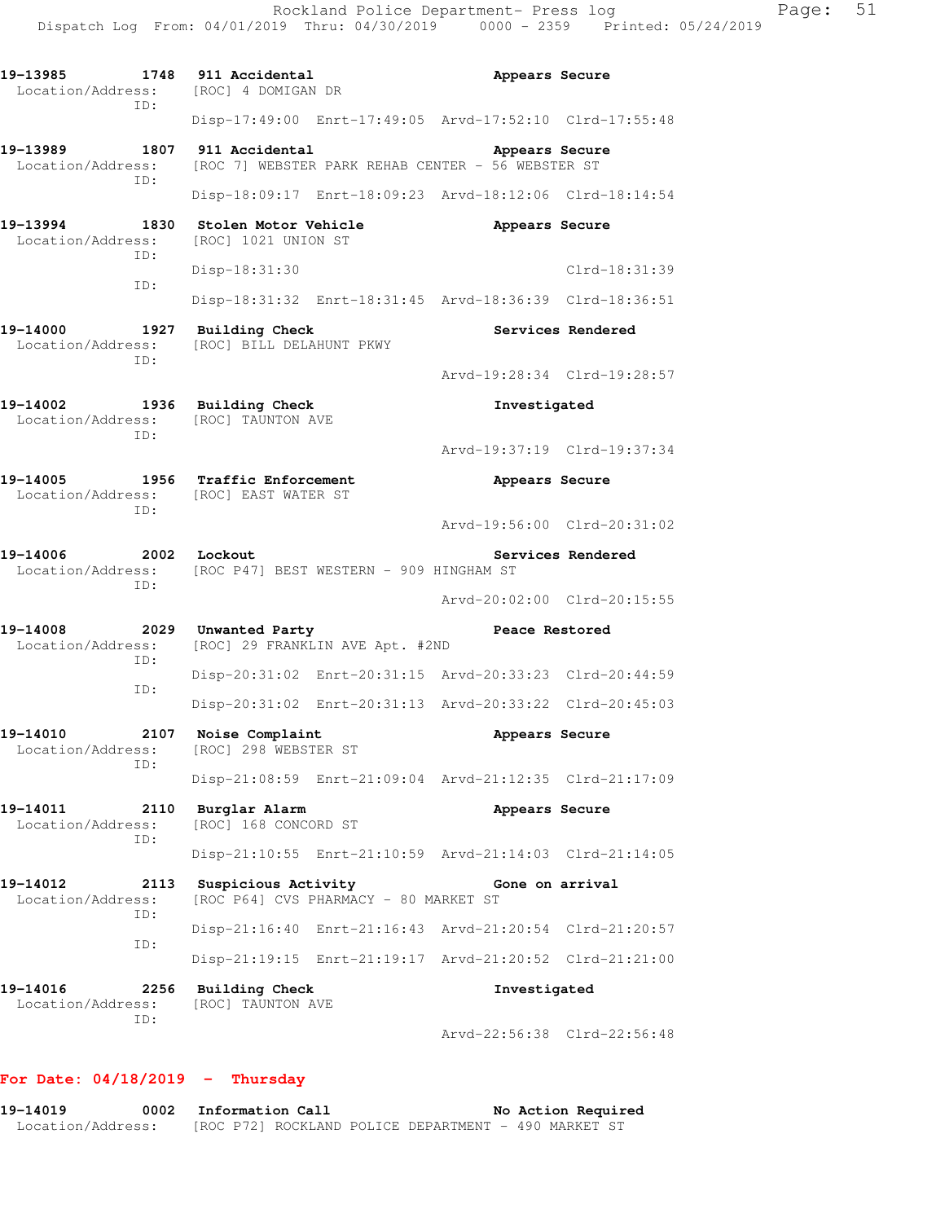Rockland Police Department- Press log Franch Page: 51 Dispatch Log From: 04/01/2019 Thru: 04/30/2019 0000 - 2359 Printed: 05/24/2019 **19-13985 1748 911 Accidental Appears Secure**  Location/Address: [ROC] 4 DOMIGAN DR ID: Disp-17:49:00 Enrt-17:49:05 Arvd-17:52:10 Clrd-17:55:48 **19-13989 1807 911 Accidental Appears Secure**  Location/Address: [ROC 7] WEBSTER PARK REHAB CENTER - 56 WEBSTER ST ID: Disp-18:09:17 Enrt-18:09:23 Arvd-18:12:06 Clrd-18:14:54 **19-13994 1830 Stolen Motor Vehicle Appears Secure**  Location/Address: [ROC] 1021 UNION ST ID: Disp-18:31:30 Clrd-18:31:39 ID: Disp-18:31:32 Enrt-18:31:45 Arvd-18:36:39 Clrd-18:36:51 **19-14000 1927 Building Check Services Rendered**  Location/Address: [ROC] BILL DELAHUNT PKWY ID: Arvd-19:28:34 Clrd-19:28:57 **19-14002 1936 Building Check Investigated**  Location/Address: [ROC] TAUNTON AVE ID: Arvd-19:37:19 Clrd-19:37:34 **19-14005 1956 Traffic Enforcement Appears Secure**  Location/Address: [ROC] EAST WATER ST ID: Arvd-19:56:00 Clrd-20:31:02 19-14006 2002 Lockout **Services Rendered**  Location/Address: [ROC P47] BEST WESTERN - 909 HINGHAM ST ID: Arvd-20:02:00 Clrd-20:15:55 **19-14008 2029 Unwanted Party Peace Restored**  Location/Address: [ROC] 29 FRANKLIN AVE Apt. #2ND ID: Disp-20:31:02 Enrt-20:31:15 Arvd-20:33:23 Clrd-20:44:59 ID: Disp-20:31:02 Enrt-20:31:13 Arvd-20:33:22 Clrd-20:45:03 **19-14010 2107 Noise Complaint Appears Secure**  Location/Address: [ROC] 298 WEBSTER ST ID: Disp-21:08:59 Enrt-21:09:04 Arvd-21:12:35 Clrd-21:17:09 19-14011 2110 Burglar Alarm **19-14011** Appears Secure Location/Address: [ROC] 168 CONCORD ST ID: Disp-21:10:55 Enrt-21:10:59 Arvd-21:14:03 Clrd-21:14:05 **19-14012 2113 Suspicious Activity Gone on arrival**  Location/Address: [ROC P64] CVS PHARMACY - 80 MARKET ST ID: Disp-21:16:40 Enrt-21:16:43 Arvd-21:20:54 Clrd-21:20:57 ID: Disp-21:19:15 Enrt-21:19:17 Arvd-21:20:52 Clrd-21:21:00 **19-14016 2256 Building Check Investigated**  Location/Address: [ROC] TAUNTON AVE ID: Arvd-22:56:38 Clrd-22:56:48

#### **For Date: 04/18/2019 - Thursday**

**19-14019 0002 Information Call No Action Required**  Location/Address: [ROC P72] ROCKLAND POLICE DEPARTMENT - 490 MARKET ST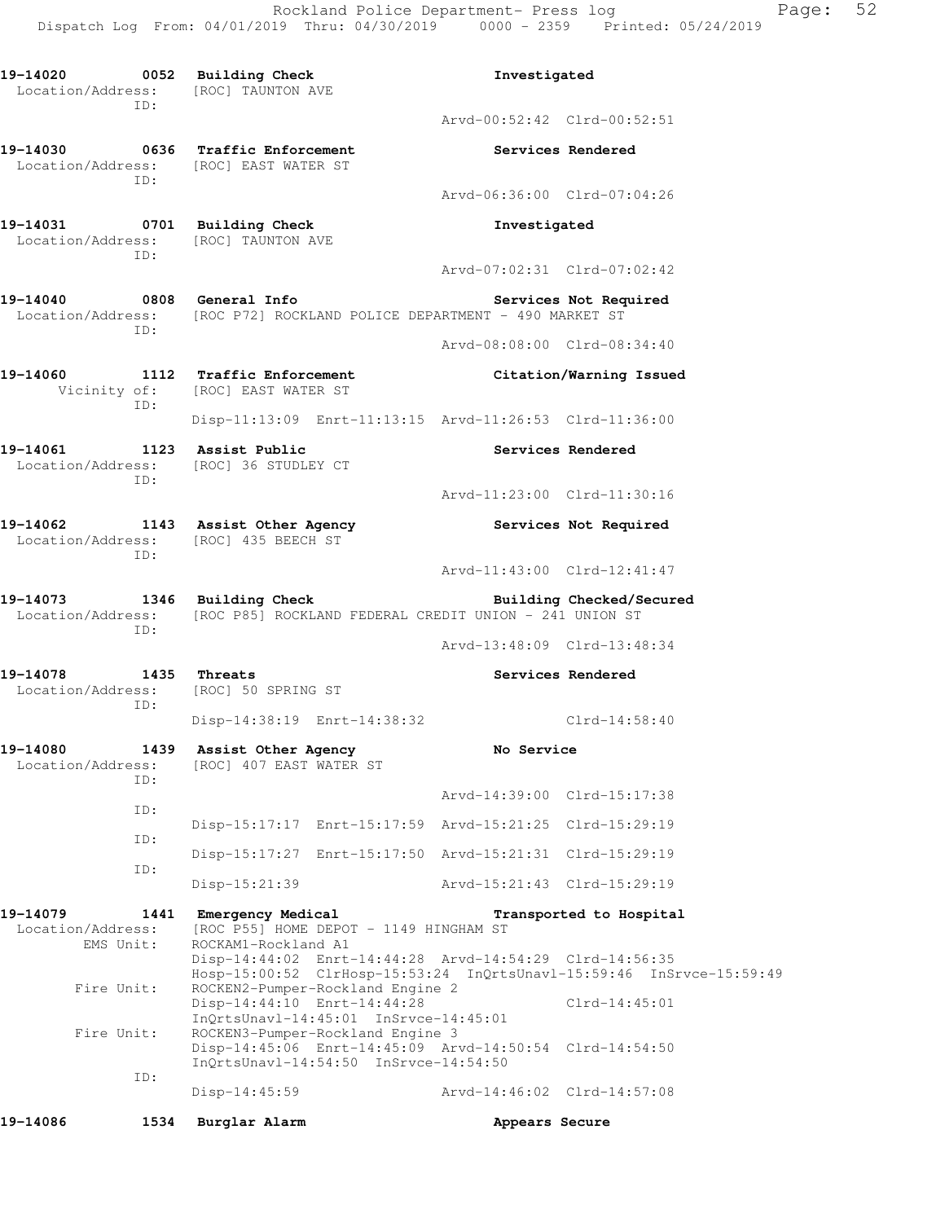**19-14020 0052 Building Check Investigated**  Location/Address: [ROC] TAUNTON AVE ID: Arvd-00:52:42 Clrd-00:52:51 **19-14030 0636 Traffic Enforcement Services Rendered**  Location/Address: [ROC] EAST WATER ST ID: Arvd-06:36:00 Clrd-07:04:26 **19-14031 0701 Building Check Investigated**  Location/Address: [ROC] TAUNTON AVE ID: Arvd-07:02:31 Clrd-07:02:42 **19-14040 0808 General Info Services Not Required**  Location/Address: [ROC P72] ROCKLAND POLICE DEPARTMENT - 490 MARKET ST ID: Arvd-08:08:00 Clrd-08:34:40 **19-14060 1112 Traffic Enforcement Citation/Warning Issued**  Vicinity of: [ROC] EAST WATER ST ID: Disp-11:13:09 Enrt-11:13:15 Arvd-11:26:53 Clrd-11:36:00 19-14061 1123 Assist Public **19-14061** Services Rendered Location/Address: [ROC] 36 STUDLEY CT ID: Arvd-11:23:00 Clrd-11:30:16 19-14062 **1143** Assist Other Agency **19-14062** Services Not Required Location/Address: [ROC] 435 BEECH ST ID: Arvd-11:43:00 Clrd-12:41:47 **19-14073 1346 Building Check Building Checked/Secured**  Location/Address: [ROC P85] ROCKLAND FEDERAL CREDIT UNION - 241 UNION ST ID: Arvd-13:48:09 Clrd-13:48:34 **19-14078 1435 Threats Services Rendered**  Location/Address: [ROC] 50 SPRING ST ID: Disp-14:38:19 Enrt-14:38:32 Clrd-14:58:40 **19-14080 1439 Assist Other Agency No Service**  Location/Address: [ROC] 407 EAST WATER ST ID: Arvd-14:39:00 Clrd-15:17:38 ID: Disp-15:17:17 Enrt-15:17:59 Arvd-15:21:25 Clrd-15:29:19 ID: Disp-15:17:27 Enrt-15:17:50 Arvd-15:21:31 Clrd-15:29:19 ID: Disp-15:21:39 Arvd-15:21:43 Clrd-15:29:19 **19-14079 1441 Emergency Medical Transported to Hospital**  Location/Address: [ROC P55] HOME DEPOT - 1149 HINGHAM ST<br>EMS Unit: ROCKAM1-Rockland A1 ROCKAM1-Rockland A1 Disp-14:44:02 Enrt-14:44:28 Arvd-14:54:29 Clrd-14:56:35 Hosp-15:00:52 ClrHosp-15:53:24 InQrtsUnavl-15:59:46 InSrvce-15:59:49 Fire Unit: ROCKEN2-Pumper-Rockland Engine 2 Disp-14:44:10 Enrt-14:44:28 Clrd-14:45:01 InQrtsUnavl-14:45:01 InSrvce-14:45:01<br>Fire Unit: ROCKEN3-Pumper-Rockland Engine 3 ROCKEN3-Pumper-Rockland Engine 3 Disp-14:45:06 Enrt-14:45:09 Arvd-14:50:54 Clrd-14:54:50 InQrtsUnavl-14:54:50 InSrvce-14:54:50 ID: Disp-14:45:59 Arvd-14:46:02 Clrd-14:57:08 **19-14086 1534 Burglar Alarm Appears Secure**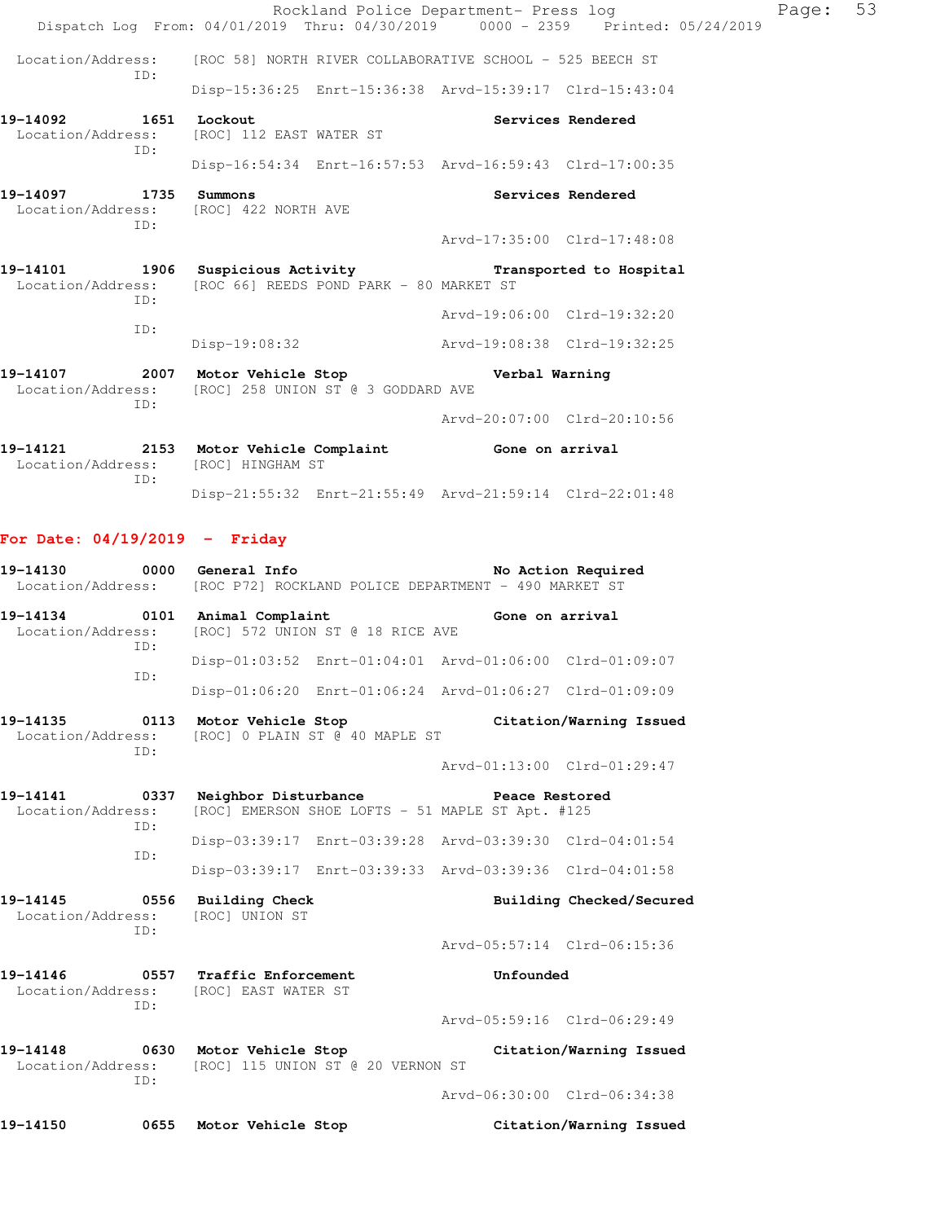| 19-14121              |     | 2153 Motor Vehicle Complaint                              | Gone on arrival                                                                     |                   |       |    |
|-----------------------|-----|-----------------------------------------------------------|-------------------------------------------------------------------------------------|-------------------|-------|----|
|                       |     |                                                           | Arvd-20:07:00 Clrd-20:10:56                                                         |                   |       |    |
|                       | ID: | Location/Address: [ROC] 258 UNION ST @ 3 GODDARD AVE      |                                                                                     |                   |       |    |
|                       |     |                                                           |                                                                                     |                   |       |    |
|                       | ID: |                                                           | Disp-19:08:32 Arvd-19:08:38 Clrd-19:32:25                                           |                   |       |    |
|                       |     |                                                           | Arvd-19:06:00 Clrd-19:32:20                                                         |                   |       |    |
|                       | ID: | Location/Address: [ROC 66] REEDS POND PARK - 80 MARKET ST | 19-14101 1906 Suspicious Activity <b>19-14101 19-14101</b> 1906 Suspicious Activity |                   |       |    |
|                       |     |                                                           |                                                                                     |                   |       |    |
|                       | TD: |                                                           | Arvd-17:35:00 Clrd-17:48:08                                                         |                   |       |    |
| 19-14097 1735 Summons |     | Location/Address: [ROC] 422 NORTH AVE                     |                                                                                     | Services Rendered |       |    |
|                       |     |                                                           | Disp-16:54:34 Enrt-16:57:53 Arvd-16:59:43 Clrd-17:00:35                             |                   |       |    |
|                       | TD: | Location/Address: [ROC] 112 EAST WATER ST                 |                                                                                     |                   |       |    |
| 19-14092 1651 Lockout |     |                                                           |                                                                                     | Services Rendered |       |    |
|                       |     |                                                           | Disp-15:36:25 Enrt-15:36:38 Arvd-15:39:17 Clrd-15:43:04                             |                   |       |    |
|                       | TD: |                                                           | Location/Address: [ROC 58] NORTH RIVER COLLABORATIVE SCHOOL - 525 BEECH ST          |                   |       |    |
|                       |     |                                                           | Dispatch Log From: 04/01/2019 Thru: 04/30/2019 0000 - 2359 Printed: 05/24/2019      |                   |       |    |
|                       |     |                                                           | Rockland Police Department- Press log                                               |                   | Page: | 53 |

 Location/Address: [ROC] HINGHAM ST ID: Disp-21:55:32 Enrt-21:55:49 Arvd-21:59:14 Clrd-22:01:48

### **For Date: 04/19/2019 - Friday**

| 19-14130<br>Location/Address:         | 0000        | General Info                                                                            |                                  | [ROC P72] ROCKLAND POLICE DEPARTMENT - 490 MARKET ST               | No Action Required          |
|---------------------------------------|-------------|-----------------------------------------------------------------------------------------|----------------------------------|--------------------------------------------------------------------|-----------------------------|
| 19-14134<br>Location/Address:         | 0101<br>TD: | Animal Complaint                                                                        | [ROC] 572 UNION ST @ 18 RICE AVE | Gone on arrival                                                    |                             |
|                                       | TD:         |                                                                                         |                                  | Disp-01:03:52 Enrt-01:04:01 Arvd-01:06:00 Clrd-01:09:07            |                             |
|                                       |             |                                                                                         |                                  | Disp-01:06:20 Enrt-01:06:24 Arvd-01:06:27 Clrd-01:09:09            |                             |
| 19-14135<br>Location/Address:         | 0113<br>TD: | Motor Vehicle Stop                                                                      | [ROC] 0 PLAIN ST @ 40 MAPLE ST   |                                                                    | Citation/Warning Issued     |
|                                       |             |                                                                                         |                                  |                                                                    | Arvd-01:13:00 Clrd-01:29:47 |
| 19-14141<br>0337<br>Location/Address: |             | Neighbor Disturbance                                                                    |                                  | Peace Restored<br>[ROC] EMERSON SHOE LOFTS - 51 MAPLE ST Apt. #125 |                             |
| TD:<br>TD:                            |             |                                                                                         |                                  | Disp-03:39:17 Enrt-03:39:28 Arvd-03:39:30 Clrd-04:01:54            |                             |
|                                       |             |                                                                                         |                                  | Disp-03:39:17 Enrt-03:39:33 Arvd-03:39:36 Clrd-04:01:58            |                             |
| 19-14145<br>Location/Address:         | 0556<br>ID: | <b>Building Check</b><br>[ROC] UNION ST                                                 |                                  |                                                                    | Building Checked/Secured    |
|                                       |             |                                                                                         |                                  |                                                                    | Arvd-05:57:14 Clrd-06:15:36 |
| 19-14146                              | ID:         | 0557 Traffic Enforcement<br>Location/Address: [ROC] EAST WATER ST                       |                                  | Unfounded                                                          |                             |
|                                       |             |                                                                                         |                                  |                                                                    | Arvd-05:59:16 Clrd-06:29:49 |
|                                       | TD:         | 19-14148 0630 Motor Vehicle Stop<br>Location/Address: [ROC] 115 UNION ST @ 20 VERNON ST |                                  |                                                                    | Citation/Warning Issued     |
|                                       |             |                                                                                         |                                  |                                                                    | Arvd-06:30:00 Clrd-06:34:38 |
| 19-14150                              | 0655        | Motor Vehicle Stop                                                                      |                                  |                                                                    | Citation/Warning Issued     |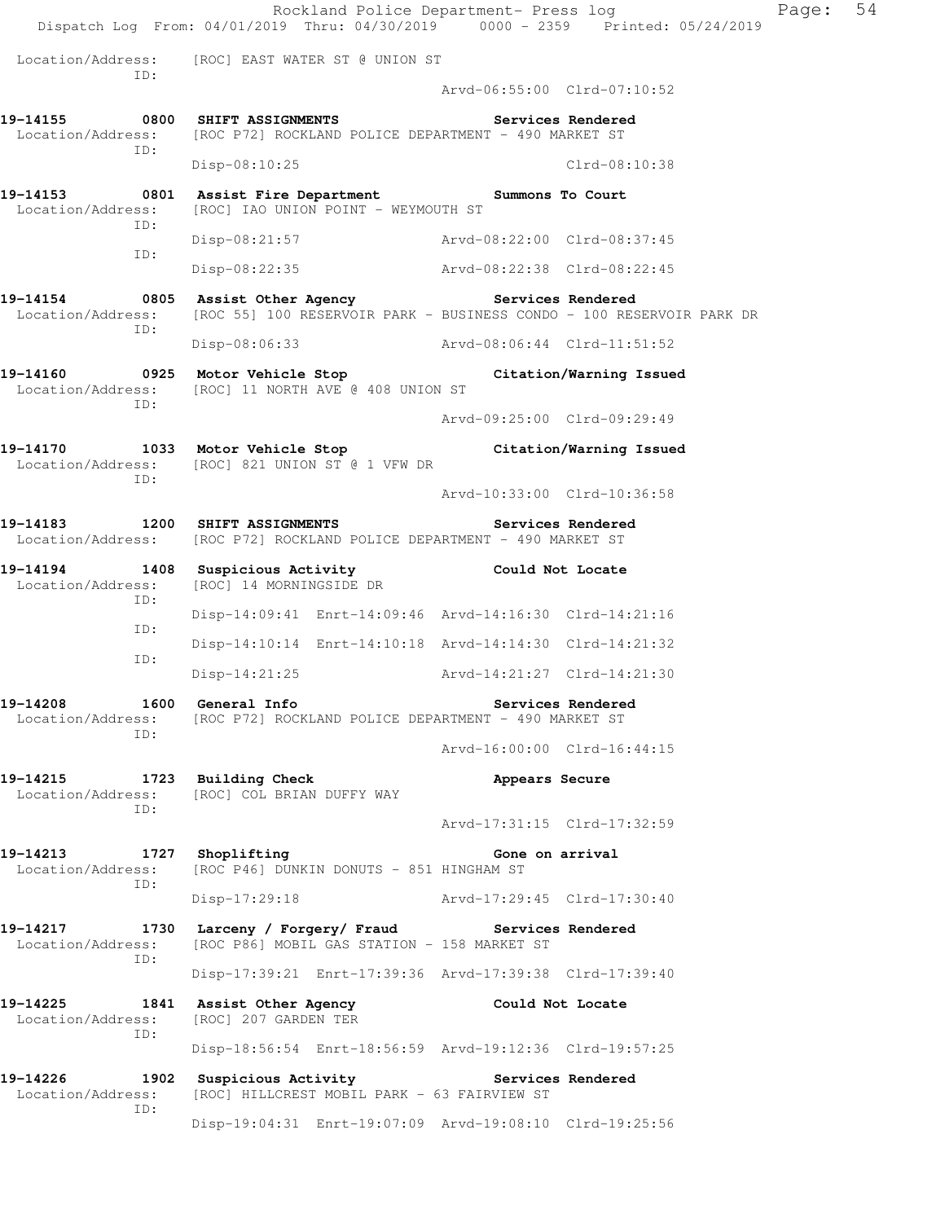Rockland Police Department- Press log Freed Page: 54 Dispatch Log From: 04/01/2019 Thru: 04/30/2019 0000 - 2359 Printed: 05/24/2019 Location/Address: [ROC] EAST WATER ST @ UNION ST ID: Arvd-06:55:00 Clrd-07:10:52 **19-14155 0800 SHIFT ASSIGNMENTS Services Rendered**  Location/Address: [ROC P72] ROCKLAND POLICE DEPARTMENT - 490 MARKET ST ID: Disp-08:10:25 Clrd-08:10:38 **19-14153 0801 Assist Fire Department Summons To Court**  Location/Address: [ROC] IAO UNION POINT - WEYMOUTH ST ID: Disp-08:21:57 Arvd-08:22:00 Clrd-08:37:45 ID: Disp-08:22:35 Arvd-08:22:38 Clrd-08:22:45 **19-14154 0805 Assist Other Agency Services Rendered**  Location/Address: [ROC 55] 100 RESERVOIR PARK - BUSINESS CONDO - 100 RESERVOIR PARK DR ID: Disp-08:06:33 Arvd-08:06:44 Clrd-11:51:52 **19-14160 0925 Motor Vehicle Stop Citation/Warning Issued**  Location/Address: [ROC] 11 NORTH AVE @ 408 UNION ST ID: Arvd-09:25:00 Clrd-09:29:49 **19-14170 1033 Motor Vehicle Stop Citation/Warning Issued**  Location/Address: [ROC] 821 UNION ST @ 1 VFW DR ID: Arvd-10:33:00 Clrd-10:36:58 **19-14183 1200 SHIFT ASSIGNMENTS Services Rendered**  Location/Address: [ROC P72] ROCKLAND POLICE DEPARTMENT - 490 MARKET ST **19-14194 1408 Suspicious Activity Could Not Locate**  Location/Address: [ROC] 14 MORNINGSIDE DR ID: Disp-14:09:41 Enrt-14:09:46 Arvd-14:16:30 Clrd-14:21:16 ID: Disp-14:10:14 Enrt-14:10:18 Arvd-14:14:30 Clrd-14:21:32 ID: Disp-14:21:25 Arvd-14:21:27 Clrd-14:21:30 **19-14208 1600 General Info Services Rendered**  Location/Address: [ROC P72] ROCKLAND POLICE DEPARTMENT - 490 MARKET ST ID: Arvd-16:00:00 Clrd-16:44:15 19-14215 1723 Building Check **19-14215** Appears Secure Location/Address: [ROC] COL BRIAN DUFFY WAY ID: Arvd-17:31:15 Clrd-17:32:59 19-14213 1727 Shoplifting **19** Gone on arrival Location/Address: [ROC P46] DUNKIN DONUTS - 851 HINGHAM ST ID: Disp-17:29:18 Arvd-17:29:45 Clrd-17:30:40 **19-14217 1730 Larceny / Forgery/ Fraud Services Rendered**  Location/Address: [ROC P86] MOBIL GAS STATION - 158 MARKET ST ID: Disp-17:39:21 Enrt-17:39:36 Arvd-17:39:38 Clrd-17:39:40 **19-14225 1841 Assist Other Agency Could Not Locate**  Location/Address: [ROC] 207 GARDEN TER ID: Disp-18:56:54 Enrt-18:56:59 Arvd-19:12:36 Clrd-19:57:25 19-14226 1902 Suspicious Activity **1902 Services Rendered**  Location/Address: [ROC] HILLCREST MOBIL PARK - 63 FAIRVIEW ST ID: Disp-19:04:31 Enrt-19:07:09 Arvd-19:08:10 Clrd-19:25:56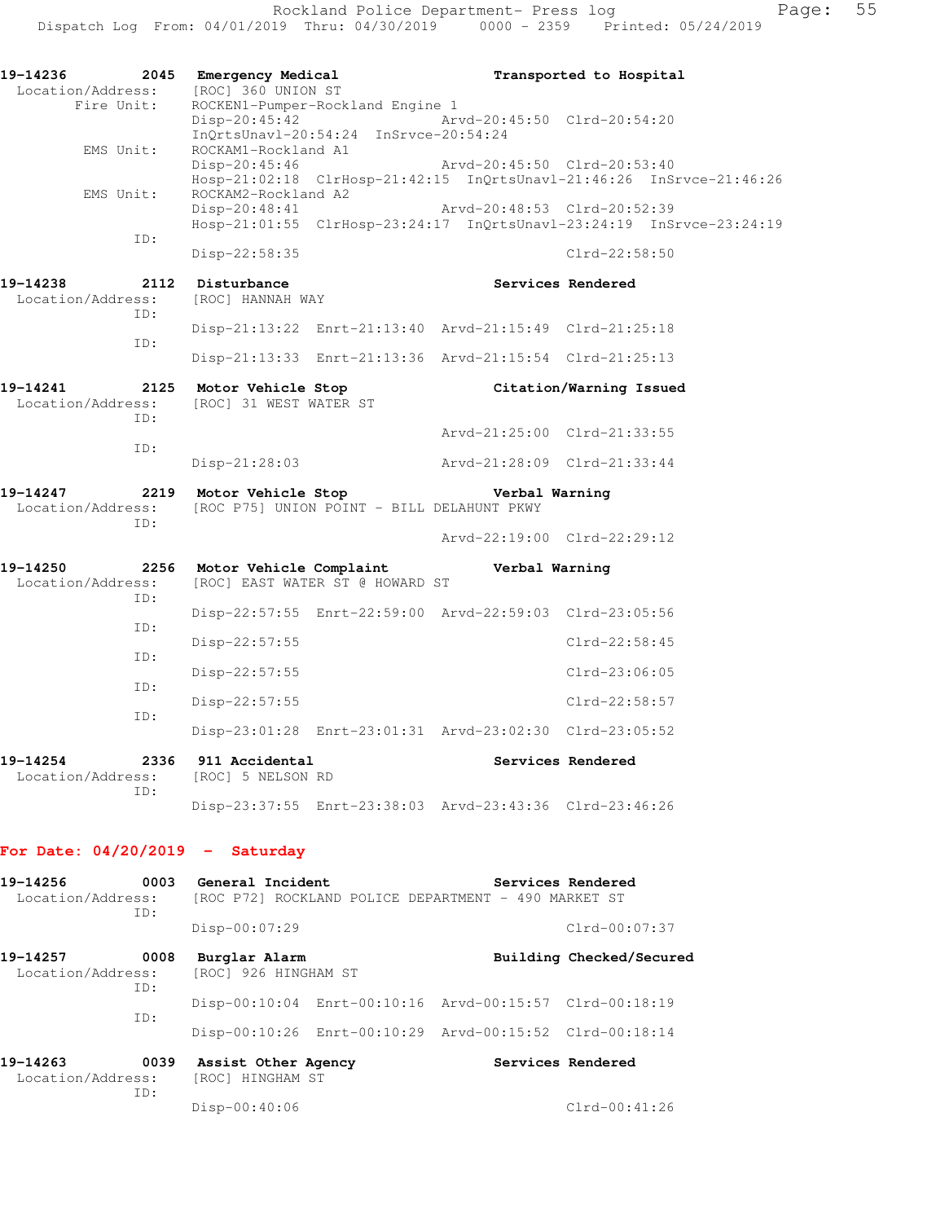Rockland Police Department- Press log entitled and Page: 55 Dispatch Log From: 04/01/2019 Thru: 04/30/2019 0000 - 2359 Printed: 05/24/2019

| 19-14236<br>2045<br>Location/Address:        | Emergency Medical<br>[ROC] 360 UNION ST                                                    | Transported to Hospital                                                                                           |
|----------------------------------------------|--------------------------------------------------------------------------------------------|-------------------------------------------------------------------------------------------------------------------|
| Fire Unit:                                   | ROCKEN1-Pumper-Rockland Engine 1<br>Disp-20:45:42<br>InQrtsUnavl-20:54:24 InSrvce-20:54:24 | Arvd-20:45:50 Clrd-20:54:20                                                                                       |
| EMS Unit:                                    | ROCKAM1-Rockland A1                                                                        | Disp-20:45:46 Arvd-20:45:50 Clrd-20:53:40<br>Hosp-21:02:18 ClrHosp-21:42:15 InQrtsUnavl-21:46:26 InSrvce-21:46:26 |
| EMS Unit:                                    | $Hosp-Z1:\nu z \rightarrow$<br>ROCKAM2-Rockland A2                                         | Arvd-20:48:53 Clrd-20:52:39                                                                                       |
| ID:                                          | $Disp-22:58:35$                                                                            | Hosp-21:01:55 ClrHosp-23:24:17 InQrtsUnavl-23:24:19 InSrvce-23:24:19<br>$Clrd-22:58:50$                           |
| 19-14238<br>2112<br>Location/Address:<br>ID: | Disturbance<br>[ROC] HANNAH WAY                                                            | <b>Services Rendered</b>                                                                                          |
|                                              |                                                                                            | Disp-21:13:22 Enrt-21:13:40 Arvd-21:15:49 Clrd-21:25:18                                                           |
| ID:                                          |                                                                                            | Disp-21:13:33 Enrt-21:13:36 Arvd-21:15:54 Clrd-21:25:13                                                           |
| 19-14241<br>2125<br>Location/Address:<br>TD: | Motor Vehicle Stop<br>[ROC] 31 WEST WATER ST                                               | Citation/Warning Issued                                                                                           |
| ID:                                          |                                                                                            | Arvd-21:25:00 Clrd-21:33:55                                                                                       |
|                                              | Disp-21:28:03                                                                              | Arvd-21:28:09 Clrd-21:33:44                                                                                       |
| 19-14247<br>Location/Address:<br>ID:         | 2219 Motor Vehicle Stop<br>[ROC P75] UNION POINT - BILL DELAHUNT PKWY                      | Verbal Warning                                                                                                    |
|                                              |                                                                                            | Arvd-22:19:00 Clrd-22:29:12                                                                                       |
| 19-14250<br>2256<br>Location/Address:<br>TD: | Motor Vehicle Complaint<br>[ROC] EAST WATER ST @ HOWARD ST                                 | Verbal Warning                                                                                                    |
|                                              |                                                                                            | Disp-22:57:55 Enrt-22:59:00 Arvd-22:59:03 Clrd-23:05:56                                                           |
| TD:                                          | Disp-22:57:55                                                                              | $Clrd-22:58:45$                                                                                                   |
| ID:                                          | Disp-22:57:55                                                                              | $Clrd-23:06:05$                                                                                                   |
| ID:                                          | $Disp-22:57:55$                                                                            | $Clrd-22:58:57$                                                                                                   |
| ID:                                          |                                                                                            | Disp-23:01:28 Enrt-23:01:31 Arvd-23:02:30 Clrd-23:05:52                                                           |
| 19-14254<br>Location/Address:                | 2336 911 Accidental<br>[ROC] 5 NELSON RD                                                   | Services Rendered                                                                                                 |
| TD:                                          |                                                                                            | Disp-23:37:55 Enrt-23:38:03 Arvd-23:43:36 Clrd-23:46:26                                                           |

# **For Date: 04/20/2019 - Saturday**

| 19-14256                      | 0003        | General Incident                        |                                                         | Services Rendered        |
|-------------------------------|-------------|-----------------------------------------|---------------------------------------------------------|--------------------------|
| Location/Address:             | ID:         |                                         | [ROC P72] ROCKLAND POLICE DEPARTMENT - 490 MARKET ST    |                          |
|                               |             | Disp-00:07:29                           |                                                         | $Clrd-00:07:37$          |
| 19-14257<br>Location/Address: | 0008<br>TD: | Burglar Alarm<br>[ROC] 926 HINGHAM ST   |                                                         | Building Checked/Secured |
|                               | TD:         |                                         | Disp-00:10:04 Enrt-00:10:16 Arvd-00:15:57 Clrd-00:18:19 |                          |
|                               |             |                                         | Disp-00:10:26 Enrt-00:10:29 Arvd-00:15:52 Clrd-00:18:14 |                          |
| 19-14263<br>Location/Address: | 0039<br>ID: | Assist Other Agency<br>[ROC] HINGHAM ST |                                                         | Services Rendered        |
|                               |             | $Disp-00:40:06$                         |                                                         | $Clrd-00:41:26$          |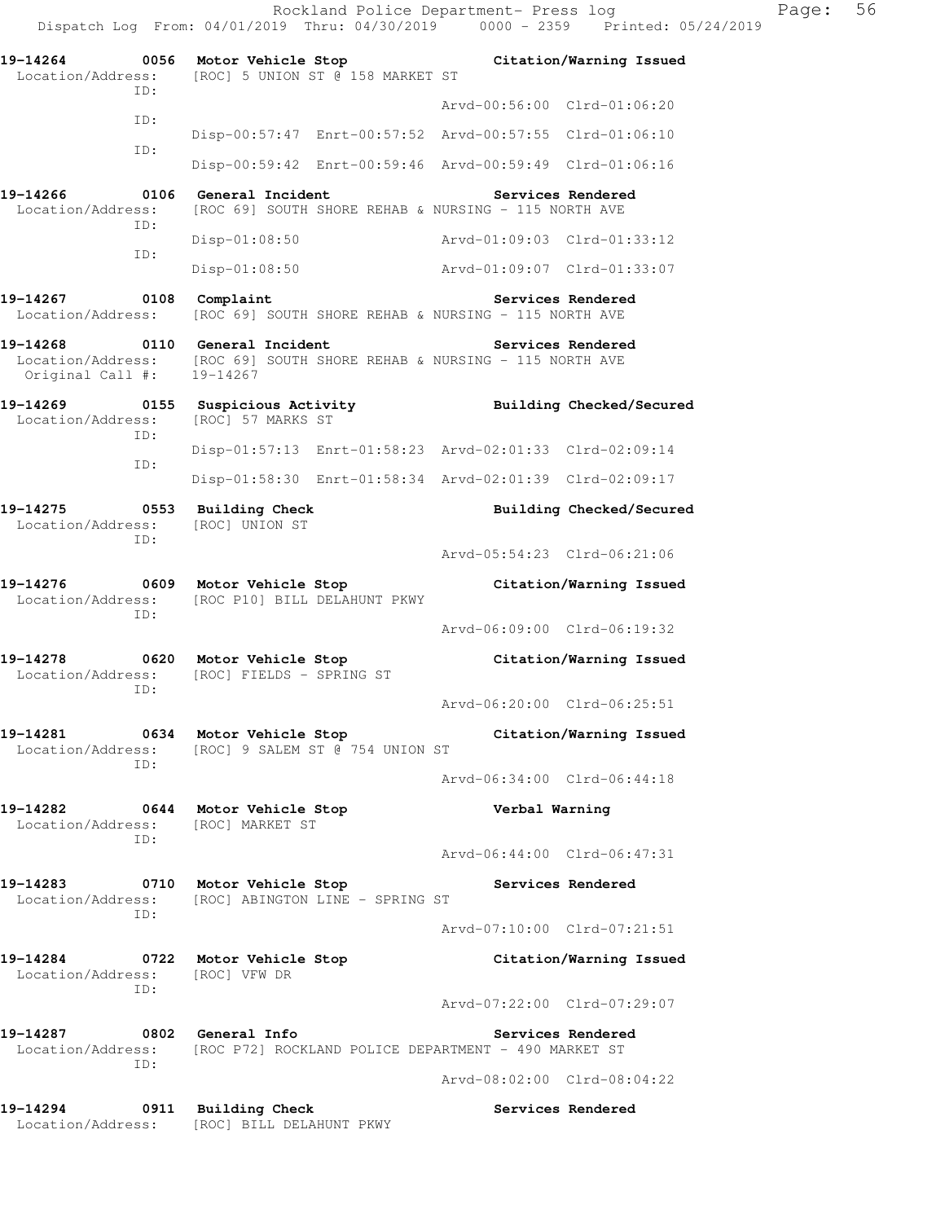Rockland Police Department- Press log Page: 56 Dispatch Log From: 04/01/2019 Thru: 04/30/2019 0000 - 2359 Printed: 05/24/2019 **19-14264 0056 Motor Vehicle Stop Citation/Warning Issued**  Location/Address: [ROC] 5 UNION ST @ 158 MARKET ST ID: Arvd-00:56:00 Clrd-01:06:20 ID: Disp-00:57:47 Enrt-00:57:52 Arvd-00:57:55 Clrd-01:06:10 ID: Disp-00:59:42 Enrt-00:59:46 Arvd-00:59:49 Clrd-01:06:16 **19-14266 0106 General Incident Services Rendered**  Location/Address: [ROC 69] SOUTH SHORE REHAB & NURSING - 115 NORTH AVE ID: Disp-01:08:50 Arvd-01:09:03 Clrd-01:33:12 ID: Disp-01:08:50 Arvd-01:09:07 Clrd-01:33:07 **19-14267 0108 Complaint Services Rendered**  Location/Address: [ROC 69] SOUTH SHORE REHAB & NURSING - 115 NORTH AVE **19-14268 0110 General Incident Services Rendered**  Location/Address: [ROC 69] SOUTH SHORE REHAB & NURSING - 115 NORTH AVE Original Call #: 19-14267 **19-14269 0155 Suspicious Activity Building Checked/Secured**  Location/Address: [ROC] 57 MARKS ST ID: Disp-01:57:13 Enrt-01:58:23 Arvd-02:01:33 Clrd-02:09:14 ID: Disp-01:58:30 Enrt-01:58:34 Arvd-02:01:39 Clrd-02:09:17 **19-14275 0553 Building Check Building Checked/Secured**  Location/Address: [ROC] UNION ST ID: Arvd-05:54:23 Clrd-06:21:06 **19-14276 0609 Motor Vehicle Stop Citation/Warning Issued**  Location/Address: [ROC P10] BILL DELAHUNT PKWY ID: Arvd-06:09:00 Clrd-06:19:32 **19-14278 0620 Motor Vehicle Stop Citation/Warning Issued**  Location/Address: [ROC] FIELDS - SPRING ST ID: Arvd-06:20:00 Clrd-06:25:51 **19-14281 0634 Motor Vehicle Stop Citation/Warning Issued**  Location/Address: [ROC] 9 SALEM ST @ 754 UNION ST ID: Arvd-06:34:00 Clrd-06:44:18 **19-14282 0644 Motor Vehicle Stop Verbal Warning**  Location/Address: [ROC] MARKET ST ID: Arvd-06:44:00 Clrd-06:47:31 **19-14283 0710 Motor Vehicle Stop Services Rendered**  Location/Address: [ROC] ABINGTON LINE - SPRING ST ID: Arvd-07:10:00 Clrd-07:21:51 **19-14284 0722 Motor Vehicle Stop Citation/Warning Issued**  Location/Address: [ROC] VFW DR ID: Arvd-07:22:00 Clrd-07:29:07 **19-14287 0802 General Info Services Rendered**  Location/Address: [ROC P72] ROCKLAND POLICE DEPARTMENT - 490 MARKET ST ID: Arvd-08:02:00 Clrd-08:04:22 19-14294 **0911** Building Check **Services Rendered** 

Location/Address: [ROC] BILL DELAHUNT PKWY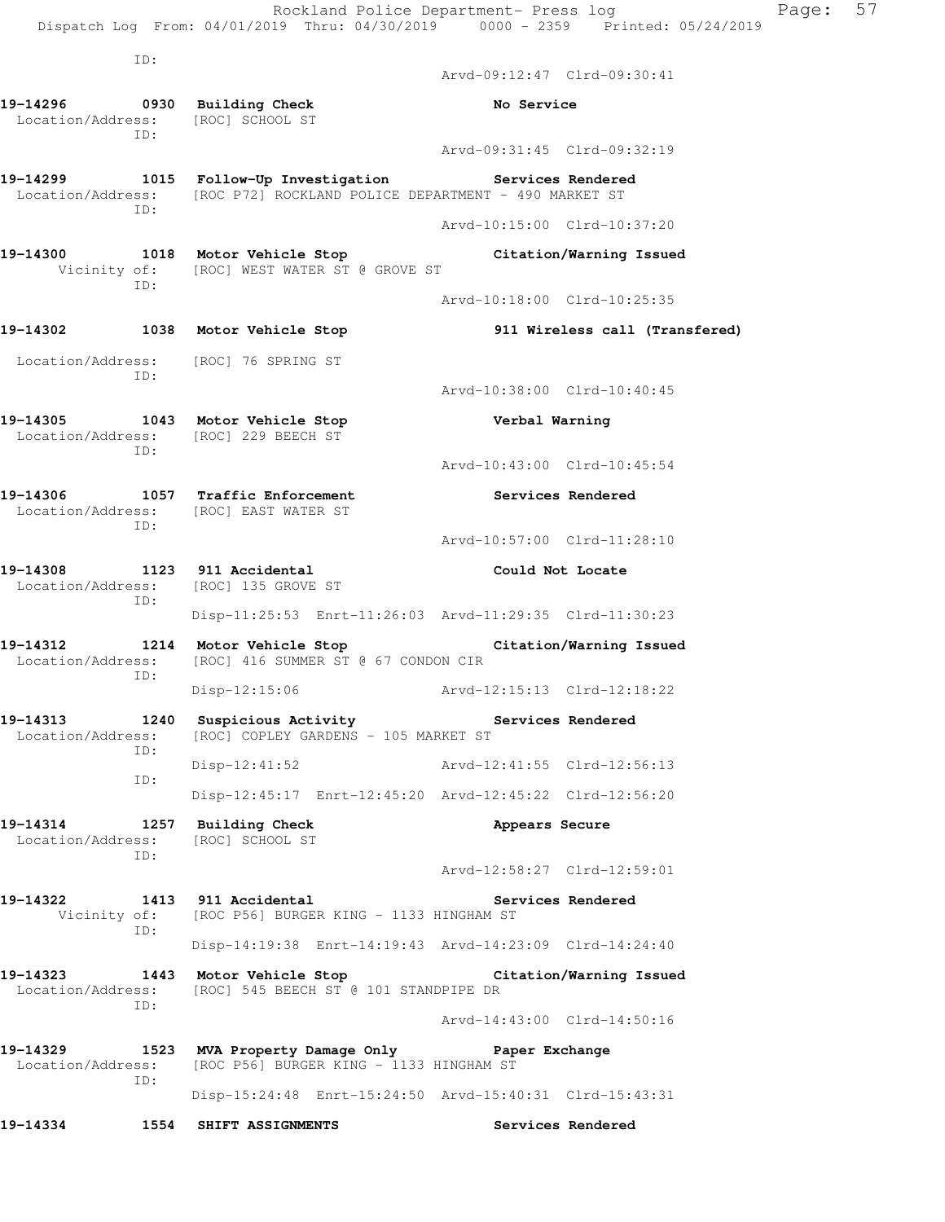|                               |      | Rockland Police Department- Press log<br>Dispatch Log From: 04/01/2019 Thru: 04/30/2019 0000 - 2359 Printed: 05/24/2019 |                             | Page:                          | 57 |
|-------------------------------|------|-------------------------------------------------------------------------------------------------------------------------|-----------------------------|--------------------------------|----|
|                               | ID:  |                                                                                                                         |                             |                                |    |
|                               |      |                                                                                                                         | Arvd-09:12:47 Clrd-09:30:41 |                                |    |
|                               |      | 19-14296 0930 Building Check<br>Location/Address: [ROC] SCHOOL ST                                                       | No Service                  |                                |    |
|                               | ID:  |                                                                                                                         | Arvd-09:31:45 Clrd-09:32:19 |                                |    |
|                               |      | 19-14299 1015 Follow-Up Investigation<br>Location/Address: [ROC P72] ROCKLAND POLICE DEPARTMENT - 490 MARKET ST         |                             | Services Rendered              |    |
|                               | ID:  |                                                                                                                         | Arvd-10:15:00 Clrd-10:37:20 |                                |    |
| 19-14300                      |      | 1018 Motor Vehicle Stop<br>Vicinity of: [ROC] WEST WATER ST @ GROVE ST                                                  |                             | Citation/Warning Issued        |    |
|                               | ID:  |                                                                                                                         | Arvd-10:18:00 Clrd-10:25:35 |                                |    |
|                               |      | 19-14302 1038 Motor Vehicle Stop                                                                                        |                             | 911 Wireless call (Transfered) |    |
|                               |      | Location/Address: [ROC] 76 SPRING ST                                                                                    |                             |                                |    |
|                               | ID:  |                                                                                                                         | Arvd-10:38:00 Clrd-10:40:45 |                                |    |
|                               | ID:  | 19-14305 1043 Motor Vehicle Stop<br>Location/Address: [ROC] 229 BEECH ST                                                | Verbal Warning              |                                |    |
|                               |      |                                                                                                                         | Arvd-10:43:00 Clrd-10:45:54 |                                |    |
| 19-14306                      | ID:  | 1057 Traffic Enforcement<br>Location/Address: [ROC] EAST WATER ST                                                       |                             | Services Rendered              |    |
|                               |      |                                                                                                                         | Arvd-10:57:00 Clrd-11:28:10 |                                |    |
| 19-14308                      | ID:  | 1123 911 Accidental<br>Location/Address: [ROC] 135 GROVE ST                                                             | Could Not Locate            |                                |    |
|                               |      | Disp-11:25:53 Enrt-11:26:03 Arvd-11:29:35 Clrd-11:30:23                                                                 |                             |                                |    |
| 19-14312<br>Location/Address: | ID:  | 1214 Motor Vehicle Stop Citation/Warning Issued<br>[ROC] 416 SUMMER ST @ 67 CONDON CIR                                  |                             |                                |    |
|                               |      | Disp-12:15:06                                                                                                           |                             |                                |    |
|                               | ID:  | 19-14313 1240 Suspicious Activity The Services Rendered<br>Location/Address: [ROC] COPLEY GARDENS - 105 MARKET ST       |                             |                                |    |
|                               | ID:  | Disp-12:41:52 Arvd-12:41:55 Clrd-12:56:13                                                                               |                             |                                |    |
|                               |      | Disp-12:45:17 Enrt-12:45:20 Arvd-12:45:22 Clrd-12:56:20                                                                 |                             |                                |    |
| 19-14314                      | ID:  | 1257 Building Check<br>Location/Address: [ROC] SCHOOL ST                                                                | Appears Secure              |                                |    |
|                               |      |                                                                                                                         | Arvd-12:58:27 Clrd-12:59:01 |                                |    |
| 19-14322                      | ID:  | 1413 911 Accidental<br>Vicinity of: [ROC P56] BURGER KING - 1133 HINGHAM ST                                             |                             | Services Rendered              |    |
|                               |      | Disp-14:19:38 Enrt-14:19:43 Arvd-14:23:09 Clrd-14:24:40                                                                 |                             |                                |    |
|                               |      | 19-14323 1443 Motor Vehicle Stop Citation/Warning Issued<br>Location/Address: [ROC] 545 BEECH ST @ 101 STANDPIPE DR     |                             |                                |    |
|                               | ID:  |                                                                                                                         | Arvd-14:43:00 Clrd-14:50:16 |                                |    |
| Location/Address:             | ID:  | 19-14329 1523 MVA Property Damage Only 19-14329 Paper Exchange<br>[ROC P56] BURGER KING - 1133 HINGHAM ST               |                             |                                |    |
|                               |      | Disp-15:24:48 Enrt-15:24:50 Arvd-15:40:31 Clrd-15:43:31                                                                 |                             |                                |    |
| 19-14334                      | 1554 | SHIFT ASSIGNMENTS                                                                                                       |                             | Services Rendered              |    |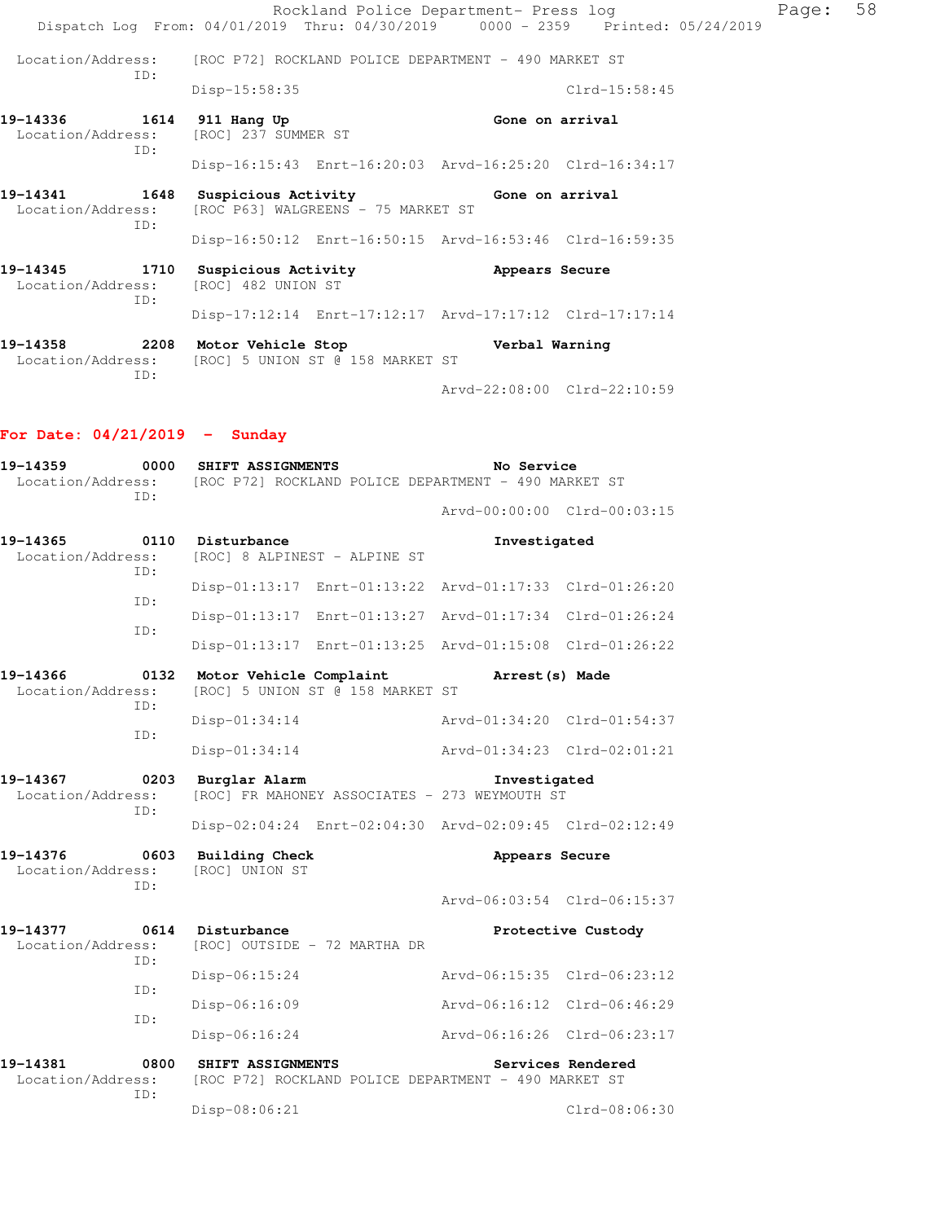Rockland Police Department- Press log Page: 58 Dispatch Log From: 04/01/2019 Thru: 04/30/2019 0000 - 2359 Printed: 05/24/2019 Location/Address: [ROC P72] ROCKLAND POLICE DEPARTMENT - 490 MARKET ST ID: Disp-15:58:35 Clrd-15:58:45 19-14336 1614 911 Hang Up **Gone on arrival** Location/Address: [ROC] 237 SUMMER ST ID:

Disp-16:15:43 Enrt-16:20:03 Arvd-16:25:20 Clrd-16:34:17

**19-14341 1648 Suspicious Activity Gone on arrival**  Location/Address: [ROC P63] WALGREENS - 75 MARKET ST ID: Disp-16:50:12 Enrt-16:50:15 Arvd-16:53:46 Clrd-16:59:35

**19-14345 1710 Suspicious Activity Appears Secure**  Location/Address: [ROC] 482 UNION ST ID: Disp-17:12:14 Enrt-17:12:17 Arvd-17:17:12 Clrd-17:17:14

**19-14358 2208 Motor Vehicle Stop Verbal Warning**  Location/Address: [ROC] 5 UNION ST @ 158 MARKET ST ID: Arvd-22:08:00 Clrd-22:10:59

#### **For Date: 04/21/2019 - Sunday**

| 19-14359<br>0000<br>Location/Address:<br>ID: |             | SHIFT ASSIGNMENTS<br>[ROC P72] ROCKLAND POLICE DEPARTMENT - 490 MARKET ST | No Service                  |                             |
|----------------------------------------------|-------------|---------------------------------------------------------------------------|-----------------------------|-----------------------------|
|                                              |             |                                                                           |                             | Arvd-00:00:00 Clrd-00:03:15 |
| 19-14365<br>Location/Address:                | 0110<br>ID: | Disturbance<br>[ROC] 8 ALPINEST - ALPINE ST                               | Investigated                |                             |
|                                              | TD:         | Disp-01:13:17 Enrt-01:13:22 Arvd-01:17:33 Clrd-01:26:20                   |                             |                             |
|                                              | ID:         | Disp-01:13:17 Enrt-01:13:27 Arvd-01:17:34 Clrd-01:26:24                   |                             |                             |
|                                              |             | Disp-01:13:17 Enrt-01:13:25 Arvd-01:15:08 Clrd-01:26:22                   |                             |                             |
| 19-14366<br>Location/Address:                | 0132<br>ID: | Motor Vehicle Complaint<br>[ROC] 5 UNION ST @ 158 MARKET ST               | Arrest (s) Made             |                             |
|                                              | ID:         | Disp-01:34:14                                                             |                             | Arvd-01:34:20 Clrd-01:54:37 |
|                                              |             | Disp-01:34:14                                                             | Arvd-01:34:23 Clrd-02:01:21 |                             |
| 19-14367<br>Location/Address:                | 0203<br>ID: | Burglar Alarm<br>[ROC] FR MAHONEY ASSOCIATES - 273 WEYMOUTH ST            | Investigated                |                             |
|                                              |             | Disp-02:04:24 Enrt-02:04:30 Arvd-02:09:45 Clrd-02:12:49                   |                             |                             |
| 19-14376<br>Location/Address:                | 0603<br>TD: | <b>Building Check</b><br>[ROC] UNION ST                                   | Appears Secure              |                             |
|                                              |             |                                                                           |                             | Arvd-06:03:54 Clrd-06:15:37 |
| 19-14377<br>Location/Address:                | 0614<br>ID: | Disturbance<br>[ROC] OUTSIDE - 72 MARTHA DR                               |                             | Protective Custody          |
|                                              | ID:         | Disp-06:15:24                                                             | Arvd-06:15:35 Clrd-06:23:12 |                             |
|                                              |             | Disp-06:16:09                                                             | Arvd-06:16:12 Clrd-06:46:29 |                             |
|                                              | ID:         | Disp-06:16:24                                                             |                             | Arvd-06:16:26 Clrd-06:23:17 |
| 19-14381<br>Location/Address:                | 0800<br>ID: | SHIFT ASSIGNMENTS<br>[ROC P72] ROCKLAND POLICE DEPARTMENT - 490 MARKET ST |                             | Services Rendered           |
|                                              |             | Disp-08:06:21                                                             |                             | Clrd-08:06:30               |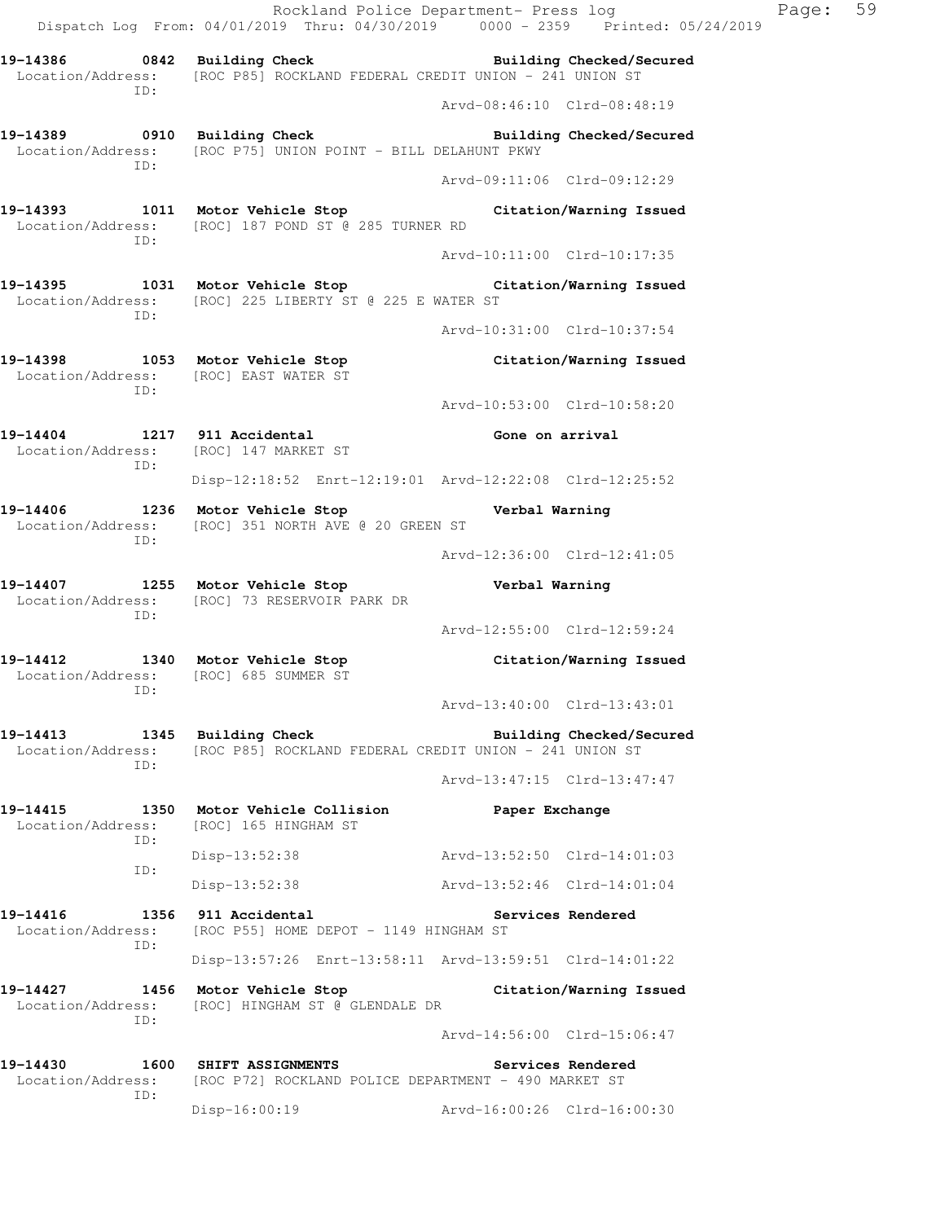Rockland Police Department- Press log Page: 59 Dispatch Log From: 04/01/2019 Thru: 04/30/2019 0000 - 2359 Printed: 05/24/2019 **19-14386 0842 Building Check Building Checked/Secured**  Location/Address: [ROC P85] ROCKLAND FEDERAL CREDIT UNION - 241 UNION ST ID: Arvd-08:46:10 Clrd-08:48:19 **19-14389 0910 Building Check Building Checked/Secured**  Location/Address: [ROC P75] UNION POINT - BILL DELAHUNT PKWY ID: Arvd-09:11:06 Clrd-09:12:29 **19-14393 1011 Motor Vehicle Stop Citation/Warning Issued**  Location/Address: [ROC] 187 POND ST @ 285 TURNER RD ID: Arvd-10:11:00 Clrd-10:17:35 **19-14395 1031 Motor Vehicle Stop Citation/Warning Issued**  Location/Address: [ROC] 225 LIBERTY ST @ 225 E WATER ST ID: Arvd-10:31:00 Clrd-10:37:54 **19-14398 1053 Motor Vehicle Stop Citation/Warning Issued**  Location/Address: [ROC] EAST WATER ST ID: Arvd-10:53:00 Clrd-10:58:20 **19-14404 1217 911 Accidental Gone on arrival**  Location/Address: [ROC] 147 MARKET ST ID: Disp-12:18:52 Enrt-12:19:01 Arvd-12:22:08 Clrd-12:25:52 **19-14406 1236 Motor Vehicle Stop Verbal Warning**  Location/Address: [ROC] 351 NORTH AVE @ 20 GREEN ST ID: Arvd-12:36:00 Clrd-12:41:05 **19-14407 1255 Motor Vehicle Stop Verbal Warning**  Location/Address: [ROC] 73 RESERVOIR PARK DR ID: Arvd-12:55:00 Clrd-12:59:24 **19-14412 1340 Motor Vehicle Stop Citation/Warning Issued**  Location/Address: [ROC] 685 SUMMER ST ID: Arvd-13:40:00 Clrd-13:43:01 19-14413 1345 Building Check **Building Building Checked/Secured** Location/Address: [ROC P85] ROCKLAND FEDERAL CREDIT UNION - 241 UNION ST ID: Arvd-13:47:15 Clrd-13:47:47 **19-14415 1350 Motor Vehicle Collision Paper Exchange**  Location/Address: [ROC] 165 HINGHAM ST ID: Disp-13:52:38 Arvd-13:52:50 Clrd-14:01:03 ID: Disp-13:52:38 Arvd-13:52:46 Clrd-14:01:04 **19-14416 1356 911 Accidental Services Rendered**  Location/Address: [ROC P55] HOME DEPOT - 1149 HINGHAM ST ID: Disp-13:57:26 Enrt-13:58:11 Arvd-13:59:51 Clrd-14:01:22 **19-14427 1456 Motor Vehicle Stop Citation/Warning Issued**  Location/Address: [ROC] HINGHAM ST @ GLENDALE DR ID: Arvd-14:56:00 Clrd-15:06:47 **19-14430 1600 SHIFT ASSIGNMENTS Services Rendered**  Location/Address: [ROC P72] ROCKLAND POLICE DEPARTMENT - 490 MARKET ST ID:

Disp-16:00:19 Arvd-16:00:26 Clrd-16:00:30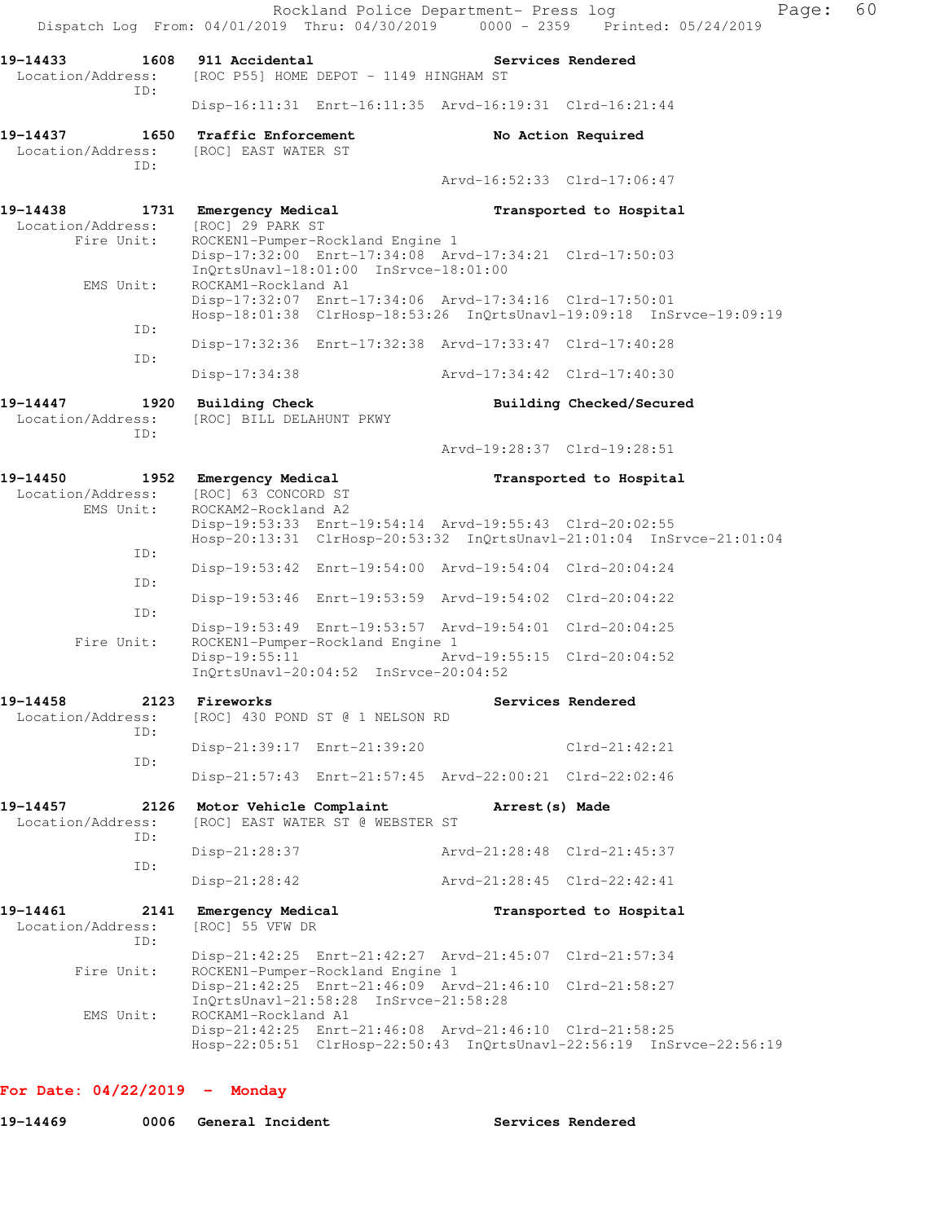Rockland Police Department- Press log Fage: 60 Dispatch Log From: 04/01/2019 Thru: 04/30/2019 0000 - 2359 Printed: 05/24/2019 **19-14433 1608 911 Accidental Services Rendered**  Location/Address: [ROC P55] HOME DEPOT - 1149 HINGHAM ST ID: Disp-16:11:31 Enrt-16:11:35 Arvd-16:19:31 Clrd-16:21:44 **19-14437 1650 Traffic Enforcement No Action Required**  Location/Address: [ROC] EAST WATER ST ID: Arvd-16:52:33 Clrd-17:06:47 **19-14438 1731 Emergency Medical Transported to Hospital** Location/Address: [ROC] 29 PARK ST Location/Address: Fire Unit: ROCKEN1-Pumper-Rockland Engine 1 Disp-17:32:00 Enrt-17:34:08 Arvd-17:34:21 Clrd-17:50:03 InQrtsUnavl-18:01:00 InSrvce-18:01:00<br>EMS Unit: ROCKAM1-Rockland A1 ROCKAM1-Rockland A1 Disp-17:32:07 Enrt-17:34:06 Arvd-17:34:16 Clrd-17:50:01 Hosp-18:01:38 ClrHosp-18:53:26 InQrtsUnavl-19:09:18 InSrvce-19:09:19 ID: Disp-17:32:36 Enrt-17:32:38 Arvd-17:33:47 Clrd-17:40:28 ID: Disp-17:34:38 Arvd-17:34:42 Clrd-17:40:30 **19-14447 1920 Building Check Building Checked/Secured**  Location/Address: [ROC] BILL DELAHUNT PKWY ID: Arvd-19:28:37 Clrd-19:28:51 **19-14450 1952 Emergency Medical Transported to Hospital**  Location/Address: [ROC] 63 CONCORD ST EMS Unit: ROCKAM2-Rockland A2 Disp-19:53:33 Enrt-19:54:14 Arvd-19:55:43 Clrd-20:02:55 Hosp-20:13:31 ClrHosp-20:53:32 InQrtsUnavl-21:01:04 InSrvce-21:01:04 ID: Disp-19:53:42 Enrt-19:54:00 Arvd-19:54:04 Clrd-20:04:24 ID: Disp-19:53:46 Enrt-19:53:59 Arvd-19:54:02 Clrd-20:04:22 ID: Disp-19:53:49 Enrt-19:53:57 Arvd-19:54:01 Clrd-20:04:25 Fire Unit: ROCKEN1-Pumper-Rockland Engine 1 Disp-19:55:11 Arvd-19:55:15 Clrd-20:04:52 InQrtsUnavl-20:04:52 InSrvce-20:04:52 **19-14458 2123 Fireworks Services Rendered**  Location/Address: [ROC] 430 POND ST @ 1 NELSON RD ID: Disp-21:39:17 Enrt-21:39:20 Clrd-21:42:21 ID: Disp-21:57:43 Enrt-21:57:45 Arvd-22:00:21 Clrd-22:02:46 **19-14457 2126 Motor Vehicle Complaint Arrest(s) Made**  Location/Address: [ROC] EAST WATER ST @ WEBSTER ST ID: Disp-21:28:37 Arvd-21:28:48 Clrd-21:45:37 ID: Disp-21:28:42 Arvd-21:28:45 Clrd-22:42:41 **19-14461 2141 Emergency Medical Transported to Hospital**  Location/Address: [ROC] 55 VFW DR ID: Disp-21:42:25 Enrt-21:42:27 Arvd-21:45:07 Clrd-21:57:34 Fire Unit: ROCKEN1-Pumper-Rockland Engine 1 Disp-21:42:25 Enrt-21:46:09 Arvd-21:46:10 Clrd-21:58:27 InQrtsUnavl-21:58:28 InSrvce-21:58:28 EMS Unit: ROCKAM1-Rockland A1 Disp-21:42:25 Enrt-21:46:08 Arvd-21:46:10 Clrd-21:58:25 Hosp-22:05:51 ClrHosp-22:50:43 InQrtsUnavl-22:56:19 InSrvce-22:56:19

#### **For Date: 04/22/2019 - Monday**

| 19-14469 |  | 0006 General Incident | Services Rendered |  |
|----------|--|-----------------------|-------------------|--|
|----------|--|-----------------------|-------------------|--|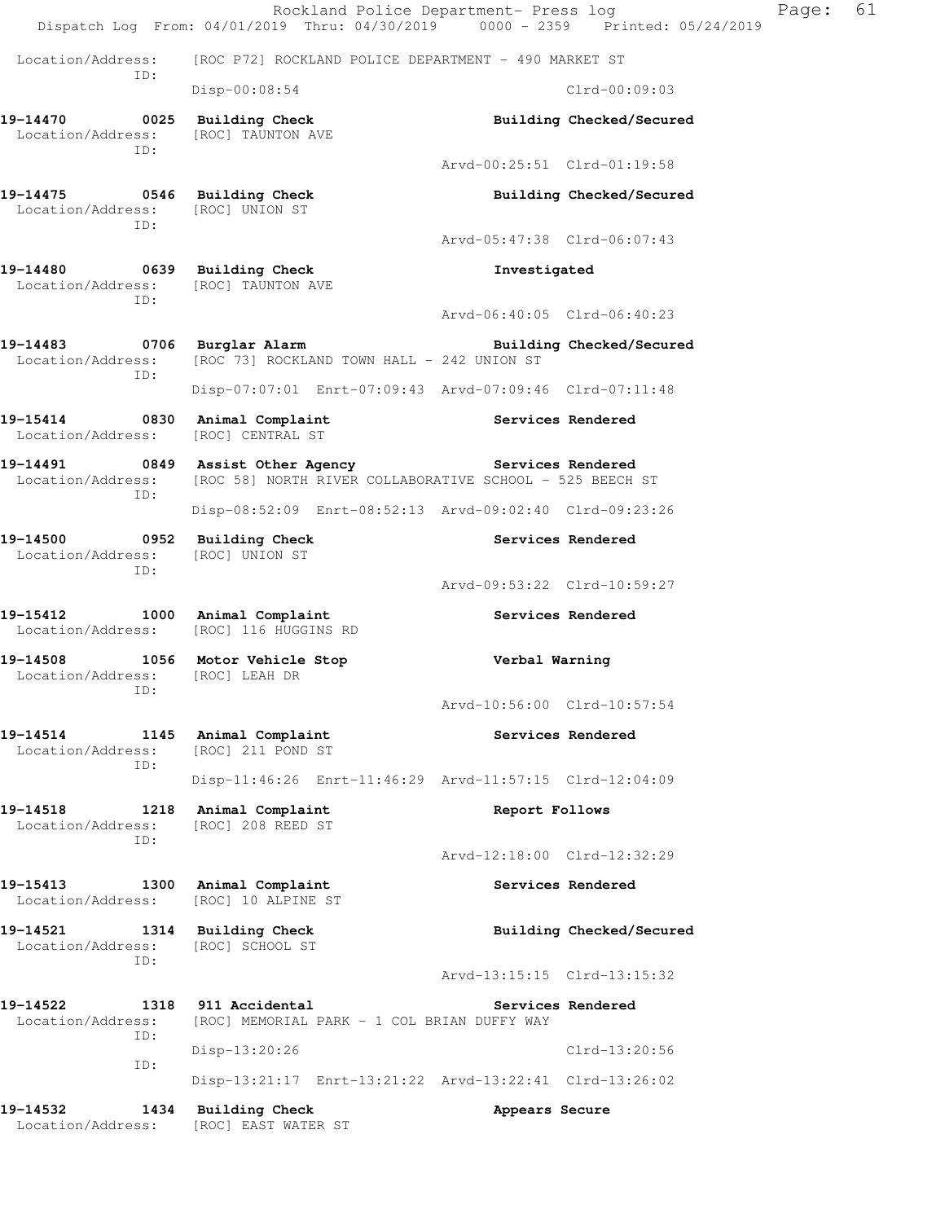|                                                                            | Rockland Police Department- Press log<br>Dispatch Log From: 04/01/2019 Thru: 04/30/2019 0000 - 2359 Printed: 05/24/2019 |                             |                          | Page: | 61 |
|----------------------------------------------------------------------------|-------------------------------------------------------------------------------------------------------------------------|-----------------------------|--------------------------|-------|----|
| Location/Address:                                                          | [ROC P72] ROCKLAND POLICE DEPARTMENT - 490 MARKET ST                                                                    |                             |                          |       |    |
| ID:                                                                        | Disp-00:08:54                                                                                                           |                             | $Clrd-00:09:03$          |       |    |
| 19-14470 0025 Building Check<br>Location/Address:                          | [ROC] TAUNTON AVE                                                                                                       |                             | Building Checked/Secured |       |    |
| ID:                                                                        |                                                                                                                         | Arvd-00:25:51 Clrd-01:19:58 |                          |       |    |
| 19-14475 0546 Building Check<br>Location/Address: [ROC] UNION ST<br>ID:    |                                                                                                                         |                             | Building Checked/Secured |       |    |
|                                                                            |                                                                                                                         | Arvd-05:47:38 Clrd-06:07:43 |                          |       |    |
| 19-14480 0639 Building Check<br>Location/Address: [ROC] TAUNTON AVE<br>ID: |                                                                                                                         | Investigated                |                          |       |    |
|                                                                            |                                                                                                                         | Arvd-06:40:05 Clrd-06:40:23 |                          |       |    |
| 19-14483 0706 Burglar Alarm<br>Location/Address:<br>ID:                    | [ROC 73] ROCKLAND TOWN HALL - 242 UNION ST                                                                              |                             | Building Checked/Secured |       |    |
|                                                                            | Disp-07:07:01 Enrt-07:09:43 Arvd-07:09:46 Clrd-07:11:48                                                                 |                             |                          |       |    |
| 19-15414<br>0830<br>Location/Address:                                      | Animal Complaint<br>[ROC] CENTRAL ST                                                                                    |                             | Services Rendered        |       |    |
| ID:                                                                        | Location/Address: [ROC 58] NORTH RIVER COLLABORATIVE SCHOOL - 525 BEECH ST                                              |                             |                          |       |    |
|                                                                            | Disp-08:52:09 Enrt-08:52:13 Arvd-09:02:40 Clrd-09:23:26                                                                 |                             |                          |       |    |
| 19-14500 0952 Building Check<br>Location/Address: [ROC] UNION ST<br>ID:    |                                                                                                                         |                             | Services Rendered        |       |    |
|                                                                            |                                                                                                                         | Arvd-09:53:22 Clrd-10:59:27 |                          |       |    |
| 19-15412                                                                   | 1000 Animal Complaint<br>Location/Address: [ROC] 116 HUGGINS RD                                                         |                             | Services Rendered        |       |    |
| 19-14508<br>Location/Address: [ROC] LEAH DR<br>ID:                         | 1056 Motor Vehicle Stop                                                                                                 | Verbal Warning              |                          |       |    |
|                                                                            |                                                                                                                         | Arvd-10:56:00 Clrd-10:57:54 |                          |       |    |
| 19-14514<br>1145<br>Location/Address:<br>ID:                               | Animal Complaint<br>[ROC] 211 POND ST                                                                                   |                             | Services Rendered        |       |    |
|                                                                            | Disp-11:46:26 Enrt-11:46:29 Arvd-11:57:15 Clrd-12:04:09                                                                 |                             |                          |       |    |
| 19-14518<br>1218<br>Location/Address:<br>ID:                               | Animal Complaint<br>[ROC] 208 REED ST                                                                                   | Report Follows              |                          |       |    |
|                                                                            |                                                                                                                         | Arvd-12:18:00 Clrd-12:32:29 |                          |       |    |
| 19-15413<br>1300<br>Location/Address:                                      | Animal Complaint<br>[ROC] 10 ALPINE ST                                                                                  |                             | Services Rendered        |       |    |
| 19-14521<br>1314<br>Location/Address:<br>ID:                               | <b>Building Check</b><br>[ROC] SCHOOL ST                                                                                |                             | Building Checked/Secured |       |    |
|                                                                            |                                                                                                                         | Arvd-13:15:15 Clrd-13:15:32 |                          |       |    |
| 19-14522<br>1318<br>Location/Address:<br>ID:                               | 911 Accidental<br>[ROC] MEMORIAL PARK - 1 COL BRIAN DUFFY WAY                                                           |                             | Services Rendered        |       |    |
| ID:                                                                        | Disp-13:20:26                                                                                                           |                             | Clrd-13:20:56            |       |    |
|                                                                            | Disp-13:21:17 Enrt-13:21:22 Arvd-13:22:41 Clrd-13:26:02                                                                 |                             |                          |       |    |
| 19-14532<br>1434<br>Location/Address:                                      | <b>Building Check</b><br>[ROC] EAST WATER ST                                                                            | Appears Secure              |                          |       |    |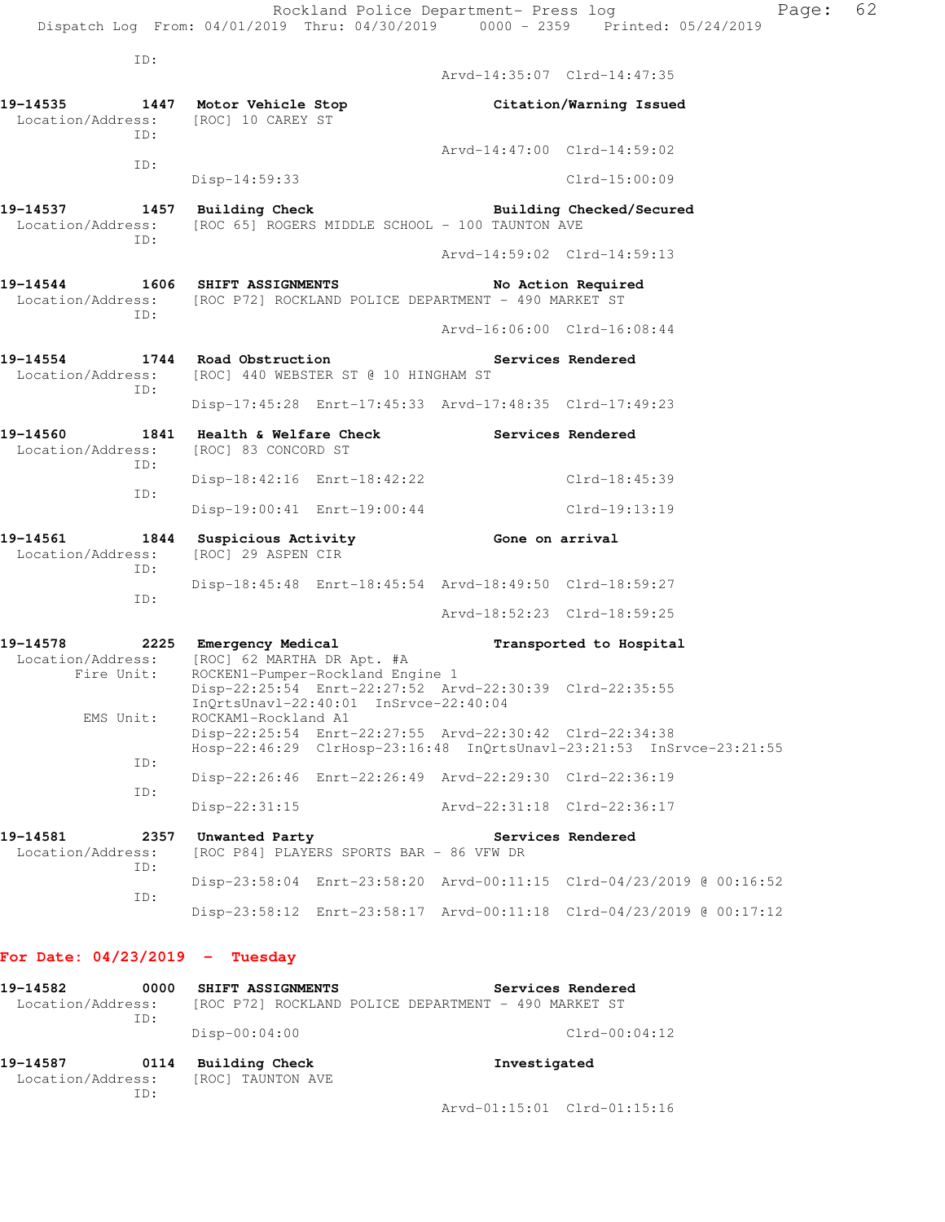ID: Arvd-14:35:07 Clrd-14:47:35 **19-14535 1447 Motor Vehicle Stop Citation/Warning Issued**  Location/Address: [ROC] 10 CAREY ST ID: Arvd-14:47:00 Clrd-14:59:02 ID: Disp-14:59:33 Clrd-15:00:09 **19-14537 1457 Building Check Building Checked/Secured**  Location/Address: [ROC 65] ROGERS MIDDLE SCHOOL - 100 TAUNTON AVE ID: Arvd-14:59:02 Clrd-14:59:13 **19-14544 1606 SHIFT ASSIGNMENTS No Action Required**  Location/Address: [ROC P72] ROCKLAND POLICE DEPARTMENT - 490 MARKET ST ID: Arvd-16:06:00 Clrd-16:08:44 **19-14554 1744 Road Obstruction Services Rendered**  Location/Address: [ROC] 440 WEBSTER ST @ 10 HINGHAM ST ID: Disp-17:45:28 Enrt-17:45:33 Arvd-17:48:35 Clrd-17:49:23 19-14560 1841 Health & Welfare Check **Services Rendered**  Location/Address: [ROC] 83 CONCORD ST ID: Disp-18:42:16 Enrt-18:42:22 Clrd-18:45:39 ID: Disp-19:00:41 Enrt-19:00:44 Clrd-19:13:19 **19-14561 1844 Suspicious Activity Gone on arrival**  Location/Address: [ROC] 29 ASPEN CIR ID: Disp-18:45:48 Enrt-18:45:54 Arvd-18:49:50 Clrd-18:59:27 ID: Arvd-18:52:23 Clrd-18:59:25 **19-14578 2225 Emergency Medical Transported to Hospital**  Location/Address: [ROC] 62 MARTHA DR Apt. #A Fire Unit: ROCKEN1-Pumper-Rockland Engine 1 Disp-22:25:54 Enrt-22:27:52 Arvd-22:30:39 Clrd-22:35:55 InQrtsUnavl-22:40:01 InSrvce-22:40:04<br>FMS Unit: ROCKAM1-Rockland A1 ROCKAM1-Rockland A1 Disp-22:25:54 Enrt-22:27:55 Arvd-22:30:42 Clrd-22:34:38 Hosp-22:46:29 ClrHosp-23:16:48 InQrtsUnavl-23:21:53 InSrvce-23:21:55 ID: Disp-22:26:46 Enrt-22:26:49 Arvd-22:29:30 Clrd-22:36:19 ID: Disp-22:31:15 Arvd-22:31:18 Clrd-22:36:17 19-14581 2357 Unwanted Party **19-14581** Services Rendered Location/Address: [ROC P84] PLAYERS SPORTS BAR - 86 VFW DR ID: Disp-23:58:04 Enrt-23:58:20 Arvd-00:11:15 Clrd-04/23/2019 @ 00:16:52 ID:

**For Date: 04/23/2019 - Tuesday**

**19-14582 0000 SHIFT ASSIGNMENTS Services Rendered**  Location/Address: [ROC P72] ROCKLAND POLICE DEPARTMENT - 490 MARKET ST ID: Disp-00:04:00 Clrd-00:04:12 **19-14587 0114 Building Check Investigated**  Location/Address: [ROC] TAUNTON AVE ID:

Arvd-01:15:01 Clrd-01:15:16

Disp-23:58:12 Enrt-23:58:17 Arvd-00:11:18 Clrd-04/23/2019 @ 00:17:12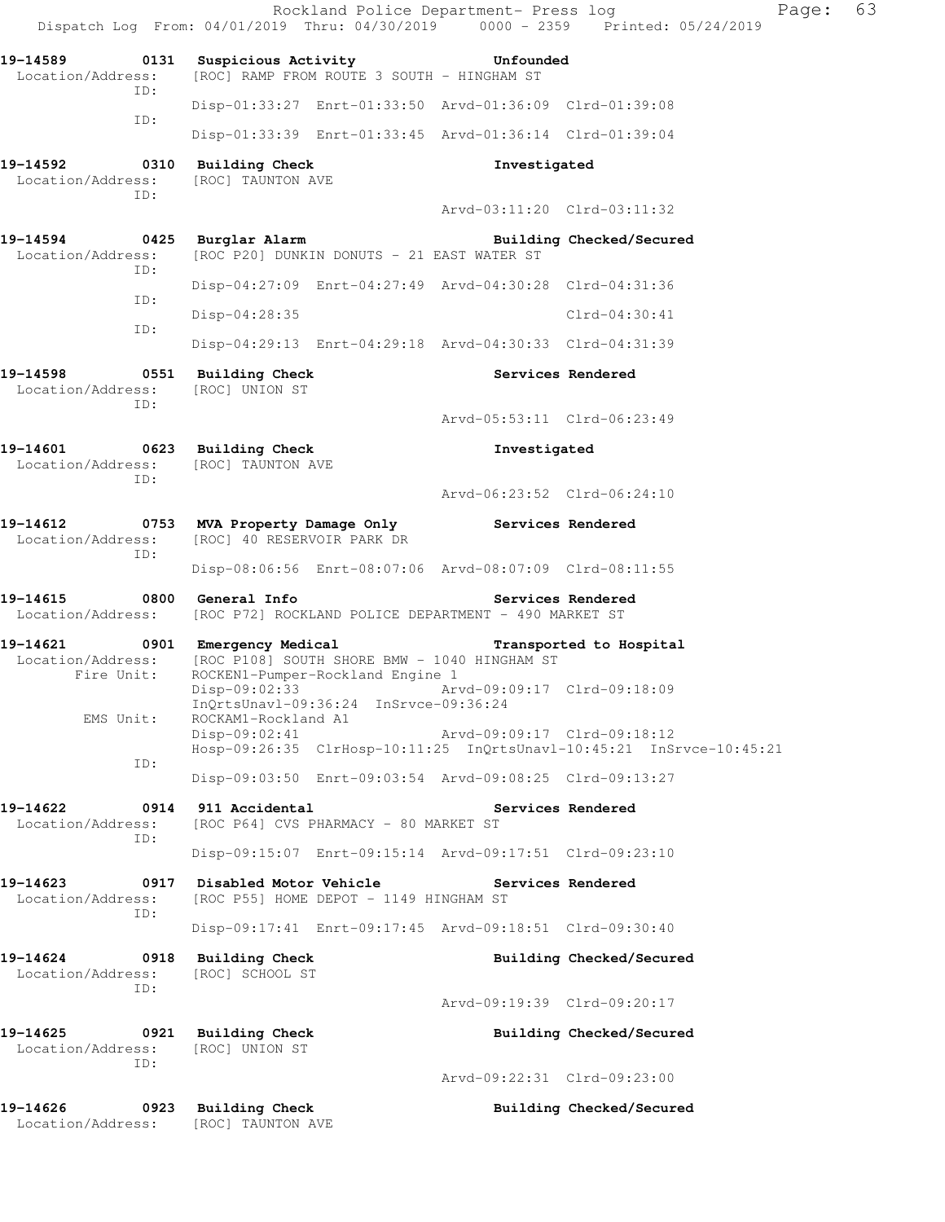|                                                                            | Rockland Police Department- Press log<br>Dispatch Log From: 04/01/2019 Thru: 04/30/2019 0000 - 2359 Printed: 05/24/2019 |                             | Page:                    | 63 |
|----------------------------------------------------------------------------|-------------------------------------------------------------------------------------------------------------------------|-----------------------------|--------------------------|----|
| Location/Address:                                                          | 19-14589 0131 Suspicious Activity 50 Unfounded<br>[ROC] RAMP FROM ROUTE 3 SOUTH - HINGHAM ST                            |                             |                          |    |
| ID:                                                                        | Disp-01:33:27 Enrt-01:33:50 Arvd-01:36:09 Clrd-01:39:08                                                                 |                             |                          |    |
| ID:                                                                        | Disp-01:33:39 Enrt-01:33:45 Arvd-01:36:14 Clrd-01:39:04                                                                 |                             |                          |    |
| 19-14592 0310 Building Check<br>Location/Address:<br>ID:                   | [ROC] TAUNTON AVE                                                                                                       | Investigated                |                          |    |
|                                                                            |                                                                                                                         | Arvd-03:11:20 Clrd-03:11:32 |                          |    |
| 19-14594 0425 Burglar Alarm<br>Location/Address:<br>ID:                    | [ROC P20] DUNKIN DONUTS - 21 EAST WATER ST                                                                              |                             | Building Checked/Secured |    |
| ID:                                                                        | Disp-04:27:09 Enrt-04:27:49 Arvd-04:30:28 Clrd-04:31:36                                                                 |                             |                          |    |
| ID:                                                                        | Disp-04:28:35                                                                                                           |                             | Clrd-04:30:41            |    |
|                                                                            | Disp-04:29:13 Enrt-04:29:18 Arvd-04:30:33 Clrd-04:31:39                                                                 |                             |                          |    |
| 19-14598 0551 Building Check<br>Location/Address: [ROC] UNION ST<br>ID:    |                                                                                                                         |                             | Services Rendered        |    |
|                                                                            |                                                                                                                         | Arvd-05:53:11 Clrd-06:23:49 |                          |    |
| 19-14601 0623 Building Check<br>Location/Address: [ROC] TAUNTON AVE<br>ID: |                                                                                                                         | Investigated                |                          |    |
|                                                                            |                                                                                                                         | Arvd-06:23:52 Clrd-06:24:10 |                          |    |
| ID:                                                                        | 19-14612 0753 MVA Property Damage Only Services Rendered<br>Location/Address: [ROC] 40 RESERVOIR PARK DR                |                             |                          |    |
|                                                                            | Disp-08:06:56 Enrt-08:07:06 Arvd-08:07:09 Clrd-08:11:55                                                                 |                             |                          |    |
| 19-14615<br>Location/Address:                                              | 0800 General Info<br>[ROC P72] ROCKLAND POLICE DEPARTMENT - 490 MARKET ST                                               |                             | Services Rendered        |    |
| 19-14621 0901 Emergency Medical<br>Fire Unit:                              | Location/Address: [ROC P108] SOUTH SHORE BMW - 1040 HINGHAM ST<br>ROCKEN1-Pumper-Rockland Engine 1                      |                             | Transported to Hospital  |    |
| EMS Unit:                                                                  | Disp-09:02:33 Arvd-09:09:17 Clrd-09:18:09<br>InOrtsUnavl-09:36:24 InSrvce-09:36:24<br>ROCKAM1-Rockland A1               |                             |                          |    |
|                                                                            | $Disp-09:02:41$<br>Hosp-09:26:35 ClrHosp-10:11:25 InQrtsUnavl-10:45:21 InSrvce-10:45:21                                 | Arvd-09:09:17 Clrd-09:18:12 |                          |    |
| ID:                                                                        | Disp-09:03:50 Enrt-09:03:54 Arvd-09:08:25 Clrd-09:13:27                                                                 |                             |                          |    |
| 19-14622<br>Location/Address:<br>ID:                                       | 0914 911 Accidental<br>[ROC P64] CVS PHARMACY - 80 MARKET ST                                                            |                             | Services Rendered        |    |
|                                                                            | Disp-09:15:07 Enrt-09:15:14 Arvd-09:17:51 Clrd-09:23:10                                                                 |                             |                          |    |
| 19-14623<br>Location/Address:<br>ID:                                       | 0917 Disabled Motor Vehicle<br>[ROC P55] HOME DEPOT - 1149 HINGHAM ST                                                   | Services Rendered           |                          |    |
|                                                                            | Disp-09:17:41 Enrt-09:17:45 Arvd-09:18:51 Clrd-09:30:40                                                                 |                             |                          |    |
| 19-14624<br>Location/Address:<br>ID:                                       | 0918 Building Check<br>[ROC] SCHOOL ST                                                                                  |                             | Building Checked/Secured |    |
|                                                                            |                                                                                                                         | Arvd-09:19:39 Clrd-09:20:17 |                          |    |
| 19-14625<br>Location/Address:<br>ID:                                       | 0921 Building Check<br>[ROC] UNION ST                                                                                   |                             | Building Checked/Secured |    |
|                                                                            |                                                                                                                         | Arvd-09:22:31 Clrd-09:23:00 |                          |    |
| 19-14626<br>Location/Address:                                              | 0923 Building Check<br>[ROC] TAUNTON AVE                                                                                |                             | Building Checked/Secured |    |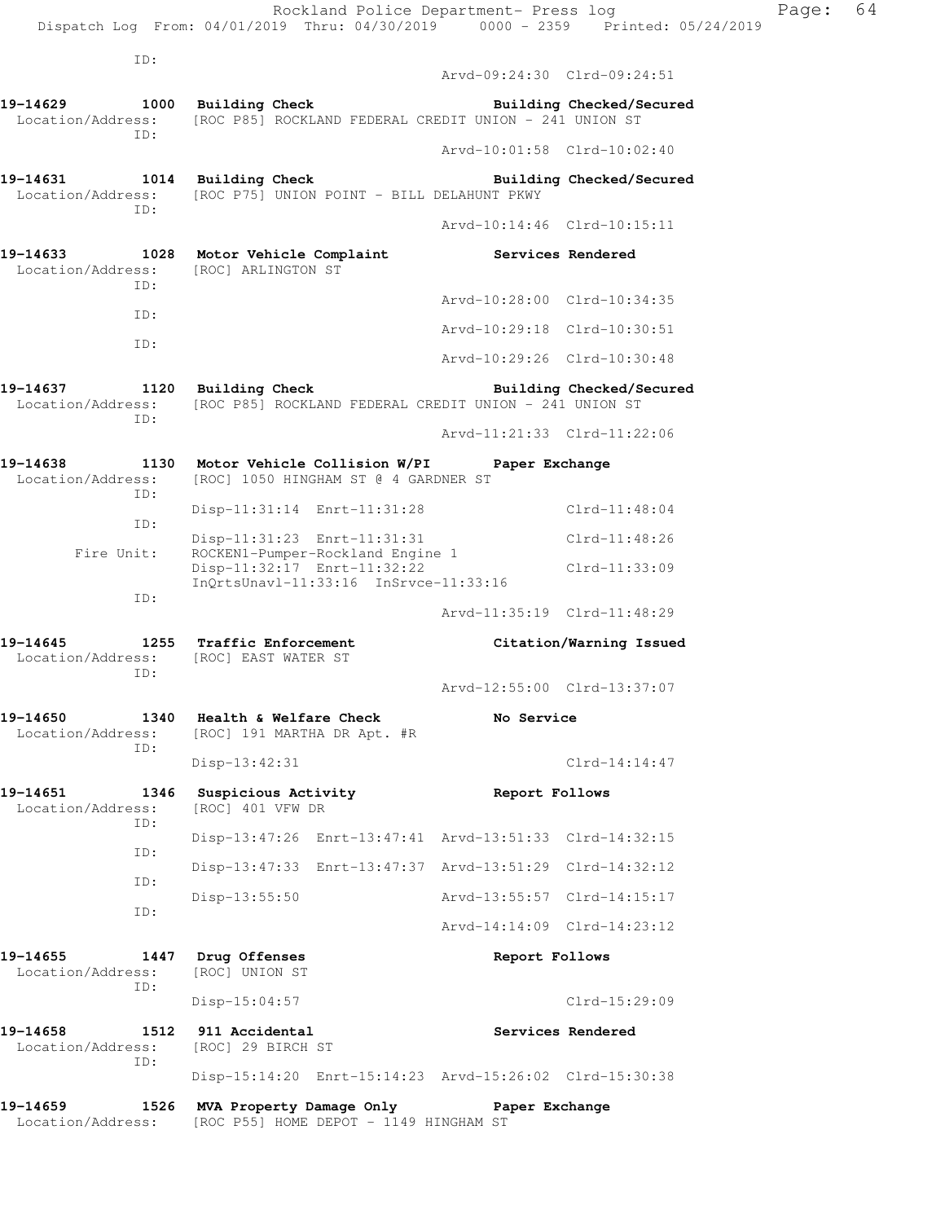ID: Arvd-09:24:30 Clrd-09:24:51 **19-14629 1000 Building Check Building Checked/Secured**  Location/Address: [ROC P85] ROCKLAND FEDERAL CREDIT UNION - 241 UNION ST ID: Arvd-10:01:58 Clrd-10:02:40 **19-14631 1014 Building Check Building Checked/Secured**  Location/Address: [ROC P75] UNION POINT - BILL DELAHUNT PKWY ID: Arvd-10:14:46 Clrd-10:15:11 **19-14633 1028 Motor Vehicle Complaint Services Rendered**  Location/Address: [ROC] ARLINGTON ST ID: Arvd-10:28:00 Clrd-10:34:35 ID: Arvd-10:29:18 Clrd-10:30:51 ID: Arvd-10:29:26 Clrd-10:30:48 19-14637 1120 Building Check **Building Building Checked/Secured** Location/Address: [ROC P85] ROCKLAND FEDERAL CREDIT UNION - 241 UNION ST ID: Arvd-11:21:33 Clrd-11:22:06 **19-14638 1130 Motor Vehicle Collision W/PI Paper Exchange**  Location/Address: [ROC] 1050 HINGHAM ST @ 4 GARDNER ST ID: Disp-11:31:14 Enrt-11:31:28 Clrd-11:48:04 ID: Disp-11:31:23 Enrt-11:31:31 Clrd-11:48:26<br>Fire Unit: ROCKEN1-Pumper-Rockland Engine 1 Fire Unit: ROCKEN1-Pumper-Rockland Engine 1 Disp-11:32:17 Enrt-11:32:22 Clrd-11:33:09 InQrtsUnavl-11:33:16 InSrvce-11:33:16 ID: Arvd-11:35:19 Clrd-11:48:29 **19-14645 1255 Traffic Enforcement Citation/Warning Issued**  Location/Address: [ROC] EAST WATER ST ID: Arvd-12:55:00 Clrd-13:37:07 **19-14650 1340 Health & Welfare Check No Service**  Location/Address: [ROC] 191 MARTHA DR Apt. #R ID: Disp-13:42:31 Clrd-14:14:47 **19-14651 1346 Suspicious Activity Report Follows**  Location/Address: [ROC] 401 VFW DR ID: Disp-13:47:26 Enrt-13:47:41 Arvd-13:51:33 Clrd-14:32:15 ID: Disp-13:47:33 Enrt-13:47:37 Arvd-13:51:29 Clrd-14:32:12 ID: Disp-13:55:50 Arvd-13:55:57 Clrd-14:15:17 ID: Arvd-14:14:09 Clrd-14:23:12 **19-14655 1447 Drug Offenses Report Follows**  Location/Address: [ROC] UNION ST ID: Disp-15:04:57 Clrd-15:29:09 **19-14658 1512 911 Accidental Services Rendered**  Location/Address: [ROC] 29 BIRCH ST ID: Disp-15:14:20 Enrt-15:14:23 Arvd-15:26:02 Clrd-15:30:38 **19-14659 1526 MVA Property Damage Only Paper Exchange** 

Location/Address: [ROC P55] HOME DEPOT - 1149 HINGHAM ST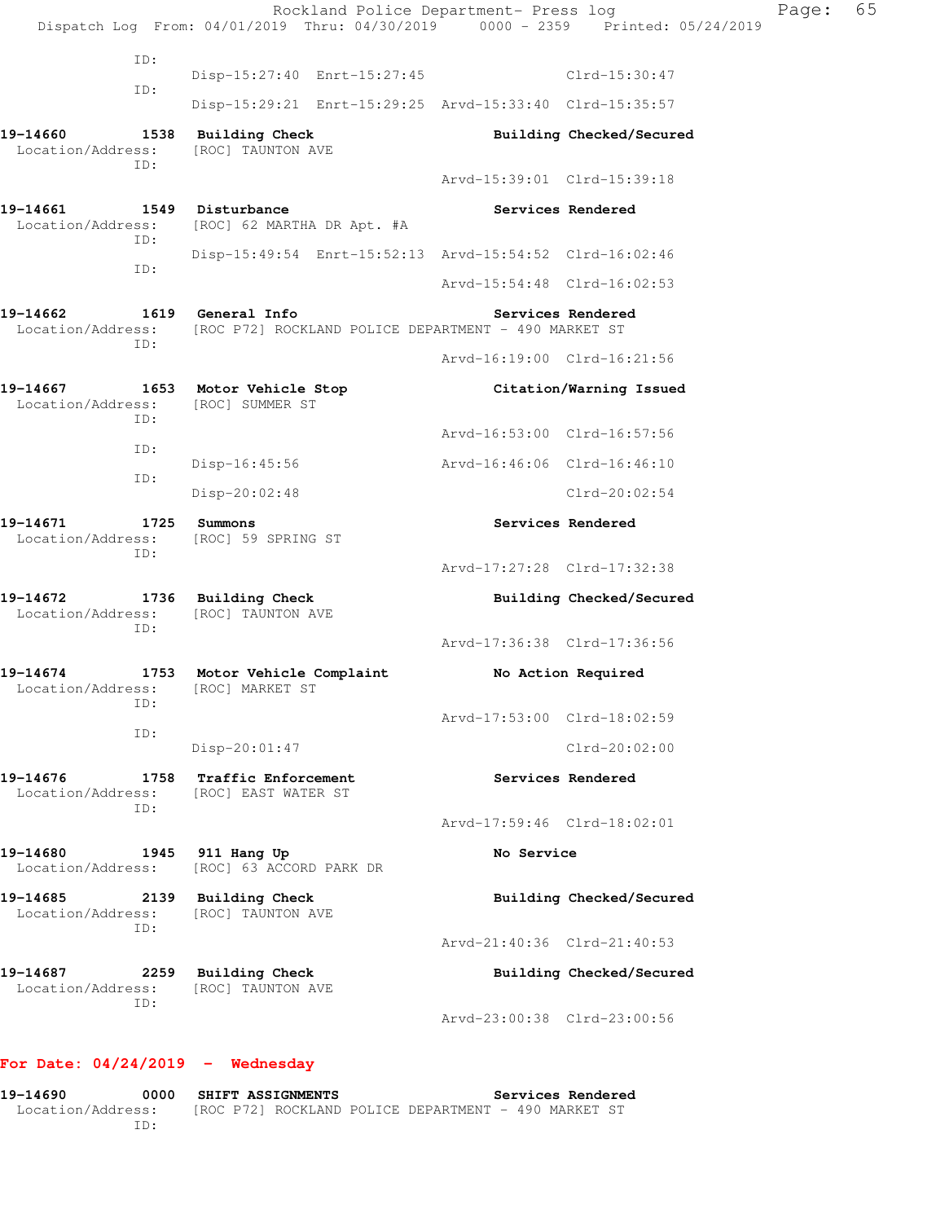Rockland Police Department- Press log Fage: 65 Dispatch Log From: 04/01/2019 Thru: 04/30/2019 0000 - 2359 Printed: 05/24/2019 ID: Disp-15:27:40 Enrt-15:27:45 Clrd-15:30:47 ID: Disp-15:29:21 Enrt-15:29:25 Arvd-15:33:40 Clrd-15:35:57 **19-14660 1538 Building Check Building Checked/Secured**  Location/Address: [ROC] TAUNTON AVE ID: Arvd-15:39:01 Clrd-15:39:18 19-14661 1549 Disturbance **19-14661** Services Rendered Location/Address: [ROC] 62 MARTHA DR Apt. #A ID: Disp-15:49:54 Enrt-15:52:13 Arvd-15:54:52 Clrd-16:02:46 ID: Arvd-15:54:48 Clrd-16:02:53 **19-14662 1619 General Info Services Rendered**  Location/Address: [ROC P72] ROCKLAND POLICE DEPARTMENT - 490 MARKET ST ID: Arvd-16:19:00 Clrd-16:21:56 **19-14667 1653 Motor Vehicle Stop Citation/Warning Issued**  Location/Address: [ROC] SUMMER ST ID: Arvd-16:53:00 Clrd-16:57:56 ID: Disp-16:45:56 Arvd-16:46:06 Clrd-16:46:10 ID: Disp-20:02:48 Clrd-20:02:54 **19-14671 1725 Summons Services Rendered**  Location/Address: [ROC] 59 SPRING ST ID: Arvd-17:27:28 Clrd-17:32:38 **19-14672 1736 Building Check Building Checked/Secured**  Location/Address: [ROC] TAUNTON AVE ID: Arvd-17:36:38 Clrd-17:36:56 **19-14674 1753 Motor Vehicle Complaint No Action Required**  Location/Address: [ROC] MARKET ST ID: Arvd-17:53:00 Clrd-18:02:59 ID: Disp-20:01:47 Clrd-20:02:00 **19-14676 1758 Traffic Enforcement Services Rendered**  Location/Address: [ROC] EAST WATER ST ID: Arvd-17:59:46 Clrd-18:02:01 19-14680 **1945** 911 Hang Up **1946** No Service Location/Address: [ROC] 63 ACCORD PARK DR 19-14685 2139 Building Check **Building Checked/Secured**  Location/Address: [ROC] TAUNTON AVE ID: Arvd-21:40:36 Clrd-21:40:53 **19-14687 2259 Building Check Building Checked/Secured**  Location/Address: [ROC] TAUNTON AVE ID: Arvd-23:00:38 Clrd-23:00:56

## **For Date: 04/24/2019 - Wednesday**

**19-14690 0000 SHIFT ASSIGNMENTS Services Rendered**  Location/Address: [ROC P72] ROCKLAND POLICE DEPARTMENT - 490 MARKET ST ID: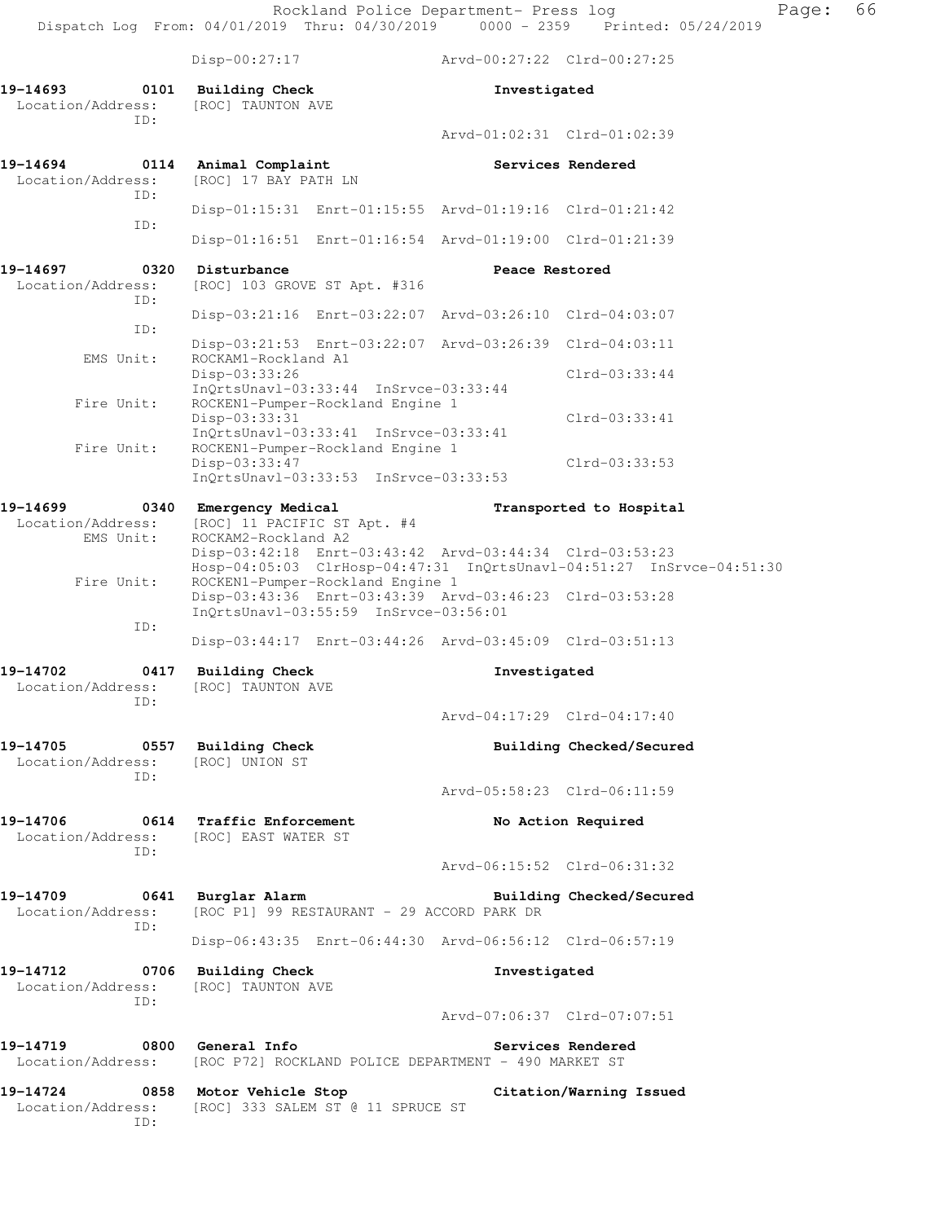Rockland Police Department- Press log Frank Page: 66 Dispatch Log From: 04/01/2019 Thru: 04/30/2019 0000 - 2359 Printed: 05/24/2019

ID:

Disp-00:27:17 Arvd-00:27:22 Clrd-00:27:25

**19-14693 0101 Building Check Investigated**  Location/Address: [ROC] TAUNTON AVE ID: Arvd-01:02:31 Clrd-01:02:39 **19-14694 0114 Animal Complaint Services Rendered**  Location/Address: [ROC] 17 BAY PATH LN ID: Disp-01:15:31 Enrt-01:15:55 Arvd-01:19:16 Clrd-01:21:42 ID: Disp-01:16:51 Enrt-01:16:54 Arvd-01:19:00 Clrd-01:21:39 19-14697 0320 Disturbance **Disturbance** Peace Restored Location/Address: [ROC] 103 GROVE ST Apt. #316 ID: Disp-03:21:16 Enrt-03:22:07 Arvd-03:26:10 Clrd-04:03:07 ID: Disp-03:21:53 Enrt-03:22:07 Arvd-03:26:39 Clrd-04:03:11 EMS Unit: ROCKAM1-Rockland A1 Disp-03:33:26 Clrd-03:33:44 InQrtsUnavl-03:33:44 InSrvce-03:33:44 Fire Unit: ROCKEN1-Pumper-Rockland Engine 1 Disp-03:33:31 Clrd-03:33:41 InQrtsUnavl-03:33:41 InSrvce-03:33:41 Fire Unit: ROCKEN1-Pumper-Rockland Engine 1 Disp-03:33:47 Clrd-03:33:53 InQrtsUnavl-03:33:53 InSrvce-03:33:53 **19-14699 0340 Emergency Medical Transported to Hospital**  Location/Address: [ROC] 11 PACIFIC ST Apt. #4<br>EMS Unit: ROCKAM2-Rockland A2 ROCKAM2-Rockland A2 Disp-03:42:18 Enrt-03:43:42 Arvd-03:44:34 Clrd-03:53:23 Hosp-04:05:03 ClrHosp-04:47:31 InQrtsUnavl-04:51:27 InSrvce-04:51:30 Fire Unit: ROCKEN1-Pumper-Rockland Engine 1 Disp-03:43:36 Enrt-03:43:39 Arvd-03:46:23 Clrd-03:53:28 InQrtsUnavl-03:55:59 InSrvce-03:56:01 ID: Disp-03:44:17 Enrt-03:44:26 Arvd-03:45:09 Clrd-03:51:13 **19-14702 0417 Building Check Investigated**  Location/Address: [ROC] TAUNTON AVE ID: Arvd-04:17:29 Clrd-04:17:40 **19-14705 0557 Building Check Building Checked/Secured**  Location/Address: [ROC] UNION ST ID: Arvd-05:58:23 Clrd-06:11:59 **19-14706 0614 Traffic Enforcement No Action Required**  Location/Address: [ROC] EAST WATER ST ID: Arvd-06:15:52 Clrd-06:31:32 **19-14709 0641 Burglar Alarm Building Checked/Secured**  Location/Address: [ROC P1] 99 RESTAURANT - 29 ACCORD PARK DR ID: Disp-06:43:35 Enrt-06:44:30 Arvd-06:56:12 Clrd-06:57:19 **19-14712 0706 Building Check Investigated**  Location/Address: [ROC] TAUNTON AVE ID: Arvd-07:06:37 Clrd-07:07:51 **19-14719 0800 General Info Services Rendered**  Location/Address: [ROC P72] ROCKLAND POLICE DEPARTMENT - 490 MARKET ST **19-14724 0858 Motor Vehicle Stop Citation/Warning Issued**  Location/Address: [ROC] 333 SALEM ST @ 11 SPRUCE ST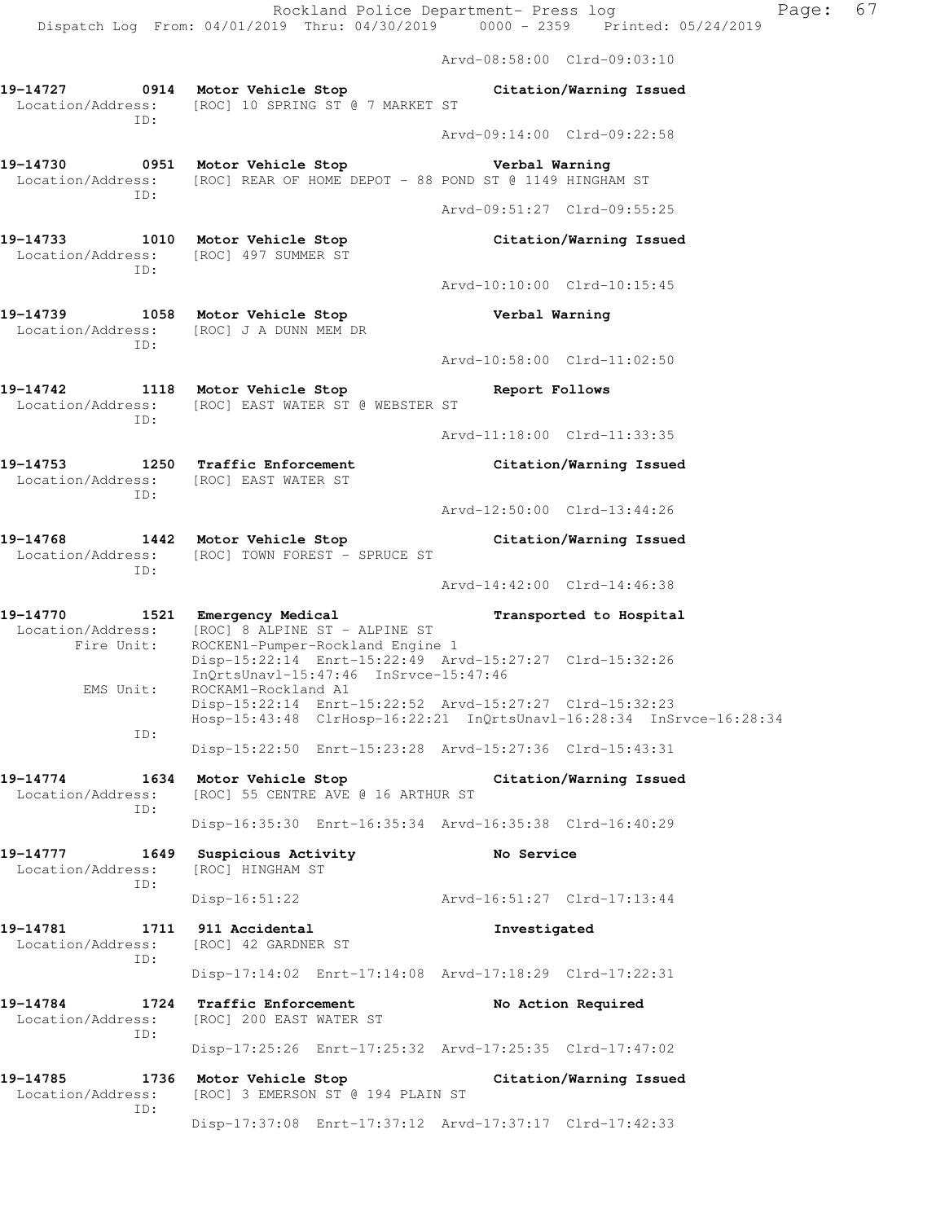Arvd-08:58:00 Clrd-09:03:10

Arvd-09:14:00 Clrd-09:22:58

Arvd-09:51:27 Clrd-09:55:25

Arvd-10:10:00 Clrd-10:15:45

- **19-14727 0914 Motor Vehicle Stop Citation/Warning Issued**  Location/Address: [ROC] 10 SPRING ST @ 7 MARKET ST ID:
- **19-14730 0951 Motor Vehicle Stop Verbal Warning**  Location/Address: [ROC] REAR OF HOME DEPOT - 88 POND ST @ 1149 HINGHAM ST ID:
- **19-14733 1010 Motor Vehicle Stop Citation/Warning Issued**  Location/Address: [ROC] 497 SUMMER ST ID:
- **19-14739 1058 Motor Vehicle Stop Verbal Warning**  Location/Address: [ROC] J A DUNN MEM DR ID:
- Arvd-10:58:00 Clrd-11:02:50
- **19-14742 1118 Motor Vehicle Stop Report Follows**  Location/Address: [ROC] EAST WATER ST @ WEBSTER ST ID:
	- Arvd-11:18:00 Clrd-11:33:35
- **19-14753 1250 Traffic Enforcement Citation/Warning Issued**  Location/Address: [ROC] EAST WATER ST ID:
	- Arvd-12:50:00 Clrd-13:44:26
- **19-14768 1442 Motor Vehicle Stop Citation/Warning Issued**  Location/Address: [ROC] TOWN FOREST - SPRUCE ST ID:
	- Arvd-14:42:00 Clrd-14:46:38
- **19-14770 1521 Emergency Medical Transported to Hospital**  Location/Address: [ROC] 8 ALPINE ST - ALPINE ST<br>Fire Unit: ROCKEN1-Pumper-Rockland Engine ROCKEN1-Pumper-Rockland Engine 1 Disp-15:22:14 Enrt-15:22:49 Arvd-15:27:27 Clrd-15:32:26 InQrtsUnavl-15:47:46 InSrvce-15:47:46 EMS Unit: ROCKAM1-Rockland A1 Disp-15:22:14 Enrt-15:22:52 Arvd-15:27:27 Clrd-15:32:23 Hosp-15:43:48 ClrHosp-16:22:21 InQrtsUnavl-16:28:34 InSrvce-16:28:34 ID:
	- Disp-15:22:50 Enrt-15:23:28 Arvd-15:27:36 Clrd-15:43:31
- **19-14774 1634 Motor Vehicle Stop Citation/Warning Issued**  Location/Address: [ROC] 55 CENTRE AVE @ 16 ARTHUR ST ID:
	- Disp-16:35:30 Enrt-16:35:34 Arvd-16:35:38 Clrd-16:40:29
- **19-14777 1649 Suspicious Activity No Service**  Location/Address: [ROC] HINGHAM ST ID: Disp-16:51:22 Arvd-16:51:27 Clrd-17:13:44
- **19-14781 1711 911 Accidental Investigated**  Location/Address: [ROC] 42 GARDNER ST ID: Disp-17:14:02 Enrt-17:14:08 Arvd-17:18:29 Clrd-17:22:31
- **19-14784 1724 Traffic Enforcement No Action Required**  Location/Address: [ROC] 200 EAST WATER ST ID:
	- Disp-17:25:26 Enrt-17:25:32 Arvd-17:25:35 Clrd-17:47:02
- **19-14785 1736 Motor Vehicle Stop Citation/Warning Issued**  Location/Address: [ROC] 3 EMERSON ST @ 194 PLAIN ST ID: Disp-17:37:08 Enrt-17:37:12 Arvd-17:37:17 Clrd-17:42:33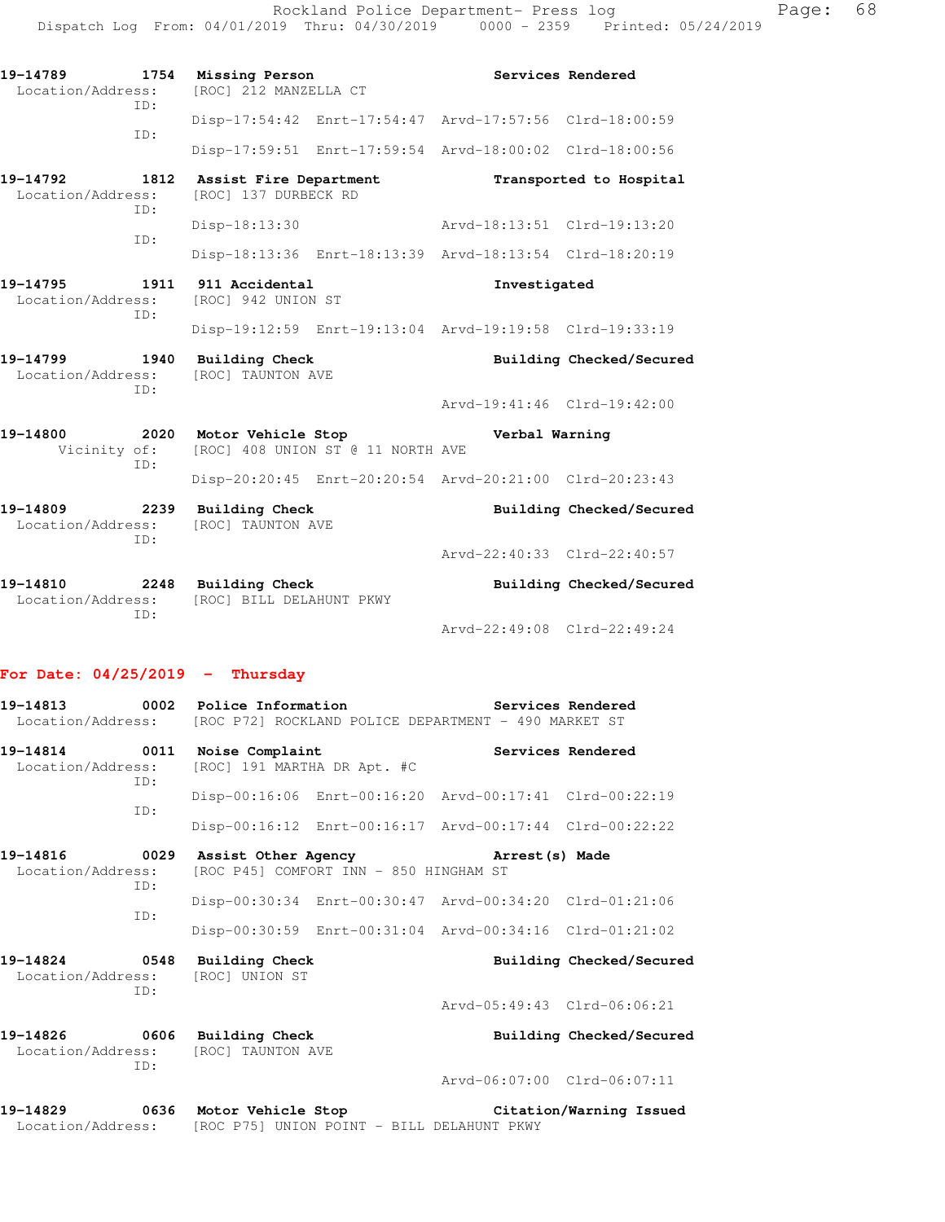| 19-14789<br>1754<br>Location/Address:<br>TD: | Missing Person<br>[ROC] 212 MANZELLA CT                 | Services Rendered           |                          |
|----------------------------------------------|---------------------------------------------------------|-----------------------------|--------------------------|
| ID:                                          | Disp-17:54:42 Enrt-17:54:47 Arvd-17:57:56 Clrd-18:00:59 |                             |                          |
|                                              | Disp-17:59:51 Enrt-17:59:54 Arvd-18:00:02 Clrd-18:00:56 |                             |                          |
| 19-14792<br>1812<br>Location/Address:<br>TD: | Assist Fire Department<br>[ROC] 137 DURBECK RD          |                             | Transported to Hospital  |
| TD:                                          | Disp-18:13:30                                           | Arvd-18:13:51 Clrd-19:13:20 |                          |
|                                              | Disp-18:13:36 Enrt-18:13:39 Arvd-18:13:54 Clrd-18:20:19 |                             |                          |
| 19-14795<br>1911<br>Location/Address:<br>ID: | 911 Accidental<br>[ROC] 942 UNION ST                    | Investigated                |                          |
|                                              | Disp-19:12:59 Enrt-19:13:04 Arvd-19:19:58 Clrd-19:33:19 |                             |                          |
| 19-14799 1940<br>Location/Address:<br>ID:    | <b>Building Check</b><br>[ROC] TAUNTON AVE              |                             | Building Checked/Secured |
|                                              |                                                         | Arvd-19:41:46 Clrd-19:42:00 |                          |
| 19-14800<br>2020<br>Vicinity of:<br>ID:      | Motor Vehicle Stop<br>[ROC] 408 UNION ST @ 11 NORTH AVE | Verbal Warning              |                          |
|                                              | Disp-20:20:45 Enrt-20:20:54 Arvd-20:21:00 Clrd-20:23:43 |                             |                          |
| 19-14809<br>2239<br>Location/Address:<br>ID: | <b>Building Check</b><br>[ROC] TAUNTON AVE              |                             | Building Checked/Secured |
|                                              |                                                         | Arvd-22:40:33 Clrd-22:40:57 |                          |
| 19-14810<br>2248<br>Location/Address:<br>TD: | <b>Building Check</b><br>[ROC] BILL DELAHUNT PKWY       |                             | Building Checked/Secured |
|                                              |                                                         | Arvd-22:49:08 Clrd-22:49:24 |                          |

## **For Date: 04/25/2019 - Thursday**

|                                                                            |     | Location/Address: [ROC P72] ROCKLAND POLICE DEPARTMENT - 490 MARKET ST |                                        |                                                         |                            |
|----------------------------------------------------------------------------|-----|------------------------------------------------------------------------|----------------------------------------|---------------------------------------------------------|----------------------------|
| 19-14814 0011 Noise Complaint<br>Location/Address:<br>ID:                  |     | [ROC] 191 MARTHA DR Apt. #C                                            |                                        |                                                         | Services Rendered          |
|                                                                            | ID: |                                                                        |                                        | Disp-00:16:06 Enrt-00:16:20 Arvd-00:17:41 Clrd-00:22:19 |                            |
|                                                                            |     |                                                                        |                                        | Disp-00:16:12 Enrt-00:16:17 Arvd-00:17:44 Clrd-00:22:22 |                            |
| Location/Address:                                                          |     |                                                                        | [ROC P45] COMFORT INN - 850 HINGHAM ST |                                                         |                            |
|                                                                            | ID: |                                                                        |                                        | Disp-00:30:34 Enrt-00:30:47 Arvd-00:34:20 Clrd-01:21:06 |                            |
|                                                                            | TD: |                                                                        |                                        | Disp-00:30:59 Enrt-00:31:04 Arvd-00:34:16 Clrd-01:21:02 |                            |
|                                                                            | TD: | 19-14824 0548 Building Check<br>Location/Address: [ROC] UNION ST       |                                        |                                                         | Building Checked/Secured   |
|                                                                            |     |                                                                        |                                        | Arvd-05:49:43 Clrd-06:06:21                             |                            |
| 19-14826 0606 Building Check<br>Location/Address: [ROC] TAUNTON AVE<br>ID: |     |                                                                        |                                        |                                                         | Building Checked/Secured   |
|                                                                            |     |                                                                        |                                        | Arvd-06:07:00 Clrd-06:07:11                             |                            |
| 10-11220                                                                   |     | 0636 Motor Vohiale Stop                                                |                                        |                                                         | $Ci$ tation/Warning Teepod |

**19-14829 0636 Motor Vehicle Stop Citation/Warning Issued**  Location/Address: [ROC P75] UNION POINT - BILL DELAHUNT PKWY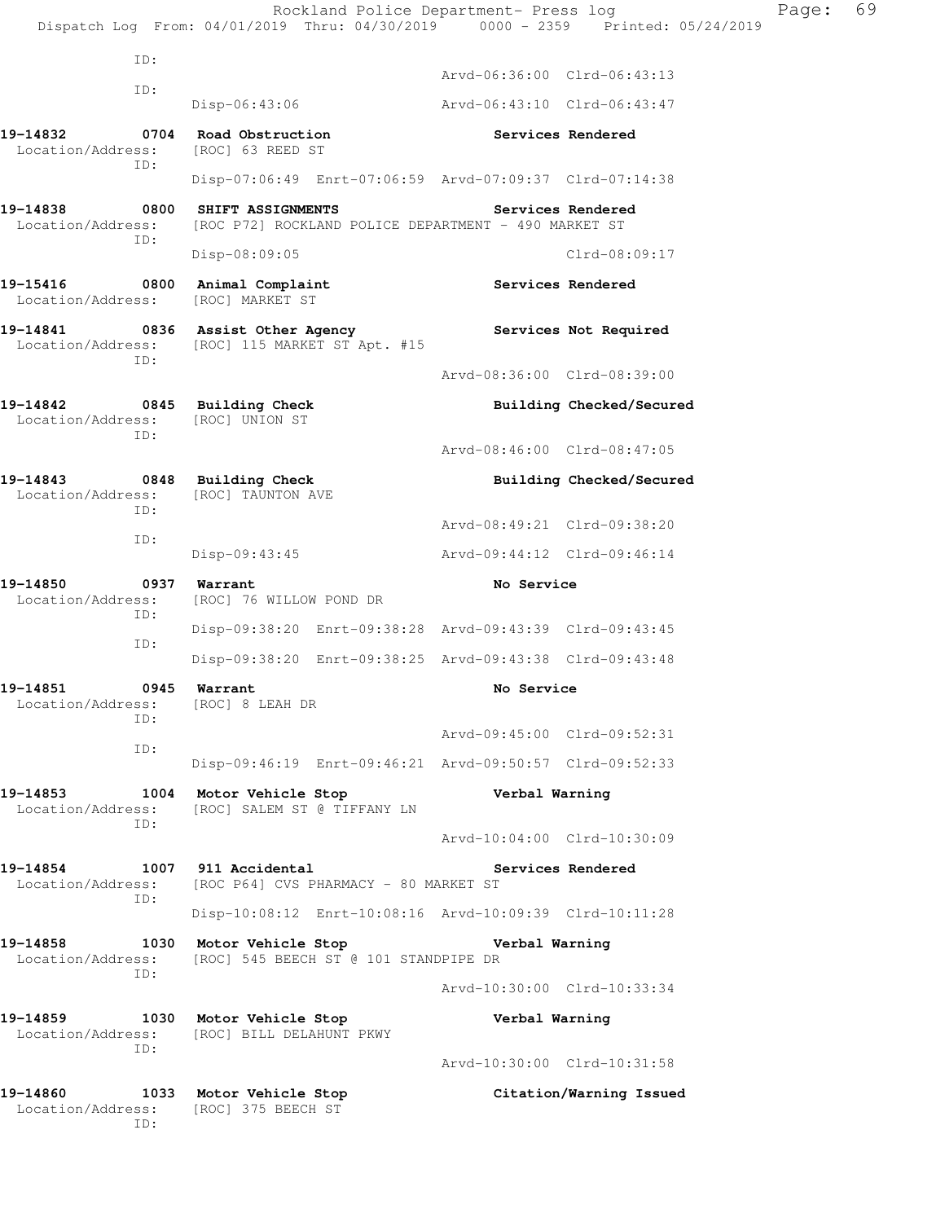Rockland Police Department- Press log Page: 69 Dispatch Log From: 04/01/2019 Thru: 04/30/2019 0000 - 2359 Printed: 05/24/2019 ID: Arvd-06:36:00 Clrd-06:43:13 ID: Disp-06:43:06 Arvd-06:43:10 Clrd-06:43:47 **19-14832 0704 Road Obstruction Services Rendered**  Location/Address: [ROC] 63 REED ST ID: Disp-07:06:49 Enrt-07:06:59 Arvd-07:09:37 Clrd-07:14:38 **19-14838 0800 SHIFT ASSIGNMENTS Services Rendered**  Location/Address: [ROC P72] ROCKLAND POLICE DEPARTMENT - 490 MARKET ST ID: Disp-08:09:05 Clrd-08:09:17 **19-15416 0800 Animal Complaint Services Rendered**  Location/Address: [ROC] MARKET ST **19-14841 0836 Assist Other Agency Services Not Required**  Location/Address: [ROC] 115 MARKET ST Apt. #15 ID: Arvd-08:36:00 Clrd-08:39:00 **19-14842 0845 Building Check Building Checked/Secured**  Location/Address: [ROC] UNION ST ID: Arvd-08:46:00 Clrd-08:47:05 **19-14843 0848 Building Check Building Checked/Secured**  Location/Address: [ROC] TAUNTON AVE ID: Arvd-08:49:21 Clrd-09:38:20 ID: Disp-09:43:45 Arvd-09:44:12 Clrd-09:46:14 **19-14850 0937 Warrant No Service**  Location/Address: [ROC] 76 WILLOW POND DR ID: Disp-09:38:20 Enrt-09:38:28 Arvd-09:43:39 Clrd-09:43:45 ID: Disp-09:38:20 Enrt-09:38:25 Arvd-09:43:38 Clrd-09:43:48 **19-14851 0945 Warrant No Service**  Location/Address: [ROC] 8 LEAH DR ID: Arvd-09:45:00 Clrd-09:52:31 ID: Disp-09:46:19 Enrt-09:46:21 Arvd-09:50:57 Clrd-09:52:33 **19-14853 1004 Motor Vehicle Stop Verbal Warning**  Location/Address: [ROC] SALEM ST @ TIFFANY LN ID: Arvd-10:04:00 Clrd-10:30:09 **19-14854 1007 911 Accidental Services Rendered**  Location/Address: [ROC P64] CVS PHARMACY - 80 MARKET ST ID: Disp-10:08:12 Enrt-10:08:16 Arvd-10:09:39 Clrd-10:11:28 **19-14858 1030 Motor Vehicle Stop Verbal Warning**  Location/Address: [ROC] 545 BEECH ST @ 101 STANDPIPE DR ID: Arvd-10:30:00 Clrd-10:33:34 **19-14859 1030 Motor Vehicle Stop Verbal Warning**  Location/Address: [ROC] BILL DELAHUNT PKWY ID: Arvd-10:30:00 Clrd-10:31:58 **19-14860 1033 Motor Vehicle Stop Citation/Warning Issued**  Location/Address: [ROC] 375 BEECH ST ID: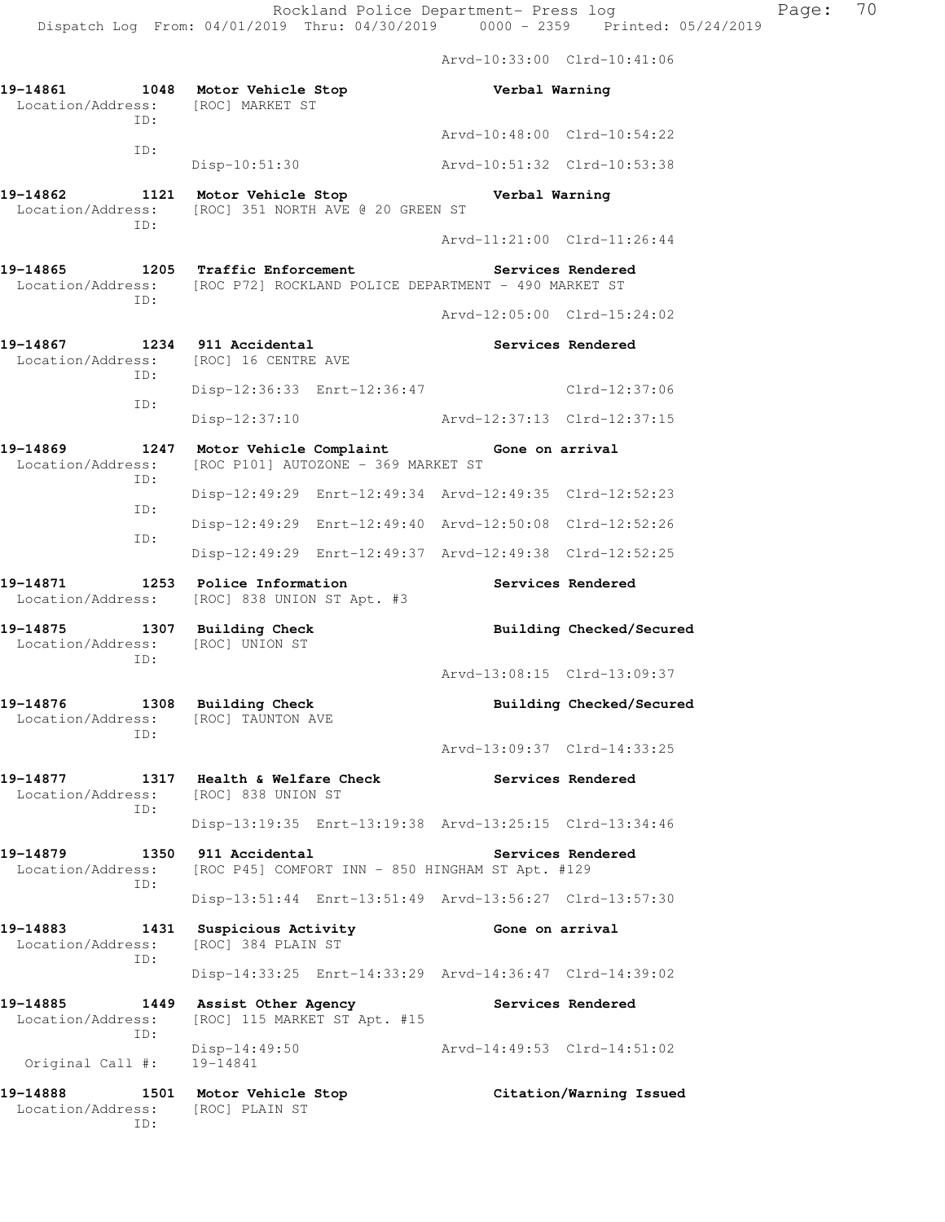Arvd-10:33:00 Clrd-10:41:06

| 19-14861 1048 Motor Vehicle Stop<br>Location/Address: [ROC] MARKET ST<br>ID: |                                                                                                    | Verbal Warning              |                          |
|------------------------------------------------------------------------------|----------------------------------------------------------------------------------------------------|-----------------------------|--------------------------|
| ID:                                                                          |                                                                                                    | Arvd-10:48:00 Clrd-10:54:22 |                          |
|                                                                              | Disp-10:51:30                                                                                      | Arvd-10:51:32 Clrd-10:53:38 |                          |
| 19-14862<br>ID:                                                              | 1121 Motor Vehicle Stop<br>Location/Address: [ROC] 351 NORTH AVE @ 20 GREEN ST                     | Verbal Warning              |                          |
|                                                                              |                                                                                                    | Arvd-11:21:00 Clrd-11:26:44 |                          |
| 19-14865<br>TD:                                                              | 1205 Traffic Enforcement<br>Location/Address: [ROC P72] ROCKLAND POLICE DEPARTMENT - 490 MARKET ST |                             | Services Rendered        |
|                                                                              |                                                                                                    | Arvd-12:05:00 Clrd-15:24:02 |                          |
| 19-14867<br>ID:                                                              | 1234 911 Accidental<br>Location/Address: [ROC] 16 CENTRE AVE                                       |                             | Services Rendered        |
| ID:                                                                          | Disp-12:36:33 Enrt-12:36:47                                                                        |                             | $Clrd-12:37:06$          |
|                                                                              | $Disp-12:37:10$                                                                                    |                             |                          |
| 19-14869<br>1247<br>Location/Address:<br>ID:                                 | Motor Vehicle Complaint<br>[ROC P101] AUTOZONE - 369 MARKET ST                                     | Gone on arrival             |                          |
| ID:                                                                          | Disp-12:49:29 Enrt-12:49:34 Arvd-12:49:35 Clrd-12:52:23                                            |                             |                          |
| ID:                                                                          | Disp-12:49:29 Enrt-12:49:40 Arvd-12:50:08 Clrd-12:52:26                                            |                             |                          |
|                                                                              | Disp-12:49:29 Enrt-12:49:37 Arvd-12:49:38 Clrd-12:52:25                                            |                             |                          |
| 19-14871<br>Location/Address:                                                | 1253 Police Information<br>[ROC] 838 UNION ST Apt. #3                                              |                             | Services Rendered        |
| 19-14875<br>1307<br>Location/Address:<br>ID:                                 | <b>Building Check</b><br>[ROC] UNION ST                                                            |                             | Building Checked/Secured |
|                                                                              |                                                                                                    | Arvd-13:08:15 Clrd-13:09:37 |                          |
| 19-14876<br>1308<br>Location/Address:<br>ID:                                 | <b>Building Check</b><br>[ROC] TAUNTON AVE                                                         |                             | Building Checked/Secured |
|                                                                              |                                                                                                    | Arvd-13:09:37 Clrd-14:33:25 |                          |
| 19-14877<br>Location/Address: [ROC] 838 UNION ST<br>ID:                      | 1317 Health & Welfare Check                                                                        |                             | Services Rendered        |
|                                                                              | Disp-13:19:35 Enrt-13:19:38 Arvd-13:25:15 Clrd-13:34:46                                            |                             |                          |
| 19-14879<br>1350<br>Location/Address:<br>ID:                                 | 911 Accidental<br>[ROC P45] COMFORT INN - 850 HINGHAM ST Apt. #129                                 |                             | Services Rendered        |
|                                                                              | Disp-13:51:44 Enrt-13:51:49 Arvd-13:56:27 Clrd-13:57:30                                            |                             |                          |
| 19-14883<br>1431<br>Location/Address:<br>TD:                                 | Suspicious Activity<br>[ROC] 384 PLAIN ST                                                          | Gone on arrival             |                          |
|                                                                              | Disp-14:33:25 Enrt-14:33:29 Arvd-14:36:47 Clrd-14:39:02                                            |                             |                          |
| 19-14885<br>Location/Address:<br>ID:                                         | 1449 Assist Other Agency<br>[ROC] 115 MARKET ST Apt. #15                                           |                             | Services Rendered        |
| Original Call #:                                                             | $Disp-14:49:50$<br>19-14841                                                                        | Arvd-14:49:53 Clrd-14:51:02 |                          |
| 19-14888<br>Location/Address:<br>ID:                                         | 1501 Motor Vehicle Stop<br>[ROC] PLAIN ST                                                          |                             | Citation/Warning Issued  |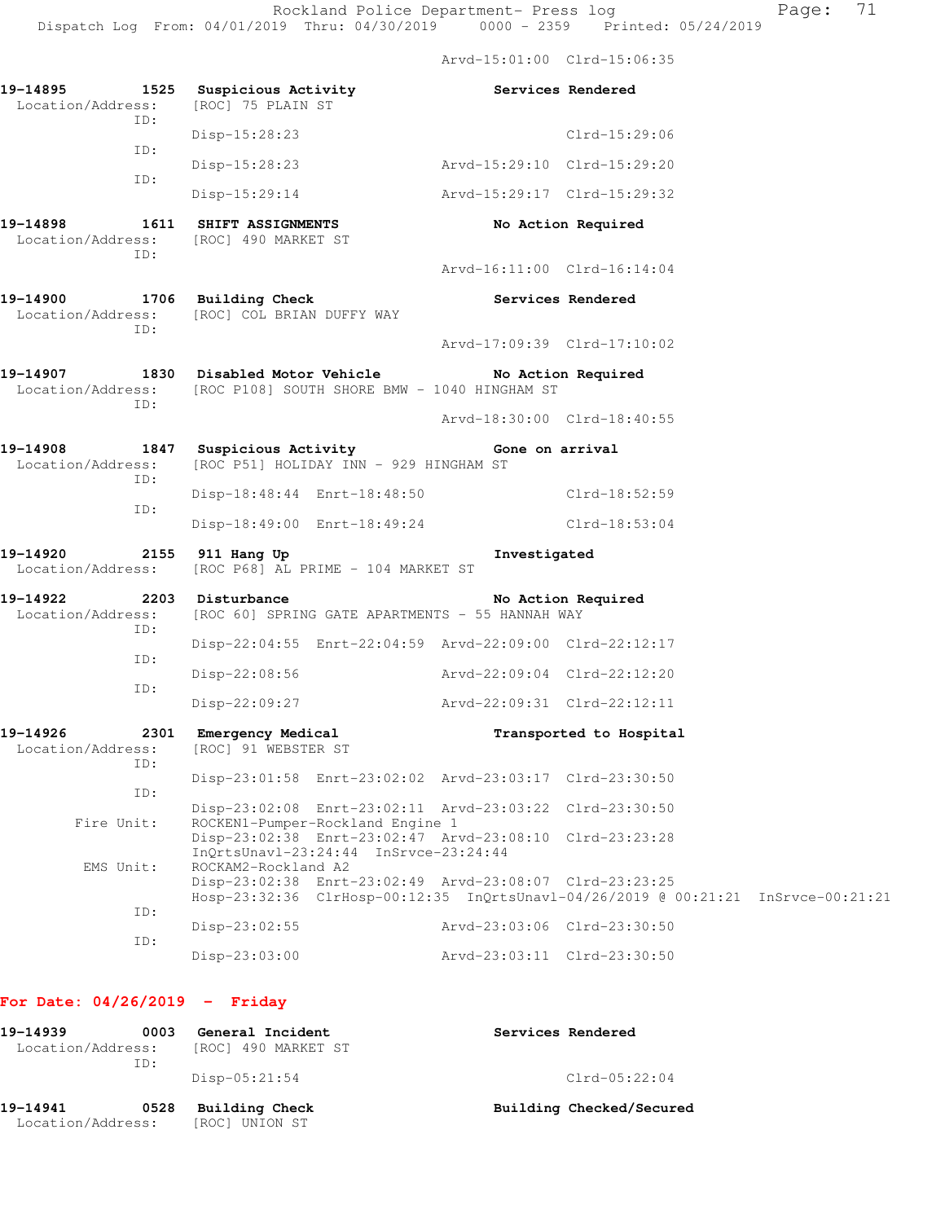Arvd-15:01:00 Clrd-15:06:35

| Location/Address:<br>TD:                              | 19-14895 1525 Suspicious Activity<br>[ROC] 75 PLAIN ST                                                                                                              | <b>Services Rendered</b>    |                         |  |
|-------------------------------------------------------|---------------------------------------------------------------------------------------------------------------------------------------------------------------------|-----------------------------|-------------------------|--|
|                                                       | Disp-15:28:23                                                                                                                                                       |                             | $Clrd-15:29:06$         |  |
| ID:                                                   | Disp-15:28:23                                                                                                                                                       | Arvd-15:29:10 Clrd-15:29:20 |                         |  |
| ID:                                                   | Disp-15:29:14                                                                                                                                                       | Arvd-15:29:17 Clrd-15:29:32 |                         |  |
| ID:                                                   | 19-14898 1611 SHIFT ASSIGNMENTS<br>Location/Address: [ROC] 490 MARKET ST                                                                                            |                             | No Action Required      |  |
|                                                       |                                                                                                                                                                     | Arvd-16:11:00 Clrd-16:14:04 |                         |  |
| ID:                                                   | 19-14900 1706 Building Check<br>Location/Address: [ROC] COL BRIAN DUFFY WAY                                                                                         | Services Rendered           |                         |  |
|                                                       |                                                                                                                                                                     | Arvd-17:09:39 Clrd-17:10:02 |                         |  |
| ID:                                                   | 19-14907 1830 Disabled Motor Vehicle No Action Required<br>Location/Address: [ROC P108] SOUTH SHORE BMW - 1040 HINGHAM ST                                           |                             |                         |  |
|                                                       |                                                                                                                                                                     | Arvd-18:30:00 Clrd-18:40:55 |                         |  |
| 19-14908                                              | 1847 Suspicious Activity Cone on arrival<br>Location/Address: [ROC P51] HOLIDAY INN - 929 HINGHAM ST                                                                |                             |                         |  |
| ID:                                                   | Disp-18:48:44 Enrt-18:48:50 Clrd-18:52:59                                                                                                                           |                             |                         |  |
| ID:                                                   | Disp-18:49:00 Enrt-18:49:24                                                                                                                                         |                             | Clrd-18:53:04           |  |
|                                                       | 19-14920 2155 911 Hang Up<br>Location/Address: [ROC P68] AL PRIME - 104 MARKET ST                                                                                   | Investigated                |                         |  |
| 19-14922 2203 Disturbance<br>Location/Address:<br>TD: | [ROC 60] SPRING GATE APARTMENTS - 55 HANNAH WAY                                                                                                                     |                             | No Action Required      |  |
| ID:                                                   | Disp-22:04:55 Enrt-22:04:59 Arvd-22:09:00 Clrd-22:12:17                                                                                                             |                             |                         |  |
| ID:                                                   | Disp-22:08:56                                                                                                                                                       | Arvd-22:09:04 Clrd-22:12:20 |                         |  |
|                                                       | Disp-22:09:27                                                                                                                                                       | Arvd-22:09:31 Clrd-22:12:11 |                         |  |
| 19-14926                                              | 2301 Emergency Medical<br>Location/Address: [ROC] 91 WEBSTER ST                                                                                                     |                             | Transported to Hospital |  |
| ID:                                                   | Disp-23:01:58 Enrt-23:02:02 Arvd-23:03:17 Clrd-23:30:50                                                                                                             |                             |                         |  |
| ID:                                                   | Disp-23:02:08 Enrt-23:02:11 Arvd-23:03:22 Clrd-23:30:50                                                                                                             |                             |                         |  |
| Fire Unit:                                            | ROCKEN1-Pumper-Rockland Engine 1<br>Disp-23:02:38 Enrt-23:02:47 Arvd-23:08:10 Clrd-23:23:28<br>InQrtsUnavl-23:24:44 InSrvce-23:24:44                                |                             |                         |  |
| EMS Unit:                                             | ROCKAM2-Rockland A2<br>Disp-23:02:38 Enrt-23:02:49 Arvd-23:08:07 Clrd-23:23:25<br>Hosp-23:32:36 ClrHosp-00:12:35 InQrtsUnavl-04/26/2019 @ 00:21:21 InSrvce-00:21:21 |                             |                         |  |
| ID:                                                   | Disp-23:02:55                                                                                                                                                       | Arvd-23:03:06 Clrd-23:30:50 |                         |  |
| ID:                                                   | $Disp-23:03:00$                                                                                                                                                     | Arvd-23:03:11 Clrd-23:30:50 |                         |  |
|                                                       |                                                                                                                                                                     |                             |                         |  |

## **For Date: 04/26/2019 - Friday**

| 19-14939<br>0003<br>Location/Address:<br>ID: |      | General Incident<br>[ROC] 490 MARKET ST | Services Rendered        |
|----------------------------------------------|------|-----------------------------------------|--------------------------|
|                                              |      | $Disp-05:21:54$                         | $Clrd-05:22:04$          |
| 19-14941<br>Location/Address:                | 0528 | Building Check<br>[ROC] UNION ST        | Building Checked/Secured |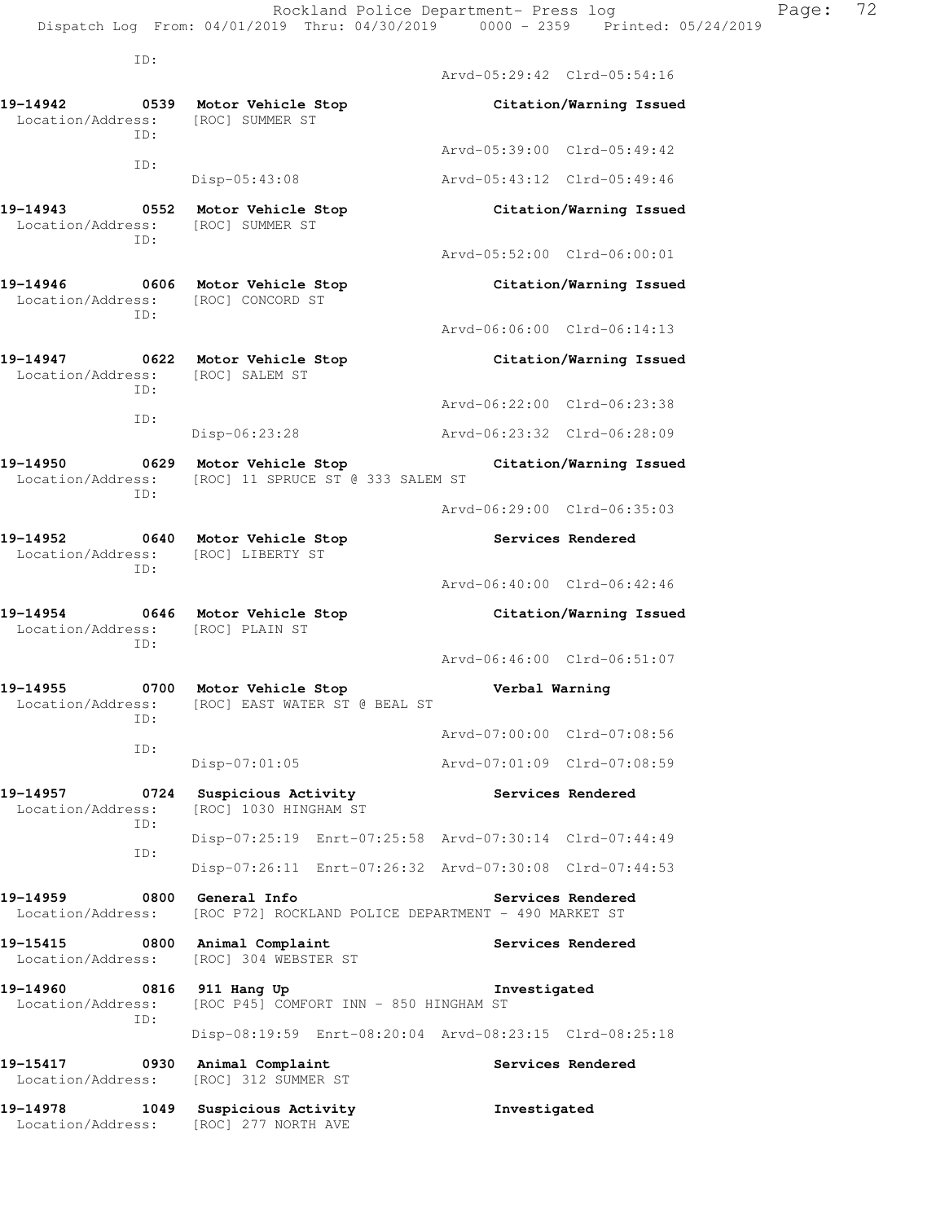ID:

|                                                               |      |                                                                      | Arvd-05:29:42 Clrd-05:54:16 |                         |
|---------------------------------------------------------------|------|----------------------------------------------------------------------|-----------------------------|-------------------------|
| 19-14942<br>Location/Address:                                 | ID:  | 0539 Motor Vehicle Stop<br>[ROC] SUMMER ST                           |                             | Citation/Warning Issued |
|                                                               | ID:  |                                                                      | Arvd-05:39:00 Clrd-05:49:42 |                         |
|                                                               |      | Disp-05:43:08                                                        | Arvd-05:43:12 Clrd-05:49:46 |                         |
| 19-14943 0552<br>Location/Address:<br>TD:                     |      | Motor Vehicle Stop<br>[ROC] SUMMER ST                                |                             | Citation/Warning Issued |
|                                                               |      |                                                                      | Arvd-05:52:00 Clrd-06:00:01 |                         |
| 19-14946<br>Location/Address: [ROC] CONCORD ST<br>ID:         |      | 0606 Motor Vehicle Stop                                              |                             | Citation/Warning Issued |
|                                                               |      |                                                                      | Arvd-06:06:00 Clrd-06:14:13 |                         |
| 19-14947 0622 Motor Vehicle Stop<br>Location/Address:<br>ID:  |      | [ROC] SALEM ST                                                       |                             | Citation/Warning Issued |
|                                                               | ID:  |                                                                      | Arvd-06:22:00 Clrd-06:23:38 |                         |
|                                                               |      | Disp-06:23:28                                                        | Arvd-06:23:32 Clrd-06:28:09 |                         |
| 19-14950<br>Location/Address:<br>TD:                          |      | 0629 Motor Vehicle Stop<br>[ROC] 11 SPRUCE ST @ 333 SALEM ST         |                             | Citation/Warning Issued |
|                                                               |      |                                                                      | Arvd-06:29:00 Clrd-06:35:03 |                         |
| 19-14952<br>0640<br>Location/Address: [ROC] LIBERTY ST<br>ID: |      | Motor Vehicle Stop                                                   |                             | Services Rendered       |
|                                                               |      |                                                                      | Arvd-06:40:00 Clrd-06:42:46 |                         |
| 19-14954<br>Location/Address:<br>ID:                          |      | 0646 Motor Vehicle Stop<br>[ROC] PLAIN ST                            |                             | Citation/Warning Issued |
|                                                               |      |                                                                      |                             |                         |
|                                                               |      |                                                                      | Arvd-06:46:00 Clrd-06:51:07 |                         |
| 19-14955<br>Location/Address:                                 | ID:  | 0700 Motor Vehicle Stop<br>[ROC] EAST WATER ST @ BEAL ST             | Verbal Warning              |                         |
|                                                               | ID:  |                                                                      | Aryd-07:00:00 Clrd-07:08:56 |                         |
|                                                               |      | Disp-07:01:05                                                        | Arvd-07:01:09 Clrd-07:08:59 |                         |
| 19-14957<br>Location/Address:                                 | 0724 | Suspicious Activity<br>[ROC] 1030 HINGHAM ST                         |                             | Services Rendered       |
|                                                               | ID:  | Disp-07:25:19 Enrt-07:25:58 Arvd-07:30:14 Clrd-07:44:49              |                             |                         |
|                                                               | ID:  | Disp-07:26:11 Enrt-07:26:32 Arvd-07:30:08 Clrd-07:44:53              |                             |                         |
| 19–14959<br>Location/Address:                                 | 0800 | General Info<br>[ROC P72] ROCKLAND POLICE DEPARTMENT - 490 MARKET ST |                             | Services Rendered       |
| 19-15415<br>Location/Address:                                 |      | 0800 Animal Complaint<br>[ROC] 304 WEBSTER ST                        |                             | Services Rendered       |
| 19-14960<br>Location/Address:                                 | 0816 | 911 Hang Up<br>[ROC P45] COMFORT INN - 850 HINGHAM ST                | Investigated                |                         |
|                                                               | ID:  | Disp-08:19:59 Enrt-08:20:04 Arvd-08:23:15 Clrd-08:25:18              |                             |                         |
| 19-15417<br>Location/Address:                                 | 0930 | Animal Complaint<br>[ROC] 312 SUMMER ST                              |                             | Services Rendered       |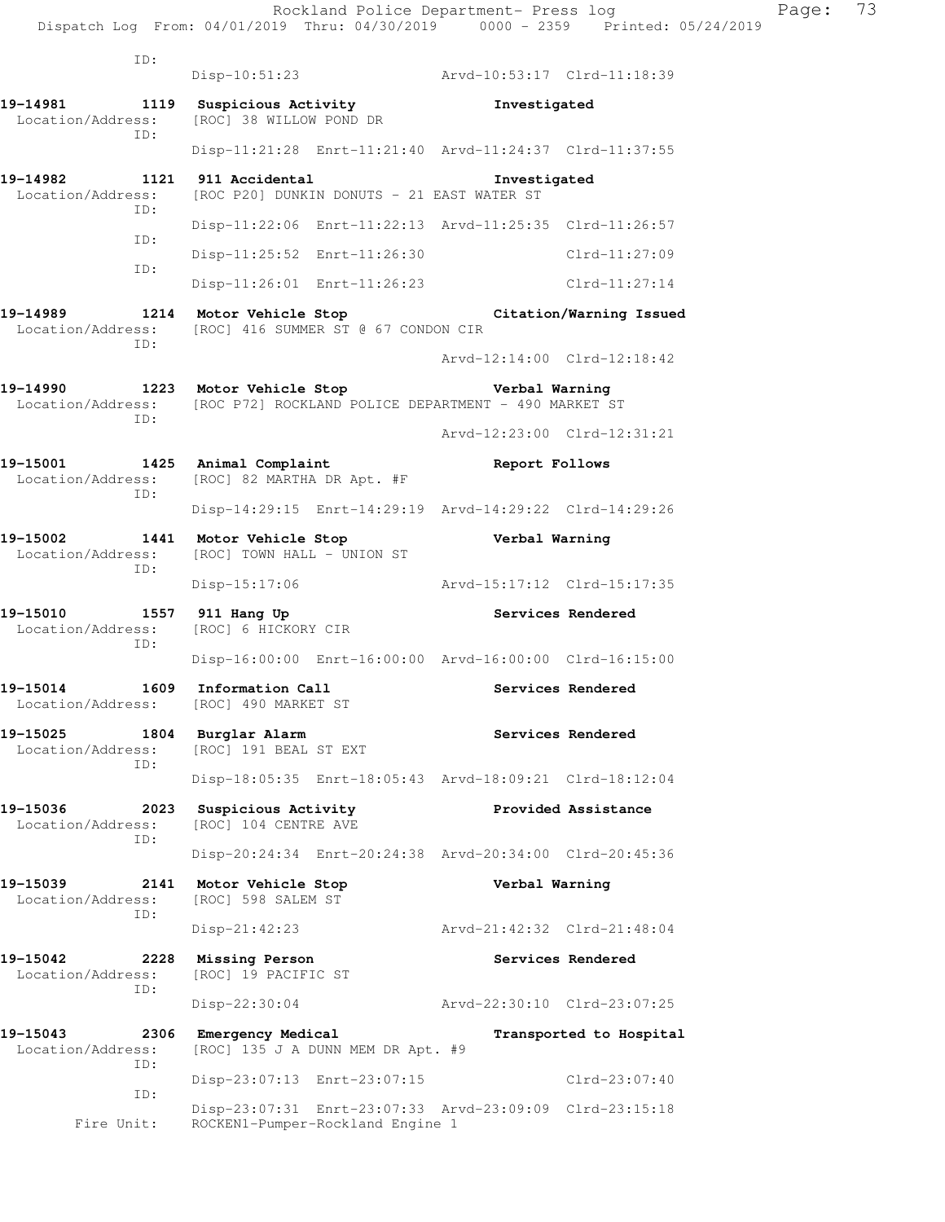| ID:                                                                                                        |                                                                   |                                                         |                         |  |
|------------------------------------------------------------------------------------------------------------|-------------------------------------------------------------------|---------------------------------------------------------|-------------------------|--|
|                                                                                                            | Disp-10:51:23                                                     | Arvd-10:53:17 Clrd-11:18:39                             |                         |  |
| 19-14981<br>Location/Address:                                                                              | 1119 Suspicious Activity<br>[ROC] 38 WILLOW POND DR               | Investigated                                            |                         |  |
| ID:                                                                                                        |                                                                   | Disp-11:21:28 Enrt-11:21:40 Arvd-11:24:37 Clrd-11:37:55 |                         |  |
| 19-14982<br>Location/Address:                                                                              | 1121 911 Accidental<br>[ROC P20] DUNKIN DONUTS - 21 EAST WATER ST | Investigated                                            |                         |  |
| TD:<br>ID:                                                                                                 |                                                                   | Disp-11:22:06 Enrt-11:22:13 Arvd-11:25:35 Clrd-11:26:57 |                         |  |
|                                                                                                            | Disp-11:25:52 Enrt-11:26:30                                       |                                                         | $Clrd-11:27:09$         |  |
| ID:                                                                                                        | Disp-11:26:01 Enrt-11:26:23                                       |                                                         | $Clrd-11:27:14$         |  |
| 19-14989<br>Location/Address: [ROC] 416 SUMMER ST @ 67 CONDON CIR                                          | 1214 Motor Vehicle Stop                                           |                                                         | Citation/Warning Issued |  |
| ID:                                                                                                        |                                                                   | Arvd-12:14:00 Clrd-12:18:42                             |                         |  |
| 19-14990 1223 Motor Vehicle Stop<br>Location/Address: [ROC P72] ROCKLAND POLICE DEPARTMENT - 490 MARKET ST |                                                                   | Verbal Warning                                          |                         |  |
| ID:                                                                                                        |                                                                   | Arvd-12:23:00 Clrd-12:31:21                             |                         |  |
| 19-15001 1425 Animal Complaint<br>Location/Address: [ROC] 82 MARTHA DR Apt. #F                             |                                                                   | Report Follows                                          |                         |  |
| ID:                                                                                                        |                                                                   | Disp-14:29:15 Enrt-14:29:19 Arvd-14:29:22 Clrd-14:29:26 |                         |  |
| 19-15002<br>Location/Address:<br>ID:                                                                       | 1441 Motor Vehicle Stop<br>[ROC] TOWN HALL - UNION ST             | Verbal Warning                                          |                         |  |
|                                                                                                            | $Disp-15:17:06$                                                   | Arvd-15:17:12 Clrd-15:17:35                             |                         |  |
| 19-15010<br>Location/Address: [ROC] 6 HICKORY CIR                                                          | 1557 911 Hang Up                                                  |                                                         | Services Rendered       |  |
| ID:                                                                                                        |                                                                   | Disp-16:00:00 Enrt-16:00:00 Arvd-16:00:00 Clrd-16:15:00 |                         |  |
| 19-15014<br>Location/Address: [ROC] 490 MARKET ST                                                          | 1609 Information Call                                             |                                                         | Services Rendered       |  |
| 19-15025<br>1804<br>Location/Address:<br>ID:                                                               | Burglar Alarm<br>[ROC] 191 BEAL ST EXT                            |                                                         | Services Rendered       |  |
|                                                                                                            |                                                                   | Disp-18:05:35 Enrt-18:05:43 Arvd-18:09:21 Clrd-18:12:04 |                         |  |
| 19-15036<br>2023<br>Location/Address:<br>ID:                                                               | Suspicious Activity<br>[ROC] 104 CENTRE AVE                       |                                                         | Provided Assistance     |  |
|                                                                                                            |                                                                   | Disp-20:24:34 Enrt-20:24:38 Arvd-20:34:00 Clrd-20:45:36 |                         |  |
| 19-15039<br>2141<br>Location/Address:                                                                      | Motor Vehicle Stop<br>[ROC] 598 SALEM ST                          | Verbal Warning                                          |                         |  |
| ID:                                                                                                        |                                                                   |                                                         |                         |  |
|                                                                                                            | $Disp-21:42:23$                                                   | Arvd-21:42:32 Clrd-21:48:04                             |                         |  |
| 19-15042<br>2228<br>Location/Address:                                                                      | Missing Person<br>[ROC] 19 PACIFIC ST                             |                                                         | Services Rendered       |  |
| ID:                                                                                                        | $Disp-22:30:04$                                                   | Arvd-22:30:10 Clrd-23:07:25                             |                         |  |
| 19-15043<br>2306<br>Location/Address:                                                                      | Emergency Medical<br>[ROC] 135 J A DUNN MEM DR Apt. #9            |                                                         | Transported to Hospital |  |
| ID:                                                                                                        | Disp-23:07:13 Enrt-23:07:15                                       |                                                         | $Clrd-23:07:40$         |  |
| ID:<br>Fire Unit:                                                                                          | ROCKEN1-Pumper-Rockland Engine 1                                  | Disp-23:07:31 Enrt-23:07:33 Arvd-23:09:09 Clrd-23:15:18 |                         |  |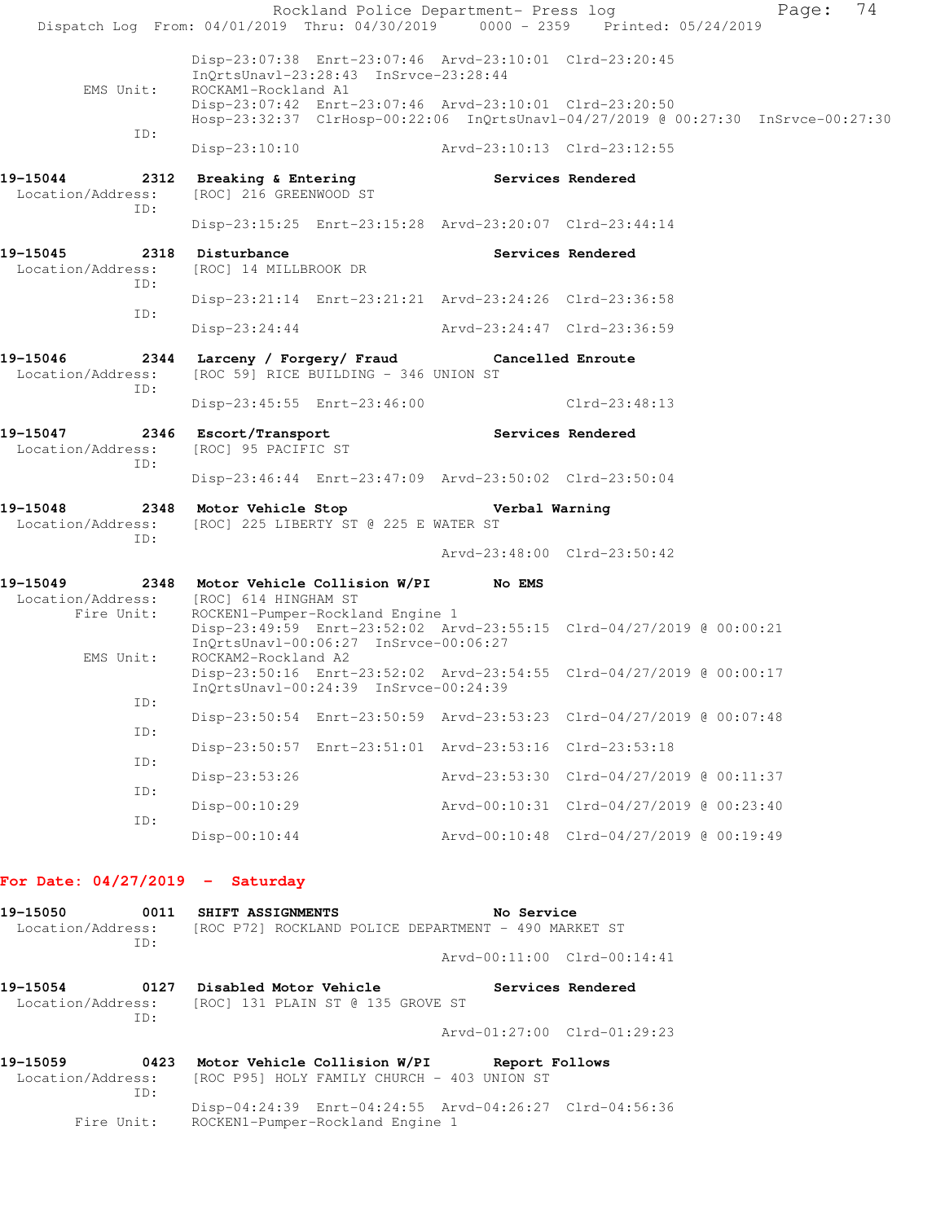|                                             |                                              |                                       | Rockland Police Department- Press log                   | Dispatch Log From: 04/01/2019 Thru: 04/30/2019 0000 - 2359 Printed: 05/24/2019    | 74<br>Page: |
|---------------------------------------------|----------------------------------------------|---------------------------------------|---------------------------------------------------------|-----------------------------------------------------------------------------------|-------------|
| EMS Unit:                                   | ROCKAM1-Rockland A1                          | InOrtsUnav1-23:28:43 InSrvce-23:28:44 | Disp-23:07:38 Enrt-23:07:46 Arvd-23:10:01 Clrd-23:20:45 |                                                                                   |             |
|                                             |                                              |                                       | Disp-23:07:42 Enrt-23:07:46 Arvd-23:10:01 Clrd-23:20:50 | Hosp-23:32:37 ClrHosp-00:22:06 InQrtsUnavl-04/27/2019 @ 00:27:30 InSrvce-00:27:30 |             |
| ID:                                         |                                              |                                       | Disp-23:10:10 Arvd-23:10:13 Clrd-23:12:55               |                                                                                   |             |
| 19-15044<br>Location/Address:<br>TD:        | [ROC] 216 GREENWOOD ST                       |                                       | 2312 Breaking & Entering The Services Rendered          |                                                                                   |             |
|                                             |                                              |                                       | Disp-23:15:25 Enrt-23:15:28 Arvd-23:20:07 Clrd-23:44:14 |                                                                                   |             |
| 19-15045<br>Location/Address:<br>ID:        | 2318 Disturbance<br>[ROC] 14 MILLBROOK DR    |                                       |                                                         | Services Rendered                                                                 |             |
| ID:                                         |                                              |                                       | Disp-23:21:14 Enrt-23:21:21 Arvd-23:24:26 Clrd-23:36:58 |                                                                                   |             |
|                                             | Disp-23:24:44                                |                                       | Arvd-23:24:47 Clrd-23:36:59                             |                                                                                   |             |
| 19-15046<br>Location/Address:<br>ID:        |                                              | [ROC 59] RICE BUILDING - 346 UNION ST | 2344 Larceny / Forgery/ Fraud Cancelled Enroute         |                                                                                   |             |
|                                             |                                              | Disp-23:45:55 Enrt-23:46:00           |                                                         | Clrd-23:48:13                                                                     |             |
| 19-15047<br>Location/Address:<br>ID:        | 2346 Escort/Transport<br>[ROC] 95 PACIFIC ST |                                       | <b>Services Rendered</b>                                |                                                                                   |             |
|                                             |                                              |                                       | Disp-23:46:44 Enrt-23:47:09 Arvd-23:50:02 Clrd-23:50:04 |                                                                                   |             |
| 19-15048<br>Location/Address:<br>ID:        | 2348 Motor Vehicle Stop                      | [ROC] 225 LIBERTY ST @ 225 E WATER ST | Verbal Warning                                          |                                                                                   |             |
|                                             |                                              |                                       | Arvd-23:48:00 Clrd-23:50:42                             |                                                                                   |             |
| 19–15049<br>Location/Address:<br>Fire Unit: | [ROC] 614 HINGHAM ST                         | ROCKEN1-Pumper-Rockland Engine 1      |                                                         |                                                                                   |             |
| EMS Unit:                                   | ROCKAM2-Rockland A2                          | InQrtsUnavl-00:06:27 InSrvce-00:06:27 |                                                         | Disp-23:49:59 Enrt-23:52:02 Arvd-23:55:15 Clrd-04/27/2019 @ 00:00:21              |             |
|                                             |                                              | InOrtsUnavl-00:24:39 InSrvce-00:24:39 |                                                         | Disp-23:50:16 Enrt-23:52:02 Arvd-23:54:55 Clrd-04/27/2019 @ 00:00:17              |             |
| ID:<br>ID:                                  |                                              |                                       |                                                         | Disp-23:50:54 Enrt-23:50:59 Arvd-23:53:23 Clrd-04/27/2019 @ 00:07:48              |             |
| ID:                                         |                                              |                                       | Disp-23:50:57 Enrt-23:51:01 Arvd-23:53:16 Clrd-23:53:18 |                                                                                   |             |
| ID:                                         | Disp-23:53:26                                |                                       |                                                         | Arvd-23:53:30 Clrd-04/27/2019 @ 00:11:37                                          |             |
| ID:                                         | $Disp-00:10:29$                              |                                       |                                                         | Arvd-00:10:31 Clrd-04/27/2019 @ 00:23:40                                          |             |
|                                             | $Disp-00:10:44$                              |                                       |                                                         | Arvd-00:10:48 Clrd-04/27/2019 @ 00:19:49                                          |             |
|                                             |                                              |                                       |                                                         |                                                                                   |             |

## **For Date: 04/27/2019 - Saturday**

| 19–15050          |      | 0011 SHIFT ASSIGNMENTS | No Service                                           |                             |
|-------------------|------|------------------------|------------------------------------------------------|-----------------------------|
| Location/Address: |      |                        | [ROC P72] ROCKLAND POLICE DEPARTMENT - 490 MARKET ST |                             |
|                   | TD:  |                        |                                                      |                             |
|                   |      |                        |                                                      | Arvd-00:11:00 Clrd-00:14:41 |
|                   |      |                        |                                                      |                             |
| 19–15054          | 0127 | Disabled Motor Vehicle |                                                      | Services Rendered           |

|                   |     |  | -----------------------           |  |  | ---------------------------- |
|-------------------|-----|--|-----------------------------------|--|--|------------------------------|
| Location/Address: |     |  | [ROC] 131 PLAIN ST @ 135 GROVE ST |  |  |                              |
|                   | TD: |  |                                   |  |  |                              |
|                   |     |  |                                   |  |  | Arvd-01:27:00 Clrd-01:29:23  |
|                   |     |  |                                   |  |  |                              |

| 19-15059          | 0423       | Motor Vehicle Collision W/PI                | Report Follows                                          |
|-------------------|------------|---------------------------------------------|---------------------------------------------------------|
| Location/Address: |            | [ROC P95] HOLY FAMILY CHURCH - 403 UNION ST |                                                         |
|                   | TD:        |                                             | Disp-04:24:39 Enrt-04:24:55 Arvd-04:26:27 Clrd-04:56:36 |
|                   | Fire Unit: | ROCKEN1-Pumper-Rockland Engine 1            |                                                         |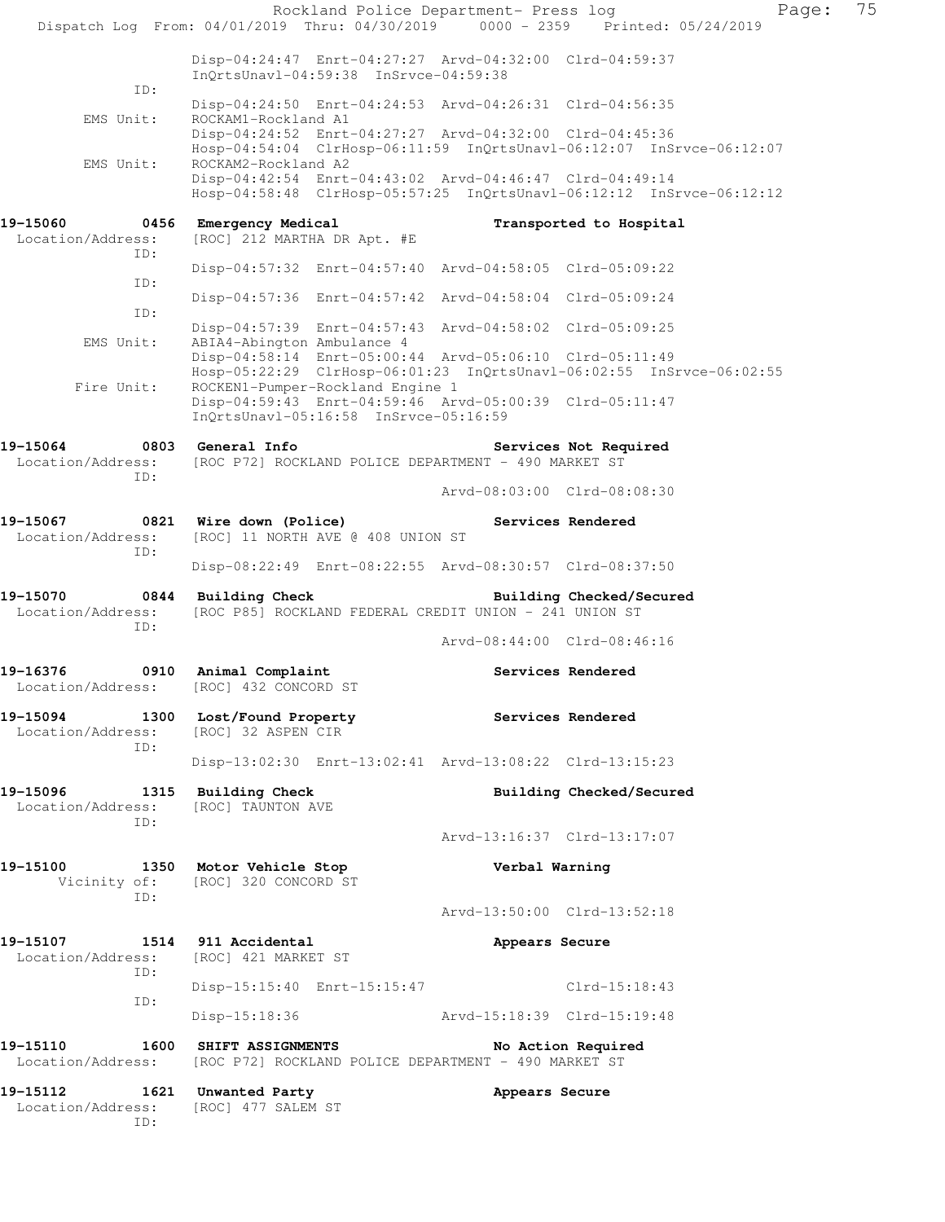| Dispatch Log From: 04/01/2019 Thru: 04/30/2019 0000 - 2359 Printed: 05/24/2019          |                                                                                                                                                        | Rockland Police Department- Press log |                          | Page: | 75 |
|-----------------------------------------------------------------------------------------|--------------------------------------------------------------------------------------------------------------------------------------------------------|---------------------------------------|--------------------------|-------|----|
|                                                                                         | Disp-04:24:47 Enrt-04:27:27 Arvd-04:32:00 Clrd-04:59:37<br>InQrtsUnavl-04:59:38 InSrvce-04:59:38                                                       |                                       |                          |       |    |
| ID:<br>EMS Unit:                                                                        | Disp-04:24:50 Enrt-04:24:53 Arvd-04:26:31 Clrd-04:56:35<br>ROCKAM1-Rockland A1                                                                         |                                       |                          |       |    |
|                                                                                         | Disp-04:24:52 Enrt-04:27:27 Arvd-04:32:00 Clrd-04:45:36<br>Hosp-04:54:04 ClrHosp-06:11:59 InQrtsUnavl-06:12:07 InSrvce-06:12:07                        |                                       |                          |       |    |
| EMS Unit:                                                                               | ROCKAM2-Rockland A2<br>Disp-04:42:54 Enrt-04:43:02 Arvd-04:46:47 Clrd-04:49:14<br>Hosp-04:58:48 ClrHosp-05:57:25 InQrtsUnavl-06:12:12 InSrvce-06:12:12 |                                       |                          |       |    |
| 19-15060                                                                                | 0456 Emergency Medical                                                                                                                                 |                                       | Transported to Hospital  |       |    |
| Location/Address:<br>ID:                                                                | [ROC] 212 MARTHA DR Apt. #E                                                                                                                            |                                       |                          |       |    |
| ID:                                                                                     | Disp-04:57:32 Enrt-04:57:40 Arvd-04:58:05 Clrd-05:09:22                                                                                                |                                       |                          |       |    |
| ID:                                                                                     | Disp-04:57:36 Enrt-04:57:42 Arvd-04:58:04 Clrd-05:09:24                                                                                                |                                       |                          |       |    |
| EMS Unit:                                                                               | Disp-04:57:39 Enrt-04:57:43 Arvd-04:58:02 Clrd-05:09:25<br>ABIA4-Abington Ambulance 4                                                                  |                                       |                          |       |    |
|                                                                                         | Disp-04:58:14 Enrt-05:00:44 Arvd-05:06:10 Clrd-05:11:49<br>Hosp-05:22:29 ClrHosp-06:01:23 InQrtsUnavl-06:02:55 InSrvce-06:02:55                        |                                       |                          |       |    |
| Fire Unit:                                                                              | ROCKEN1-Pumper-Rockland Engine 1<br>Disp-04:59:43 Enrt-04:59:46 Arvd-05:00:39 Clrd-05:11:47<br>InQrtsUnavl-05:16:58 InSrvce-05:16:59                   |                                       |                          |       |    |
| 19-15064 0803 General Info<br>Location/Address:<br>ID:                                  | [ROC P72] ROCKLAND POLICE DEPARTMENT - 490 MARKET ST                                                                                                   |                                       | Services Not Required    |       |    |
|                                                                                         |                                                                                                                                                        | Arvd-08:03:00 Clrd-08:08:30           |                          |       |    |
| 19-15067 1821 Wire down (Police) 19-15067 Services Rendered<br>Location/Address:<br>ID: | [ROC] 11 NORTH AVE @ 408 UNION ST                                                                                                                      |                                       |                          |       |    |
|                                                                                         | Disp-08:22:49 Enrt-08:22:55 Arvd-08:30:57 Clrd-08:37:50                                                                                                |                                       |                          |       |    |
| 19-15070<br>Location/Address:<br>ID:                                                    | 0844 Building Check<br>[ROC P85] ROCKLAND FEDERAL CREDIT UNION - 241 UNION ST                                                                          |                                       | Building Checked/Secured |       |    |
|                                                                                         |                                                                                                                                                        | Arvd-08:44:00 Clrd-08:46:16           |                          |       |    |
| 19-16376<br>Location/Address:                                                           | 0910 Animal Complaint<br>[ROC] 432 CONCORD ST                                                                                                          |                                       | Services Rendered        |       |    |
| 19-15094 1300 Lost/Found Property<br>Location/Address:<br>ID:                           | [ROC] 32 ASPEN CIR                                                                                                                                     | <b>Services Rendered</b>              |                          |       |    |
|                                                                                         | Disp-13:02:30 Enrt-13:02:41 Arvd-13:08:22 Clrd-13:15:23                                                                                                |                                       |                          |       |    |
| 19-15096 1315 Building Check<br>Location/Address:                                       | [ROC] TAUNTON AVE                                                                                                                                      |                                       | Building Checked/Secured |       |    |
| ID:                                                                                     |                                                                                                                                                        | Arvd-13:16:37 Clrd-13:17:07           |                          |       |    |
| 19-15100<br>ID:                                                                         | 1350 Motor Vehicle Stop<br>Vicinity of: [ROC] 320 CONCORD ST                                                                                           | Verbal Warning                        |                          |       |    |
|                                                                                         |                                                                                                                                                        | Arvd-13:50:00 Clrd-13:52:18           |                          |       |    |
| 19-15107 1514 911 Accidental<br>Location/Address: [ROC] 421 MARKET ST<br>ID:            |                                                                                                                                                        | Appears Secure                        |                          |       |    |
|                                                                                         | Disp-15:15:40 Enrt-15:15:47                                                                                                                            |                                       | Clrd-15:18:43            |       |    |
| ID:                                                                                     | Disp-15:18:36 Arvd-15:18:39 Clrd-15:19:48                                                                                                              |                                       |                          |       |    |
| 19-15110<br>Location/Address: [ROC P72] ROCKLAND POLICE DEPARTMENT - 490 MARKET ST      | 1600 SHIFT ASSIGNMENTS                                                                                                                                 |                                       | No Action Required       |       |    |
| 19-15112 1621 Unwanted Party<br>Location/Address:<br>ID:                                | [ROC] 477 SALEM ST                                                                                                                                     | Appears Secure                        |                          |       |    |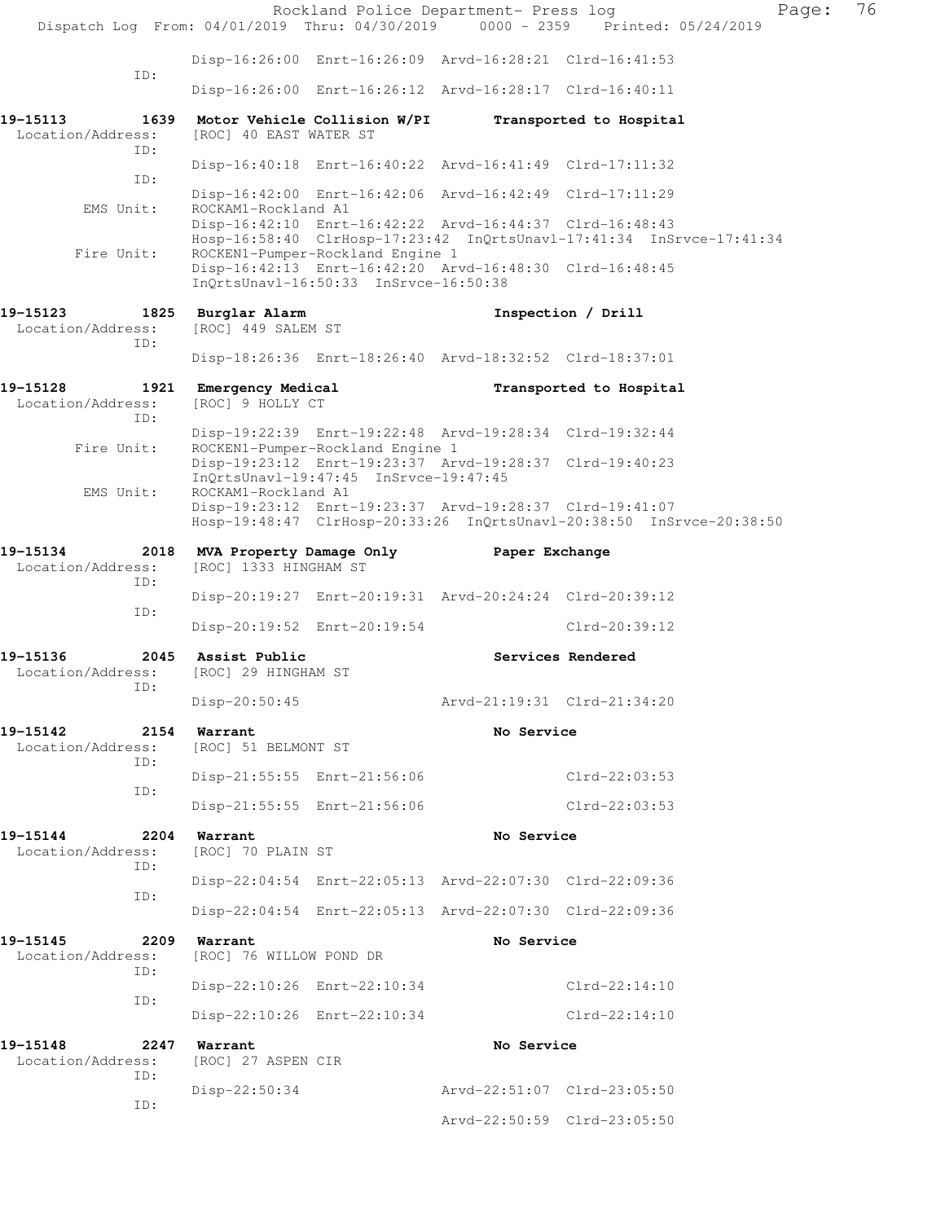|                                                                                |                                                             |                                                                           | Rockland Police Department- Press log                                                                                           |                         | Page: | 76 |
|--------------------------------------------------------------------------------|-------------------------------------------------------------|---------------------------------------------------------------------------|---------------------------------------------------------------------------------------------------------------------------------|-------------------------|-------|----|
| Dispatch Log From: 04/01/2019 Thru: 04/30/2019 0000 - 2359 Printed: 05/24/2019 |                                                             |                                                                           |                                                                                                                                 |                         |       |    |
| ID:                                                                            |                                                             |                                                                           | Disp-16:26:00 Enrt-16:26:09 Arvd-16:28:21 Clrd-16:41:53                                                                         |                         |       |    |
|                                                                                |                                                             |                                                                           | Disp-16:26:00 Enrt-16:26:12 Arvd-16:28:17 Clrd-16:40:11                                                                         |                         |       |    |
| 19–15113<br>Location/Address:<br>ID:                                           | 1639 Motor Vehicle Collision W/PI<br>[ROC] 40 EAST WATER ST |                                                                           |                                                                                                                                 | Transported to Hospital |       |    |
| ID:                                                                            |                                                             |                                                                           | Disp-16:40:18 Enrt-16:40:22 Arvd-16:41:49 Clrd-17:11:32                                                                         |                         |       |    |
| EMS Unit:                                                                      | ROCKAM1-Rockland A1                                         |                                                                           | Disp-16:42:00 Enrt-16:42:06 Arvd-16:42:49 Clrd-17:11:29                                                                         |                         |       |    |
|                                                                                |                                                             |                                                                           | Disp-16:42:10 Enrt-16:42:22 Arvd-16:44:37 Clrd-16:48:43<br>Hosp-16:58:40 ClrHosp-17:23:42 InQrtsUnavl-17:41:34 InSrvce-17:41:34 |                         |       |    |
| Fire Unit:                                                                     |                                                             | ROCKEN1-Pumper-Rockland Engine 1<br>InQrtsUnavl-16:50:33 InSrvce-16:50:38 | Disp-16:42:13 Enrt-16:42:20 Arvd-16:48:30 Clrd-16:48:45                                                                         |                         |       |    |
| 19–15123                                                                       | 1825 Burglar Alarm                                          |                                                                           |                                                                                                                                 | Inspection / Drill      |       |    |
| Location/Address:<br>ID:                                                       | [ROC] 449 SALEM ST                                          |                                                                           |                                                                                                                                 |                         |       |    |
|                                                                                |                                                             |                                                                           | Disp-18:26:36 Enrt-18:26:40 Arvd-18:32:52 Clrd-18:37:01                                                                         |                         |       |    |
| 19-15128<br>Location/Address:                                                  | 1921 Emergency Medical<br>[ROC] 9 HOLLY CT                  |                                                                           |                                                                                                                                 | Transported to Hospital |       |    |
| ID:                                                                            |                                                             |                                                                           | Disp-19:22:39 Enrt-19:22:48 Arvd-19:28:34 Clrd-19:32:44                                                                         |                         |       |    |
| Fire Unit:                                                                     |                                                             | ROCKEN1-Pumper-Rockland Engine 1                                          | Disp-19:23:12 Enrt-19:23:37 Arvd-19:28:37 Clrd-19:40:23                                                                         |                         |       |    |
| EMS Unit:                                                                      | ROCKAM1-Rockland A1                                         | InQrtsUnavl-19:47:45 InSrvce-19:47:45                                     |                                                                                                                                 |                         |       |    |
|                                                                                |                                                             |                                                                           | Disp-19:23:12 Enrt-19:23:37 Arvd-19:28:37 Clrd-19:41:07<br>Hosp-19:48:47 ClrHosp-20:33:26 InQrtsUnavl-20:38:50 InSrvce-20:38:50 |                         |       |    |
| 19-15134<br>2018                                                               |                                                             |                                                                           | MVA Property Damage Only Paper Exchange                                                                                         |                         |       |    |
| Location/Address:<br>ID:                                                       | [ROC] 1333 HINGHAM ST                                       |                                                                           |                                                                                                                                 |                         |       |    |
| ID:                                                                            |                                                             |                                                                           | Disp-20:19:27 Enrt-20:19:31 Arvd-20:24:24 Clrd-20:39:12                                                                         |                         |       |    |
|                                                                                |                                                             | Disp-20:19:52 Enrt-20:19:54                                               |                                                                                                                                 | Clrd-20:39:12           |       |    |
| 19–15136<br>Location/Address:<br>ID:                                           | 2045 Assist Public<br>[ROC] 29 HINGHAM ST                   |                                                                           |                                                                                                                                 | Services Rendered       |       |    |
|                                                                                | $Disp-20:50:45$                                             |                                                                           | Arvd-21:19:31 Clrd-21:34:20                                                                                                     |                         |       |    |
| 19-15142<br>2154<br>Location/Address:<br>ID:                                   | Warrant<br>[ROC] 51 BELMONT ST                              |                                                                           | No Service                                                                                                                      |                         |       |    |
| ID:                                                                            |                                                             | Disp-21:55:55 Enrt-21:56:06                                               |                                                                                                                                 | $Clrd-22:03:53$         |       |    |
|                                                                                |                                                             | Disp-21:55:55 Enrt-21:56:06                                               |                                                                                                                                 | $Clrd-22:03:53$         |       |    |
| 19-15144<br>2204<br>Location/Address:                                          | Warrant<br>[ROC] 70 PLAIN ST                                |                                                                           | No Service                                                                                                                      |                         |       |    |
| ID:<br>ID:                                                                     |                                                             |                                                                           | Disp-22:04:54 Enrt-22:05:13 Arvd-22:07:30 Clrd-22:09:36                                                                         |                         |       |    |
|                                                                                |                                                             |                                                                           | Disp-22:04:54 Enrt-22:05:13 Arvd-22:07:30 Clrd-22:09:36                                                                         |                         |       |    |
| 19-15145<br>2209<br>Location/Address:<br>ID:                                   | Warrant<br>[ROC] 76 WILLOW POND DR                          |                                                                           | No Service                                                                                                                      |                         |       |    |
| ID:                                                                            |                                                             | Disp-22:10:26 Enrt-22:10:34                                               |                                                                                                                                 | Clrd-22:14:10           |       |    |
|                                                                                |                                                             | Disp-22:10:26 Enrt-22:10:34                                               |                                                                                                                                 | $Clrd-22:14:10$         |       |    |
| 19-15148<br>2247<br>Location/Address:<br>ID:                                   | Warrant<br>[ROC] 27 ASPEN CIR                               |                                                                           | No Service                                                                                                                      |                         |       |    |
| ID:                                                                            | $Disp-22:50:34$                                             |                                                                           | Arvd-22:51:07 Clrd-23:05:50                                                                                                     |                         |       |    |
|                                                                                |                                                             |                                                                           | Arvd-22:50:59 Clrd-23:05:50                                                                                                     |                         |       |    |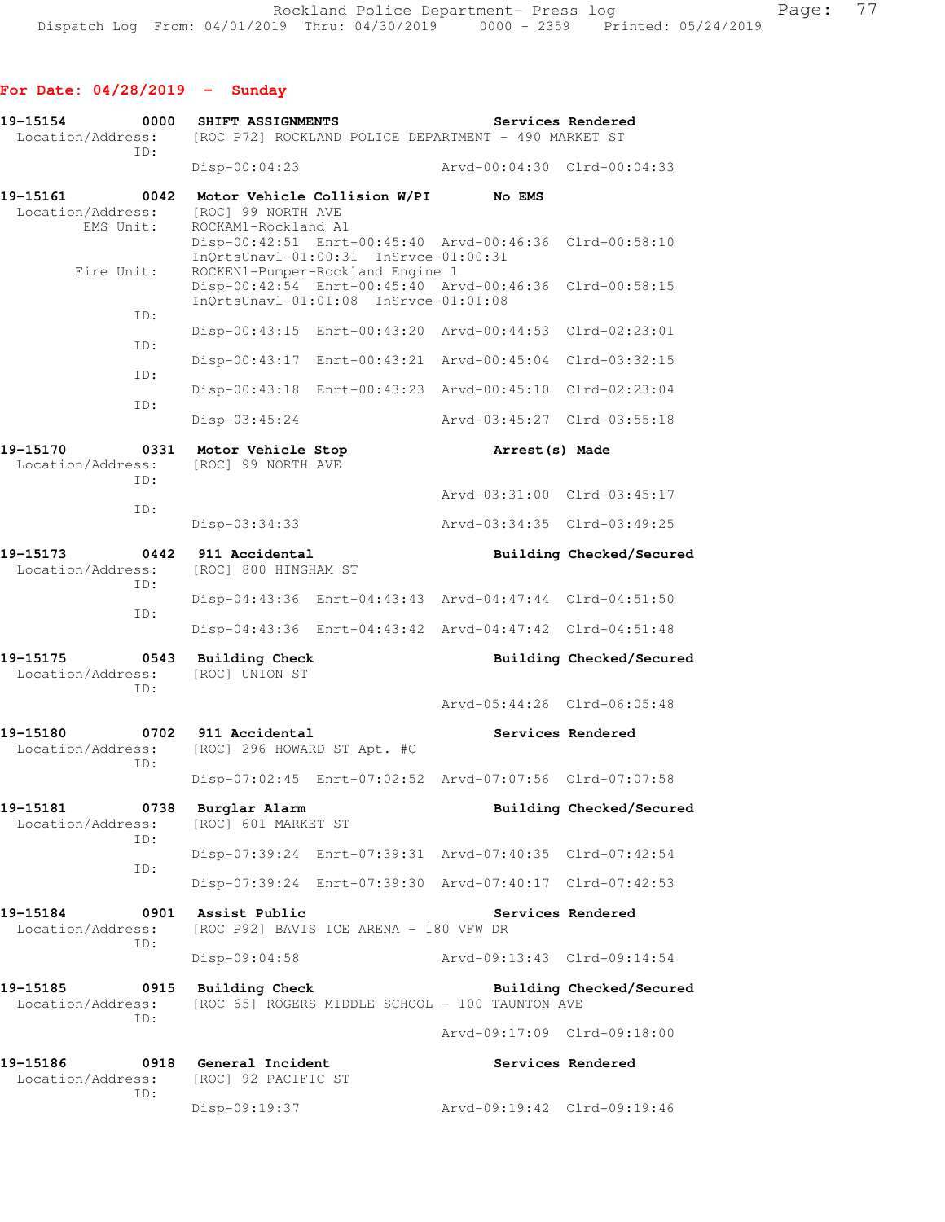| 19-15154<br>Location/Address:              | 0000        | SHIFT ASSIGNMENTS                            |                                                                           | [ROC P72] ROCKLAND POLICE DEPARTMENT - 490 MARKET ST    | Services Rendered        |
|--------------------------------------------|-------------|----------------------------------------------|---------------------------------------------------------------------------|---------------------------------------------------------|--------------------------|
|                                            | ID:         | Disp-00:04:23                                |                                                                           | Arvd-00:04:30 Clrd-00:04:33                             |                          |
| 19-15161<br>Location/Address:<br>EMS Unit: | 0042        | [ROC] 99 NORTH AVE<br>ROCKAM1-Rockland A1    | Motor Vehicle Collision W/PI                                              | No EMS                                                  |                          |
|                                            |             |                                              | InQrtsUnavl-01:00:31 InSrvce-01:00:31                                     | Disp-00:42:51 Enrt-00:45:40 Arvd-00:46:36 Clrd-00:58:10 |                          |
| Fire Unit:                                 |             |                                              | ROCKEN1-Pumper-Rockland Engine 1<br>InQrtsUnavl-01:01:08 InSrvce-01:01:08 | Disp-00:42:54 Enrt-00:45:40 Arvd-00:46:36               | Clrd-00:58:15            |
|                                            | ID:         |                                              |                                                                           | Disp-00:43:15 Enrt-00:43:20 Arvd-00:44:53               | Clrd-02:23:01            |
|                                            | ID:         |                                              |                                                                           | Disp-00:43:17 Enrt-00:43:21 Arvd-00:45:04 Clrd-03:32:15 |                          |
|                                            | ID:         |                                              |                                                                           | Disp-00:43:18 Enrt-00:43:23 Arvd-00:45:10 Clrd-02:23:04 |                          |
|                                            | ID:         | Disp-03:45:24                                |                                                                           | Arvd-03:45:27 Clrd-03:55:18                             |                          |
| 19-15170<br>Location/Address:              | 0331<br>ID: | Motor Vehicle Stop<br>[ROC] 99 NORTH AVE     |                                                                           | Arrest (s) Made                                         |                          |
|                                            | ID:         |                                              |                                                                           | Arvd-03:31:00 Clrd-03:45:17                             |                          |
|                                            |             | Disp-03:34:33                                |                                                                           | Arvd-03:34:35 Clrd-03:49:25                             |                          |
| 19-15173<br>Location/Address:              | 0442<br>ID: | 911 Accidental<br>[ROC] 800 HINGHAM ST       |                                                                           |                                                         | Building Checked/Secured |
|                                            | ID:         |                                              |                                                                           | Disp-04:43:36 Enrt-04:43:43 Arvd-04:47:44 Clrd-04:51:50 |                          |
|                                            |             |                                              |                                                                           | Disp-04:43:36 Enrt-04:43:42 Arvd-04:47:42 Clrd-04:51:48 |                          |
| 19–15175<br>Location/Address:              | 0543<br>ID: | <b>Building Check</b><br>[ROC] UNION ST      |                                                                           |                                                         | Building Checked/Secured |
|                                            |             |                                              |                                                                           | Arvd-05:44:26 Clrd-06:05:48                             |                          |
| 19-15180<br>Location/Address:              | 0702<br>ID: | 911 Accidental                               | [ROC] 296 HOWARD ST Apt. #C                                               |                                                         | Services Rendered        |
|                                            |             | $Disp-07:02:45$                              |                                                                           | Enrt-07:02:52 Arvd-07:07:56 Clrd-07:07:58               |                          |
| 19-15181<br>Location/Address:              | TD:         | 0738 Burglar Alarm<br>[ROC] 601 MARKET ST    |                                                                           |                                                         | Building Checked/Secured |
|                                            | ID:         |                                              |                                                                           | Disp-07:39:24 Enrt-07:39:31 Arvd-07:40:35 Clrd-07:42:54 |                          |
|                                            |             |                                              |                                                                           | Disp-07:39:24 Enrt-07:39:30 Arvd-07:40:17 Clrd-07:42:53 |                          |
| 19-15184<br>Location/Address:              | 0901<br>ID: | Assist Public                                | [ROC P92] BAVIS ICE ARENA - 180 VFW DR                                    |                                                         | Services Rendered        |
|                                            |             | Disp-09:04:58                                |                                                                           | Arvd-09:13:43 Clrd-09:14:54                             |                          |
| 19-15185<br>Location/Address:              | ID:         | 0915 Building Check                          |                                                                           | [ROC 65] ROGERS MIDDLE SCHOOL - 100 TAUNTON AVE         | Building Checked/Secured |
|                                            |             |                                              |                                                                           | Arvd-09:17:09 Clrd-09:18:00                             |                          |
| 19-15186<br>Location/Address:              | ID:         | 0918 General Incident<br>[ROC] 92 PACIFIC ST |                                                                           |                                                         | Services Rendered        |
|                                            |             | Disp-09:19:37                                |                                                                           | Arvd-09:19:42 Clrd-09:19:46                             |                          |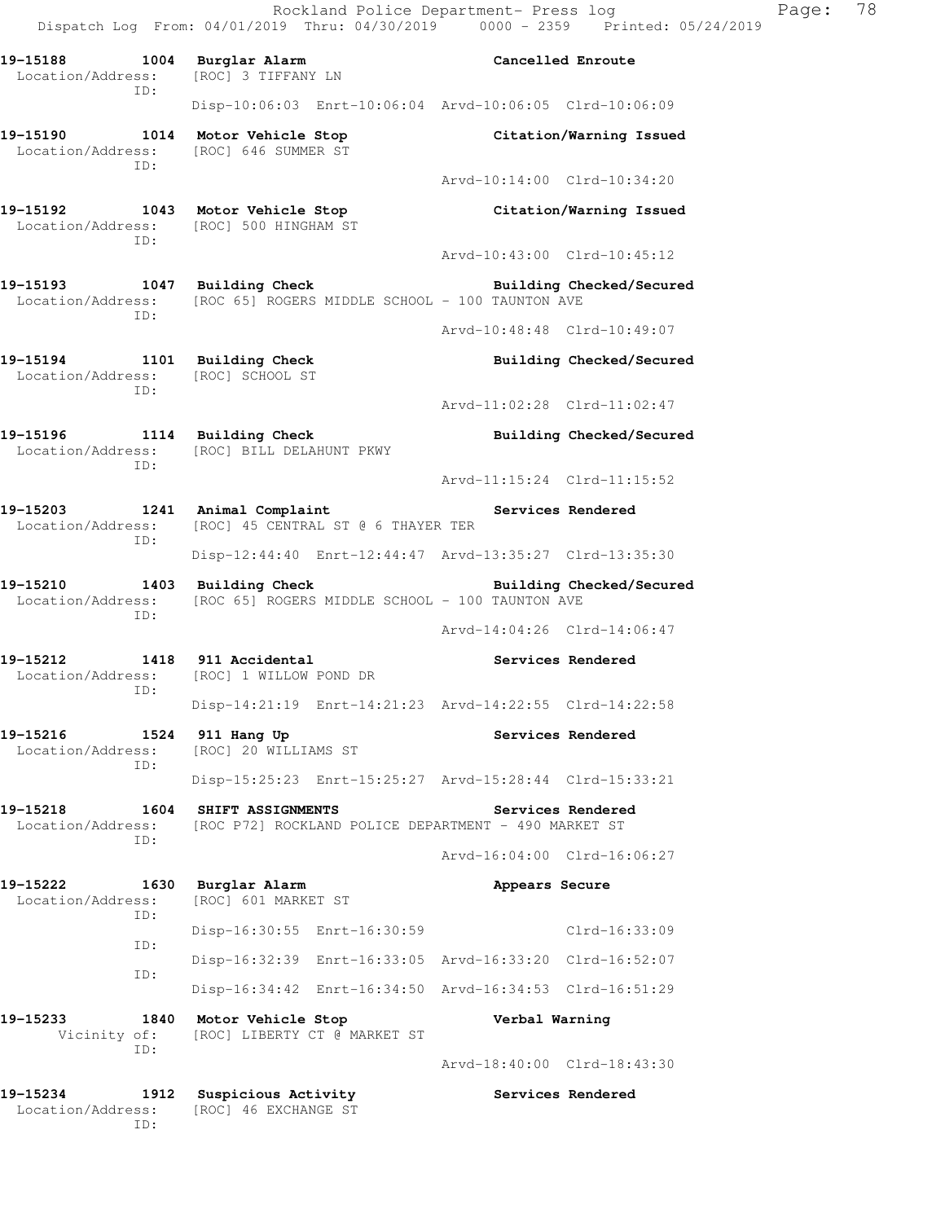Rockland Police Department- Press log Page: 78 Dispatch Log From: 04/01/2019 Thru: 04/30/2019 0000 - 2359 Printed: 05/24/2019

**19-15188 1004 Burglar Alarm Cancelled Enroute**  Location/Address: [ROC] 3 TIFFANY LN ID: Disp-10:06:03 Enrt-10:06:04 Arvd-10:06:05 Clrd-10:06:09 **19-15190 1014 Motor Vehicle Stop Citation/Warning Issued**  Location/Address: [ROC] 646 SUMMER ST ID: Arvd-10:14:00 Clrd-10:34:20 **19-15192 1043 Motor Vehicle Stop Citation/Warning Issued**  Location/Address: [ROC] 500 HINGHAM ST ID: Arvd-10:43:00 Clrd-10:45:12 **19-15193** 1047 Building Check **Building Check Building Checked/Secured** Location/Address: [ROC 65] ROGERS MIDDLE SCHOOL - 100 TAUNTON AVE ID: Arvd-10:48:48 Clrd-10:49:07 19-15194 1101 Building Check **Building Checked/Secured**  Location/Address: [ROC] SCHOOL ST ID: Arvd-11:02:28 Clrd-11:02:47 **19-15196 1114 Building Check Building Checked/Secured**  Location/Address: [ROC] BILL DELAHUNT PKWY ID: Arvd-11:15:24 Clrd-11:15:52 19-15203 1241 Animal Complaint **19-15203** Services Rendered Location/Address: [ROC] 45 CENTRAL ST @ 6 THAYER TER ID: Disp-12:44:40 Enrt-12:44:47 Arvd-13:35:27 Clrd-13:35:30 19-15210 1403 Building Check **Building Checked/Secured** Location/Address: [ROC 65] ROGERS MIDDLE SCHOOL - 100 TAUNTON AVE ID: Arvd-14:04:26 Clrd-14:06:47 **19-15212 1418 911 Accidental Services Rendered**  Location/Address: [ROC] 1 WILLOW POND DR ID: Disp-14:21:19 Enrt-14:21:23 Arvd-14:22:55 Clrd-14:22:58 19-15216 1524 911 Hang Up **Services Rendered**  Location/Address: [ROC] 20 WILLIAMS ST ID: Disp-15:25:23 Enrt-15:25:27 Arvd-15:28:44 Clrd-15:33:21 **19-15218 1604 SHIFT ASSIGNMENTS Services Rendered**  Location/Address: [ROC P72] ROCKLAND POLICE DEPARTMENT - 490 MARKET ST ID: Arvd-16:04:00 Clrd-16:06:27 **19-15222 1630 Burglar Alarm Appears Secure**  Location/Address: [ROC] 601 MARKET ST ID: Disp-16:30:55 Enrt-16:30:59 Clrd-16:33:09 ID: Disp-16:32:39 Enrt-16:33:05 Arvd-16:33:20 Clrd-16:52:07 ID: Disp-16:34:42 Enrt-16:34:50 Arvd-16:34:53 Clrd-16:51:29 **19-15233 1840 Motor Vehicle Stop Verbal Warning**  Vicinity of: [ROC] LIBERTY CT @ MARKET ST ID: Arvd-18:40:00 Clrd-18:43:30 19-15234 1912 Suspicious Activity **1912 Services Rendered** 

Location/Address: [ROC] 46 EXCHANGE ST

ID: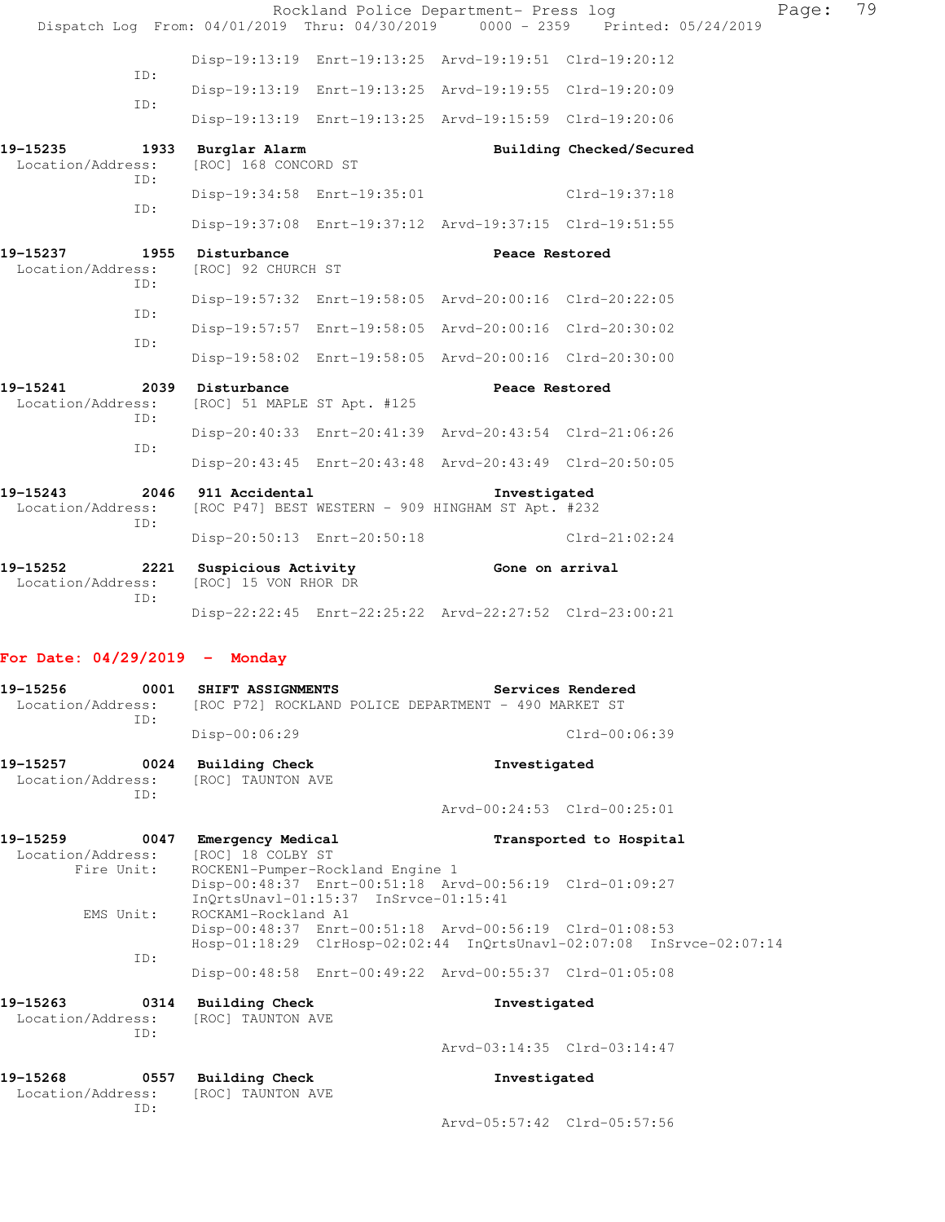|                                             |                                                  |                                       | Rockland Police Department- Press log                                                                              | Dispatch Log From: 04/01/2019 Thru: 04/30/2019 0000 - 2359 Printed: 05/24/2019 | Page: | 79 |
|---------------------------------------------|--------------------------------------------------|---------------------------------------|--------------------------------------------------------------------------------------------------------------------|--------------------------------------------------------------------------------|-------|----|
|                                             |                                                  |                                       | Disp-19:13:19 Enrt-19:13:25 Arvd-19:19:51 Clrd-19:20:12                                                            |                                                                                |       |    |
| ID:                                         |                                                  |                                       | Disp-19:13:19 Enrt-19:13:25 Arvd-19:19:55 Clrd-19:20:09                                                            |                                                                                |       |    |
| ID:                                         |                                                  |                                       | Disp-19:13:19 Enrt-19:13:25 Arvd-19:15:59 Clrd-19:20:06                                                            |                                                                                |       |    |
| 19-15235<br>Location/Address:<br>ID:        | 1933 Burglar Alarm<br>[ROC] 168 CONCORD ST       |                                       |                                                                                                                    | Building Checked/Secured                                                       |       |    |
| ID:                                         |                                                  | Disp-19:34:58 Enrt-19:35:01           |                                                                                                                    | Clrd-19:37:18                                                                  |       |    |
|                                             |                                                  |                                       | Disp-19:37:08 Enrt-19:37:12 Arvd-19:37:15 Clrd-19:51:55                                                            |                                                                                |       |    |
| 19–15237<br>Location/Address:<br>ID:        | 1955 Disturbance<br>[ROC] 92 CHURCH ST           |                                       | Peace Restored                                                                                                     |                                                                                |       |    |
| ID:                                         |                                                  |                                       | Disp-19:57:32 Enrt-19:58:05 Arvd-20:00:16 Clrd-20:22:05                                                            |                                                                                |       |    |
| ID:                                         |                                                  |                                       | Disp-19:57:57 Enrt-19:58:05 Arvd-20:00:16 Clrd-20:30:02                                                            |                                                                                |       |    |
|                                             |                                                  |                                       | Disp-19:58:02 Enrt-19:58:05 Arvd-20:00:16 Clrd-20:30:00                                                            |                                                                                |       |    |
| 19-15241<br>Location/Address:<br>ID:        | 2039 Disturbance<br>[ROC] 51 MAPLE ST Apt. #125  |                                       | Peace Restored                                                                                                     |                                                                                |       |    |
| ID:                                         |                                                  |                                       | Disp-20:40:33 Enrt-20:41:39 Arvd-20:43:54 Clrd-21:06:26                                                            |                                                                                |       |    |
|                                             |                                                  |                                       | Disp-20:43:45 Enrt-20:43:48 Arvd-20:43:49 Clrd-20:50:05                                                            |                                                                                |       |    |
| 19-15243<br>Location/Address:<br>ID:        | 2046 911 Accidental                              |                                       | Investigated<br>[ROC P47] BEST WESTERN - 909 HINGHAM ST Apt. #232                                                  |                                                                                |       |    |
|                                             |                                                  | Disp-20:50:13 Enrt-20:50:18           |                                                                                                                    | $Clrd-21:02:24$                                                                |       |    |
| 19-15252<br>Location/Address:<br>ID:        | 2221 Suspicious Activity<br>[ROC] 15 VON RHOR DR |                                       | Gone on arrival                                                                                                    |                                                                                |       |    |
|                                             |                                                  |                                       | Disp-22:22:45 Enrt-22:25:22 Arvd-22:27:52 Clrd-23:00:21                                                            |                                                                                |       |    |
| For Date: $04/29/2019$ - Monday             |                                                  |                                       |                                                                                                                    |                                                                                |       |    |
| 19-15256<br>Location/Address:<br>ID:        | 0001 SHIFT ASSIGNMENTS                           |                                       | Services Rendered<br>[ROC P72] ROCKLAND POLICE DEPARTMENT - 490 MARKET ST                                          |                                                                                |       |    |
|                                             | Disp-00:06:29                                    |                                       |                                                                                                                    | Clrd-00:06:39                                                                  |       |    |
| 19-15257<br>Location/Address:<br>ID:        | 0024 Building Check<br>[ROC] TAUNTON AVE         |                                       | Investigated                                                                                                       |                                                                                |       |    |
|                                             |                                                  |                                       |                                                                                                                    | Arvd-00:24:53 Clrd-00:25:01                                                    |       |    |
| 19-15259<br>Location/Address:<br>Fire Unit: | 0047 Emergency Medical<br>[ROC] 18 COLBY ST      | ROCKEN1-Pumper-Rockland Engine 1      |                                                                                                                    | Transported to Hospital                                                        |       |    |
| EMS Unit:                                   | ROCKAM1-Rockland A1                              | InQrtsUnavl-01:15:37 InSrvce-01:15:41 | Disp-00:48:37 Enrt-00:51:18 Arvd-00:56:19 Clrd-01:09:27<br>Disp-00:48:37 Enrt-00:51:18 Arvd-00:56:19 Clrd-01:08:53 |                                                                                |       |    |
| ID:                                         |                                                  |                                       |                                                                                                                    | Hosp-01:18:29 ClrHosp-02:02:44 InQrtsUnavl-02:07:08 InSrvce-02:07:14           |       |    |
|                                             |                                                  |                                       | Disp-00:48:58 Enrt-00:49:22 Arvd-00:55:37 Clrd-01:05:08                                                            |                                                                                |       |    |

| 19-15263          |     | 0314 Building Check | Investigated                |  |
|-------------------|-----|---------------------|-----------------------------|--|
| Location/Address: |     | [ROC] TAUNTON AVE   |                             |  |
|                   | TD: |                     |                             |  |
|                   |     |                     | Arvd-03:14:35 Clrd-03:14:47 |  |

| 19-15268          | 0557 | Building Check    | Investigated |
|-------------------|------|-------------------|--------------|
| Location/Address: |      | [ROC] TAUNTON AVE |              |
|                   | TD:  |                   |              |

Arvd-05:57:42 Clrd-05:57:56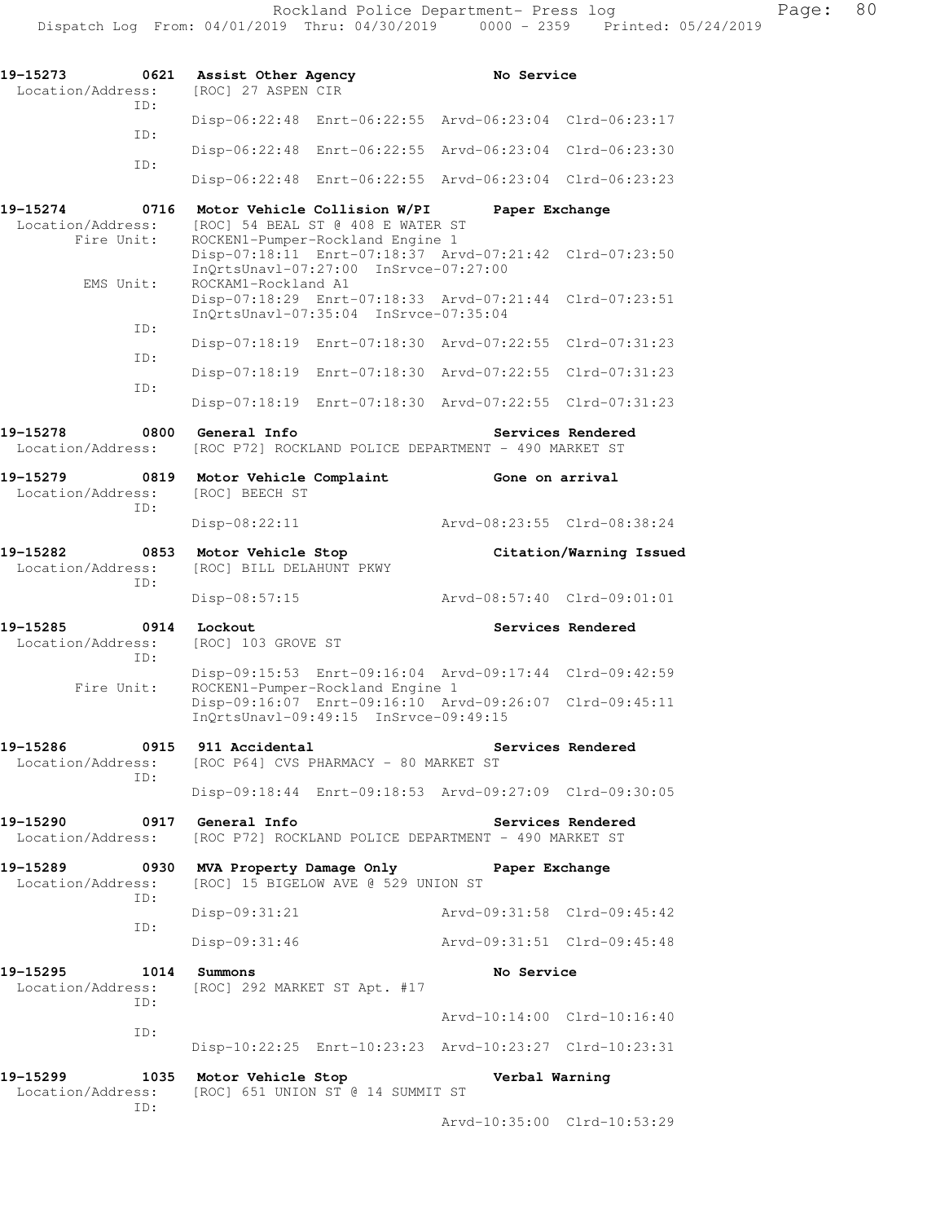| 19–15273<br>0621<br>Location/Address:               | Assist Other Agency<br>[ROC] 27 ASPEN CIR                                                                 | No Service                                                                                                         |
|-----------------------------------------------------|-----------------------------------------------------------------------------------------------------------|--------------------------------------------------------------------------------------------------------------------|
| TD:                                                 | $Disp-06:22:48$                                                                                           | Enrt-06:22:55 Arvd-06:23:04 Clrd-06:23:17                                                                          |
| ID:                                                 | $Enrt-06:22:55$<br>$Disp-06:22:48$                                                                        | Arvd-06:23:04<br>Clrd-06:23:30                                                                                     |
| ID:                                                 | $Disp-06:22:48$<br>Enrt-06:22:55                                                                          | Arvd-06:23:04 Clrd-06:23:23                                                                                        |
| 19–15274<br>0716<br>Location/Address:<br>Fire Unit: | Motor Vehicle Collision W/PI<br>[ROC] 54 BEAL ST @ 408 E WATER ST                                         | Paper Exchange                                                                                                     |
|                                                     | ROCKEN1-Pumper-Rockland Engine 1<br>InQrtsUnavl-07:27:00 InSrvce-07:27:00                                 | Disp-07:18:11 Enrt-07:18:37 Arvd-07:21:42 Clrd-07:23:50                                                            |
| EMS Unit:                                           | ROCKAM1-Rockland A1<br>Disp-07:18:29 Enrt-07:18:33 Arvd-07:21:44<br>InQrtsUnavl-07:35:04 InSrvce-07:35:04 | $Clrd-07:23:51$                                                                                                    |
| ID:                                                 | Enrt-07:18:30<br>$Disp-07:18:19$                                                                          | Arvd-07:22:55<br>$Clrd-07:31:23$                                                                                   |
| ID:                                                 | Enrt-07:18:30<br>$Disp-07:18:19$                                                                          | Arvd-07:22:55<br>$Clrd-07:31:23$                                                                                   |
| ID:                                                 | Disp-07:18:19                                                                                             | Enrt-07:18:30 Arvd-07:22:55 Clrd-07:31:23                                                                          |
| 19–15278<br>0800<br>Location/Address:               | General Info<br>[ROC P72] ROCKLAND POLICE DEPARTMENT - 490 MARKET ST                                      | Services Rendered                                                                                                  |
| 19-15279<br>0819<br>Location/Address:               | Motor Vehicle Complaint<br><b>[ROC] BEECH ST</b>                                                          | Gone on arrival                                                                                                    |
| ID:                                                 | $Disp-08:22:11$                                                                                           | Arvd-08:23:55 Clrd-08:38:24                                                                                        |
| 19–15282<br>0853<br>Location/Address:<br>ID:        | Motor Vehicle Stop<br>[ROC] BILL DELAHUNT PKWY                                                            | Citation/Warning Issued                                                                                            |
|                                                     | $Disp-08:57:15$                                                                                           | Arvd-08:57:40 Clrd-09:01:01                                                                                        |
| 19–15285<br>0914<br>Location/Address:<br>ID:        | Lockout<br>[ROC] 103 GROVE ST                                                                             | Services Rendered                                                                                                  |
| Fire Unit:                                          | ROCKEN1-Pumper-Rockland Engine 1                                                                          | Disp-09:15:53 Enrt-09:16:04 Arvd-09:17:44 Clrd-09:42:59<br>Disp-09:16:07 Enrt-09:16:10 Arvd-09:26:07 Clrd-09:45:11 |
|                                                     | InOrtsUnav1-09:49:15 InSrvce-09:49:15                                                                     |                                                                                                                    |
| 19–15286<br>0915<br>Location/Address:               | 911 Accidental<br>[ROC P64] CVS PHARMACY - 80 MARKET ST                                                   | Services Rendered                                                                                                  |
| ID:                                                 |                                                                                                           | Disp-09:18:44 Enrt-09:18:53 Arvd-09:27:09 Clrd-09:30:05                                                            |
| 19-15290<br>0917<br>Location/Address:               | General Info<br>[ROC P72] ROCKLAND POLICE DEPARTMENT - 490 MARKET ST                                      | Services Rendered                                                                                                  |
| 19–15289<br>0930<br>Location/Address:<br>ID:        | MVA Property Damage Only<br>[ROC] 15 BIGELOW AVE @ 529 UNION ST                                           | Paper Exchange                                                                                                     |
| ID:                                                 | $Disp-09:31:21$                                                                                           | Arvd-09:31:58 Clrd-09:45:42                                                                                        |
|                                                     | $Disp-09:31:46$                                                                                           | Arvd-09:31:51 Clrd-09:45:48                                                                                        |
| 19-15295<br>1014<br>Location/Address:<br>ID:        | Summons<br>[ROC] 292 MARKET ST Apt. #17                                                                   | No Service                                                                                                         |
| ID:                                                 |                                                                                                           | Arvd-10:14:00 Clrd-10:16:40                                                                                        |
|                                                     |                                                                                                           | Disp-10:22:25 Enrt-10:23:23 Arvd-10:23:27 Clrd-10:23:31                                                            |
| 19–15299<br>Location/Address:<br>ID:                | 1035 Motor Vehicle Stop<br>[ROC] 651 UNION ST @ 14 SUMMIT ST                                              | Verbal Warning                                                                                                     |

Arvd-10:35:00 Clrd-10:53:29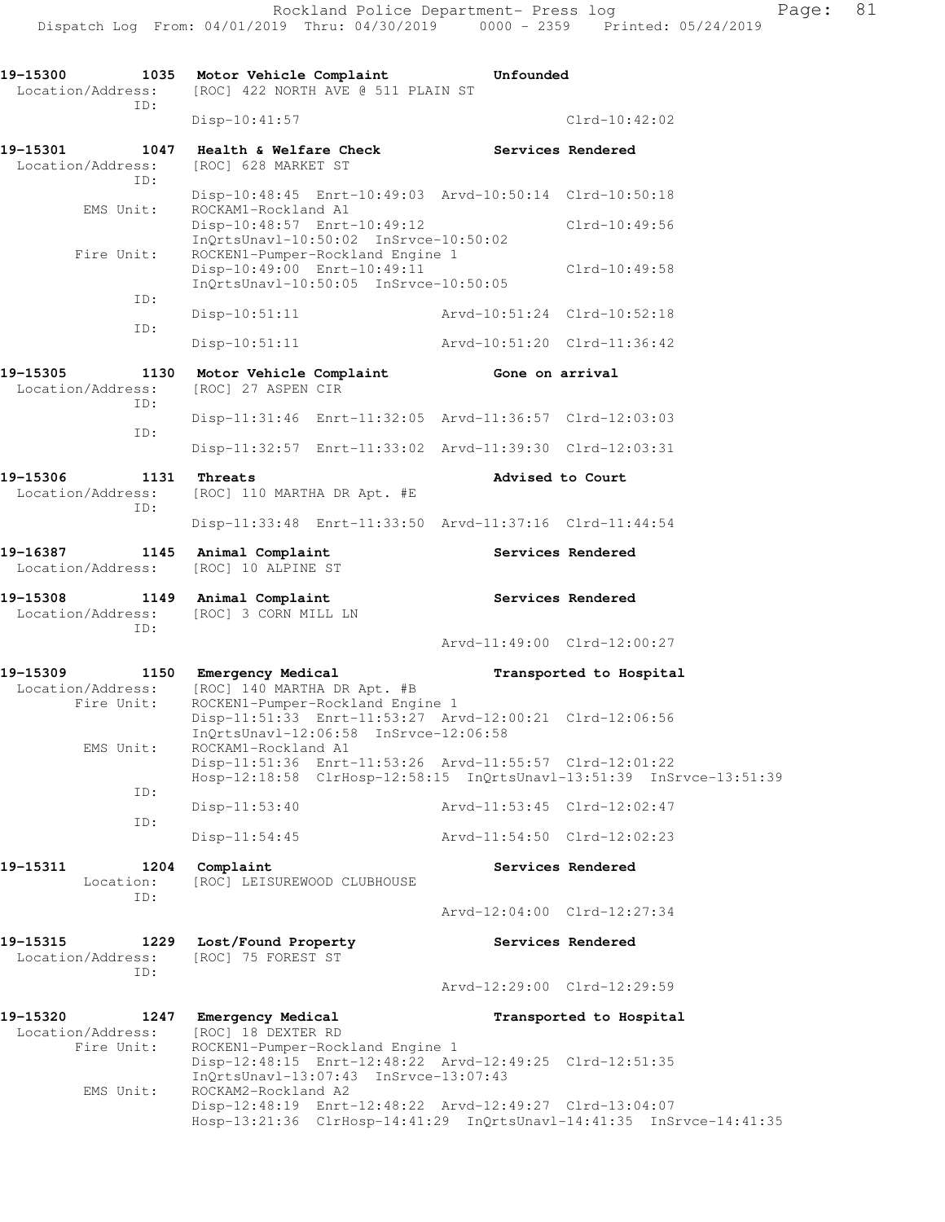| 19-15300<br>1035<br>Location/Address:               | Motor Vehicle Complaint<br>Unfounded<br>[ROC] 422 NORTH AVE @ 511 PLAIN ST                                                      |                             |                         |  |  |
|-----------------------------------------------------|---------------------------------------------------------------------------------------------------------------------------------|-----------------------------|-------------------------|--|--|
| ID:                                                 | $Disp-10:41:57$                                                                                                                 |                             | $Clrd-10:42:02$         |  |  |
| 1047<br>19-15301<br>Location/Address:<br>ID:        | Health & Welfare Check<br>[ROC] 628 MARKET ST                                                                                   | Services Rendered           |                         |  |  |
|                                                     | Disp-10:48:45 Enrt-10:49:03 Arvd-10:50:14 Clrd-10:50:18                                                                         |                             |                         |  |  |
| EMS Unit:                                           | ROCKAM1-Rockland A1<br>Disp-10:48:57 Enrt-10:49:12<br>InQrtsUnavl-10:50:02 InSrvce-10:50:02                                     | $Clrd-10:49:56$             |                         |  |  |
| Fire Unit:                                          | ROCKEN1-Pumper-Rockland Engine 1<br>Disp-10:49:00 Enrt-10:49:11<br>InQrtsUnavl-10:50:05 InSrvce-10:50:05                        |                             | $Clrd-10:49:58$         |  |  |
| ID:                                                 | $Disp-10:51:11$                                                                                                                 | Arvd-10:51:24 Clrd-10:52:18 |                         |  |  |
| ID:                                                 | $Disp-10:51:11$                                                                                                                 | Arvd-10:51:20 Clrd-11:36:42 |                         |  |  |
| 19-15305<br>1130<br>Location/Address:<br>ID:        | Motor Vehicle Complaint<br>[ROC] 27 ASPEN CIR                                                                                   | Gone on arrival             |                         |  |  |
| ID:                                                 | Disp-11:31:46 Enrt-11:32:05 Arvd-11:36:57 Clrd-12:03:03                                                                         |                             |                         |  |  |
|                                                     | Disp-11:32:57 Enrt-11:33:02 Arvd-11:39:30 Clrd-12:03:31                                                                         |                             |                         |  |  |
| 19-15306<br>1131<br>Location/Address:<br>ID:        | Threats<br>[ROC] 110 MARTHA DR Apt. #E                                                                                          | Advised to Court            |                         |  |  |
|                                                     | Disp-11:33:48 Enrt-11:33:50 Arvd-11:37:16 Clrd-11:44:54                                                                         |                             |                         |  |  |
| 19-16387<br>1145<br>Location/Address:               | Animal Complaint<br>[ROC] 10 ALPINE ST                                                                                          |                             | Services Rendered       |  |  |
| 19-15308<br>1149<br>Location/Address:<br>ID:        | Animal Complaint<br>[ROC] 3 CORN MILL LN                                                                                        |                             | Services Rendered       |  |  |
|                                                     |                                                                                                                                 | Arvd-11:49:00 Clrd-12:00:27 |                         |  |  |
| 19-15309<br>1150<br>Location/Address:<br>Fire Unit: | Emergency Medical<br>Transported to Hospital<br>[ROC] 140 MARTHA DR Apt. #B<br>ROCKEN1-Pumper-Rockland Engine 1                 |                             |                         |  |  |
| EMS Unit:                                           | Disp-11:51:33 Enrt-11:53:27 Arvd-12:00:21 Clrd-12:06:56<br>InQrtsUnavl-12:06:58 InSrvce-12:06:58<br>ROCKAM1-Rockland A1         |                             |                         |  |  |
| ID:                                                 | Disp-11:51:36 Enrt-11:53:26 Arvd-11:55:57 Clrd-12:01:22<br>Hosp-12:18:58 ClrHosp-12:58:15 InQrtsUnavl-13:51:39 InSrvce-13:51:39 |                             |                         |  |  |
| ID:                                                 | $Disp-11:53:40$                                                                                                                 | Arvd-11:53:45 Clrd-12:02:47 |                         |  |  |
|                                                     | Disp-11:54:45                                                                                                                   | Arvd-11:54:50 Clrd-12:02:23 |                         |  |  |
| 19-15311<br>1204<br>Location:<br>ID:                | Complaint<br>[ROC] LEISUREWOOD CLUBHOUSE                                                                                        |                             | Services Rendered       |  |  |
|                                                     |                                                                                                                                 | Arvd-12:04:00 Clrd-12:27:34 |                         |  |  |
| 19-15315<br>1229<br>Location/Address:<br>TD:        | Lost/Found Property<br>[ROC] 75 FOREST ST                                                                                       |                             | Services Rendered       |  |  |
|                                                     |                                                                                                                                 | Arvd-12:29:00 Clrd-12:29:59 |                         |  |  |
| 19-15320<br>1247<br>Location/Address:<br>Fire Unit: | Emergency Medical<br>[ROC] 18 DEXTER RD<br>ROCKEN1-Pumper-Rockland Engine 1                                                     |                             | Transported to Hospital |  |  |
| EMS Unit:                                           | Disp-12:48:15 Enrt-12:48:22 Arvd-12:49:25 Clrd-12:51:35<br>InQrtsUnavl-13:07:43 InSrvce-13:07:43<br>ROCKAM2-Rockland A2         |                             |                         |  |  |
|                                                     | Disp-12:48:19 Enrt-12:48:22 Arvd-12:49:27 Clrd-13:04:07<br>Hosp-13:21:36 ClrHosp-14:41:29 InQrtsUnavl-14:41:35 InSrvce-14:41:35 |                             |                         |  |  |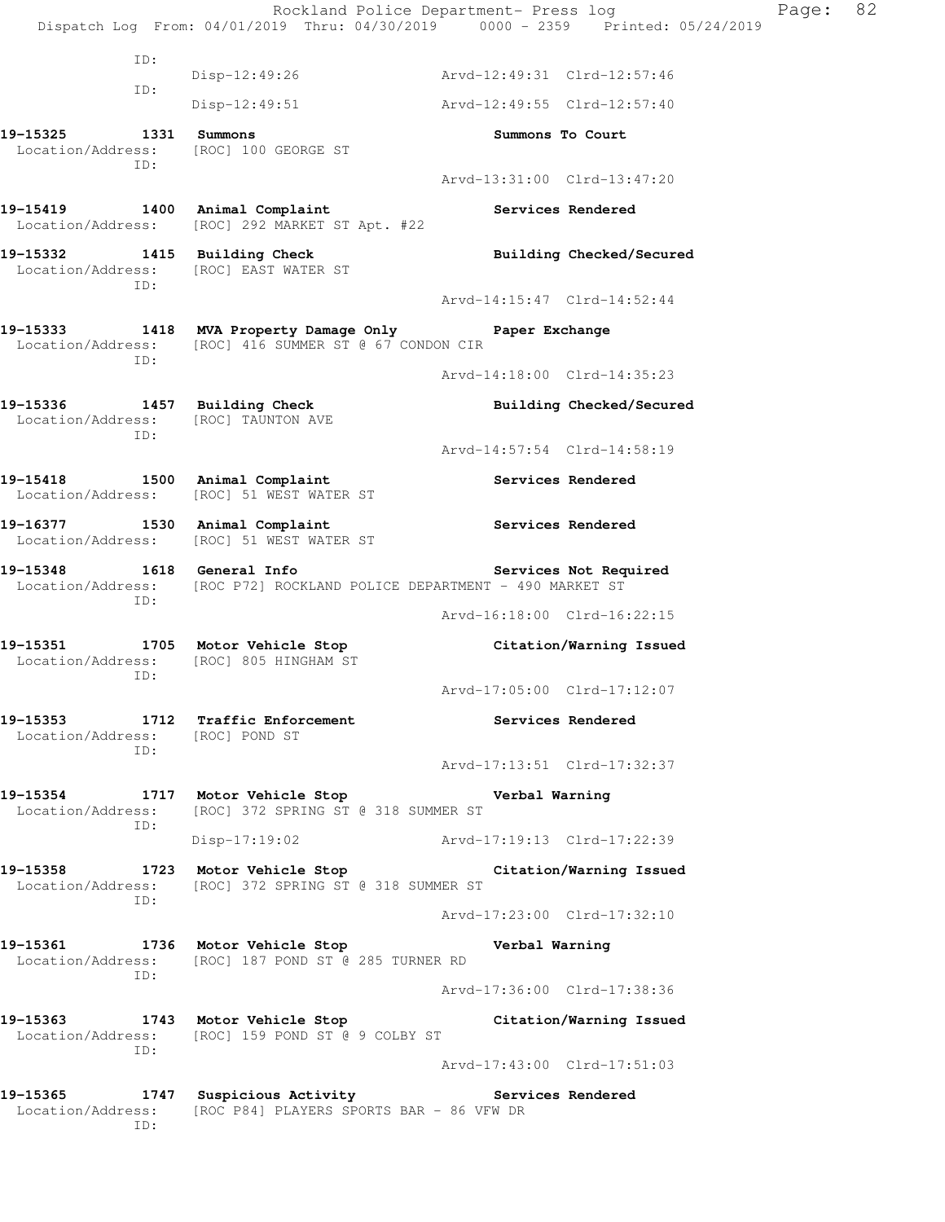Rockland Police Department- Press log Page: 82 Dispatch Log From: 04/01/2019 Thru: 04/30/2019 0000 - 2359 Printed: 05/24/2019 ID: Disp-12:49:26 Arvd-12:49:31 Clrd-12:57:46 ID: Disp-12:49:51 Arvd-12:49:55 Clrd-12:57:40 **19-15325 1331 Summons Summons To Court**  Location/Address: [ROC] 100 GEORGE ST ID: Arvd-13:31:00 Clrd-13:47:20 19-15419 1400 Animal Complaint **19-15419** Services Rendered Location/Address: [ROC] 292 MARKET ST Apt. #22 19-15332 1415 Building Check **Building Building Checked/Secured**  Location/Address: [ROC] EAST WATER ST ID: Arvd-14:15:47 Clrd-14:52:44 **19-15333 1418 MVA Property Damage Only Paper Exchange**  Location/Address: [ROC] 416 SUMMER ST @ 67 CONDON CIR ID: Arvd-14:18:00 Clrd-14:35:23 **19-15336 1457 Building Check Building Checked/Secured**  Location/Address: [ROC] TAUNTON AVE ID: Arvd-14:57:54 Clrd-14:58:19 19-15418 1500 Animal Complaint **19-15418** Services Rendered Location/Address: [ROC] 51 WEST WATER ST 19-16377 1530 Animal Complaint **19-16377** Services Rendered Location/Address: [ROC] 51 WEST WATER ST **19-15348 1618 General Info Services Not Required**  Location/Address: [ROC P72] ROCKLAND POLICE DEPARTMENT - 490 MARKET ST ID: Arvd-16:18:00 Clrd-16:22:15 **19-15351 1705 Motor Vehicle Stop Citation/Warning Issued**  Location/Address: [ROC] 805 HINGHAM ST ID: Arvd-17:05:00 Clrd-17:12:07 **19-15353 1712 Traffic Enforcement Services Rendered**  Location/Address: [ROC] POND ST ID: Arvd-17:13:51 Clrd-17:32:37 **19-15354 1717 Motor Vehicle Stop Verbal Warning**  Location/Address: [ROC] 372 SPRING ST @ 318 SUMMER ST ID: Disp-17:19:02 Arvd-17:19:13 Clrd-17:22:39 **19-15358 1723 Motor Vehicle Stop Citation/Warning Issued**  Location/Address: [ROC] 372 SPRING ST @ 318 SUMMER ST ID: Arvd-17:23:00 Clrd-17:32:10 **19-15361 1736 Motor Vehicle Stop Verbal Warning**  Location/Address: [ROC] 187 POND ST @ 285 TURNER RD ID: Arvd-17:36:00 Clrd-17:38:36 **19-15363 1743 Motor Vehicle Stop Citation/Warning Issued**  Location/Address: [ROC] 159 POND ST @ 9 COLBY ST ID: Arvd-17:43:00 Clrd-17:51:03 19-15365 1747 Suspicious Activity **19-15365** Services Rendered Location/Address: [ROC P84] PLAYERS SPORTS BAR - 86 VFW DR ID: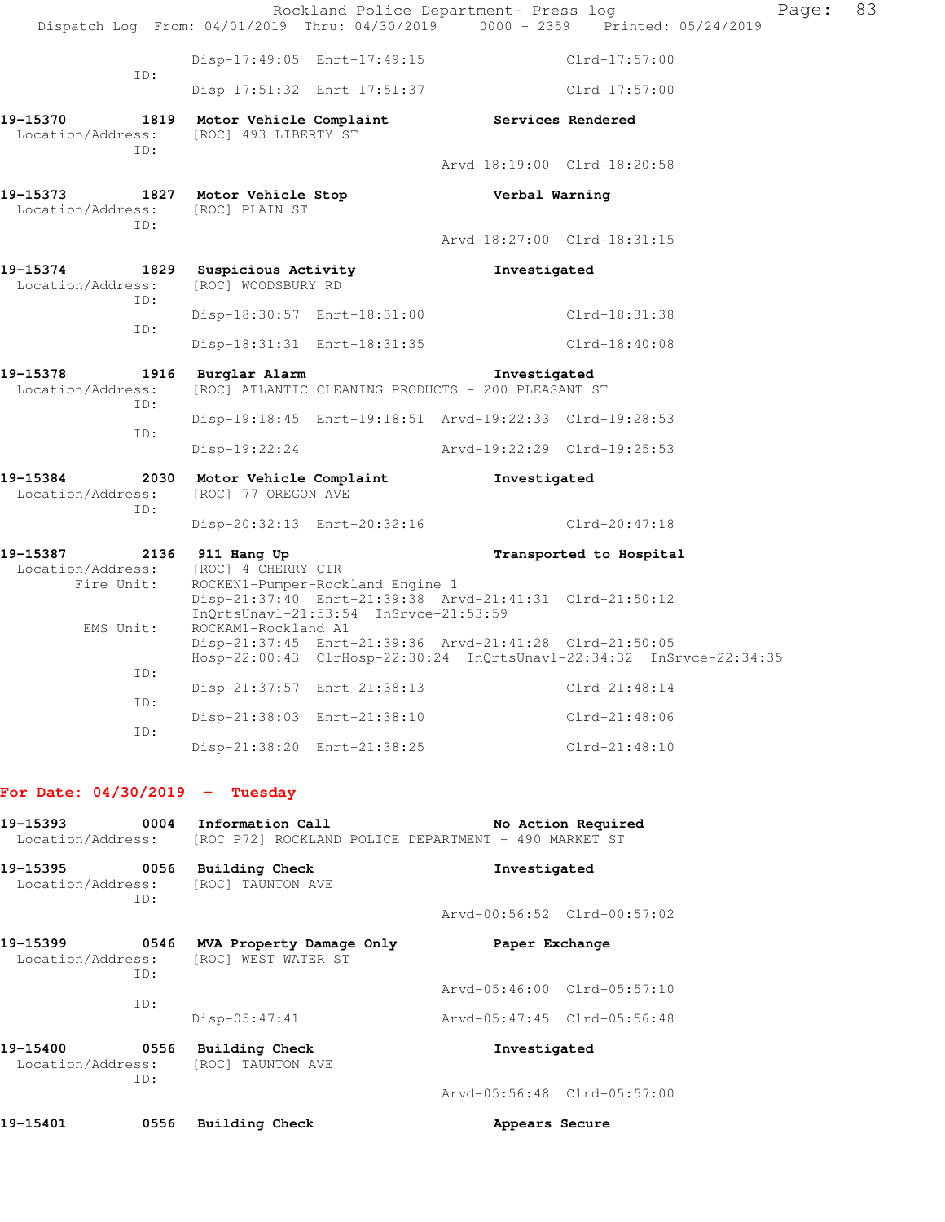|                                                     |      |                                                                                          |                                                                           | Rockland Police Department- Press log                   | Dispatch Log From: 04/01/2019 Thru: 04/30/2019 0000 - 2359 Printed: 05/24/2019 | Page: | 83 |
|-----------------------------------------------------|------|------------------------------------------------------------------------------------------|---------------------------------------------------------------------------|---------------------------------------------------------|--------------------------------------------------------------------------------|-------|----|
|                                                     |      |                                                                                          | Disp-17:49:05 Enrt-17:49:15                                               |                                                         | Clrd-17:57:00                                                                  |       |    |
| ID:                                                 |      |                                                                                          | Disp-17:51:32 Enrt-17:51:37                                               |                                                         | Clrd-17:57:00                                                                  |       |    |
| 19–15370<br>Location/Address:<br>TD:                | 1819 | [ROC] 493 LIBERTY ST                                                                     |                                                                           | Motor Vehicle Complaint Services Rendered               |                                                                                |       |    |
|                                                     |      |                                                                                          |                                                                           | Arvd-18:19:00 Clrd-18:20:58                             |                                                                                |       |    |
| 19–15373<br>Location/Address:<br>TD:                |      | 1827 Motor Vehicle Stop<br>[ROC] PLAIN ST                                                |                                                                           | Verbal Warning                                          |                                                                                |       |    |
|                                                     |      |                                                                                          |                                                                           | Arvd-18:27:00 Clrd-18:31:15                             |                                                                                |       |    |
| 19-15374<br>Location/Address:<br>ID:                |      | [ROC] WOODSBURY RD                                                                       | 1829 Suspicious Activity                                                  | Investigated                                            |                                                                                |       |    |
| ID:                                                 |      |                                                                                          | Disp-18:30:57 Enrt-18:31:00                                               |                                                         | Clrd-18:31:38                                                                  |       |    |
|                                                     |      |                                                                                          | Disp-18:31:31 Enrt-18:31:35                                               |                                                         | Clrd-18:40:08                                                                  |       |    |
| 19-15378<br>Location/Address:<br>ID:                |      | 1916 Burglar Alarm<br>Investigated<br>[ROC] ATLANTIC CLEANING PRODUCTS - 200 PLEASANT ST |                                                                           |                                                         |                                                                                |       |    |
| ID:                                                 |      |                                                                                          |                                                                           | Disp-19:18:45 Enrt-19:18:51 Arvd-19:22:33 Clrd-19:28:53 |                                                                                |       |    |
|                                                     |      | Disp-19:22:24                                                                            |                                                                           | Arvd-19:22:29 Clrd-19:25:53                             |                                                                                |       |    |
| 19-15384<br>2030<br>Location/Address:<br>ID:        |      | Motor Vehicle Complaint<br>[ROC] 77 OREGON AVE                                           |                                                                           | Investigated                                            |                                                                                |       |    |
|                                                     |      |                                                                                          | Disp-20:32:13 Enrt-20:32:16                                               |                                                         | Clrd-20:47:18                                                                  |       |    |
| 19-15387<br>2136<br>Location/Address:<br>Fire Unit: |      | 911 Hang Up<br>[ROC] 4 CHERRY CIR                                                        | ROCKEN1-Pumper-Rockland Engine 1<br>InQrtsUnavl-21:53:54 InSrvce-21:53:59 | Disp-21:37:40 Enrt-21:39:38 Arvd-21:41:31 Clrd-21:50:12 | Transported to Hospital                                                        |       |    |
| EMS Unit:                                           |      | ROCKAM1-Rockland A1                                                                      |                                                                           | Disp-21:37:45 Enrt-21:39:36 Arvd-21:41:28 Clrd-21:50:05 | Hosp-22:00:43 ClrHosp-22:30:24 InQrtsUnavl-22:34:32 InSrvce-22:34:35           |       |    |
| TD:                                                 |      |                                                                                          | Disp-21:37:57 Enrt-21:38:13                                               |                                                         | $Clrd-21:48:14$                                                                |       |    |
| ID:                                                 |      |                                                                                          | Disp-21:38:03 Enrt-21:38:10                                               |                                                         | Clrd-21:48:06                                                                  |       |    |
| ID:                                                 |      |                                                                                          | Disp-21:38:20 Enrt-21:38:25                                               |                                                         | $Clrd-21:48:10$                                                                |       |    |

## **For Date: 04/30/2019 - Tuesday**

| 19-15393<br>Location/Address:         | 0004        | Information Call<br>No Action Required<br>[ROC P72] ROCKLAND POLICE DEPARTMENT - 490 MARKET ST |                             |  |
|---------------------------------------|-------------|------------------------------------------------------------------------------------------------|-----------------------------|--|
| 19-15395<br>Location/Address:         | 0056<br>ID: | Building Check<br><b>[ROC] TAUNTON AVE</b>                                                     | Investigated                |  |
|                                       |             |                                                                                                | Arvd-00:56:52 Clrd-00:57:02 |  |
| 19–15399<br>Location/Address:         | 0546<br>ID: | MVA Property Damage Only<br>[ROC] WEST WATER ST                                                | Paper Exchange              |  |
|                                       |             |                                                                                                | Arvd-05:46:00 Clrd-05:57:10 |  |
|                                       | ID:         | $Disp-05:47:41$                                                                                | Arvd-05:47:45 Clrd-05:56:48 |  |
| 19-15400<br>0556<br>Location/Address: |             | Building Check<br>[ROC] TAUNTON AVE                                                            | Investigated                |  |
|                                       | ID:         |                                                                                                | Arvd-05:56:48 Clrd-05:57:00 |  |
| 19-15401                              | 0556        | Building Check                                                                                 | Appears Secure              |  |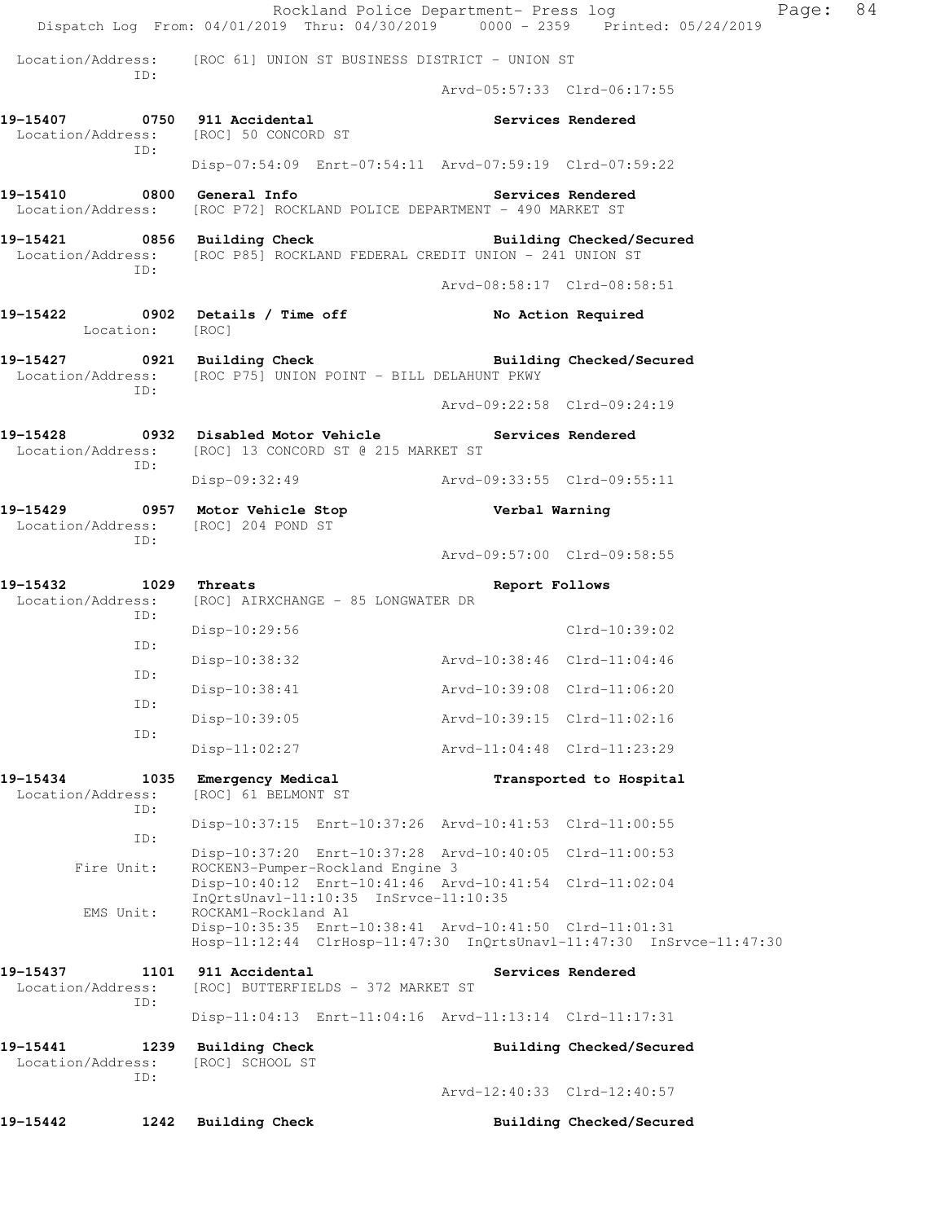|                               |             | Rockland Police Department- Press log<br>Dispatch Log From: 04/01/2019 Thru: 04/30/2019 0000 - 2359 Printed: 05/24/2019           |                             |                          | Page: | 84 |
|-------------------------------|-------------|-----------------------------------------------------------------------------------------------------------------------------------|-----------------------------|--------------------------|-------|----|
|                               |             | Location/Address: [ROC 61] UNION ST BUSINESS DISTRICT - UNION ST                                                                  |                             |                          |       |    |
| ID:                           |             |                                                                                                                                   | Arvd-05:57:33 Clrd-06:17:55 |                          |       |    |
|                               | ID:         | 19-15407 0750 911 Accidental<br>Location/Address: [ROC] 50 CONCORD ST                                                             |                             | Services Rendered        |       |    |
|                               |             | Disp-07:54:09 Enrt-07:54:11 Arvd-07:59:19 Clrd-07:59:22                                                                           |                             |                          |       |    |
|                               |             | 19-15410 0800 General Info<br>Location/Address: [ROC P72] ROCKLAND POLICE DEPARTMENT - 490 MARKET ST                              |                             | Services Rendered        |       |    |
|                               | ID:         | 19-15421 0856 Building Check Building Checked/Secured<br>Location/Address: [ROC P85] ROCKLAND FEDERAL CREDIT UNION - 241 UNION ST |                             |                          |       |    |
|                               |             |                                                                                                                                   | Arvd-08:58:17 Clrd-08:58:51 |                          |       |    |
|                               | Location:   | [ROC]                                                                                                                             |                             | No Action Required       |       |    |
|                               | ID:         | 19-15427 0921 Building Check<br>Location/Address: [ROC P75] UNION POINT - BILL DELAHUNT PKWY                                      |                             | Building Checked/Secured |       |    |
|                               |             |                                                                                                                                   | Arvd-09:22:58 Clrd-09:24:19 |                          |       |    |
| Location/Address:             |             | 19-15428 0932 Disabled Motor Vehicle<br>[ROC] 13 CONCORD ST @ 215 MARKET ST                                                       |                             | Services Rendered        |       |    |
|                               | ID:         | Disp-09:32:49 Arvd-09:33:55 Clrd-09:55:11                                                                                         |                             |                          |       |    |
|                               |             | 19-15429 0957 Motor Vehicle Stop<br>Location/Address: [ROC] 204 POND ST                                                           | Verbal Warning              |                          |       |    |
|                               | ID:         |                                                                                                                                   | Arvd-09:57:00 Clrd-09:58:55 |                          |       |    |
| 19-15432<br>Location/Address: | 1029<br>ID: | Threats<br>[ROC] AIRXCHANGE - 85 LONGWATER DR                                                                                     | Report Follows              |                          |       |    |
|                               | ID:         | Disp-10:29:56                                                                                                                     |                             | $Clrd-10:39:02$          |       |    |
|                               | ID:         | Disp-10:38:32                                                                                                                     | Arvd-10:38:46 Clrd-11:04:46 |                          |       |    |
|                               | ID:         | Disp-10:38:41                                                                                                                     | Arvd-10:39:08 Clrd-11:06:20 |                          |       |    |
|                               | ID:         | Disp-10:39:05                                                                                                                     | Arvd-10:39:15 Clrd-11:02:16 |                          |       |    |
|                               |             | $Disp-11:02:27$                                                                                                                   | Arvd-11:04:48 Clrd-11:23:29 |                          |       |    |
| 19-15434<br>Location/Address: | 1035<br>ID: | Emergency Medical<br>[ROC] 61 BELMONT ST                                                                                          |                             | Transported to Hospital  |       |    |
|                               | ID:         | Disp-10:37:15 Enrt-10:37:26 Arvd-10:41:53 Clrd-11:00:55                                                                           |                             |                          |       |    |
|                               | Fire Unit:  | Disp-10:37:20 Enrt-10:37:28 Arvd-10:40:05 Clrd-11:00:53<br>ROCKEN3-Pumper-Rockland Engine 3                                       |                             |                          |       |    |
| EMS Unit:                     |             | Disp-10:40:12 Enrt-10:41:46 Arvd-10:41:54 Clrd-11:02:04<br>$InQrtsUnav1-11:10:35$ $InSrvce-11:10:35$<br>ROCKAM1-Rockland A1       |                             |                          |       |    |
|                               |             | Disp-10:35:35 Enrt-10:38:41 Arvd-10:41:50 Clrd-11:01:31<br>Hosp-11:12:44 ClrHosp-11:47:30 InQrtsUnavl-11:47:30 InSrvce-11:47:30   |                             |                          |       |    |
| 19-15437<br>Location/Address: | 1101<br>ID: | 911 Accidental<br>[ROC] BUTTERFIELDS - 372 MARKET ST                                                                              |                             | Services Rendered        |       |    |
|                               |             | Disp-11:04:13 Enrt-11:04:16 Arvd-11:13:14 Clrd-11:17:31                                                                           |                             |                          |       |    |
| 19-15441<br>Location/Address: | 1239<br>ID: | <b>Building Check</b><br>[ROC] SCHOOL ST                                                                                          |                             | Building Checked/Secured |       |    |
|                               |             |                                                                                                                                   | Arvd-12:40:33 Clrd-12:40:57 |                          |       |    |
| 19-15442                      | 1242        | <b>Building Check</b>                                                                                                             |                             | Building Checked/Secured |       |    |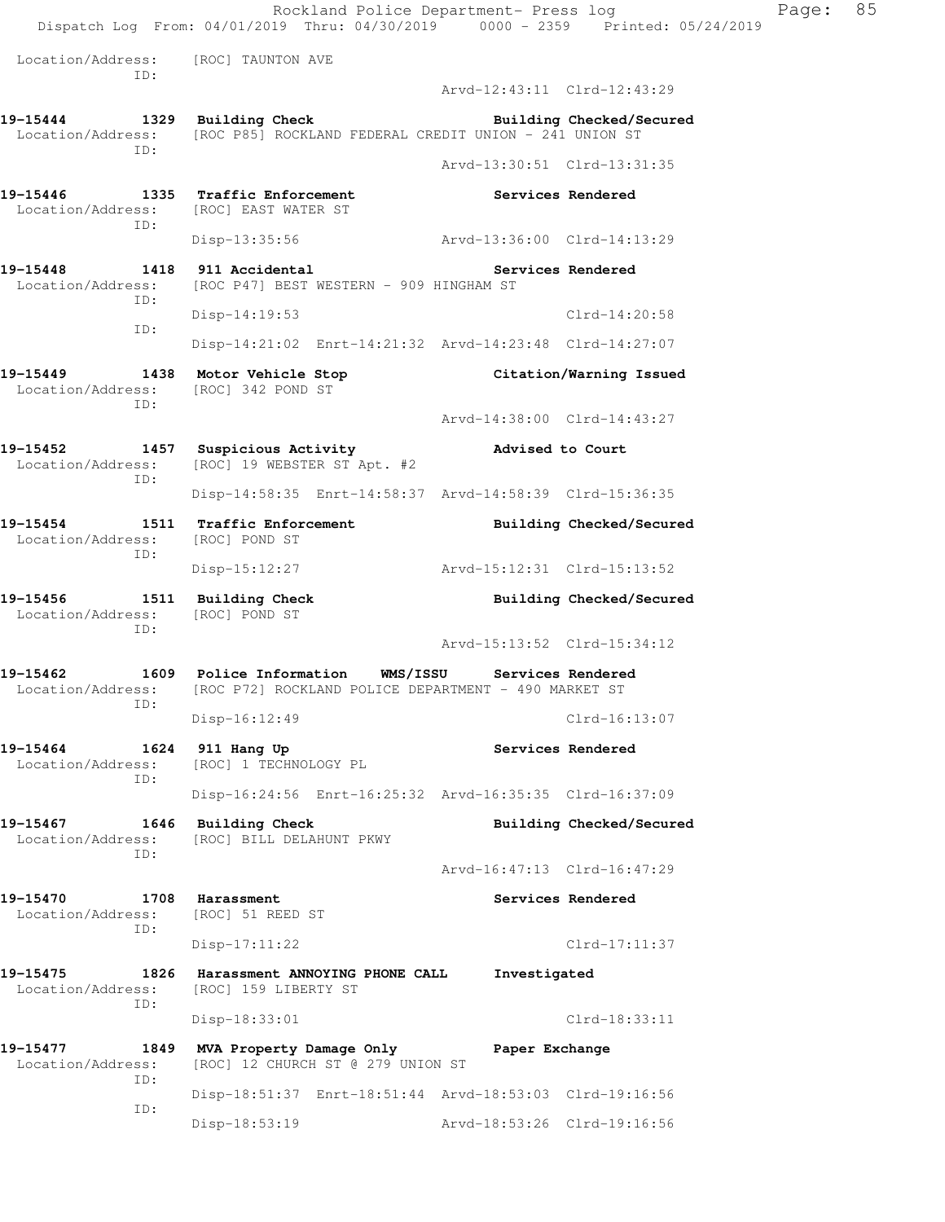Rockland Police Department- Press log Fage: 85 Dispatch Log From: 04/01/2019 Thru: 04/30/2019 0000 - 2359 Printed: 05/24/2019 Location/Address: [ROC] TAUNTON AVE ID: Arvd-12:43:11 Clrd-12:43:29 **19-15444 1329 Building Check Building Checked/Secured**  Location/Address: [ROC P85] ROCKLAND FEDERAL CREDIT UNION - 241 UNION ST ID: Arvd-13:30:51 Clrd-13:31:35 19-15446 1335 Traffic Enforcement **15-16 Services Rendered**  Location/Address: [ROC] EAST WATER ST ID: Disp-13:35:56 Arvd-13:36:00 Clrd-14:13:29 **19-15448 1418 911 Accidental Services Rendered**  Location/Address: [ROC P47] BEST WESTERN - 909 HINGHAM ST ID: Disp-14:19:53 Clrd-14:20:58 ID: Disp-14:21:02 Enrt-14:21:32 Arvd-14:23:48 Clrd-14:27:07 **19-15449 1438 Motor Vehicle Stop Citation/Warning Issued**  Location/Address: [ROC] 342 POND ST ID: Arvd-14:38:00 Clrd-14:43:27 **19-15452 1457 Suspicious Activity Advised to Court**  Location/Address: [ROC] 19 WEBSTER ST Apt. #2 ID: Disp-14:58:35 Enrt-14:58:37 Arvd-14:58:39 Clrd-15:36:35 **19-15454 1511 Traffic Enforcement Building Checked/Secured**  Location/Address: [ROC] POND ST ID: Disp-15:12:27 Arvd-15:12:31 Clrd-15:13:52 **19-15456 1511 Building Check Building Checked/Secured**  Location/Address: [ROC] POND ST ID: Arvd-15:13:52 Clrd-15:34:12 **19-15462 1609 Police Information WMS/ISSU Services Rendered**  Location/Address: [ROC P72] ROCKLAND POLICE DEPARTMENT - 490 MARKET ST ID: Disp-16:12:49 Clrd-16:13:07 **19-15464 1624 911 Hang Up Services Rendered**  Location/Address: [ROC] 1 TECHNOLOGY PL ID: Disp-16:24:56 Enrt-16:25:32 Arvd-16:35:35 Clrd-16:37:09 **19-15467 1646 Building Check Building Checked/Secured**  Location/Address: [ROC] BILL DELAHUNT PKWY ID: Arvd-16:47:13 Clrd-16:47:29 19-15470 **1708** Harassment **19-15470** Services Rendered Location/Address: [ROC] 51 REED ST ID: Disp-17:11:22 Clrd-17:11:37 **19-15475 1826 Harassment ANNOYING PHONE CALL Investigated**  Location/Address: [ROC] 159 LIBERTY ST ID: Disp-18:33:01 Clrd-18:33:11 **19-15477 1849 MVA Property Damage Only Paper Exchange**  Location/Address: [ROC] 12 CHURCH ST @ 279 UNION ST ID: Disp-18:51:37 Enrt-18:51:44 Arvd-18:53:03 Clrd-19:16:56 ID: Disp-18:53:19 Arvd-18:53:26 Clrd-19:16:56